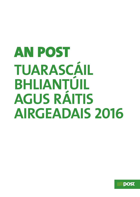# AN POST **TUARASCÁIL BHLIANTÚIL AGUS RÁITIS AIRGEADAIS 2016**

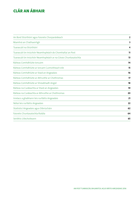# CLÁR AN ÁBHAIR

| An Bord Stiúrthóirí agus Faisnéis Chorparáideach                 | $\overline{2}$ |
|------------------------------------------------------------------|----------------|
| Réamhrá an Chathaoirligh                                         | 3              |
| Tuarascáil na Stiúrthóirí                                        | 4              |
| Tuarascáil ón Iniúchóir Neamhspleách do Chomhaltaí an Post       | 11             |
| Tuarascáil ón Iniúchóir Neamhspleách ar na Córais Chuntasaíochta | 13             |
| Ráiteas Comhdhlúite Ioncaim                                      | 14             |
| Ráiteas Comhdhlúite ar Ioncam Cuimsitheach eile                  | 15             |
| Ráiteas Comhdhlúite ar Staid an Airgeadais                       | 16             |
| Ráiteas Comhdhlúite ar Athruithe ar Chothromas                   | 17             |
| Ráiteas Comhdhlúite ar Shreabhadh Airgid                         | 18             |
| Ráiteas na Cuideachta ar Staid an Airgeadais                     | 19             |
| Ráiteas na Cuideachta ar Athruithe ar Chothromas                 | 20             |
| Innéacs a ghabhann leis na Ráitis Airgeadais                     | 21             |
| Nótaí leis na Ráitis Airgeadais                                  | 22             |
| Staitisticí Airgeadais agus Oibriúcháin                          | 62             |
| Faisnéis Chuntasaíochta Rialála                                  | 64             |
| Seirbhís Uilechoiteann                                           | 65             |
|                                                                  |                |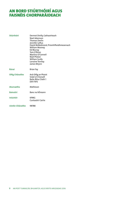# AN BORD STIÚRTHÓIRÍ AGUS FAISNÉIS CHORPARÁIDEACH

| <b>Stiúrthóirí</b> | Dermot Divilly, Cathaoirleach<br>Noel Adamson<br><b>Thomas Devlin</b><br>Jennifer Loftus<br>David McRedmond, Príomhfheidhmeannach<br>William Mooney<br>Ed Murray<br>Tom O'Brien<br>Martina O'Connell<br>Niall Phelan<br>William Scally<br>Lorraine Tormey<br>James Wrynn |
|--------------------|--------------------------------------------------------------------------------------------------------------------------------------------------------------------------------------------------------------------------------------------------------------------------|
| Rúnaí              | <b>Brian Fay</b>                                                                                                                                                                                                                                                         |
| Oifig Chláraithe   | Ard-Oifig an Phoist<br>Sráid Uí Chonaill<br>Baile Átha Cliath 1<br>D01F5P2                                                                                                                                                                                               |
| <b>Aturnaetha</b>  | Matheson                                                                                                                                                                                                                                                                 |
| <b>Baincéirí</b>   | Banc na hÉireann                                                                                                                                                                                                                                                         |
| <b>Iniúchóir</b>   | <b>KPMG</b><br>Cuntasóirí Cairte                                                                                                                                                                                                                                         |
| Uimhir Chláraithe  | 98788                                                                                                                                                                                                                                                                    |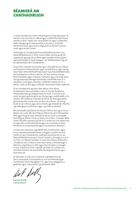# RÉAMHRÁ AN **CHATHAOIRLIGH**

Is iomaí dúshlán atá roimh mhúnla gnó na hearnála poist. Tá mé féin, mar aon leis an mBord agus a pháirtithe leasmhara, meáite ar dhul i ngleic leis na dúshláin sin agus Cuideachta láidir, bheoga agus inbhuanaithe a chruthú a chuirfidh oibríochtaí poist agus líonra oifigí poist ar fáil don náisiún anois agus amach anseo.

D'earcaigh an Chuideachta Príomhfheidhmeannach nua, David McRedmond, in 2016. Cuirim fáilte roimhe go dtí an eagraíocht agus go dtí an Bord agus tacóidh mé leis agus é ag comhlíonadh a chuid dualgas i ról ríthábhachtach ag am an-tábhachtach don Chuideachta.

Tá mé thar a bheith muiníneach go n-éireoidh leis an mBord, an Fhoireann Feidhmiúcháin agus na baill foirne, agus iad ag obair faoin bPríomhfheidhmeannach nua, David McRedmond, an Chuideachta a athrú ó bhonn. Níl aon amhras ach go bhfuil dúshláin agus trialacha romhainn agus muid ag athrú inár gcuideachta bheoga thráchtála a bhainfidh leas as a saineolas, a cáil agus a branda, a mbeidh smacht aici ar a bhfuil i ndán di féin agus a bheidh muiníneach faoin todhchaí.

Tá an Chuideachta ag obair faoi láthair chun plean straitéiseach mionsonraithe a chur ar bun do thodhchaí mheántéarmach go fadtéarmach An Post. Cuimsíonn an obair seo gach gné de ghnó an Ghrúpa agus soláthróidh sí fís shoiléir den todhchaí a bheidh ar fáil do An Post agus plean gníomhaíochta cinnte chun an fhís sin a fhíorú. Tá mé ag tnúth le sin a fhíorú agus lena chinntiú go mbeidh An Post fós i gcroílár ghnó na hÉireann agus i gcroílár an phobail.

Bhí comóradh céad Bliain Éirí Amach 1916 ar bun ag an tír an bhliain seo caite. Bhí Ard-Oifig an Phoist lárnach d'imeachtaí 1916 agus thug An Post aitheantas dó sin nuair a osclaíodh Ard-Oifig an Phoist: Finné na Staire um Cháisc. Cuireadh fáilte roimh 162 ,000 cuairteoir go dtí an t-ionad nua sna chéad naoi mí agus bhí na léirmheasanna agus an t-aiseolas ar fad, ó thionscal na turasóireachta agus ó chuairteoirí, dearfach.

Is mian liom buíochas a ghabháil leis an bhfoireann agus le mo chomhchomhaltaí Boird a thugann seirbhís chomh maith sin don Chuideachta. Gabhaim buíochas leis an iar-Phríomhfheidhmeannach, Donal Connell, a chuaigh ar scor ó An Post i mí Mheán Fómhair. Is mian liom freisin aitheantas a thabhairt don mhéid a rinne Paul Henry a chríochnaigh a théarma cúig bliana in 2016 agus Pat Compton a chuaigh ar scor ó Bhord An Post i ndiaidh 24 bliain as a chéile mar stiúrthóir fostóra; ba chomhaltaí Boird gníomhacha agus tiomanta iad.

Ar deireadh, is mian liom buíochas a ghabháil leis an Aire Cumarsáide, Gníomhaithe ar son na hAeráide agus Comhshaoil, Denis Naughten T.D., agus lena oifigigh as a gcabhair agus a dtacaíocht i gcaitheamh 2016 .

**Dermot Divilly** Cathaoirleach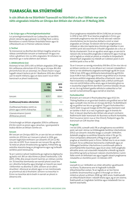# Tuarascáil na Stiúrthóirí

**Is cúis áthais do na Stiúrthóirí Tuarascáil na Stiúrthóirí a chur i láthair mar aon le ráitis airgeadais iniúchta an Ghrúpa don bhliain dar chríoch an 31 Nollaig 2016.**

### **1. An Grúpa agus a Phríomhghníomhaíochtaí**

Is é príomhghníomhaíocht na Cuideachta an tseirbhís phoist náisiúnta agus gréasán na nOifigí Poist a oibriú. Bainistíonn sí roinnt fiontair thráchtála freisin agus tá infheistíocht aici in Premier Lotteries Ireland.

# **2. Torthaí**

Tá mionsonraí na dtorthaí don bhliain leagtha amach sa ráiteas comhdhlúite ioncaim ar leathanach 14 agus sna nótaí a ghabhann leis na ráitis airgeadais. Ní mholann na stiúrthóirí go n-íocfaí díbhinn don bhliain.

# **3. Athbhreithniú Gnó**

Aisiompú le hais 2015 a bhí sa bhliain airgeadais 2016 agus bhí caillteanas oibriúcháin €13.7m ag an nGrúpa. Bhí dhá phríomhchúis leis an aisiompú. An chéad cheann ná gur tugadh isteach boilsciú pá ón 1 Bealtaine 2016 den chéad uair le seacht mbliana, agus an dara ceann ná an titim leanúnach ar phost traidisiúnta.

|                                                              | 2016<br>€m<br><b>Iomlán</b> | 2015<br>€m<br><b>Iomlán</b> |
|--------------------------------------------------------------|-----------------------------|-----------------------------|
| loncam                                                       | 825.7                       | 826.1                       |
| (Caillteanas)/brabús oibriúcháin                             | (13.7)                      | 5.2                         |
| (Caillteanas)/brabús roimh ús<br>pinsin agus roimh chánachas | (12.0)                      | 8.6                         |
| Glansócmhainní (roimh<br>dhliteanas pinsin)                  | 187.1                       | 204.3                       |

Chríochnaigh an bhliain airgeadais 2016 le caillteanas €12.0m roimh ús pinsin agus cánachas, i gcomparáid le brabús €8.6m an bhliain roimhe sin.

# **Ioncam**

Bhí ioncam an Ghrúpa, €825.7m, ar aon dul leis an mbliain roimhe sin. €512.6m an t-ioncam ó phost in 2016, gan ioncam toghcháin/reifreann san áireamh, €11.2m (2.1%) níos ísle ná 2015. Tá an meascán san ioncam fós ag athrú. Tá méid an phoist thraidisiúnta ag laghdú, fritháirithe ag arduithe réasúnta beag ar phraghsanna agus ag tuilleadh seirbhísí poist breisluacha.

Tá an t-aistriú ó phost traidisiúnta go roghanna digiteacha ag bailiú nirt. Bhí an ráta titime ar phost traidisiúnta, 5.2% (2015, 2.9%), dhá oiread chomh hard leis an mbliain roimhe sin. Tá treochtaí domhanda san earnáil phoist cosúil leis sin i dtíortha forbartha agus bhailigh an treocht seo neart i bhformhór na dtíortha in 2016. Léiríonn sé sin athrú struchtúir i dtionscal an phoist agus is é an ríomhionadú an príomhrud atá á thiomáint. Léiríonn na treochtaí in Éirinn na treochtaí atá le brath in earnáil an phoist in áiteanna eile.

Chuir praghsanna méadaithe €8.5m (1.6%) leis an ioncam in 2016 le hais 2015. Tá an beartas praghsála in Éirinn, gur coinníodh praghsanna níos ísle ná mar atá siad i náisiúin chomhchéime, tar éis tionchar diúltach a imirt ar staid airgeadais an Ghrúpa. Tá náisiúin eile tar éis praghsanna a mhéadú ar ráta níos tapúla lena chinntiú go mbeifear in ann seirbhísí poist atá seasmhach ó thaobh airgeadais de a chur ar fáil do chustaiméirí. Tá sé sin ag athrú anois agus, ar aon dul le náisiúin eile, tá leasuithe praghsála á ndéanamh agus muid ag súil le laghdú ar mhéid an phoist ar mhaithe le timpeallacht sheasmhach airgeadais ina mbeidh an t-oibreoir poist in ann seirbhísí poist a chur ar fáil.

Tá an t-ioncam sa rannóg miondíola, €161.8m, €2.5m níos ísle ná an bhliain roimhe sin. Is cúis áthais é an t-ioncam méadaithe ó réimsí ar nós idirbhearta airgeadra eachtraigh ag €8.3m (suas 7.0% le hais 2015) agus idirbhearta baincéireachta ag €10.0m (suas 4.6% le hais 2015) agus léiríonn sé go bhfuil sé ar chumas an líonra seirbhísí airgeadais ábhartha a thairiscint. Lean An Post le bainistiú na dtáirgí Coigiltis Stáit, a bhfuil comhluach níos mó ná €20 billiún orthu anois, agus le bainistiú ghnó na n-íocaíochtaí airgid thirim don Roinn Coimirce Sóisialaí. Anuas air sin, tá sí ag forbairt gaolta rathúla le cuideachtaí ar fud earnáil na baincéireachta agus earnáil an árachais.

# **Fochuideachtaí**

B'ionann an t-ioncam ó fhochuideachtaí agus €122.3m. Tháinig feabhas ar an gcorrlach brabúis sna gnóthaí seo ar fad agus cuireadh níos mó leis an nGrúpa dá bharr. Tá dlúthbhaint ag na gnóthaí seo leis an gcroíghnó. Tá gach fochuideachta i riocht láidir ina gcuid margaí áirithe féin agus baineann siad an tairbhe is fearr as a nasc le gréasán agus le branda An Post. Is táscairí dearfacha don bhliain atá amach romhainn feidhmíocht láidir leanúnach Air Business sa Ríocht Aontaithe, Post Insurance (ainm nua ar One Direct), Postpoint agus fás leanúnach an Gift Voucher Shop.

# **Praghsáil**

I mí Iúil 2016, cuireadh ardú 3% ar phraghsanna sna seirbhísí poist, iad siúd i réimse na hOibleagáide Seirbhíse Uilechoitinne (OSU) san áireamh. Arduithe beaga a cuireadh i bhfeidhm. Ardaíodh praghas na seirbhíse litreacha intíre ó 70c go 72c. Chun comparáid a dhéanamh, d'fhág sé sin go raibh an praghas ar sheirbhísí poist in Éirinn i bhfad níos lú ná an meán Eorpach. Tá na caillteanais leanúnacha a tabhaíodh agus an Oibleagáid Seirbhíse Uilechoitinne á comhlíonadh pléite le príomhpháirtithe leasmhara, agus tá an córas i leith praghsála athraithe anois, rud a éascóidh méaduithe a bheidh ag teacht lena bhfuil ag tarlú sa tionscal i náisiúin chomhchéime. Cuirim fáilte roimh an bhforbairt seo agus tugadh isteach praghsanna méadaithe ar sheirbhísí poist i mí Aibreáin 2017.

# **Costais**

Leanadh le cur i bhfeidhm an chláir athraithe i gcaitheamh na bliana. Tá pleananna ann le haghaidh tuilleadh éifeachtúlachtaí costais. Tá an laghdú ar an líon foirne (coibhéis lánaimseartha) sa ghnó ó thosaigh an titim ar mhéid an phoist sa bhliain 2008 ag 1,800 anois. Feabhsaíodh an éifeachtúlacht bliain i ndiaidh bliana agus, ag an am céanna, feabhsaíodh an Caighdeán Seirbhíse agus méadaíodh líon na bpointí seachadta.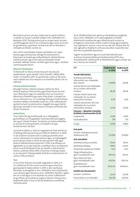Bhí boilsciú pá ann arís den chéad uair le seacht mbliana i ndiaidh an reo pá. Cuireadh méadú 2.5% i bhfeidhm ón 1 Bealtaine 2016. Tháinig boilsciú pá ar ais gan beart ioncaim comhfhreagrach chun é sin a mhaoiniú agus chuir sé sin leis an gcaillteanas i gcomhair na bliana le hais an bhrabúis a rinneadh an bhliain roimhe sin.

Faoi roinnt ceannteideal costais neamhphá, cuir i gcás breosla agus leictreachas, d'éirigh le tionscnaimh a bhaineann le húsáid agus éifeachtúlacht sábháil bhreise a bhaint amach. Ag an am céanna, baineadh amach tuilleadh sábhála costais i seirbhísí gairmiúla agus i seirbhísí ríomhaireachta freisin.

#### **Diúscairt Sócmhainní**

Ó dheireadh na bliana, tharla diúscairt shuntasach réadmhaoine i gcás saoráid i Lána Chairdif i mBaile Átha Cliath i mí Feabhra 2017. Tá saoráid eile curtha ar fáil ionas nach mbeidh aon chur isteach ar an tseirbhís phoist i lár na cathrach.

#### **Premier Lotteries Ireland**

Bhuaigh Premier Lotteries Ireland, a bhfuil An Post, Ontario Teachers' Pension Plan agus Plean Pinsin An Post mar infheisteoirí aige, an Ceadúnas chun an Crannchur Náisiúnta a fheidhmiú go ceann fiche bliain. Cuireadh tús leis an oibríocht nua i mí na Nollag 2014 agus tá dhá bhliain iomlána trádála críochnaithe anois aici. Tá an infheistíocht ag baint amach na spriocanna a leagadh síos agus táimid ag súil go rachaidh sí chun leasa an Ghrúpa sna blianta atá amach romhainn.

#### **Scéim Pinsin**

Tá an Scéim fós ag comhlíonadh na n-oibleagáidí i gcomhthéacs an Chaighdeáin Íosmhaoinithe atá leagtha síos ag an Údarás Pinsean. Tá rialacha na Scéime athraithe, ar aon dul le comhaontuithe a rinneadh le Grúpa Ceardchumann An Post.

Cuimsíonn ráiteas ar staid an airgeadais An Post amhail an 31 Nollaig 2016 easnamh pinsin €283.4m (€169.2m in 2015). Is iad na boinn tuisceana atá in úsáid go príomha chun muirir a bhaineann le costais phinsin agus na hoibleagáidí pinsin amach anseo a ríomh ná ráta lascaine 1.8% agus boilsciú fadtréimhseach pá/pinsin 1.25%. Is de dheasca an laghdaithe ar an ráta lascaine a úsáidtear chun an dliteanas pinsin arna fhritháireamh leis an toradh ar shócmhainní scéime sa bhliain féilire 2016 a thomhas a tháinig méadú ar an easnamh. Tháinig méadú €225.4m ar shócmhainní na scéime, 8.2% sa bhliain.

#### **Tuar**

Is cúis mhór díomá é an toradh airgeadais in 2016, is é sin caillteanas €12.0m roimh ús pinsin agus cánachas, i gcomparáid le brabús €8.6m in 2015. Is den riachtanas athruithe ar phraghsáil a chur i bhfeidhm, treo straitéiseach nua a bhunú agus réasúnú a chur i bhfeidhm. Rachfar i ngleic leis sin ar fad agus is é an dúshlán ná cinnte a dhéanamh de go bhfuil na hacmhainní airgid ar fáil don Ghrúpa chun túsphointe láidir a chur ar fáil do thodhchaí na seirbhíse náisiúnta poist.

Tá sé ríthábhachtach don ghnó sa mheántéarma praghsáil chuí a chur i bhfeidhm, an t-ardchaighdeán ó thaobh feidhmíocht seirbhíse de agus éifeachtúlacht costais sa chroíghnó a choinneáil, chomh maith le táirgí agus seirbhísí nua a ghineann ioncam a chur leo sin atá ann cheana féin. Ní mór aghaidh a thabhairt ar bhunú struchtúir maoinithe don OSU leis na páirtithe leasmhara.

Tugann na stiúrthóirí agus an lucht bainistíochta aird ar réimse de phríomhtháscairí feidhmíochta (PTF) chun monatóireacht a dhéanamh ar fheidhmíocht, agus cuirtear iad seo a leanas san áireamh:

| PTF                                                                            | <b>Feidhmíocht</b><br>in 2016 | Feidhmíocht<br>in 2015 |
|--------------------------------------------------------------------------------|-------------------------------|------------------------|
| Toradh Oibriúcháin                                                             |                               |                        |
| (Caillteanas)/brabús<br>oibriúcháin mar chéatadán<br>den ioncam                | (1.66%)                       | 0.62%                  |
| Costais foirne mar chéatadán<br>de na costais oibriúcháin<br>iomlána           | 58.2%                         | 58.3%                  |
| Costais máistrí poist mar<br>chéatadán de na costais<br>oibriúcháin iomlána    | 8.7%                          | 9.1%                   |
| Costais oibriúcháin eile mar<br>chéatadán de na costais<br>oibriúcháin iomlána | 33.1%                         | 32.6%                  |
| Foireann – Meánlíon Fostaithe<br>(Coibhéis Lánaimseartha (CLA)                 |                               |                        |
| Cuideachta                                                                     | 9,190                         | 9,109                  |
| Fochuideachtaí                                                                 | 738                           | 753                    |
| Grúpa                                                                          | 9,928                         | 9,862                  |
| Gnó poist                                                                      |                               |                        |
| Príomh-mhéideanna poist:<br>(leathanach 63)                                    | (5.20%)                       | (2.92%)                |
| Gnó miondíola                                                                  |                               |                        |
| Idirbhearta leasa sóisialta                                                    | 35.6m                         | 38.1m                  |
| Idirbhearta Billpay                                                            | 19.8m                         | 22.9m                  |
| Díolacháin ceadúnais teilifíse                                                 | 1.4 <sub>m</sub>              | 1.4 <sub>m</sub>       |
| Táirgí Infheistíochta -<br>glan-insreabhadh ciste                              | €97.4m                        | €0.7m                  |
| Banc Taisce An Post-<br>glan-insreabhadh ciste                                 | €157.1m                       | €93.7m                 |
| Duaisbhannaí –<br>glan-insreabhadh ciste                                       | €413.3m                       | €304.6m                |
| Seirbhís do Chustaiméirí                                                       |                               |                        |
| Gearáin i scríbhinn                                                            | 22,341                        | 23,169                 |
| Fiosrúcháin ar an teileafón                                                    | 616,718                       | 524,154                |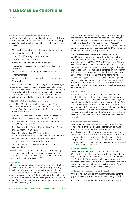# Tuarascáil na Stiúrthóirí

#### **4. Príomhrioscaí agus Príomhéiginnteachtaí**

De réir an cheanglais go ndéanfaí anailís ar na príomhrioscaí agus na ar na héiginnteachtaí atá ann d'fhorbairt an Ghrúpa agus na Cuideachta sa todhchaí, sainaithníodh na nithe seo a leanas:

- **•**  Meicníocht maoinithe neamhleor do sholáthar an OSU;
- **•**  Inbhuanaitheacht an líonra miondíola;
- Struchtúr solúbtha agus éifeachtúil costas:
- Gníomhaíocht thionsclaíoch;
- Acmhainní airgid thirim maoiniú straitéise;
- **•**  Riachtanais mhargaidh i margaí na bpaicéad agus na mbeartán;
- **•**  Meath luathaithe ar an margadh poist idirbheart;
- **•**  Ioncam miondíola;
- Conraitheoirí Oifigí Poist conarthaí agus íocaíochtaí;
- **•**  Riosca calaoise.

Rinne na stiúrthóirí anailís orthu sin agus ar rioscaí eile agus tá cláir oiriúnacha ar bun chun na rioscaí seo a bhainistiú agus a rialú. Sa Ráiteas ar Rialachas Corparáideach, ar cuid de Thuarascáil na Stiúrthóirí é, leagtar amach na beartais agus an cur chuige maidir le rioscaí, agus na nósanna imeachta agus freagrachtaí rialaithe inmheánaigh a bhaineann leo.

#### **5. Na Stiúrthóirí, an Rúnaí agus a Leasanna**

Ar an 28 Iúil 2016, dhearbhaigh an tAire ceapachán an Uas. Dermot Divilly mar Chathaoirleach tar éis dó teacht i láthair an Roghchoiste um Chumarsáid, Athrú Aeráide agus Acmhainní Nádúrtha.

Tharla na hathruithe eile seo a leanas ar chomhdhéanamh an Bhoird ó dháta thuarascáil na stiúrthóirí roimhe seo:

- **•**  Tháinig deireadh le téarma oifige an tUas. Paul Henry ar an 14 Meán Fómhair 2016.
- **•**  Tháinig deireadh le téarma oifige an tUas. Donal Connell ar an 30 Meán Fómhair 2016.
- **•**  Ceapadh an tUas. David McRedmond ina Phríomhfheidhmeannach ar an 3 Deireadh Fómhair 2016.
- Tháinig deireadh le téarma oifige an tUas. Patrick Compton ar an 31 Deireadh Fómhair 2016.
- **•**  Ceapadh an tUas. Niall Phelan ar an mBord ar an 30 Samhain 2016.

Na stiúrthóirí agus an rúnaí a bhí in oifig ar an 31 Nollaig 2016, ní raibh leas ar bith acu i scaireanna ná i mbintiúir na Cuideachta ná aon chuideachta sa Ghrúpa am ar bith i gcaitheamh na bliana airgeadais 2016.

#### **6. Fostaithe**

Is fostóir comhionannais deiseanna é an Grúpa. Breithnítear gach iarratas ar fhostaíocht go hiomlán agus go cóir, tugtar aird chuí ar infheidhmeacht agus ar chumas an duine agus ar riachtanais an phoist a bhíonn i gceist. Caitear le gach duine ar an gcaoi chéanna ó thaobh oiliúna, forbairt ghairme agus ardú céime. Deimhníonn An Post go sáraíonn fostaíocht daoine faoi mhíchumas an sprioc 3% a leagadh amach faoin Acht um Míchumas, 2005.

Tá An Post tiomanta do na caighdeáin sábháilteachta agus cleachtais shábháilte is airde a chinntiú dá fhostaithe, dá chonraitheoirí agus do bhaill an phobail de réir an Achta um Shábháilteacht, Sláinte agus Leas ag an Obair, 2005. In 2016, bhí 2.1 timpiste le cailliúint ama ann do 100,000 uair an chloig oibrithe. Is ionann é seo agus laghdú 11% ar thimpistí le cailliúint ama iontu i gcomparáid le 2015.

Tá An Post tiomanta do thimpistí le cailliúint ama a laghdú agus leis sin a bhaint amach tá clár feabhsaithe sábháilteachta ar bun lena n-áirítear athchreidiúnú go dtí an caighdeán OHSAS 18001:2007 in 2016, go ceann 3 bliana eile. Chomh maith leis sin, d'fhreastail 4,505 fostaí ar chúrsaí sonracha in oiliúint sábháilteachta in 2016, agus d'fhreastail a lán eile ar chúrsaí ina raibh an tsábháilteacht san áireamh. Áirítear anseo clár 'Tiománaí Gairmiúil' bunaithe ar riosca a chur ar fáil do 679 tiománaí a thiomáineann flít na Cuideachta. Tuigeann An Post gur íoschaighdeán inghlactha iad na hoibleagáidí dlíthiúla, agus dá bhrí sin tá a dhícheall á dhéanamh ag An Post feasacht na bhfostaithe agus na gconraitheoirí ar riachtanas na gcaighdeán sábháilteachta is airde a mhéadú.

#### **7. Íoc Pras Cuntas**

Is é beartas An Post ceanglais na reachtaíochta ábhartha maidir le híoc pras cuntas a chomhlíonadh. Is iad gnáththéarmaí an Ghrúpa maidir le creidmheas a ghlacadh, mura sonraítear a mhalairt i socruithe sonracha conartha, ná 30 lá. Tá rialuithe inmheánacha cuí i bhfeidhm, lena n-áirítear róil agus freagrachtaí a shainmhínítear go soiléir agus tuairisciú agus athbhreithniú míosúil ar chleachtais íocaíochta. Tugann na nósanna imeachta sin dearbhú réasúnta cé nach bhfuil sé absalóideach in aghaidh neamh-chomhlíonadh ábhartha na rialachán.

#### **8. Bainistiú Riosca an Chisteáin**

Déantar bainistiú ar oibriúcháin chisteán an Ghrúpa faoi réir beartais a d'fhaomh an Bord. Tá ionstraimí airgeadais an Ghrúpa teoranta d'airgead tirim, do thaiscí téarma agus d'iasachtaí nó do rótharraingtí bainc agus mar sin tá neamhchosaint oibríochta an Ghrúpa do rioscaí airgeadais teoranta i dtaca leis sin. De bharr bheartas bainistithe an Ghrúpa i leith riosca don chisteán, is féidir suíomhanna teoranta fálaithe a thógáil maidir le hairgeadra eachtrach ach ní chuimsítear úsáid díorthach.

#### **9. Taifid Chuntasaíochta**

Trí fhoireann le saineolas cuí a fhostú agus acmhainní dóthanacha a sholáthar don fheidhm airgeadais, creideann na stiúrthóirí go bhfuil riachtanais Alt 281 go hAlt 285 d'Acht na gCuideachtaí, 2014 maidir le taifid leordhóthanacha chuntasaíochta comhlíonta acu. Coinnítear leabhair chuntais na Cuideachta ag áitreabh na Cuideachta in Ard-Oifig an Phoist, Sráid Uí Chonaill, Baile Átha Cliath 1, D01 F5P2.

#### **10. Ráiteas na Stiúrthóirí ar Chomhlíonadh**

Aithníonn na stiúrthóirí go bhfuil siad freagrach as a chinntiú go gcomhlíonann an Chuideachta a chuid oibleagáidí ábhartha.

Ina theannta sin, dearbhaíonn na stiúrthóirí gur cuireadh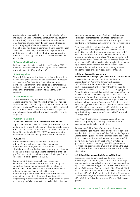doiciméad um beartas i leith comhlíonadh i dtoll a chéile ina leagtar amach beartais atá, inár dtuairim (i.e. i dtuairim na Stiúrthóirí), oiriúnach don Chuideachta maidir leis an gCuideachta a bheith ag comhlíonadh a cuid oibleagáidí iomchuí, agus go bhfuil socruithe nó struchtúir chuí i bhfeidhm atá, inár dtuairim, saincheaptha chun comhlíonadh ábhartha a cuid oibleagáidí iomchuí ag an gCuideachta a áirithiú, agus go ndearnadh athbhreithniú ar na socruithe nó struchtúir dá dtagraítear thuas i gcaitheamh na bliana airgeadais.

#### **11. Deonacháin Pholaitiúla**

I rith na bliana airgeadais dar chríoch an 31 Nollaig 2016, ní dhearna an Grúpa aon ranníocaíocht pholaitiúil a d'éileodh nochtadh faoin Acht Toghcháin, 1997.

# **12. Iar-theagmhais**

Tharla dhá theagmhas shuntasacha i ndiaidh dheireadh na bliana. Ar an gcéad dul síos, díoladh sócmhainn shuntasach ar Lána Chairdif i mBaile Átha Cliath. Tá sé sin tar éis acmhainní airgid thirim a chur leis an gclár comhardaithe i ndiaidh dheireadh na bliana. Ar an dara dul síos, cuireadh méaduithe praghais i bhfeidhm i ndiaidh athrú ar an reachtaíocht.

### **13. Gnóthas Leantach**

Tá ionchas réasúnta ag an mBord Stiúrthóirí go mbeidh a dhóthain acmhainní ag an nGrúpa chun fanacht i ngnó ar feadh tréimhse 12 mhí ar a laghad ón dáta ar faomhadh na ráitis airgeadais seo. Mar gheall air sin, tá siad fós ag glacadh leis an mbonn 'gnóthas leantach' agus na ráitis airgeadais á n-ullmhú acu. Tá sonraí leagtha amach i nóta 1 leis na ráitis airgeadais.

# **14. Rialú Corparáideach**

#### **14.1 An Cód Cleachtais chun Comhlachtaí Stáit a Rialú**

Agus a bheartas rialachais chorparáidigh á fhorbairt aige, tá an Bord tar éis iarracht a dhéanamh éifeacht a thabhairt don Chód Cleachtais chun Comhlachtaí Stáit a Rialú a d'eisigh an Roinn Airgeadais in 2009 ('Cód 2009'), agus prionsabail an dea-rialachais a oireann don ghnóthas a chur i bhfeidhm.

#### **14.2 An Bord**

Is é an Bord Stiúrthóirí a rialaíonn an Grúpa. Is iad príomhrólanna an Bhoird maoirsiú a dhéanamh ar oibriúchán an Ghrúpa, cinnireacht a sholáthar, cuspóirí straitéiseacha a fhaomhadh agus a chinntiú go gcuirtear na hacmhainní airgeadais agus eile atá riachtanach ar fáil ionas gur féidir na cuspóirí sin a bhaint amach. Tháinig an Bord le chéile naoi n-uaire i gcaitheamh 2016.

Fágtar ábhair áirithe go sonrach faoin mBord chun cinneadh a dhéanamh ina leith. Áirítear ar na freagrachtaí sonracha a fhágtar faoin mBord: straitéis an Ghrúpa a shocrú agus buiséad bliantúil agus réamh-mheastacháin mheántéarmacha a fhaomhadh; feidhmíocht oibriúcháin agus feidhmíocht airgeadais a athbhreithniú; mórchaiteachas caipitil a fhaomhadh; córais rialaithe airgeadais agus bainistithe rioscaí an Ghrúpa a athbhreithniú; a chinntiú go bhfuil pleananna forbartha bainistíochta agus

pleananna comharbais cuí ann; feidhmíocht chomhshaoil, sláinte agus sábháilteachta an Ghrúpa a athbhreithniú; ceapachán Rúnaí na Cuideachta a fhaomhadh; agus a chinntiú go mbíonn idirphlé sásúil á dhéanamh leis na scairshealbhóirí.

Tá na freagrachtaí seo a leanas tarmligthe ag an mBord chuig an mbainistíocht: pleananna straitéiseacha, atá le breithniú ag an mBord, a léiríonn cuspóirí agus tosaíochtaí níos fadtéarmaí arna mbunú ag an mBord a fhorbairt agus a mholadh; straitéisí agus beartais an Ghrúpa, arna gcinneadh ag an mBord, a chur i bhfeidhm; monatóireacht a dhéanamh ar thorthaí oibriúcháin agus airgeadais in aghaidh pleananna agus buiséad; leithdháileadh acmhainní teicniúla agus acmhainní daonna a chur in ord tosaíochta; agus córais bainistithe rioscaí a fhorbairt agus a chur i bhfeidhm.

### **14.3 Ról an Chathaoirligh agus ról an Phríomhfheidhmeannaigh agus caidreamh le scairshealbhóirí**

Tá 13 stiúrthóir ar an mBord faoi láthair, eadhon: an Cathaoirleach, an Príomhfheidhmeannach, cúigear stiúrthóirí ar fostaithe iad, stiúrthóir amháin ar máistir poist í agus cúigear stiúrthóirí neamhfheidhmiúcháin. Is daoine difriúla iad siúd atá i bpoist an Chathaoirligh agus an Phríomhfheidhmeannaigh. Is é an Cathaoirleach a stiúrann an Bord lena straitéis a chinneadh agus lena chuspóirí a bhaint amach. Tá an Cathaoirleach freagrach as gnó an Bhoird a eagrú, as éifeachtacht an Bhoird a chinntiú agus as clár oibre an Bhoird a leagan amach. Éascaíonn an Cathaoirleach obair éifeachtach gach stiúrthóra agus caidreamh úsáideach idir an stiúrthóir feidhmeannach agus na stiúrthóirí eile, cinntíonn sé go bhfaigheann stiúrthóirí faisnéis ábhartha, chruinn agus thráthúil agus bainistíonn sé cumarsáid éifeachtach le scairshealbhóirí.

Tá an Príomhfheidhmeannach i gceannas an Ghrúpa go díreach, ó lá go lá, agus tá sé freagrach as feidhmíocht airgeadais agus oibriúcháin an Ghrúpa.

Bíonn cumarsáid leanúnach faoi shaincheisteanna straitéiseacha ag an mBord, tríd an gCathaoirleach agus tríd an mbainistíocht, le scairshealbhóirí na Cuideachta. Tugann an Cathaoirleach agus an Príomhfheidhmeannach aiseolas don Bhord ar shaincheisteanna a chuireann na scairshealbhóirí faoina mbráid. Freastalaíonn na stiúrthóirí ar fad ar an gCruinniú Ginearálta Bliantúil go hiondúil agus iarrtar ar scairshealbhóirí ceisteanna a chur i rith an chruinnithe agus casadh le stiúrthóirí nuair a bhíonn na himeachtaí foirmiúla críochnaithe.

#### **14.4 Stiúrthóirí agus neamhspleáchas na Stiúrthóirí**

Ceapann an tAire Cumarsáide, Gníomhaithe ar son na hAeráide agus Comhshaoil gach stiúrthóir ar an mBord agus leagtar amach na coinníollacha a bhainfidh lena gceapacháin agus a dtáillí i scríbhinn. Toghtar fostaithe mar stiúrthóirí de réir na nAchtanna um Páirteachas Lucht Oibre (Fiontair Stáit) 1977 go dtí 1993 ar feadh téarma ceithre bliana. Toghtar máistir poist mar stiúrthóir de réir Alt 81 den Acht Seirbhísí Poist agus Teileachumarsáide, 1983 ar feadh téarma trí bliana. Ceaptar na stiúrthóirí eile ar fad ar théarma buan, téarma cúig bliana de ghnáth.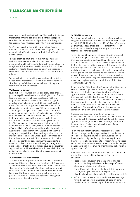# Tuarascáil na Stiúrthóirí

# ar lean

Mar gheall ar a stádas dleathach mar Chuideachta Stáit agus freagracht a phríomh-scairshealbhóra ó thaobh ceapadh stiúrthóirí de, creideann an Bord go bhfuil na hoibleagáidí ar fad a éilítear maidir le ceapadh stiúrthóirí comhlíonta aige.

Tá nósanna imeachta foirmeáilte ag an mBord faoina dtionóltar cruinnithe idir an Cathaoirleach agus na stiúrthóirí neamhfheidhmiúcháin gan an stiúrthóir feidhmiúcháin a bheith i láthair.

Tá sé de cheart ag na stiúrthóirí a chinntiú go ndéantar taifead i miontuairiscí an Bhoird ar aon ábhar imní neamhréitithe a bheadh acu maidir le feidhmiú an Ghrúpa nó faoi ghníomh áirithe ar bith. Má bhíonn aon ábhar imní den sórt sin acu, féadfaidh siad, agus iad ag éirí as a bpost, ráiteas i scríbhinn a sholáthar don Chathaoirleach, le dáileadh ar an mBord.

Tugtar rochtain ar chomhairle ghairmiúil neamhspleách do na stiúrthóirí, ar chostas an Ghrúpa, nuair a mheasfaidh na stiúrthóirí go bhfuil sin riachtanach chun a bhfreagrachtaí mar stiúrthóirí a chomhlíonadh.

#### **14.5 Forbairt ghairmiúil**

Nuair a cheaptar stiúrthóirí nua, bíonn orthu uile a bheith páirteach i gclár insealbhaithe mar a bhfaighidh siad faisnéis faoin nGrúpa, faoi ról an Bhoird agus faoi na hábhair a fhágtar faoin mBord le cinneadh, faoi théarmaí tagartha agus faoi chomhaltas an phríomh-Bhoird agus Choistí an Bhoird, faoi chleachtais agus nósanna imeachta rialachas chorparáideach an Ghrúpa, lena n-áirítear na freagrachtaí a tharmligtear chuig bainistíocht shinsearach an Ghrúpa, agus an fhaisnéis airgeadais is déanaí maidir faoin nGrúpa. Go hiondúil bíonn cruinnithe forlíontacha acu freisin le feidhmeannaigh thábhachtacha shinsearacha. Bíonn na stiúrthóirí á dtabhairt cothrom le dáta go leanúnach trí nótaí mionteagaisc i scríbhinn agus trí chruinnithe le feidhmeannaigh shinsearacha, le linn a dtréimhse i seilbh oifige, maidir le gnó an Ghrúpa, na timpeallachtaí iomaíocha agus rialaithe ina bhfeidhmíonn sé, cúrsaí a bhaineann le freagracht chorparáideach shóisialach agus athruithe eile a mbeidh tionchar acu ar an nGrúpa agus ar an tionscal poist ina iomláine. Cuirtear stiúrthóirí ar an eolas freisin, nuair a cheaptar iad, i scríbhinn agus trí chruinnithe pearsanta le Rúnaí na Cuideachta, maidir lena bhfreagrachtaí agus lena n-oibleagáidí ó thaobh an dlí agus eile agus iad ina stiúrthóirí. Tugtar cothrom le dáta iad chomh maith maidir le hathruithe ar riachtanais rialachais agus dlí an Ghrúpa agus orthu féin mar stiúrthóirí.

#### **14.6 Meastóireacht feidhmíochta**

Tá próiseas foirmiúil glactha agus á fheidhmiú ag an mBord don mheastóireacht bhliantúil ar a fheidhmíocht féin agus ar a bpríomh-Choistí. Áirítear leis seo meastóireacht thréimhsiúil sheachtrach ar fheidhmíocht. Creideann an Bord go mbeadh sé mí-oiriúnach aon mheastóireacht bhreise eile a thabhairt isteach ar stiúrthóirí aonaracha mar gheall ar an gcaoi a gceaptar stiúrthóirí, ar an struchtúr scairsheilbhe agus ar nósanna imeachta reatha an Bhoird.

#### **14.7 Rialú Inmheánach**

Tá próiseas leanúnach ann chun na rioscaí suntasacha a thagann os comhair an Ghrúpa a shainaithint, a mheas agus a bhainistiú. Athbhreithníonn na stiúrthóirí an próiseas sin go tréimhsiúil, agus bhí an próiseas i bhfeidhm ar feadh na tréimhse cuntasaíochta agus suas go dtí an dáta ar faomhadh na ráitis airgeadais.

Tá na stiúrthóirí freagrach as córas rialaithe inmheánaigh an Ghrúpa, leagann siad amach beartais chuí ar rialú inmheánach, lorgaíonn siad dearbhú rialta a chuireann ar a gcumas a bheith sásta go bhfuil an córas ag feidhmiú go héifeachtach agus cinntíonn siad go bhfuil an córas rialaithe inmheánaigh éifeachtach maidir le rioscaí a bhainistiú ar an tslí atá faofa acu. Leagtar córas den sórt sin amach chun rioscaí gnó a bhainistiú seachas deireadh ar fad a chur leo, agus ní thugann an córas ach dearbhú réasúnta seachas dearbhú absalóideach in aghaidh caillteanas nó míshonrú ábhartha. Leagtar amach na príomhrioscaí i Roinn 4 de Thuarascáil na Stiúrthóirí.

Rinne na stiúrthóirí athbhreithniú leanúnach ar éifeachtacht chóras rialaithe airgeadais agus neamhairgeadais an Ghrúpa i rith 2016 lena n-áirítear rialuithe oibriúcháin agus comhlíonta, bainistiú riosca agus socruithe rialaithe inmheánaigh ardleibhéil an Ghrúpa. Áirítear leis na hathbhreithnithe sin measúnú na bainistíochta ar rialuithe inmheánacha, dearbhú bainistíochta ar chothabháil rialuithe, tuarascálacha ó na hiniúchóirí inmheánacha agus tuarascálacha ón iniúchóir seachtrach ar ábhar a sainaithníodh le linn a chuid obair iniúchta reachtúil.

Creideann an Grúpa gur príomhghníomhaíocht bainistíochta é bainistiú cúramach riosca. Ghlac an Bord le Beartas Bainistithe Riosca agus le Creat Bainistithe Riosca agus tá Príomhoifigeach Riosca ceaptha aige. Cuimsíonn freagrachtaí an Choiste Iniúchóireachta agus Riosca freagrachtaí Coiste Riosca.

Tá an bhainistíocht freagrach as rioscaí shuntasacha a shainaithint agus a mheas agus as rialuithe inmheánacha cuí a dhearadh agus a chur i bhfeidhm. Tuairiscíonn an bhainistíocht chuig an mBord go rialta, ar na príomhbhunrioscaí sa ghnó agus ar an tslí a mbainistítear na rioscaí sin. Is cuid lárnach den timpeallacht rialaithe inmheánaigh é an próiseas a úsáidtear chun na príomhrioscaí a shainaithint agus a bhainistiú.

Is iad seo a leanas na príomhnósanna imeachta a bhunaigh na stiúrthóirí chun rialú inmheánach éifeachtach a sholáthar:

- **•**  Fócas soiléir ar chuspóirí gnó arna gcinneadh ag an mBord tar éis freagrachtaí reachtúla agus próifíl riosca ghnóthaí an Ghrúpa a bhreithniú.
- **•**  Struchtúr eagraíochta sainmhínithe le línte freagrachta soiléire, tarmligean údaráis, agus deighilt dualgas a dheartar chun timpeallacht rialaithe thairbheach a chothú.
- **•**  Próiseas bainistithe riosca a bhreithneoidh straitéis agus forbairt an ghnó i gcomhthéacs an phróisis bhliantúil buiséid nuair a shocraíonn agus athbhreithníonn an Bord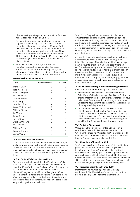pleananna airgeadais agus spriocanna feidhmíochta de réir chuspóirí foriomlána an Ghrúpa.

- **•**  Déanann Rannóg Airgeadais an Ghrúpa tuarascálacha airgeadais a ullmhú agus a eisiúint, lena n-áirítear na cuntais bhliantúla chomhdhlúite. Déanann Coiste Iniúchóireachta agus Riosca an Bhoird athbhreithniú ar na cuntais bhliantúla sula gcuirtear i láthair an Bhoird iad lena n-athbhreithniú agus a bhfaomhadh a fháil. Áirítear san athbhreithniú sin cruinniú leis na hiniúchóirí seachtracha gan aon chomhalta den bhainistíocht a bheith i láthair.
- **•**  Feidhm iniúchta inmheánaigh a dhéanann monatóireacht ar chomhlíonadh beartas agus ar éifeachtacht an rialaithe inmheánaigh laistigh de ghnóthaí an Ghrúpa. Dírítear obair na feidhme iniúchta inmheánaigh ar na réimsí is mó riosca don Ghrúpa.

#### **Freastal ar chruinnithe an Bhoird**

| Ainm              | I dteideal freastal | D'fhreastail   |
|-------------------|---------------------|----------------|
| Dermot Divilly    | 9                   | 9              |
| Noel Adamson      | 9                   | 9              |
| Patrick Compton   | 8                   | 7              |
| Donal Connell     | 7                   | 7              |
| Thomas Devlin     | 9                   | 9              |
| Paul Henry        | 6                   | 4              |
| Jennifer Loftus   | 9                   | 9              |
| David McRedmond   | $\overline{2}$      | $\overline{2}$ |
| William Mooney    | 9                   | 9              |
| Ed Murray         | 9                   | 9              |
| Peter Ormond      |                     |                |
| Tom O'Brien       | 9                   |                |
| Martina O'Connell | 9                   | 9              |
| Niall Phelan      |                     |                |
| William Scally    | 9                   | 9              |
| Lorraine Tormey   | 9                   | 9              |
| James Wrynn       | 7                   | 5              |

#### **14.8 An Coiste um Luach Saothair**

Tá an Cathaoirleach, stiúrthóir neamhfheidhmiúcháin agus an Príomhfheidhmeannach ar an gCoiste um Luach Saothair faoi láthair. Bíonn an Príomhfheidhmeannach as láthair nuair a phléitear ábhar a bhaineann lena luach saothair féin. Tháinig an Coiste le chéile ceithre huaire i gcaitheamh na bliana.

#### **14.9 An Coiste Iniúchóireachta agus Riosca**

Tá ceathrar stiúrthóir neamhfheidhmiúcháin ar an gCoiste Iniúchóireachta agus Riosca faoi láthair. Faoina théarmaí tagartha, tá an Coiste le cuidiú leis an mBord a fhreagrachtaí a chomhlíonadh trí athbhreithniú neamhspleách ar thuairisciú airgeadais a sholáthar, tríd an gCoiste féin a shásamh maidir le héifeachtacht rialuithe inmheánacha na Cuideachta agus maidir le leordhóthanacht na n-iniúchtaí seachtracha agus inmheánacha. Tháinig an Coiste le chéile cúig huaire i gcaitheamh na bliana.

Tá an Coiste freagrach as monatóireacht a dhéanamh ar éifeachtacht an phróisis iniúchta sheachtraigh agus as moltaí a dhéanamh chuig an mBord i ndáil le hiniúchóirí seachtracha a cheapadh, a athcheapadh agus leis an luach saothair a thabharfar dóibh. Tá sé freagrach as a chinntiú go gcoinnítear caidreamh cuí idir an Grúpa agus an t-iniúchóir seachtrach, lena n-áirítear seirbhísí agus táillí neamh-iniúchta a athbhreithniú.

Ar mhaithe le neamhspleáchas an iniúchóra sheachtraigh a choinneáil, tá beartais dheimhnithe ag an gCoiste Iniúchóireachta agus Riosca faoi na seirbhísí iniúchta agus neamh-iniúchta is féidir le hiniúchóirí seachtracha an Ghrúpa a sholáthar agus faoin bpróiseas faofa a bhaineann leis na seirbhísí sin. Faoi na beartais sin, ní bheidh obair ar obair chomhairleach í á tairiscint d'iniúchóir seachtrach mura mbeidh éifeachtúlachtaí soiléire agus sochair bhreisluacha don Ghrúpa ag baint leis, agus go gcinntítear go gcoinnítear oibiachtúlacht agus neamhspleáchas an iniúchóra sheachtraigh.

#### **14.10 An Coiste Sláinte agus Sábháilteachta agus Slándála**

Is iad seo a leanas príomhfhreagrachtaí an Choiste:

- **•**  monatóireacht a dhéanamh ar éifeachtacht Chórais Bainistíochta Sábháilteachta agus Slándála na Cuideachta, é féin a shásamh maidir le comhlíonadh reachtaíocht agus rialacháin infheidhme sábháilteachta agus slándála na Cuideachta, agus a chinntiú go laghdaítear eachtraí chomh híseal agus is féidir go praiticiúil.
- **•**  monatóireacht a dhéanamh ar fhorbairt, ar chur i bhfeidhm agus ar fheabhsú leanúnach na straitéisí, na gcórais bainistithe agus na bpróiseas chun a chinntiú go bhfuil rialacháin agus nósanna imeachta leordhóthanacha i bhfeidhm maidir le sláinte agus sábháilteacht agus le slándáil (pleanáil phráinnfhreagartha san áireamh).

#### **14.11 An Coiste Ainmniúchán**

Ós rud é go bhfuil an t-údarás ar fad a bhaineann le stiúrthóirí a cheapadh dílsithe don Aire Cumarsáide, Gníomhaithe ar son na hAeráide agus Comhshaoil le toiliú ón Aire Caiteachais Phoiblí agus Athchóirithe ní raibh aon Choiste Ainmniúcháin ann le haghaidh 2016.

#### **14.12 Ábhar Imní a Thabhairt ar Aird**

Tá nósanna imeachta i bhfeidhm ag an nGrúpa a chinntíonn go mbíonn socruithe oiriúnacha ann ionas go mbeidh fostaithe in ann cúrsaí a d'fhéadfadh a bheith míchuí a thabhairt ar aird faoi rún, agus go mbeadh gníomh leanúna cuí ann chun déileáil leo ina dhiaidh sin, athbhreithniú an Choiste Iniúchóireachta agus Riosca san áireamh. Cruthaíodh slite a chuirfidh ar chumas daoine éagóir a bhraitear a chur in iúl tríd an bpost, trí ghlao gutháin agus trí ríomhphost.

#### **14.13 Ráiteas ar Chomhlíonadh Chód 2009**

Dearbhaíonn na stiúrthóirí go raibh an Grúpa ag comhlíonadh Chód 2009 chun Comhlachtaí Stáit a Rialú i rith na bliana airgeadais atáthar a athbhreithniú.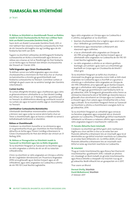# Tuarascáil na Stiúrthóirí

ar lean

#### **15. Ráiteas na Stiúrthóirí ar chomhlíonadh Threoir an Rialtóra maidir le Córais Chuntasaíochta An Post mar a éilítear faoin Acht um Rialáil Cumarsáide (Seirbhísí Poist), 2011**

Faoin Acht um Rialáil Cumarsáide (Seirbhísí Poist), 2011, ní mór tabhairt faoi nósanna imeachta cuntasaíochta An Post de réir treoracha atá leagtha síos ag ComReg agus de réir forálacha faoi leith san Acht.

Tugann na stiúrthóirí aitheantas dá bhfreagracht forálacha cuntasaíochta an Achta a chomhlíonadh agus léiríonn an ráiteas seo a leanas an tslí ar fheidhmigh An Post forálacha cuí an Achta agus na Treorach don bhliain chuntasaíochta dar thosach an 1 Eanáir 2016.

# **Taifid Airgeadais agus Córais Chuntasaíochta**

Tá dóthain sonraí sna taifid airgeadais agus sna córais chuntasaíochta a choinníonn An Post lena chur ar chumas na bainistíochta a chinntiú go gcomhlíonfaidh siad forálacha cuntasaíochta na Treorach. Coinnítear cuntais ar leithligh do gach ceann de na seirbhísí laistigh den tSeirbhís Uilechoiteann.

### **Cuntais Scartha**

Tá cuntais dheighilte bhrabúis agus chaillteanais agus ráitis ar ghlansócmhainní ullmhaithe le cur faoi bhráid ComReg don bhliain dar chríoch an 31 Nollaig 2016. I gcomhlíonadh na Treorach, tá athbhreithniú déanta ag comhlacht inniúil ar na cuntais seo agus tá tuairim eisithe aige ar chomhlíonadh na Treorach.

#### **Lámhleabhar Cuntasaíochta Bainistíochta**

Ullmhaíodh lámhleabhar mionsonraithe cuntasaíochta a léiríonn raon agus scóip na sonraí atá le bailiú chun an Treoir a chomhlíonadh, agus an bunús a mbeidh na sonraí á leithdháileadh/leithroinnt ar sheirbhísí.

# **Ráiteas ar Chomhlíonadh**

Creideann na stiúrthóirí, bunaithe ar na céimeanna agus ar na gníomhartha thuas, gur chomhlíon An Post forálacha ábhartha an Achta agus Threoir ComReg a bhaineann le Córais Chuntasaíochta An Post don bhliain dar chríoch an 31 Nollaig 2016.

#### **16. Ráiteas ar Fhreagrachtaí na Stiúrthóirí maidir le Tuarascáil na Stiúrthóirí agus leis na Ráitis Airgeadais**

Tá na stiúrthóirí freagrach as Tuarascáil na Stiúrthóirí agus na ráitis airgeadais a ullmhú de réir an dlí na rialachán infheidhmithe.

Chinn na stiúrthóirí ar ráitis airgeadais an Ghrúpa a ullmhú de réir Caighdeáin Idirnáisiúnta um Thuairisciú Airgeadais (IFRS) arna ghlacadh ag an Aontas Eorpach agus an dlí infheidhme, agus ráitis airgeadais na Cuideachta a ullmhú de réir FRS 101 Creat Nochta Laghdaithe.

Agus ráitis airgeadais an Ghrúpa agus na Cuideachta á n-ullmhú, ceanglaítear ar na stiúrthóirí:

- **•**  beartais chuntasaíochta chuí a roghnú agus ansin iad a chur i bhfeidhm go comhsheasmhach;
- **•**  breithiúnais agus meastacháin a dhéanamh atá réasúnach agus ciallmhar;
- **•**  a lua ar ullmhaíodh ráitis airgeadais an Ghrúpa de réir IFRS arna ghlacadh ag an Aontas Eorpach agus ar ullmhaíodh ráitis airgeadais na Cuideachta de réir FRS 101 Creat Nochta Laghdaithe; agus
- **•**  na ráitis airgeadais a ullmhú ar an mbonn gnóthais leantaigh, ach amháin i gcás nach cuí a thoimhdiú go leanfaidh an Grúpa agus an Chuideachta de bheith i mbun gnó.

Tá na stiúrthóirí freagrach as taifid chuí chuntais a choinneáil ina dtugtar go réasúnta cruinn tráth ar bith staid airgeadais na Cuideachta agus a chuirfidh ar a gcumas a chinntiú go n-ullmhaítear ráitis airgeadais an Ghrúpa de réir IFRS infheidhme, arna nglacadh ag an Aontas Eorpach, agus go n-ullmhaítear ráitis airgeadais na Cuideachta de réir FRS 101 agus go gcomhlíonann siad forálacha Acht na gCuideachtaí, 2014. Tá freagracht ghinearálta orthu freisin as céimeanna réasúnacha atá ar fáil dóibh go réasúnta éasca a ghlacadh chun sócmhainní an Ghrúpa agus na Cuideachta a chosaint agus chun calaois agus mírialtachtaí eile a chosc agus a bhrath. Tá na stiúrthóirí freagrach freisin as Tuarascáil na Stiúrthóirí a ullmhú a chomhlíonann ceanglais Acht na gCuideachtaí, 2014.

Tá na stiúrthóirí freagrach as cothabháil agus ionracas na faisnéise airgeadais agus corparáidí atá ar shuíomh gréasáin na Cuideachta. D'fhéadfadh go bhfuil reachtaíocht i bPoblacht na hÉireann a rialaíonn ullmhú agus scaipeadh ráitis airgeadais éagsúil ó reachtaíocht i ndlínsí eile.

# **17. Faisnéis Ábhartha faoin Iniúchadh**

Creideann na stiúrthóirí go bhfuil gach céim riachtanach tógtha acu chun iad féin a chur ar an eolas faoi aon fhaisnéis ábhartha a bhaineann leis an iniúchadh agus tá sé deimhnithe acu go bhfuil iniúchóirí reachtúla na Cuideachta ar an eolas faoin bhfaisnéis sin. Go bhfios dóibh, níl aon fhaisnéis ábhartha a bhaineann leis an iniúchadh nach bhfuil ar eolas ag iniúchóirí reachtúla na Cuideachta.

#### **18. Iniúchóirí**

Thug an Coiste Iniúchóireachta agus Riosca faoi thairiscint iniúchóireachta i gcaitheamh 2016. I ndiaidh an phróisis sin, cheadaigh an Bord moladh ón gCoiste Iniúchóireachta agus Riosca Deloitte a cheapadh ina iniúchóir nua ag an gCuideachta. Beidh éifeacht leis an gceapachán sin ó 2017.

Thar ceann an Bhoird

**Dermot Divilly,** Stiúrthóir **David McRedmond,** Stiúrthóir 27 Aibreán 2017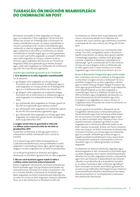# TUARASCÁIL ÓN INIÚCHÓIR NEAMHSPLEÁCH DO CHOMHALTAÍ AN POST

Rinneamar iniúchadh ar ráitis airgeadais an Ghrúpa agus na Cuideachta ("ráitis airgeadais") do An Post don bhliain dar chríoch an 31 Nollaig 2016 a chuimsíonn an ráiteas comhdhlúite ioncaim, an ráiteas comhdhlúite ar ioncam cuimsitheach eile, na ráitis chomhdhlúite agus cuideachta ar staid an airgeadais, na ráitis chomhdhlúite agus cuideachta ar athruithe ar chothromas, an ráiteas comhdhlúite ar shreafaí airgid, agus na nótaí gaolmhara. Is é an creat tuairiscithe airgeadais a cuireadh i bhfeidhm chun ráitis airgeadais an Ghrúpa a ullmhú ná dlí na hÉireann agus Caighdeáin Idirnáisiúnta um Thuairisciú Airgeadais (IFRS) arna ghlacadh ag an Aontas Eorpach agus, i leith ráitis airgeadais na Cuideachta, dlí na hÉireann agus FRS 101 Creat Nochta Laghdaithe.

#### **Tuairimí agus conclúidí ag eascairt as ár n-iniúchadh**

### **1. Tá ár dtuairim ar na ráitis airgeadais neamhleasaithe** Is é ár dtuairim:

- **•**  go dtugann ráitis airgeadais an Ghrúpa léargas fírinneach cóir ar shócmhainní, ar dhliteanais agus ar staid airgeadais an Ghrúpa amhail an 31 Nollaig 2016 agus ar a chaillteanas don bhliain dar chríoch sin;
- **•**  go dtugann ráitis airgeadais na Cuideachta léargas fírinneach cóir ar shócmhainní, ar dhliteanais agus ar staid airgeadais na Cuideachta amhail an 31 Nollaig 2016;
- **•**  gur ullmhaíodh ráitis airgeadais an Ghrúpa i gceart de réir IFRS arna ghlacadh ag an Aontas Eorpach;
- gur ullmhaíodh ráitis airgeadais na Cuideachta i gceart de réir FRS 101 Creat Nochta Laghdaithe; agus
- **•**  gur ullmhaíodh ráitis airgeadais an Ghrúpa agus ráitis airgeadais na Cuideachta i gceart de réir cheanglais Acht na gCuideachtaí, 2014.

#### **2. Leagtar amach thíos ár gconclúidí ar nithe eile a n-éilítear orainn tuairisciú orthu de réir Acht na gCuideachtaí, 2014**

Fuaireamar an fhaisnéis ar fad agus gach míniú a mheasaimid a bheith riachtanach chun críocha an iniúchta.

Is é ár dtuairim go raibh taifid chuntasaíochta na Cuideachta leordhóthanach chun go bhféadfaí na ráitis airgeadais a iniúchadh go héasca agus i gceart agus go dtagann na ráitis airgeadais leis na taifid chuntasaíochta.

Is é ár dtuairim go bhfuil an fhaisnéis atá tugtha i dtuarascáil na stiúrthóirí ag teacht leis na ráitis airgeadais.

### **3. Níl aon rud le tuairisciú againn maidir le nithe a n-éilítear orainn tuairisciú orthu le heisceacht**

Éilíonn Caighdeáin Idirnáisiúnta na hIniúchóireachta (an Ríocht Aontaithe agus Éire) go dtuairiscímid daoibh má shainaithníomar, bunaithe ar an eolas a fuaireamar i rith ár n-iniúchta, faisnéis i dTuarascáil na Stiúrthóirí agus Ráitis Airgeadais ina bhfuil neamhréireacht ábhartha leis an eolas sin nó leis na ráitis airgeadais, míshonrú ábhartha fírice, nó ní atá míthreorach ar bhealach ar bith eile.

Ina theannta sin, éilíonn Acht na gCuideachtaí, 2014 orainn a thuairisciú daoibh mura ndéantar, inár dtuairim féin, luach saothair agus idirbhearta stiúrthóirí a nochtadh de réir mar a éilíonn ailt 305 go dtí 312 den Acht.

De réir an Chóid Cleachtais chun Comhlachtaí Stáit a Rialú ("an Cód"), ceanglaítear orainn a thuairisciú daoibh mura léiríonn an ráiteas faoin gcóras rialaithe inmheánaigh airgeadais, a éilítear faoin gCód agus a áirítear sa Ráiteas ar Rialachas Corparáideach ar leathanaigh 7 go 9, comhlíonadh alt 13.1 den Chód an Ghrúpa, nó mura dtagann sé leis an bhfaisnéis atá ar eolas againn ónár n-obair iniúchta nó ó na ráitis airgeadais, agus tuairiscímid mura léiríonn sé é sin.

#### **Bunús ár dtuarascála,freagrachtaí agus srianta úsáide**

Mar a mhínítear níos mine sa Ráiteas ar Fhreagrachtaí na Stiúrthóirí a leagtar amach ar leathanach 10, tá na stiúrthóirí freagrach as na ráitis airgeadais a ullmhú agus as bheith sásta go dtugtar léargas fírinneach cóir iontu agus go gcomhlíonann siad Acht na gCuideachtaí, 2014. Táimid freagrach as na ráitis airgeadais a iniúchadh agus tuairim a thabhairt ina leith de réir Dhlí na hÉireann agus Chaighdeáin Idirnáisiúnta na hIniúchóireachta (an Ríocht Aontaithe agus Éire). Ceanglaíonn na caighdeáin sin orainn cloí leis na Caighdeáin Eitice d'Iniúchóirí de chuid na Comhairle um Thuairisciú Airgeadais.

Is é atá i gceist le hiniúchadh a dhéanamh de réir Chaighdeáin Idirnáisiúnta na hIniúchóireachta (an Ríocht Aontaithe agus Éire) ná fianaise a fháil maidir leis na suimeanna sna ráitis airgeadais agus maidir leis na rudaí a nochtadh iontu, fianaise ar leor í chun dearbhú réasúnta a thabhairt go bhfuil na ráitis airgeadais saor ó mhíshonrú ábhartha, bíodh sin de bharr calaoise nó earráide. Áirítear ann freisin measúnú orthu seo a leanas: an bhfuil na beartais chuntasaíochta oiriúnach d'imthosca an Ghrúpa agus na Cuideachta, agus ar cuireadh i bhfeidhm go seasta iad agus ar tugadh nochtadh leordhóthanach iontu; réasúntacht na meastachán suntasach cuntasaíochta a rinne na stiúrthóirí; agus cur i láthair ginearálta na ráiteas airgeadais.

Ina theannta sin, léimid an fhaisnéis airgeadais agus neamhairgeadais ar fad i dTuarascáil na Stiúrthóirí agus sna Ráitis Airgeadais chun neamh-chomhsheasmhacht ábhartha leis na ráitis airgeadais iniúchta a shainaithint agus chun aon fhaisnéis is dealraitheach atá mícheart i dtaobh cúrsaí ábhartha de a shainaithint, bunaithe ar an eolas a fuaireamar fad is a bhíomar ag tabhairt faoin iniúchadh, nó faisnéis nach bhfuil ag teacht leis an eolas sin go hábhartha. Má thugaimid aon míshonrú nó neamhréireacht ábhartha dealraitheach faoi deara, déanaimid breithniú ar na himpleachtaí a bhaineann lena leithéid dár dtuarascáil.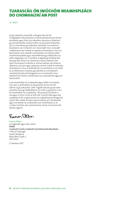# TUARASCÁIL ÓN INIÚCHÓIR NEAMHSPLEÁCH DO CHOMHALTAÍ AN POST

ar lean

Cé go ndeartar iniúchadh a dtugtar faoi de réir Chaighdeáin Idirnáisiúnta na hIniúchóireachta (an Ríocht Aontaithe agus Éire) chun dearbhú réasúnta a thabhairt go sainaithneofar míshonruithe nó easnaimh ábhartha, ach ní chinntítear go ndéanfar amhlaidh. Ina ionad sin, beartaíonn an t-iniúchóir an t-iniúchadh chun cinneadh a dhéanamh faoi mhéid na tástála a theastaíonn chun an dóchúlacht nach sáróidh comhiomlán na míshonruithe neamhcheartaithe agus neamhbhraite go hábhartha na ráitis airgeadais ina n-iomláine a laghdú go leibhéal atá íseal go leor. Éilíonn an tástáil seo orainn tabhairt faoi obair shuntasach iniúchta ar réimse leathan sócmhainní, dliteanas, ioncaim agus speansas chomh maith le tréimhse shuntasach a chur ar leataobh do na comhaltaí is mó taithí ar an bhfoireann iniúchta, go háirithe an comhpháirtí rannpháirtíochta atá freagrach as an iniúchadh, chun tabhairt faoi réimsí suibiachtúla na cuntasaíochta agus an tuairiscithe.

Is do chomhaltaí na Cuideachta agus dóibh sin amháin, mar aon, a ullmhaítear ár dtuarascáil, de réir alt 391 d'Acht na gCuideachtaí, 2014. Tugadh faoinár gcuid oibre iniúchta ionas go bhféadfaimis na nithe ar gá dúinn a lua do chomhaltaí na Cuideachta i dtuarascáil iniúchóirí a lua agus ní chun críche ar bith eile. Chomh fada agus atá ceadaithe le dlí, ní ghlacaimid ná ní ghabhaimid freagracht orainn féin maidir le haon duine seachas an Chuideachta agus comhaltaí na Cuideachta mar chomhlacht, as ár n-obair iniúchta, don tuarascáil seo, ná do na tuairimí atá déanta againn.

Forman allan

Eamon Dillon Le haghaidh agus thar ceann KPMG Cuntasóirí Cairte, Gnólacht Iniúchóireachta Reachtúla 1 Plás an Stócaigh, Faiche Stiabhna, Baile Átha Cliath 2. D02 DE03

27 Aibreán 2017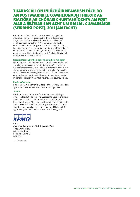# TUARASCÁIL ÓN INIÚCHÓIR NEAMHSPLEÁCH DO AN POST MAIDIR LE COMHLÍONADH THREOIR AN RIALTÓRA AR CHÓRAIS CHUNTASAÍOCHTA AN POST MAR A ÉILÍTEAR SAN ACHT UM RIALÁIL CUMARSÁIDE (SEIRBHÍSÍ POIST), 2011 (AN tACHT)

Chomh maith lenár n-iniúchadh ar na ráitis airgeadais, d'athbhreithníomar ráiteas na stiúrthóirí ar leathanaigh 9 agus 10 a bhaineann le comhlíonadh na Cuideachta, don bhliain dar chríoch an 31 Nollaig 2016, le forálacha cuntasaíochta an Achta agus na treorach a tugadh do An Post ina leagtar amach mionriachtanais an Rialtóra i ndáil le córais chuntasaíochta An Post (an Treoir), arna heisiúint ag an rialtóir seirbhísí poist, ComReg, an 8 Nollaig 2006 i ndáil le córais chuntasaíochta An Post.

### **Freagrachtaí na Stiúrthóirí agus na nIniúchóirí faoi seach**

Ullmhaíonn na stiúrthóirí ráiteas bliantúil ar chomhlíonadh fhorálacha cuntasaíochta an Achta agus na Treorach as a bhfuil siad freagrach. Is é cuspóir ár n-athbhreithnithe aird a tharraingt ar neamh-chomhlíonadh cheanglais fhorálacha cuntasaíochta an Achta agus na Treorach. Ní iniúchadh ar na cuntais dheighilte é ár n-athbhreithniú. Eiseofar tuarascáil iniúchta ar leithligh maidir le hiniúchadh na gcuntas rialála.

#### **Bunús na Tuairime**

Rinneamar ár n-athbhreithniú de réir phrionsabail ghinearálta agus threoir na Comhairle um Thuairisciú Airgeadais.

#### **Tuairim**

Is é ár dtuairim, bunaithe ar fhiosrúchán stiúrthóirí agus oifigeach faoi leith de chuid na Cuideachta agus ar cháipéisí ábhartha a scrúdú, go léiríonn ráiteas na stiúrthóirí ar leathanaigh 9 agus 10 go cuí gur chomhlíon an Chuideachta forálacha cuntasaíochta an Achta agus Treorach ar Chórais Chuntasaíochta An Post, arna n-eisiúint an 8 Nollaig 2006 ag ComReg, don bhliain dar chríoch an 31 Nollaig 2016.



KPMG Chartered Accountants, Statutory Audit Firm 1 Plás an Stócaigh, Faiche Stiabhna, Baile Átha Cliath 2 D02 DE03

27 Aibreán 2017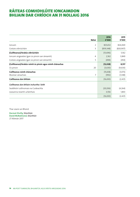# RÁITEAS COMHDHLÚITE IONCAIMDON BHLIAIN DAR CHRÍOCH AN 31 NOLLAIG 2016

|                                                           | 2016       | 2015       |
|-----------------------------------------------------------|------------|------------|
| Nótaí                                                     | €'000      | €'000      |
| 2<br>loncam                                               | 825,652    | 826,069    |
| Costais oibriúcháin<br>3                                  | (839, 348) | (820, 907) |
| (Caillteanas)/brabús oibriúcháin                          | (13,696)   | 5,162      |
| loncam airgeadais (gan ús pinsin san áireamh)<br>4        | 2,162      | 3,849      |
| 5<br>Costais airgeadais (gan ús pinsin san áireamh)       | (494)      | (454)      |
| (Caillteanas)/brabús roimh ús pinsin agus roimh chánachas | (12, 028)  | 8,557      |
| Ús pinsin<br>20                                           | (3,630)    | (9,630)    |
| Caillteanas roimh chánachas                               | (15, 658)  | (1,073)    |
| $\overline{7}$<br>Muirear cánachais                       | (992)      | (1, 348)   |
| Caillteanas don bhliain                                   | (16, 650)  | (2, 421)   |
| Caillteanas don bhliain inchurtha i leith                 |            |            |
| Sealbhóirí cothromais na Cuideachta                       | (20, 206)  | (4,264)    |
| Leasanna neamh-urlámhais                                  | 3,556      | 1,843      |
|                                                           | (16, 650)  | (2, 421)   |

Thar ceann an Bhoird

**Dermot Divilly,** Stiúrthóir **David McRedmond,** Stiúrthóir 27 Aibreán 2017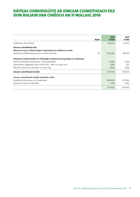# RÁITEAS COMHDHLÚITE AR IONCAM CUIMSITHEACH EILE DON BHLIAIN DAR CHRÍOCH AN 31 NOLLAIG 2016

| Nótaí                                                                          | 2016<br>€'000 | 2015<br>€'000 |
|--------------------------------------------------------------------------------|---------------|---------------|
| Caillteanas don bhliain                                                        | (16, 650)     | (2, 421)      |
| Joncam cuimsitheach eile                                                       |               |               |
| Míreanna nach n-athaicmeofar chuig brabús ná caillteanas riamh;                |               |               |
| Atomhas ar dhliteanas pinsin le sochar sainithe<br>20                          | (113,200)     | 281,100       |
| Míreanna a athaicmíodh nó a d'fhéadfaí a athaicmiú chuig brabús ná caillteanas |               |               |
| Aistriú oibríochtaí eachtracha - fochuideachtaí                                | (3,100)       | 1,038         |
| Sócmhainní airgeadais atá ar fáil le díol - athrú ar luach cóir                | 1,980         | 323           |
| Éifeacht cánach an athraithe ar luach cóir                                     | (483)         | (107)         |
| Joncam cuimsitheach iomlán                                                     | (131, 453)    | 279,933       |
| Joncam cuimsitheach iomlán inchurtha i leith                                   |               |               |
| Sealbhóirí cothromais na Cuideachta                                            | (134, 963)    | 277,990       |
| Leasanna neamh-urlámhais                                                       | 3,510         | 1,943         |
|                                                                                | (131, 453)    | 279,933       |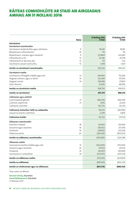# RÁITEAS COMHDHLÚITE AR STAID AN AIRGEADAIS AMHAIL AN 31 NOLLAIG 2016

|                                           | Nótaí             | <b>31 Nollaig 2016</b><br>€'000 | <b>31 Nollaig 2015</b><br>€'000 |
|-------------------------------------------|-------------------|---------------------------------|---------------------------------|
| Sócmhainní                                |                   |                                 |                                 |
| Sócmhainní neamhreatha                    |                   |                                 |                                 |
| Sócmhainní doláimhsithe agus cáilmheas    | 9                 | 18,345                          | 18,183                          |
| Réadmhaoin infheistíochta                 | 10                | 715                             | 715                             |
| Réadmhaoin, innealra agus trealamh        | 11                | 237,869                         | 243,687                         |
| Infheistíocht in PLI                      | $12 \overline{ }$ | 33,746                          | 29,778                          |
| Infheistíocht ar fáil lena díol           | 12                | 173                             | 323                             |
| Sócmhainn cánach iarchurtha               | 13                | 1,678                           | 1,647                           |
| Jomlán na sócmhainní neamhreatha          |                   | 292,526                         | 294,333                         |
| Sócmhainní reatha                         |                   |                                 |                                 |
| Suimeanna infhaighte trádála agus eile    | 13                | 104,960                         | 112,600                         |
| Airgead sa bhanc agus ar láimh            | 14                | 252,444                         | 315,556                         |
| Airgead srianta                           | 14                | 138,389                         | 117,867                         |
| Taiscí téarma                             |                   | 13,000                          | 48,000                          |
| Iomlán na sócmhainní reatha               |                   | 508,793                         | 594,023                         |
| Iomlán na sócmhainní                      |                   | 801,319                         | 888,356                         |
| Cothromas agus cúlchistí                  |                   |                                 |                                 |
| Scairchaipiteal glaoite                   | 21                | (68, 239)                       | (68, 239)                       |
| Cúlchistí caipitil eile                   | 21                | (474)                           | (2,031)                         |
| Tuilleamh coinnithe                       |                   | 162,736                         | 29,330                          |
| Cothromas inchurtha i leith na cuideachta |                   | 94,023                          | (40, 940)                       |
| Leasanna neamh-urlámhais                  |                   | 2,299                           | 5,809                           |
| Cothromas iomlán                          |                   | 96,322                          | (35, 131)                       |
| Dliteanais neamhreatha                    |                   |                                 |                                 |
| Deontais chaipitil                        | 18                | (9,692)                         | (10, 054)                       |
| Léasanna agus iasachtaí                   | 16                | (18, 502)                       | (13, 347)                       |
| Forálacha                                 | 19                | (28, 810)                       | (33, 524)                       |
| Dliteanas pinsin                          | 20                | (283, 381)                      | (169, 203)                      |
| Iomlán na ndliteanas neamhreatha          |                   | (340, 385)                      | (226, 128)                      |
| Dliteanais reatha                         |                   |                                 |                                 |
| Suimeanna iníoctha trádála agus eile      | 15                | (163,000)                       | (175, 093)                      |
| Léasanna agus iasachtaí                   | 16                | (9, 532)                        | (9, 532)                        |
| Forálacha                                 | 19                | (10, 957)                       | (10,900)                        |
| Suimeanna in iontaobhas                   | 14                | (373, 767)                      | (431, 572)                      |
| Iomlán na ndliteanas reatha               |                   | (557, 256)                      | (627,097)                       |
| Iomlán na ndliteanas                      |                   | (897, 641)                      | (853, 225)                      |
| Iomlán an chothromais agus na ndliteanas  |                   | (801, 319)                      | (888, 356)                      |

Thar ceann an Bhoird

**Dermot Divilly,** Stiúrthóir **David McRedmond,** Stiúrthóir 27 Aibreán 2017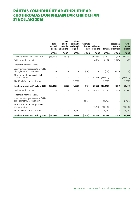# RÁITEAS COMHDHLÚITE AR ATHRUITHE AR CHOTHROMAS DON BHLIAIN DAR CHRÍOCH AN 31 NOLLAIG 2016

|                                                                        | Scair-<br>chaipiteal<br>glaoite | Ciste<br>caipitil<br>neamh-<br>ainmnithe | Aistriú<br>airgeadra<br>eachtraigh<br>coigríche | Cúlchiste<br>luacha<br>chóir | <b>Tuilleamh</b><br>coinnithe |           | Leasanna<br>neamh-<br>Iomlán urlámhais | Coth-<br>romas<br>iomlán |
|------------------------------------------------------------------------|---------------------------------|------------------------------------------|-------------------------------------------------|------------------------------|-------------------------------|-----------|----------------------------------------|--------------------------|
|                                                                        | €'000                           | €'000                                    | €'000                                           | €'000                        | €'000                         | €'000     | €'000                                  | €'000                    |
| Jarmhéid amhail an 1 Eanáir 2015                                       | (68, 239)                       | (877)                                    | -                                               | $\overline{\phantom{0}}$     | 306,166                       | 237,050   | 7,752                                  | 244,802                  |
| Caillteanas don bhliain                                                |                                 |                                          |                                                 |                              | 4,264                         | 4,264     | (1, 843)                               | 2,421                    |
| Ioncam cuimsitheach eile:                                              |                                 |                                          |                                                 |                              |                               |           |                                        |                          |
| Sócmhainní airgeadais atá ar fáil le<br>díol - glanathrú ar luach cóir |                                 |                                          |                                                 | (116)                        |                               | (116)     | (100)                                  | (216)                    |
| Atomhas ar dhliteanas pinsin le<br>sochar sainithe                     |                                 |                                          |                                                 |                              | (281,100)                     | (281,100) |                                        | (281,100)                |
| Aistriú oibríochtaí eachtracha                                         |                                 |                                          | (1,038)                                         |                              |                               | (1,038)   | -                                      | (1,038)                  |
| Iarmhéid amhail an 31 Nollaig 2015                                     | (68, 239)                       | (877)                                    | (1,038)                                         | (116)                        | 29,330                        | (40, 940) | 5,809                                  | (35, 131)                |
| Caillteanas don bhliain                                                |                                 |                                          |                                                 |                              | 20,206                        | 20,206    | (3, 556)                               | 16,650                   |
| loncam cuimsitheach eile:                                              |                                 |                                          |                                                 |                              |                               |           |                                        |                          |
| Sócmhainní airgeadais atá ar fáil le<br>díol - glanathrú ar luach cóir |                                 |                                          |                                                 | (1, 543)                     |                               | (1, 543)  | 46                                     | (1, 497)                 |
| Atomhas ar dhliteanas pinsin le<br>sochar sainithe                     |                                 |                                          |                                                 |                              | 113,200                       | 113,200   |                                        | 113,200                  |
| Aistriú oibríochtaí eachtracha                                         |                                 |                                          | 3,100                                           |                              |                               | 3,100     | $\overline{\phantom{0}}$               | 3,100                    |
| Iarmhéid amhail an 31 Nollaig 2016                                     | (68, 239)                       | (877)                                    | 2,062                                           | (1,659)                      | 162,736                       | 94,023    | 2,299                                  | 96,322                   |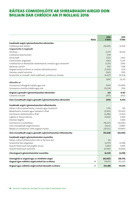# RÁITEAS COMHDHLÚITE AR SHREABHADH AIRGID DON BHLIAIN DAR CHRÍOCH AN 31 NOLLAIG 2016

| Nótaí                                                              | 2016<br>€'000 | 2015<br>€'000 |
|--------------------------------------------------------------------|---------------|---------------|
| Sreabhadh airgid ó ghníomhaíochtaí oibriúcháin                     |               |               |
| Caillteanas don bhliain                                            | (16, 650)     | (2,421)       |
| Coigeartuithe le haghaidh                                          |               |               |
| Dímheas                                                            | 21,371        | 19,236        |
| Caillteanas bearnúcháin                                            | 7,119         |               |
| Amúchadh                                                           | 1,923         | 2,432         |
| Glanchostais airgeadais                                            | 1,962         | 6,235         |
| Gnóthachan ar dhíolachán réadmhaoine, innealra agus trealaimh      | (1, 251)      | (293)         |
| Speansas cánach                                                    | 992           | 1,348         |
| Airgead íoctha sa bhreis ar chostas oibríochta pinsin              | (2,550)       | 1,129         |
| Deontas caipitil amúchta                                           | (362)         | (101)         |
| Íocaíochtaí a rinneadh i leith soláthraítí, sa bhreis ar chostas   | (4,657)       | (4,234)       |
| Athruithe ar:                                                      | 7,897         | 23,331        |
|                                                                    | 7,640         | (13, 450)     |
| Suimeanna infhaighte trádála agus eile                             |               |               |
| Suimeanna iníoctha trádála agus eile                               | (15, 214)     | (714)         |
| Airgead a gineadh ó ghníomhaíochtaí oibriúcháin                    | 323           | 9,167         |
| Cánacha a íocadh                                                   | (937)         | (823)         |
| Glan-insreabhadh airgid a gineadh ó ghníomhaíochtaí oibriúcháin    | (614)         | 8,344         |
| Sreabhadh airgid ó ghníomhaíochtaí infheistíochta                  |               |               |
| Fáltais ó dhíol réadmhaoine, innealra agus trealaimh               | 1,776         | 501           |
| Réadmhaoin, innealra agus trealamh a fháil                         | (11,601)      | (15, 302)     |
| Sócmhainní doláimhsithe a fháil                                    | (2,486)       | (2,163)       |
| Laghdú ar thaiscí téarma                                           | 35,000        | 2,000         |
| Deontas faighte                                                    |               | 5,400         |
| Suimeanna in iontaobhas                                            | (78, 327)     | (34,936)      |
| Glan-insreabhadh airgid shrianta                                   | 20,522        | 117,867       |
| Méadú ar chreidiúnaí i leith airgead srianta                       | (20, 522)     | (117, 867)    |
| Glan-insreabhadh airgid a gineadh ó ghníomhaíochtaí infheistíochta | (55, 638)     | (44,500)      |
| Sreabhadh airgid ó ghníomhaíochtaí maoinithe                       |               |               |
| Fáltais ó dhíol infheistíochta a bhí ar fáil lena díol             | 312           |               |
| locaíochtaí léas airgeadais                                        | (4, 727)      | (3,018)       |
| lasacht théarmach tarraingthe anuas                                | 4,000         | 5,000         |
| lasacht théarmach aisíoctha                                        | (6,000)       | (4,000)       |
| Glanairgead ó ghníomhaíochtaí maoinithe                            | (6, 415)      | (2,018)       |
| Glanlaghdú ar airgead agus ar choibhéisí airgid                    | (62, 667)     | (38, 174)     |
| Airgead agus coibhéisí airgid amhail tús na bliana<br>14           | 315,055       | 353,229       |
| Airgead agus coibhéisí airgid amhail deireadh na bliana<br>14      | 252,388       | 315,055       |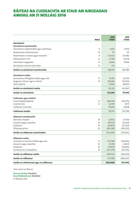# RÁITEAS NA CUIDEACHTA AR STAID AN AIRGEADAIS AMHAIL AN 31 NOLLAIG 2016

| Nótaí                                        | 2016<br>€'000 | 2015<br>€'000 |
|----------------------------------------------|---------------|---------------|
| Sócmhainní                                   |               |               |
| Sócmhainní neamhreatha                       |               |               |
| Sócmhainní doláimhsithe agus cáilmheas<br>9  | 5,002         | 4,936         |
| Réadmhaoin infheistíochta<br>10              | 715           | 715           |
| Réadmhaoin, innealra agus trealamh<br>11     | 231,626       | 237,082       |
| Infheistíocht in PLI<br>12                   | 33,746        | 29,778        |
| 12<br>Sócmhainn airgeadais                   | 8,969         | 8,969         |
| Sócmhainn cánach iarchurtha<br>13            | 533           |               |
| Jomlán na sócmhainní neamhreatha             | 280,591       | 281,480       |
| Sócmhainní reatha                            |               |               |
| Suimeanna infhaighte trádála agus eile<br>13 | 79,951        | 82,539        |
| Airgead sa bhanc agus ar láimh<br>14         | 238,464       | 301,926       |
| Taiscí téarma                                | 13,000        | 48,000        |
| Iomlán na sócmhainní reatha                  | 331,415       | 432,465       |
| Iomlán na sócmhainní                         | 612,006       | 713,945       |
| Cothromas agus cúlchistí                     |               |               |
| Scairchaipiteal glaoite<br>21                | (68, 239)     | (68, 239)     |
| Cúlchistí eile<br>21                         | (2,474)       | (877)         |
| Tuilleamh coinnithe                          | 175,865       | 35,838        |
| Cothromas iomlán                             | 105,152       | (33, 278)     |
| Dliteanais neamhreatha                       |               |               |
| Deontais chaipitil<br>18                     | (2,952)       | (3,054)       |
| Léasanna agus iasachtaí<br>16                | (18, 502)     | (13, 262)     |
| Forálacha<br>19                              | (28, 810)     | (33, 524)     |
| 20<br>Dliteanas pinsin                       | (283, 381)    | (169, 203)    |
| Jomlán na ndliteanas neamhreatha             | (333, 645)    | (219, 043)    |
| Dliteanais reatha                            |               |               |
| Suimeanna iníoctha trádála agus eile<br>15   | (131, 787)    | (134, 056)    |
| Léasanna agus iasachtaí<br>16                | (5, 391)      | (2,963)       |
| Forálacha<br>19                              | (10, 957)     | (10,900)      |
| Suimeanna in iontaobhas<br>14                | (235, 378)    | (313, 705)    |
| Iomlán na ndliteanas reatha                  | (383, 513)    | (461, 624)    |
| Iomlán na ndliteanas                         | (717, 158)    | (680, 667)    |
| Iomlán an chothromais agus na ndliteanas     | (612,006)     | (713, 945)    |

Thar ceann an Bhoird

**Dermot Divilly,** Stiúrthóir **David McRedmond,** Stiúrthóir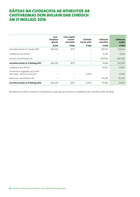# RÁITEAS NA CUIDEACHTA AR ATHRUITHE AR CHOTHROMAS DON BHLIAIN DAR CHRÍOCH AN 31 NOLLAIG 2016

|                                                                       | Scair-<br>chaipiteal | Ciste caipitil<br>neamh- | Cúlchiste    | <b>Tuilleamh</b> | <b>Cothromas</b> |
|-----------------------------------------------------------------------|----------------------|--------------------------|--------------|------------------|------------------|
|                                                                       | glaoite              | ainmnithe                | luacha chóir | coinnithe        | iomlán           |
|                                                                       | €'000                | €'000                    | €'000        | €'000            | €'000            |
| Iarmhéid amhail an 1 Eanáir 2015                                      | (68, 239)            | (877)                    |              | 308,732          | 239,616          |
| Caillteanas don bhliain                                               |                      |                          |              | 8,206            | 8,206            |
| Joncam cuimsitheach eile                                              |                      |                          |              | (281, 100)       | (281,100)        |
| Iarmhéid amhail an 31 Nollaig 2015                                    | (68,239)             | (877)                    |              | 35,838           | (33, 278)        |
| Caillteanas don bhliain                                               |                      |                          |              | 26,827           | 26,827           |
| Sócmhainní airgeadais atá ar fáil<br>lena ndíol - athrú ar luach cóir |                      |                          | (1, 597)     |                  | (1, 597)         |
|                                                                       |                      |                          |              |                  |                  |
| Speansas cuimsitheach eile                                            |                      |                          |              | 113,200          | 113,200          |
| Iarmhéid amhail an 31 Nollaig 2016                                    | (68, 239)            | (877)                    | (1, 597)     | 175,865          | 105,152          |

Bhí díbhinní €2,393k a fuarthas ó chuideachtaí an ghrúpa san áireamh sa chaillteanas don tréimhse (2015: €4,092k).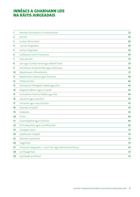# Innéacs a ghabhann leis <u>na Ráitis A</u>

| 1  | Beartais Shuntasacha Chuntasaíochta                         | 22 |
|----|-------------------------------------------------------------|----|
| 2  | loncam                                                      | 29 |
| 3  | Costais Oibriúcháin                                         | 29 |
| 4  | Ioncam Airgeadais                                           | 30 |
| 5  | Costais Airgeadais                                          | 30 |
| 6  | Caillteanas roimh Chánachas                                 | 30 |
| 7  | Cáin Ioncaim                                                | 33 |
| 8  | Líon agus Costais Foirne agus Máistrí Poist                 | 35 |
| 9  | Sócmhainní Doláimhsithe agus Cáilmheas                      | 36 |
| 10 | Réadmhaoin Infheistíochta                                   | 37 |
| 11 | Réadmhaoin, Gléasra agus Trealamh                           | 38 |
| 12 | Infheistíochtaí                                             | 40 |
| 13 | Suimeanna Infhaighte Trádála agus Eile                      | 42 |
| 14 | Airgead sa Bhanc agus ar Láimh                              | 43 |
| 15 | Suimeanna Iníoctha Trádála agus Eile                        | 44 |
| 16 | Léasanna agus Iasachtaí                                     | 44 |
| 17 | Cánachas agus Leas Sóisialta                                | 45 |
| 18 | Deontais Chaipitil                                          | 45 |
| 19 | Forálacha                                                   | 45 |
| 20 | Pinsin                                                      | 46 |
| 21 | Scairchaipiteal agus Cúlchistí                              | 49 |
| 22 | Fochuideachtaí agus Comhfhiontair                           | 50 |
| 23 | Ceanglais Léasa                                             | 52 |
| 24 | Gealltanais Chaipitil                                       | 52 |
| 25 | Páirtithe Gaolmhara                                         | 53 |
| 26 | Teagmhais                                                   | 53 |
| 27 | Ionstraimí Airgeadais - Luach Cóir agus Bainistíocht Riosca | 54 |
| 28 | lar-theagmhais                                              | 61 |
| 29 | Faomhadh an Bhoird                                          | 61 |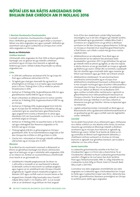# NÓTAÍ LEIS NA RÁITIS AIRGEADAIS DON BHLIAIN DAR CHRÍOCH AN 31 NOLLAIG 2016

#### **1. Beartais Shuntasacha Chuntasaíochta**

Cuireadh na beartais chuntasaíochta a leagtar amach thíos i bhfeidhm go seasmhach ar gach bliain a chuirtear i láthair sna ráitis airgeadais seo, agus cuireadh i bhfeidhm go seasmhach iad ar gach Cuideachta sa Ghrúpa chun críche ráitis airgeadais an Ghrúpa.

### **Bunús an Ullmhúcháin**

#### **Gnóthas leantach**

Ullmhaíodh ráitis airgeadais An Post 2016 ar bhonn gnóthais leantaigh. Leis sin glactar leis go mbeidh a dhóthain acmhainní ag an nGrúpa chun leanúint ar aghaidh ag feidhmiú go ceann i bhfad ó dháta fhaomhadh na ráiteas airgeadais seo.

# *Cúlra*

- **•**  In 2016 bhí caillteanas iarchánach €16.7m ag Grúpa An Post agus caillteanas oibriúcháin €13.7m.
- **•**  Tá laghdú gan stad gan staonadh fós ag teacht ar phíomhghnó an Ghrúpa, is é sin bailiú agus seachadadh poist in Éirinn. Tháinig titim 5.2% ar mhéid an phoist thraidisiúnta in 2016.
- **•**  Amhail an 31 Nollaig 2016, tá glandliteanais €96.3m agus glandliteanais reatha €48.5m ag an nGrúpa.
- **•**  Nuair a bhaintear an dliteanas pinsin le sochar sainithe amhail an 31 Nollaig 2016, tá glansócmhainní €187.1m ag an nGrúpa.
- **•**  Amhail an 31 Nollaig 2016, tá glanairgead tirim €26.0m ag an nGrúpa (tar éis méideanna in iontaobhas atá ag custaiméirí gnó air, iasachtaí bainc gearrthéarmacha, agus airgead tirim srianta a bhaineann le cártaí agus dearbháin GVS nár fuasclaíodh a asbhaint, i.e. is é seo fíoriarmhéid airgid an Ghrúpa).
- **•**  Amhail an 31 Nollaig 2016, tá iasachtaí bainc ar fiú €4.1m iad agus oibleagáidí faoi léasanna airgeadais ar fiú €24.0m iad ag an nGrúpa.
- **•**  Tháinig laghdú €18.9m ar ghlanairgead an Ghrúpa i gcaitheamh 2016. Tá na hiarmhéideanna airgid atá ar fáil don Ghrúpa tite ó €150m in 2011 go €26m in 2016.
- **•**  Glactar leis i mbuiséad an Ghrúpa go mbeidh caillteanas oibriúcháin ag an nGrúpa arís in 2017.

#### *Measúnú*

Tá an Bord tar éis machnamh cúramach a dhéanamh ar bhonn an ghnóthais leantaigh mar bhonn ullmhúcháin agus tá sé sásta gur cuí go n-ullmhófaí ráitis airgeadais 2016 ar an mbonn sin. Áirítear ar na príomhthosca a breithníodh chun teacht ar an gcinneadh sin:

- **•**  *Solúbthacht ó thaobh praghsanna de:* De bharr na n-athruithe a rinneadh ar an reachtaíocht le déanaí, tá deireadh curtha le meicníocht na caidhpe praghais agus tugann sé sin solúbthacht don Ghrúpa ó thaobh praghsála de. Tugadh isteach méaduithe praghais i mí Aibreáin 2017 agus cuirfidh siad sin ioncam breise ar fáil.
- **•**  *Airgead tirim:* Díoladh Oifig Seachadta Lána Chairdif i mBaile Átha Cliath 2 i mí Feabhra 2017. Is é an toradh a bhí ar an idirbheart ná go bhfuair An Post airgead

tirim €35m don réadmhaoin móide Oifig Seachadta shaintógtha nua in áit eile a fhágann go mbeidh seirbhís gan bhriseadh ag ár gcustaiméirí i mBaile Átha Cliath 2. Cinntíonn an t-airgead tirim sin go bhfuil a dhóthain acmhainní ar fáil don Ghrúpa sa ghearrthéarma. Tá fáil ag an nGrúpa ar shaoráid chun iasachtaí gearrthéarmacha a fháil freisin, rud is féidir a úsáid más gá chun críocha caipiteal oibre.

- **•**  *Athbhreithniú ar an mbuiséad:* Tá an Bord agus an bhainistíocht tar éis tabhairt faoi phróiseas láidir buiséadaithe i gcomhair 2017. Cé go bhfuiltear fós ag tuar go mbeidh méid an phoist ag laghdú, ar ráta níos tapúla is dócha, léiríonn sé seo go leanfaidh an Grúpa ar aghaidh ag feidhmiú go ceann i bhfad. Bhí na toimhdí a úsáideadh faoi réir dúshlán agus iniúchadh láidir agus meastar go bhfuil siad réalaíoch agus gur féidir iad a bhaint amach.
- **•**  *Athbhreithniú straitéiseach:* Tá sainchomhairleoirí seachtracha coimisiúnaithe ag an nGrúpa chun athbhreithniú straitéiseach bunúsach a dhéanamh agus é mar chuspóir múnla gnó agus struchtúr inbhuanaithe a chinneadh don Ghrúpa. Tá na haschuir ón athbhreithniú sin le cur i láthair an Bhoird i mí na Bealtaine 2017, agus cuirfear na hathruithe riachtanacha i ngníomh sa ghearrthéarma chun inbhuanaitheacht leanúnach an Ghrúpa a chinntiú. Tá sé beartaithe go mbeidh an Grúpa athshuite ionas go mbeifear in ann leas a bhaint as deiseanna nua gnó, go háirithe i réimse na bpaicéad agus na mbeartán.
- **•**  *Laghdú caiteachais/costas:* Coinneoidh an Bord agus an Bhainistíocht orthu ag déanamh dlúthmhonatóireacht ar an gcaiteachas go léir, agus cuirfidh siad clár laghdaithe costas i bhfeidhm.

# *Conclúid*

Tar éis dóibh fiosrúcháin chuí a dhéanamh agus i bhfianaise na n-ábhar a bhfuil cur síos déanta orthu thuas, tá ionchas réasúnta ag comhaltaí an Bhoird go mbeidh a dhóthain acmhainní ag an nGrúpa chun leanúint ar aghaidh ag feidhmiú go ceann i bhfad. Tá sé bainte de thátal as sin ag comhaltaí an Bhoird nach éiginnteacht ábhartha, a chaitheann amhras suntasach ar chumas an Ghrúpa leanúint ar aghaidh mar ghnóthas leantach, iad na dálaí a ndéantar cur síos orthu thuas.

# *Aonán tuairiscithe*

Is cuideachta gníomhaíochta sainithe é An Post ('an Chuideachta') agus is in Éirinn atá a shainchónaí. Tá an Chuideachta i dteideal na focail 'cuideachta gníomhaíochta sainithe' a fhágáil ar lár ina hainm faoi Acht Seirbhísí Poist agus Teileachumarsáide, 1983. Is í oifig chláraithe na Cuideachta ná Ard-Oifig an Phoist, Sráid Uí Chonaill, Baile Átha Cliath 1, D01 F5P2.

Cuimsítear sna ráitis airgeadais chomhdhlúite seo ráitis airgeadais na Cuideachta agus a fochuideachtaí (an 'Grúpa' le chéile agus 'cuideachtaí Grúpaí' astu féin), i dteannta leas An Post i gcomhfhiontair. Baineann príomhghnó an Ghrúpa le seirbhísí poist, dáilte agus airgeadais.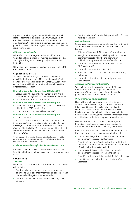Agus í ag cur ráitis airgeadais na máthairchuideachta i láthair i dteannta ráitis airgeadais an Ghrúpa, bhain an Chuideachta leas as an díolúine in Alt 304(2) d'Acht na gCuideachtaí, 2014 gan a ráitis ioncaim aonair agus na nótaí gaolmhara, ar cuid de ráitis airgeadais fhaofa na Cuideachta iad, a chur i láthair.

#### *Ráiteas ar chomhlíonadh*

Ullmhaítear na ráitis airgeadais chomhdhlúite de réir Caighdeáin Idirnáisiúnta um Thuairisciú Airgeadais (IFRS), arna nglacadh ag an Aontas Eorpach (IFRS an Aontais Eorpaigh).

Ullmhaíodh ráitis airgeadais na Cuideachta de réir FRS 101 Creat Nochta Laghdaithe.

#### **Caighdeáin IFRS le teacht**

Tá roinnt Caighdeáin nua, Leasuithe ar Chaighdeáin agus Léirmhínithe de chuid IFRS i bhfeidhm do thréimhsí bliantúla a thosaíonn i ndiaidh an 1 Eanáir 2016, agus níor cuireadh iad sin i bhfeidhm nuair a ullmhaíodh na ráitis airgeadais seo. Is iad sin:

#### **I bhfeidhm don bhliain dar críoch an 31 Nollaig 2017**

- **•**  Leasuithe ar IAS 12 Sócmhainní Cánach Iarchurtha a Shainaithint le haghaidh Caillteanais Neamhréadaithe\*
- **•**  Leasuithe ar IAS 7 Tionscnamh Nochta\*

#### **I bhfeidhm don bhliain dar críoch an 31 Nollaig 2018**

- **•**  IFRS 9 Ionstraimí Airgeadais (2009, agus leasuithe ina dhiaidh sin in 2010 agus in 2013)
- **•**  IFRS 15: Ioncam ó chonarthaí le custaiméirí
- **I bhfeidhm don bhliain dar críoch an 31 Nollaig 2019**
- **•**  IFRS 16 Léasanna

Tá an Grúpa i mbun measúnú faoi láthair ar an tionchar iomlán ar na ráitis airgeadais a bheidh ag na Caighdeáin nua seo, na Léirmhínithe seo agus na Leasuithe seo ar Chaighdeáin Fhoilsithe. Tá roinnt riachtanais IFRS le teacht. Meastar nach mbeidh tionchar ábhartha ag aon cheann acu sin ar an nGrúpa.

\*Níor fhormhuinigh an tAontas Eorpach na Caighdeáin, na Léirmhínithe ná na Leasuithe ar Chaighdeáin Fhoilsithe sin go fóill agus ní chuirfear i bhfeidhm iad go dtí go dtarlaíonn amhlaidh.

#### *Riachtanais IFRS a bhí i bhfeidhm den chéad uair in* **2016**

Bhí roinnt riachtanais IFRS i bhfeidhm den chéad uair in 2016. Ní raibh tionchar ábhartha ag aon cheann acu sin ar an nGrúpa.

#### **Bunús tomhais**

#### **An Grúpa**

Ullmhaítear na ráitis airgeadais seo ar bhonn costas stairiúil, ach amháin:

- Go dtomhaistear an glandliteanas pinsin le sochar sainithe ag luach cóir shócmhainní an phlean lúide luach reatha na hoibleagáide le sochar sainithe;
- Go dtomhaistear réadmhaoin infheistíochta ag luach cóir; agus

**•**  Go dtomhaistear sócmhainní airgeadais atá ar fáil lena ndíol ag luach cóir.

#### **An Chuideachta**

Sna ráitis airgeadais seo, chuir an Chuideachta na díolúintí atá ar fáil faoi FRS 101 i bhfeidhm i leith an nochta seo a leanas:

- Ráiteas ar Shreabhadh Airgid agus nótaí gaolmhara;
- **•**  Réitigh tréimhse comparáidí le haghaidh scairchaipitil, sócmhainní seasta inláimhsithe, sócmhainní doláimhsithe agus réadmhaoine infheistíochta;
- **•**  Nochtadh i leith idirbheart le fochuideachtaí faoi úinéireacht iomlán;
- **•**  Nochtadh i leith bainistíocht caipitil;
- **•**  Tionchair IFRSanna nua ach nach bhfuil i bhfeidhm go fóill; agus
- **•**  Nochtadh i leith cúitimh do Phríomhphearsana Bainistíochta.

#### *Airgeadra feidhmiúil agus tuairiscithe*

Tuairiscítear na ráitis airgeadais chomhdhlúite agus Cuideachta seo in Euro, airgeadra feidhmiúil na Cuideachta. Tugadh gach suim slán go dtí an míle is gaire, seachas má chuirtear a mhalairt in iúl.

#### *Úsáid breithiúnas agus meastachán*

Nuair a bhí na ráitis airgeadais seo á n-ullmhú, rinne an bhainistíocht breithiúnais, meastacháin agus boinn tuisceana a d'fhéadfadh tionchar a imirt ar bheartais chuntasaíochta an Ghrúpa agus na Cuideachta a chur i bhfeidhm agus ar shuim thuairiscithe na sócmhainní, na ndliteanas, an ioncaim agus na speansas. D'fhéadfadh difear a bheith idir na torthaí iarbhír agus na meastacháin sin.

Déantar athbhreithniú ar na meastacháin agus ar na boinn tuisceana bhunúsacha ar bhonn leanúnach. Aithnítear leasuithe ar mheastacháin go hionchasach.

Is iad seo a leanas na réimsí ina n-imríonn breithiúnas an tionchar is suntasaí ar na suimeanna sainaitheanta:

- Nóta 20 oibleagáidí le sochar sainithe a thomhas; príomhbhoinn tuisceana achtúireacha;
- **•**  Nóta 7 sócmhainní cánach iarchurtha a aithint: fáil brabúis inchánaithe sa todhchaí a bhféadfaí sócmhainní cánach iarchurtha a úsáid ina leith;
- **•**  Nóta 9 tástáil bhearnúcháin: luach bunúsach príomhbhoinn tuisceana i ríomhanna úsáide;
- **•**  Nóta 12 cuntasaíocht le haghaidh infheistíocht PLI; agus
- **•**  Nóta 15 ioncam iarchurtha i ndáil le stampaí nár úsáideadh.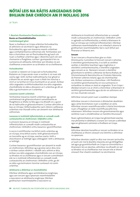# NÓTAÍ LEIS NA RÁITIS AIRGEADAIS DON BHLIAIN DAR CHRÍOCH AN 31 NOLLAIG 2016

ar lean

### **1. Beartais Shuntasacha Chuntasaíochta** ar lean **Bunús an Chomhdhlúthaithe** *Comhcheangail ghnó*

Nuair a chailleann an Grúpa urlámhas fochuideachta, dí-aithníonn sé sócmhainní agus dliteanais na fochuideachta, agus aon leasanna neamh-urlámhais agus comhpháirteanna cothromais eile. Tomhaistear aon leas a choinnítear san iar-fhochuideachta ag luach cóir nuair a chailltear urlámhas agus i dteannta luach cóir aon chomaoine a fhaightear, cuirtear i gcomparáid é leis na suimeanna dí-aitheanta. Aithnítear aon bhrabús nó aon chaillteanas a eascraíonn as sa bhrabús nó sa chaillteanas.

### *Fochuideachtaí*

Is aonáin a rialaíonn an Grúpa iad na fochuideachtaí. Rialaíonn an Grúpa aonán nuair a nochtar é, nó nuair atá cearta aige i leith, torthaí inathraitheacha mar gheall ar a bhaint leis an aonán agus nuair is féidir leis tionchar a imirt ar na torthaí sin trína chumhacht ar an aonán. Áirítear ráitis airgeadais na bhfochuideachtaí sna ráitis airgeadais chomhdhlúite ón dáta a dtosaíonn an t-urlámhas go dtí an dáta a gcríochnaíonn an t-urlámhas.

#### *Leasanna neamh-urlámhais*

Tomhaistear leasanna neamh-urlámhais ag a gcion comhréireach de ghlansócmhainní sainaitheanta an fhaighteora ar dháta na fála agus ina dhiaidh sin, a gcion de na hathruithe ar ghlansócmhainní. Cuirtear athruithe ar leas an Ghrúpa i bhfochuideachta nach mbíonn caillteanas urlámhais mar thoradh orthu san áireamh mar idirbhearta cothromais.

#### *Leasanna in institiúidí infheistiúcháin ar cuireadh modh cuntasaíochta an chothromais i bhfeidhm orthu*

Cuimsíonn leasanna an Ghrúpa in institiúidí infheistiúcháin ar cuireadh modh cuntasaíochta an chothromais i bhfeidhm orthu leasanna i gcomhfhiontair.

Is socrú é comhfhiontar ina bhfuil comh-urlámhas ag an nGrúpa, trína bhfuil cearta i leith ghlansócmhainní an tsocraithe ag an nGrúpa, seachas cearta i leith a shócmhainní ar leithligh agus oibleagáidí i leith a dhliteanas ar leithligh.

Cuirtear leasanna i gcomhfhiontair san áireamh le modh an chothromais. Aithnítear ag a gcostas iad ar dtús, lena n-áirítear costais idirbhirt. I ndiaidh iad a aithint ar dtús, áirítear sna ráitis airgeadais chomhdhlúite cion an Ghrúpa sa bhrabús nó sa chaillteanas agus in ioncam cuimsitheach eile na n-institiúidí infheistiúcháin ar cuireadh modh cuntasaíochta an chothromais i bhfeidhm uirthi, go dtí an dáta a gcríochnaíonn tionchar suntasach nó comhurlámhas.

# *Idirbhearta a dhíbrítear ar chomhdhlúthú*

Díbrítear idirbhearta agus iarmhéideanna ionghrúpa, agus aon ioncam agus speansais neamhréadaithe a eascraíonn as idirbhearta ionghrúpa. Díbrítear gnóthachain neamhréadaithe a eascraíonn as

idirbhearta le hinstitiúidí infheistiúcháin ar cuireadh modh cuntasaíochta an chothromais i bhfeidhm uirthi in aghaidh na hinfheistíochta, a mhéid a bhaineann le leas an Ghrúpa san institiúid infheistiúcháin. Díbrítear caillteanais neamhréadaithe ar an mbealach céanna le gnóthachain neamhréadaithe, fad is nach bhfuil aon fhianaise ar bhearnú ann.

### **Ioncam**

Tá an t-ioncam a thuairiscítear glan ar cháin bhreisluacha. Cuimsítear le hioncam ioncam ó phostas, ó sheirbhísí gníomhaireachta, ó na táillí as seirbhísí seoltán, ó sheirbhísí teachtairí agus loighistice, ó sheirbhísí comhairleoireachta, ó sheirbhísí airgeadais agus ioncam as ús. Baineann ioncam ó sheirbhísí gníomhaire le seirbhísí a dhéantar do Ranna Rialtais, do Ghníomhaireacht Bainistíochta an Chisteáin Náisiúnta, do Premier Lotteries Ireland, agus do chomhlachtaí eile. Áirítear suimeanna a choinnítear i rith fheidhmiú na seirbhísí gníomhaireachta sin sna suimeanna in iontaobhas sa ráiteas ar staid an airgeadais. Tá an Grúpa i dteideal ioncam ó ús ar chistí a choinnítear a bhaineann le seirbhísí gníomhaireachta agus dá réir sin aithníonn sé é sin mar chuid den ioncam.

Aithnítear ioncam poist nuair a úsáidtear stampaí.

Aithnítear ioncam ó choimisiúin ó dhíolachán dearbháin agus cártaí bronntanais nuair a úsáidtear an cárta. Aithnítear ioncam neamhfhuascailte ó chártaí bronntanais nuair a fhaightear an táille neamhfhuascailte lena mbaineann. Aithnítear ioncam eile gníomhaireachta agus seirbhíse nuair a sholáthraítear an tseirbhís bhunúsach.

Nuair a ghníomhaíonn an Grúpa mar ghníomhaire seachas mar phríomhaí in idirbheart, is ionann an t-ioncam a aithnítear agus an ghlansuim coimisiúin a thuilleann an Grúpa.

# **Deontais**

Aithnítear deontais bunaithe ar ioncam sa bhrabús nó sa chaillteanas ar bhonn córasach sna tréimhsí a aithnítear na speansais.

Aithnítear deontais caipitil ar dtús mar ioncam iarchurtha ar luach cóir má tá dearbhú réasúnta ann go bhfaighfear iad agus go gcomhlíonfaidh an Grúpa na coinníollacha a bhaineann leis an deontas; aithnítear ina dhiaidh sin iad sa bhrabús nó sa chaillteanas mar ioncam eile ar bhonn córasach thar shaolré úsáideach na sócmhainne.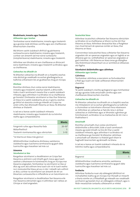# **Réadmhaoin, Innealra agus Trealamh**

# *Aitheantas agus tomhas*

Tomhaistear earraí réadmhaoine, innealra agus trealaimh ag a gcostas lúide dímheas carntha agus aon chaillteanais bhearnúcháin charntha.

Má bhíonn saolré úsáideach dhifriúil ag páirteanna suntasacha earra réadmhaoine, innealra agus trealaimh, cuirtear san áireamh iad mar earraí suntasacha (mórpháirteanna) réadmhaoine, innealra agus trealaimh.

Aithnítear aon bhrabús nó aon chaillteanas ar dhiúscairt earra réadmhaoin, innealra agus trealaimh sa bhrabús agus sa chaillteanas.

### *Caiteachas ina dhiaidh sin*

Ní dhéantar caiteachas ina dhiaidh sin a chaipitliú seachas más dóchúil go sreabhadh na sochair gheilleagracha sa todhchaí a bhaineann leis an gcaiteachas chuig an nGrúpa.

### *Dímheas*

Ríomhtar dímheas chun costas earraí réadmhaoine, innealra agus trealaimh, seachas talamh, a dhíscríobh, lúide a luach iarmharach measta thar a saolré úsáideach mheasta, agus aithnítear é sa bhrabús nó sa chaillteanas go hiondúil. Dímheastar sócmhainní ar léas thar théarma an léasa nó a saolré úsáideacha, pé acu is giorra, seachas go bhfuil sé réasúnta cinnte go mbeidh an Grúpa ina úinéir orthu faoi dheireadh théarma an léasa. Ní dhéantar dímheas ar thalamh.

Is iad seo a leanas saolré úsáideach mheasta réadmhaoine, innealra agus trealaimh do na tréimhsí reatha agus comparáideacha:

|                                          | <b>Blianta</b> |
|------------------------------------------|----------------|
| Foirgnimh ruílse agus léasachta fada     | $20 - 50*$     |
| Mótarfheithiclí                          |                |
| Trealamh ríomhaireachta agus oibriúcháin | $3 - 10$       |

\*nó téarma an léasa más giorra é

Athbhreithnítear modhanna dímheasa, saolréanna úsáideacha agus luachanna iarmharacha ag gach dáta tuairiscithe agus leasaítear iad más cuí.

#### **Léasanna**

#### *Sócmhainní ar léas*

Rangaítear sócmhainní a shealbhaíonn an Grúpa faoi léasanna a aistríonn cuid mhaith gach riosca agus luach saothair a bhaineann le húinéireacht chuig an nGrúpa mar léasanna airgeadais. Tomhaistear na sócmhainní ar léas ar dtús ag suim atá cothrom lena luach cóir nó le luach reatha na n-íosíocaíochtaí léasa, pé acu is ísle. I ndiaidh iad a aithint ar dtús, cuirtear na sócmhainní san áireamh de réir an bheartais cuntasaíochta is infheidhme ar an tsócmhainn sin.

Rangaítear sócmhainní a shealbhaítear faoi léasanna eile mar léasanna oibriúcháin agus ní aithnítear iad i ráiteas an Ghrúpa ar staid airgeadais.

# *Íocaíochtaí léasa*

Aithnítear íocaíochtaí a dhéantar faoi léasanna oibriúcháin sa bhrabús nó sa chaillteanas ar bhonn na líne dírí thar théarma an léasa. Aithnítear dreasachtaí léas a fhaightear mar chuid lárnach de speansas iomlán an léasa, thar théarma an léasa.

Cionroinntear íosíocaíochtaí léasa a dhéantar faoi léasanna airgeadais idir an speansas airgeadais agus an laghdú ar an dliteanas gan íoc. Leithdháiltear an speansas airgeadais ar gach tréimhse i rith théarma an léasa ionas go dtáirgfear ráta thréimhsiúil sheasmhach úis ar iarmhéid an dliteanais atá fágtha.

### **Sócmhainní doláimhsithe agus cáilmheas**

#### *Aitheantas agus tomhas*

#### **Cáilmheas**

Tomhaistear cáilmheas a eascraíonn as fochuideachtaí a fháil ag a luach cóir lúide caillteanais bhearnúcháin charntha.

#### **Bogearraí**

Tá saolré úsáideach críochta ag bogearraí agus tomhaistear iad ag a gcostas lúide amúchadh carntha agus aon chaillteanais bhearnúcháin charntha.

#### *Caiteachas ina dhiaidh sin*

Ní dhéantar caiteachas ina dhiaidh sin a chaipitliú seachas má mhéadaíonn sé na sochair gheilleagracha sa todhchaí a chuimsítear sa tsócmhainn shonrach lena mbaineann sé. Aithnítear an caiteachas ar fad eile, lena n-áirítear caiteachas ar cháilmheas agus ar bhrandaí a ghintear go hinmheánach, sa bhrabús nó sa chaiteachas de réir mar a thabhaítear é.

### *Amúchadh*

Ríomhtar amúchadh chun costas sócmhainní doláimhsithe a dhíscríobh, lúide a luach iarmharach measta ag úsáid mhodh na líne dírí thar a saolré úsáideach mheasta, agus aithnítear é sa bhrabús nó sa chaillteanas go hiondúil. Ní dhéantar cáilmheas a amúchadh ach déantar é a thástáil gach bliain le haghaidh bearnúcháin ag deireadh na bliana.

Is iad seo a leanas an tsaolré úsáideach mheasta do na tréimhsí reatha agus comparáideacha:

|           | <b>Blianta</b> |
|-----------|----------------|
| Bogearraí |                |

Athbhreithnítear modhanna amúchta, saolréanna úsáideacha agus luachanna iarmharacha ag gach dáta tuairiscithe agus leasaítear iad más cuí.

#### **Forálacha**

Aithnítear forálacha nuair atá oibleagáid (dhlíthiúil nó inchiallaithe) reatha ag an nGrúpa mar thoradh ar imeacht a tharla roimhe sin, d'fhéadfadh go mbeadh eas-sreabhadh acmhainní ag teastáil chun an oibleagáid a réiteach, agus is féidir meastachán iontaofa a dhéanamh ar mhéid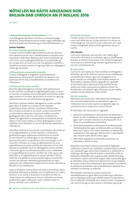# NÓTAÍ LEIS NA RÁITIS AIRGEADAIS DON BHLIAIN DAR CHRÍOCH AN 31 NOLLAIG 2016

ar lean

#### **1. Beartais Shuntasacha Chuntasaíochta** ar lean

na hoibleagáide. Má bhíonn tionchar an amluacha airgid ábhartha, cinnte forálacha tríd na sreafaí airgid a bhfuiltear ag súil leis sa todhchaí a lascainiú ag an ráta réamhchánach cuí.

#### **Sochair fostaithe**

#### **(i) Sochair fostaithe ghearrthéarmacha**

Cuirtear sochair fostaithe ghearrthéarmacha san áireamh mar speansais de réir mar a sholáthraítear an tseirbhís lena mbaineann. Aithnítear dliteanas don tsuim a bhfuiltear ag súil le híoc má tá oibleagáid dhlíthiúil nó inchiallaithe ag an nGrúpa chun an tsuim sin a íoc mar gheall ar sheirbhís a sholáthair an fostaí roimhe sin agus gur féidir an oibleagáid a mheas go hiontaofa.

### **(ii)Pleananna le ranníocaíocht shainithe**

Cuirtear oibleagáidí le haghaidh ranníocaíochtaí le pleananna le ranníocaíocht shainithe san áireamh mar speansais de réir mar a sholáthraítear an tseirbhís lena mbaineann.

### **(iii) Pleananna le sochar sainithe**

Ríomhtar glanoibleagáid an Ghrúpa i leith pleananna le sochar sainithe ar leithligh le haghaidh gach plean, trí suim an tsochair sa todhchaí a thuill fostaithe sna tréimhsí reatha agus roimhe sin a mheas, ag lascainiú na suime sin agus ag asbhaint luach cóir aon sócmhainní atá ag plean.

Ríomhann achtúire cáilithe oibleagáidí le sochar sainithe gach bliain le modh na n-aonad réamh-mheasta creidmheasa. Nuair a bhíonn sócmhainn fhéideartha don Ghrúpa ina toradh ar an ríomh, cuirtear teorainn leis an tsócmhainn aitheanta chuig luach reatha na sochar geilleagrach atá ar fáil mar aon aisíoc sa todhchaí ón bplean nó laghduithe ar aisíocaíochtaí sa thodhchaí leis an bplean. Chun luach reatha sa sochar geilleagrach a ríomh, caithfear aird a thabhairt ar aon íosriachtanais maoinithe is infheidhme.

Aithnítear láithreach san ioncam cuimsitheach eile atomhais ar an nglandliteanas le sochar sainithe, a chuimsíonn gnóthachain agus caillteanais achtúireacha, an toradh ar shócmhainní an phlean (gan ús san áireamh) agus tionchar theorainn na sócmhainn (más ann dó, gan ús san áireamh). Cinneann an Grúpa an glanspeansas úis ar an nglandliteanas le sochar sainithe don tréimhse ach an ráta lascaine a úsáideadh chun an oibleagáid le sochar sainithe a thomhas ag tús na tréimhse bliantúla a chur i bhfeidhm ar an glandliteanas le sochar sainithe mar a bhí, ag cur aon athruithe ar an nglandliteanas le sochar sainithe i rith na tréimhse mar gheall ar ranníocaíochtaí agus ar íocaíochtaí sochair san áireamh. Aithnítear glanspeansais úis agus speansais eile a bhaineann le pleananna le sochar sainithe sa bhrabús nó sa chaillteanas.

Nuair a athraítear sochair plean nó nuair a chiorraítear plean, aithnítear láithreach sa bhrabús nó sa chaillteanas an t-athrú dá bharr ar an sochar a bhaineann le seirbhís roimhe sin nó an brabús nó caillteanas ar chiorrú. Aithníonn an Grúpa gnóthachain agus caillteanais nuair a réitítear plean le sochar sainithe nuair a réitítear é.

### **(iv) Sochair foirceanta**

Cuirtear sochair foirceanta san áireamh mar speansais nuair nach féidir leis an nGrúpa tairiscint na sochar sin a tharraingt siar níos mó nó nuair a aithníonn an Grúpa costais le haghaidh athstruchtúrú gaolmhar, pé acu is luaithe.

### **Cáin ioncaim**

Cuimsíonn speansas cáin ioncaim cáin reatha agus iarchurtha. Aithnítear é sa bhrabús agus sa chaillteanas seachas sa mhéid a bhaineann sé le comhcheangal gnó, nó le hearraí a aithnítear go díreach i gcothromas nó in ioncam cuimsitheach eile.

### **(i) Cáin reatha**

Cuimsíonn cáin reatha an cháin iníoctha nó infhaighte a bhfuiltear ag súil léi i leith an ioncaim nó an chaillteanais incháinithe don bhliain agus aon choigeartú ar an gcáin iníoctha nó infhaighte i leith blianta roimhe sin. Tomhaistear í ag ráta cánach a glacadh nó a glacadh sa tsubstaint ag an dáta tuairiscithe. Áirítear le cáin reatha aon cháin a eascraíonn as díbhinní freisin. Ní fhritháirítear sócmhainní agus dliteanais cánach reatha seachas má chomhlíontar critéir áirithe.

# **(ii)Cáin iarchurtha**

Aithnítear cáin iarchurtha i leith difríochtaí sealadacha idir suimeanna glanluacha na sócmhainní agus na ndliteanas chun críocha tuairisciú airgeadais agus na suimeanna arna n-úsáid chun críocha cánach.

Ní aithnítear cáin iarchurtha le haghaidh:

- **•**  difríochtaí sealadacha ar shócmhainní nó dliteanais a aithint ar dtús in idirbheart nach comhcheangal gnó é agus nach n-imríonn tionchar ar chuntasaíocht ná ar cháin nó ar chaillteanas incháinithe;
- **•**  difríochtaí sealadacha a bhaineann le hinfheistíochtaí i bhfochuideachtaí agus comhshocruithe sa mhéid go bhfuil an Grúpa in ann uainiú aisiompú na ndifríochtaí sealadacha a rialú agus gur dóchúil nach n-aisiompófar iad cuíosach luath amach anseo; agus
- **•**  difríochtaí sealadacha incháinithe a eascraíonn as cáilmheas a aithint ar dtús.

Aithnítear sócmhainní cánach iarchurtha le haghaidh caillteanais chánach nár úsáideadh, creidmheasanna cánach nár úsáideadh agus difríochtaí sealadacha in-asbhainte sa mhéid gur dócha go mbeidh brabúis incháinithe ar fáil sa todhchaí a bhféadfaí iad a úsáid ina leith. Athbhreithnítear sócmhainní cánach iarchurtha ar gach dáta tuairiscithe agus dí-aithnítear iad sa mhéid nach dóchúil níos mo go réadófar an sochar cánach lena mbaineann; aisiompaítear sócmhainní dí-aitheanta dá leithéid nuair a fheabhsaíonn dóchúlacht na mbrabús incháinithe sa todhchaí.

Athmheastar sócmhainní cánach iarchurtha neamhaitheanta ar gach dáta tuairiscithe agus aithnítear iad sa mhéid gur dóchúil go mbeidh brabúis incháinithe ar fáil sa todhchaí a bhféadfaí iad a úsáid ina leith. Tomhaistear cáin iarchurtha ag na rátaí cánach a bhfuiltear ag súil go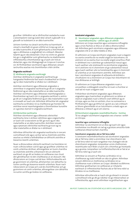gcuirfear i bhfeidhm iad ar dhifríochtaí sealadacha nuair a aisiompaíonn siad ag úsáid rátaí cánach a glacadh nó a glacadh sa tsubstaint ar an dáta tuairiscithe.

Léiríonn tomhas na cánach iarchurtha na hiarmhairtí cánach a leanfadh ón gcaoi a bhfuil an Grúpa ag súil, ar an dáta tuairiscithe, le suim ghlanluacha a shócmhainní agus a dhliteanas a aisghabháil nó a réiteach. Meastar talamh ag an ráta díolacháin. Chun na críche sin, glactar leis go n-aisghabhtar suim ghlanluacha na réadmhaoine infheistíochta a thomhaistear ag a luach cóir tríd an díolachán, agus níor bhréagnaigh an Grúpa an t-ionchas sin. Ní fhritháirítear sócmhainní agus dliteanais cánach iarchurtha seachas má chomhlíontar critéir áirithe.

#### **Airgeadra eachtrach**

#### **(i) Idirbhearta airgeadra eachtraigh**

Aistrítear idirbhearta in airgeadraí eachtracha go hairgeadraí feidhmiúla faoi seach chuideachtaí an Ghrúpa ag na rátaí malartaithe ar dhátaí na n-idirbheart.

Aistrítear sócmhainní agus dliteanais airgeadais a ainmnítear in airgeadraí eachtracha go dtí an t-airgeadra feidhmiúil ag an ráta malartaithe ar an dáta tuairiscithe. Aistrítear sócmhainní agus dliteanais neamhairgeadais a thomhaistear ag luach cóir in airgeadra eachtrach a aistriú go dtí an t-airgeadra feidhmiúil ag an ráta malartaithe nuair a cinneadh an luach cóir. Aithnítear difríochtaí idir airgeadraí eachtracha sa bhrabús nó sa chaillteanas go hiondúil. Ní aistrítear earraí neamhairgeadais a thomhaistear bunaithe ar a gcostas stairiúil in airgeadra eachtrach.

#### **(ii)Oibríochtaí eachtracha**

Aistrítear sócmhainní agus dliteanais oibríochtaí eachtracha, lena n-áirítear cáilmheas agus coigeartuithe ar luach cóir a eascraíonn as fáil, go euro ag an ráta malartaithe ar an dáta tuairiscithe. Aistrítear ioncam agus speansais oibríochtaí eachtracha go euro ag na rátaí malartaithe ar dhátaí na n-idirbheart.

Aithnítear difríochtaí idir airgeadraí eachtracha in ioncam cuimsitheach eile agus carntar iad sa chúlchiste aistrithe, seachas sa mhéid a leithdháiltear an difríocht aistrithe ar leasanna neamh-urlámhais.

Nuair a dhiúscraítear oibríocht eachtrach ina hiomláine nó nuair a dhiúscraítear cuid di agus go gcailltear urlámhas nó comh-urlámhas dá bharr, athrangaítear an tsuim charntha sa chúlchiste aistrithe a bhaineann leis an oibríocht eachtrach sin go dtí an brabús nó caillteanas mar chuid den ghnóthachan nó den chaillteanas ar an diúscairt. Má dhiúscraíonn an Grúpa cuid dá leas i bhfochuideachta ach go gcoinníonn sé urlámhas, athshanntar cion ábhartha na suime carntha go leasanna neamh-urlámhais. Nuair nach ndiúscraíonn an Grúpa ach cuid de chomhfhiontar ach go gcoinníonn sé comh-urlámhas, athrangaítear cion ábhartha na suime carntha go brabús nó caillteanas.

#### **Ionstraimí airgeadais**

#### **(i) Sócmhainní airgeadais agus dliteanais airgeadais neamhdhíorthacha – aithint agus dí-aithint**

Aithníonn an Grúpa iasachtaí agus suimeanna infhaighte agus urrúis fiachais ar dtús ar an dáta a dtionscnaítear iad. Aithnítear gach sócmhainn airgeadais agus dliteanas airgeadais eile ar an dáta trádála ar dtús.

Dí-aithníonn an Grúpa sócmhainn airgeadais nuair a éagann na cearta conartha do na sreafaí airgid ón tsócmhainn, nó aistríonn sé na cearta chun na sreafaí airgid conartha a fháil in idirbheart ina n-aistrítear go substaintiúil rioscaí agus luach saothair uile úinéireacht na sócmhainne airgeadais, nó ní aistríonn ná ní choinníonn sé go substaintiúil rioscaí agus luach saothair uile na húinéireachta agus ní choinníoll sé urlámhas ar an tsócmhainn aistrithe. Aithnítear aon leas i sócmhainní airgeadais dí-aitheanta dá leithéid a chruthaíonn nó a choinníonn an Grúpa mar shócmhainn nó mar dhliteanas ar leithligh.

Dí-aithníonn an Grúpa dliteanas airgeadais nuair a urscaoiltear a oibleagáidí conartha nó nuair a chuirtear ar ceal iad nó nuair a éagann siad.

Fritháirítear sócmhainní airgeadais agus dliteanais airgeadais agus tuairiscítear an ghlansuim sa ráiteas ar staid an airgeadais nuair a bhíonn ceart dlíthiúil ag an nGrúpa, agus sa chás sin amháin, chun na suimeanna a fhritháireamh agus go bhfuil sé i gceist acu iad a réiteach ar bhonn glanmhéide nó an tsócmhainn a réadú agus an dliteanas a réiteach ag an am céanna.

### **(ii) Sócmhainní airgeadais neamhdhíorthacha – tomhas**

Tá na catagóirí sócmhainní airgeadais seo a leanas i seilbh an Ghrúpa:

#### **Iasachtaí agus suimeanna infhaighte**

Aithnítear na sócmhainní sin ar dtús ag luach cóir agus tomhaistear ina dhiaidh sin iad ag a gcostais amúchta lúide caillteanais bhearnúcháin charntha.

#### **Sócmhainní airgeadais atá ar fáil lena ndíol**

Is ionstraimí neamhdhíorthacha iad sócmhainní airgeadais atá ar fáil lena ndíol a ainmnítear mar shócmhainní atá ar fáil lena ndíol nó nach rangaítear mar chatagóir eile de shócmhainní airgeadais. Iompraítear urrúis chothromais neamhluaite nach féidir a luach cóir a thomhas go hiontaofa ag a gcostas. Iompraítear na hinfheistíochtaí eile ar fad at ar fáil lena ndíol ag a luach cóir.

Aithnítear ús ioncaim ar fhiachas sa bhrabús nó sa chaillteanas ag úsáid mhodh an ráta úis ghlain. Aithnítear ioncam díbhinne ar chothromas sa bhrabús nó sa chaillteanas nuair a bhíonn an Grúpa i dteideal na díbhinne. Aithnítear gnóthachain nó caillteanais ar mhalartú eachtrach ar infheistíochtaí fiachais atá ar fáil lena ndíol sa bhrabús nó sa chaillteanas.

Aithnítear athruithe eile ar luach cóir go díreach in ioncam cuimsitheach eile go dtí go ndíoltar nó go mbearnaítear an infheistíochta, agus ansin aithnítear na gnóthachain agus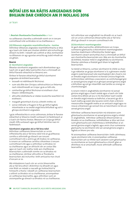# NÓTAÍ LEIS NA RÁITIS AIRGEADAIS DON BHLIAIN DAR CHRÍOCH AN 31 NOLLAIG 2016

ar lean

#### 1**. Beartais Shuntasacha Chuntasaíochta** ar lean

na caillteanais charntha a aithníodh roimh sin in ioncam cuimsitheach eile sa bhrabús nó sa chaillteanas. e.

#### **(iii) Dliteanais airgeadais neamhdhíorthacha – tomhas**

Aithnítear dliteanais airgeadais neamhdhíorthacha ar dtús ag a luach cóir lúide aon chostais idirbhirt atá inchurtha go díreach ina leith. I ndiaidh iad a aithint ar dtús, tomhaistear na dliteanais sin ag a gcostas amúchta ag úsáid mhodh an úis ghlain.

#### **Bearnú**

#### **(i) Sócmhainní airgeadais**

Meastar sócmhainní airgeadais nach dtomhaistear ag a luach cóir ar gach dáta tuairiscithe chun a chinneadh an bhfuil fianaise oibiachtúil ar bhearnú ann.

Áirítear le fianaise oibiachtúil go bhfuil sócmhainní airgeadais dá leithéid bearnaithe:

- **•**  loiceadh nó rédhliteacht féichiúnaí;
- **•**  suim atá dlite don Ghrúpa a athstruchtúrú ar théarmaí nach mbreithneodh an Grúpa i gcás ar bith eile;
- **•**  comharthaí go bhfuil féichiúnaí nó eisitheoir chun titeann i bhféimheacht;
- **•**  athruithe díobhálacha ar stádas íocaíochta iasachtóirí nó eisitheoirí;
- **•**  margadh gníomhach d'urrús a bheith imithe; nó
- **•**  sonraí inbhraite a thugann le fios go bhfuil laghdú intomhaiste ar na sreafaí airgid lena bhfuiltear ag súil ó ghrúpa sócmhainní airgeadais.

I gcás infheistíochta in urrús cothromais, áirítear le fianaise oibiachtúil ar bhearnú meath suntasach nó faidréiseach ar a luach cóir faoina chostas. Measann an Grúpa go bhfuil meath 20% suntasach agus go bhfuil tréimhse naoi mí faidréiseach.

#### **Sócmhainní airgeadais atá ar fáil lena ndíol**

Aithnítear caillteanais bhearnúcháin ar urrúis infheistíochta atá ar fáil lena ndíol tríd an gcaillteanas carntha a aithníodh go díreach san ioncam cuimsitheach eile a aistriú go dtí brabús nó caillteanas. Is ionann an caillteanas carntha a bhaintear ó ioncam cuimsitheach eile agus a aithnítear sa bhrabús nó sa chaillteanas agus an difríocht idir an costas fála agus an luach cóir reatha, lúide aon chaillteanas bearnúcháin a aithníodh roimhe sin sa bhrabús nó sa chaillteanas. Léirítear athruithe ar fhorálacha bearnúcháin atá inchurtha i leith amluacha mar chuid d'ioncam ar ús.

Má mhéadaíonn luach cóir an urrúis bhearnaithe atá ar fáil lena dhíol i dtréimhse ina dhiaidh sin agus más féidir an méadú a nascadh go hoibiachtúil le himeacht a tharla i ndiaidh an caillteanas bearnúcháin a aithint sa bhrabús nó sa chaillteanas, aisiompaítear an caillteanas bearnaithe, agus aithnítear suim an aisiompaithe go díreach sa bhrabús nó sa chaillteanas. Ach aithnítear aon aisghabháil ina dhiaidh sin ar luach cóir an urrúis cothromais bhearnaithe atá ar fáil lena dhíol go díreach in ioncam cuimsitheach eile.

#### **(ii) Sócmhainní neamhairgeadais**

Ar gach dáta tuairiscithe, athbhreithníonn an Grúpa suimeanna glanluacha a shócmhainní neamhairgeadais (seachas réadmhaoin infheistíochta, fardail agus sócmhainní cánach iarchurtha) chun a chinneadh an bhfuil aon chomhartha bearnúcháin ann. Más ann do chomhartha dá leithéid, meastar méid in-aisghabhála na sócmhainne. Déantar cáilmheas a thástáil gach bliain le haghaidh bearnúcháin.

Sa tástáil ar bhearnú, cuirtear sócmhainní le chéile sa chaoi is go ndéantar an grúpa sócmhainní is lú a ghineann sreafaí airgid ó úsáid leanúnach atá neamhspleách den chuid is mó ar shreafaí airgid sócmhainní nó Aonad Giniúna Airgid eile. Leithroinntear cáilmheas a eascraíonn as comhcheangal gnó ar aonaid giniúna airgid nó ar ghrúpaí aonaid giniúna airgid a bhfuiltear ag súil go mbainfidh siad tairbhe as sineirgí an chomhcheangail.

Is ionann méid in-aisghabhála sócmhainne nó aonad giniúna airgid agus a luach úsáide agus a luach cóir lúide costais lena d(h)íol, pé acu is mó. Bunaítear luach úsáide ar shreafaí airgid measta sa todhchaí, a lascainiú go dtí a luach reatha ag úsáid ráta lascaine roimh cháin a léiríonn measúnuithe margaidh reatha ar an amluach airgid agus na rioscaí a bhaineann go sonrach leis an tsócmhainn nó leis an aonad giniúna airgid.

Aithnítear caillteanas bearnúcháin má sháraíonn suim ghlanluacha sócmhainne nó aonad giniúna airgid a mhéid in-aisghabhála. Aithnítear caillteanais bhearnúcháin sa bhrabús nó sa chaillteanas. Leithdháiltear ar dtús iad chun suim ghlanluacha aon cháilmheasa a leithdháiltear ar an aonad giniúna airgid a laghdú, agus ansin chun suimeanna glanluacha na sócmhainní eile san aonad giniúna airgid a laghdú ar bhonn pro rata.

Ní aisiompaítear caillteanas bearnúcháin i leith cáilmheasa. I gcás sócmhainní eile, ní aisiompaítear caillteanas bearnúcháin ach sa mhéid nach sáraíonn suim ghlanluacha na sócmhainne an tsuim ghlanluacha a chinnfí, glan ar dhímheas nó ar amúchadh, murar aithníodh caillteanas bearnaithe.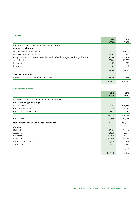### **2. Ioncam**

|                                                                                      | 2016<br>€'000 | 2015<br>€'000 |
|--------------------------------------------------------------------------------------|---------------|---------------|
| Is mar seo a leanas a dhéantar anailís ar an ioncam:                                 |               |               |
| Poblacht na hÉireann                                                                 |               |               |
| Postas: Litreacha agus beartáin                                                      | 512,554       | 523,716       |
| Postas: Toghcháin agus reifrinn                                                      | 14,203        | 2,460         |
| Oifigí poist: Seirbhísí gníomhaireachta, seirbhísí seoltáin agus seirbhísí gaolmhara | 161,831       | 164,309       |
| Seirbhísí eile                                                                       | 55,842        | 46,600        |
| loncam úis                                                                           | 421           | 1,025         |
| loncam cíosa                                                                         | 60            | 60            |
|                                                                                      | 744,911       | 738,170       |
| <b>An Riocht Aontaithe</b>                                                           |               |               |
| Dáileachán poist agus seirbhísí gaolmhara                                            | 80,741        | 87,899        |
|                                                                                      | 825,652       | 826.069       |

# **3. Costais Oibriúcháin**

|                                                     | 2016<br>€'000 | 2015<br>€'000 |
|-----------------------------------------------------|---------------|---------------|
| Ba iad seo a leanas costais chomhdhlúite an Ghrúpa: |               |               |
| Costais foirne agus máistrí poist                   |               |               |
| Pá agus tuarastail                                  | 406,612       | 394,835       |
| Costais Máistrí Poist                               | 72,659        | 74,481        |
| Costais leasa shóisialaigh                          | 36,437        | 35,619        |
|                                                     | 515,708       | 504,935       |
| Costais phinsin                                     | 45,866        | 48,018        |
| Iomlán costais phárolla foirne agus máistrí poist   | 561,574       | 552,953       |
| Costais eile:                                       |               |               |
| Dáileadh                                            | 87,662        | 94,857        |
| Áiseanna                                            | 26,911        | 28,711        |
| Oibríochtúil                                        | 84,428        | 79,355        |
| Riarachán                                           | 48,360        | 43,363        |
| Dímheas agus bearnú                                 | 28,490        | 19,236        |
| Amúchadh                                            | 1,923         | 2,432         |
|                                                     | 277,774       | 267,954       |
|                                                     | 839,348       | 820,907       |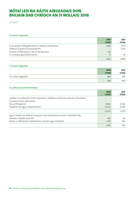# NÓTAÍ LEIS NA RÁITIS AIRGEADAIS DON BHLIAIN DAR CHRÍOCH AN 31 NOLLAIG 2016

# ar lean

# **4. Ioncam Airgeadais**

|                                                          | 2016<br>€'000 | 2015<br>€'000 |
|----------------------------------------------------------|---------------|---------------|
| Ús ar iasacht infhaighte Premier Lotteries Ireland (PLI) | 1,838         | 1,677         |
| Díbhinní scaireanna tosaíochta PLI                       |               | 2,130         |
| loncam ó infheistíocht a bhí ar fáil lena díol           | 312           |               |
| Ús ar thaiscí gearrthéarmacha                            | 12            | 42            |
|                                                          | 2,162         | 3.849         |

# **5. Costais Airgeadais**

|                       | 2016<br>€'000 | 2015<br>€'000 |
|-----------------------|---------------|---------------|
| Ús ar léas airgeadais | 494           | 454           |
|                       | 494           | 454           |

# **6. Caillteanas roimh Chánachas**

|                                                                                     | 2016<br>€'000 | 2015<br>€'000 |
|-------------------------------------------------------------------------------------|---------------|---------------|
| Luaitear an caillteanas roimh chánachas i ndiaidh an méid seo a leanas a mhuirearú: |               |               |
| Cíosanna ar léas oibriúcháin:                                                       |               |               |
| Cíos ar fhoirgnimh                                                                  | 8,902         | 8.726         |
| Trealamh eile agus mótarfheithiclí                                                  | 13,420        | 13,385        |
|                                                                                     | 22,322        | 22,111        |
| agus i ndiaidh an méid seo a leanas a chur do shochar ioncaim ó sheirbhísí eile:    |               |               |
| Deontais chaipitil amúchta                                                          | 362           | 101           |
| Brabús ar dhíolachán réadmhaoine, innealra agus trealaimh                           | 1,251         | 293           |
|                                                                                     | 1.613         | 394           |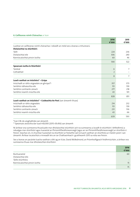#### **6. Caillteanas roimh Chánachas** ar lean

|                                                                                     | 2016<br>€'000  | 2015<br>€'000 |
|-------------------------------------------------------------------------------------|----------------|---------------|
| Luaitear an caillteanas roimh chánachas i ndiaidh an méid seo a leanas a mhuirearú: |                |               |
| Diolaíochtaí na stiúrthóirí:                                                        |                |               |
| Táillí                                                                              | 224            | 236           |
| Díolaíochtaí eile                                                                   | 306            | 240           |
| Ranníocaíochtaí pinsin íoctha                                                       | 60             | 46            |
|                                                                                     | 590            | 522           |
| Speansais íoctha le Stiúrthóirí                                                     |                |               |
| Taisteal                                                                            | 6              | 7             |
| Cothabháil                                                                          | $\overline{2}$ |               |
|                                                                                     | 8              | 7             |
| Luach saothair an iniúchóra* - Grúpa                                                |                |               |
| Iniúchadh ar ráitis airgeadais an ghrúpa*1                                          | 357            | 373           |
| Seirbhísí ráthaíochta eile                                                          | 151            | 159           |
| Seirbhísí comhairle cánach                                                          | 277            | 218           |
| Seirbhísí neamh-iniúchta eile                                                       | 43             | 101           |
|                                                                                     | 828            | 851           |
| Luach saothair an iniúchóra* - Cuideachta An Post (san áireamh thuas)               |                |               |
| Iniúchadh ar ráitis airgeadais                                                      | 214            | 232           |
| Seirbhísí ráthaíochta eile                                                          | 151            | 159           |
| Seirbhísí comhairle cánach                                                          | 231            | 136           |
| Seirbhísí neamh-iniúchta eile                                                       | 43             | 66            |
|                                                                                     | 639            | 593           |

\*Gan CBL do-aisghabhála san áireamh

\*1 Speansais aisíoctha dar luach €8,000 (2015: €9,456) san áireamh

Ní áirítear sna suimeanna thuasluaite mar dhíolaíochtaí stiúrthóirí ach na suimeanna a íocadh le stiúrthóirí i bhfeidhmiú a ndualgas mar stiúrthóirí agus tuarastal an Phríomhfheidhmeannaigh (agus an iar-Phríomhfheidhmeannaigh) ar stiúrthóir é freisin. Seachas sin, ní chuirtear tuarastail na stiúrthóirí ar fostaithe iad ná luach saothair an stiúrthóra ar máistir poist í san áireamh. Áirítear íocaíochtaí a rinneadh leis an iar-Chathaoirleach i gcaitheamh 2015 sa nóta seo freisin.

Seo a leanas an pacáiste luacha saothair a bhí ag an tUas. David McRedmond, an Príomhoifigeach Feidhmiúcháin, a áirítear sna suimeanna thuas mar dhíolaíochtaí stiúrthóirí:

|                               | 2016<br>€'000 |
|-------------------------------|---------------|
| Buntuarastal                  | 60            |
| Díolaíochtaí eile:            |               |
| Táille stiúrthóra             |               |
| Ranníocaíochtaí pinsin íoctha | 15            |
|                               | 75            |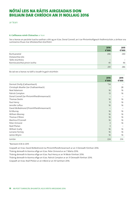# NÓTAÍ LEIS NA RÁITIS AIRGEADAIS DON BHLIAIN DAR CHRÍOCH AN 31 NOLLAIG 2016

ar lean

# **6. Caillteanas roimh Chánachas** ar lean

Seo a leanas an pacáiste luacha saothair a bhí ag an tUas. Donal Connell, an t-iar-Phríomhoifigeach Feidhmiúcháin, a áirítear sna suimeanna thuas mar dhíolaíochtaí stiúrthóirí:

|                               | 2016<br>€'000 | 2015<br>€'000 |
|-------------------------------|---------------|---------------|
| Buntuarastal                  | 246           | 240           |
| Díolaíochtaí eile:            |               |               |
| Táille stiúrthóra             | -             |               |
| Ranníocaíochtaí pinsin íoctha | 45            | 46            |
|                               | 291           | 286           |

Ba iad seo a leanas na táillí a íocadh le gach stiúrthóir:

|                                           | 2016<br>€'000  | 2015<br>€'000 |
|-------------------------------------------|----------------|---------------|
| Dermot Divilly (Cathaoirleach)            | $*34$          |               |
| Christoph Mueller (Iar-Chathaoirleach)    |                | 28            |
| Noel Adamson                              | 16             | 16            |
| Patrick Compton                           | 13             | 16            |
| Donal Connell (Iar-Phríomhfheidhmeannach) |                |               |
| Thomas Devlin                             | 16             | 16            |
| Paul Henry                                | 11             | 16            |
| Jennifer Loftus                           | 16             | 16            |
| David McRedmond (Príomhfheidhmeannach)    |                |               |
| Ed Murray                                 | 16             | 16            |
| William Mooney                            | 16             | 16            |
| Thomas O'Brien                            | 16             | 16            |
| Martina O'Connell                         | 16             | 16            |
| Peter Ormond                              | 3              | 16            |
| Niall Phelan                              | $\overline{3}$ |               |
| William Scally                            | 16             | 16            |
| Lorraine Tormey                           | 16             | 16            |
| James Wrynn                               | 16             | 16            |
| Iomlán                                    | 224            | 236           |

\*Baineann €3k le 2015

Ceapadh an tUas. David McRedmond ina Phríomhfheidhmeannach ar an 3 Deireadh Fómhair 2016.

Tháinig deireadh le téarma oifige an tUas. Peter Ormond ar an 7 Márta 2016.

Tháinig deireadh le téarma oifige an tUas. Paul Henry ar an 14 Meán Fómhair 2016.

Tháinig deireadh le téarma oifige an tUas. Patrick Compton ar an 31 Deireadh Fómhair 2016.

Ceapadh an tUas. Niall Phelan ar an mBord ar an 30 Samhain 2016.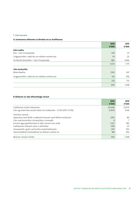# **7. Cáin Ioncaim**

# **A. Suimeanna aitheanta sa bhrabús nó sa chaillteanas**

|                                                  | 2016<br>€'000 | 2015<br>€'000 |
|--------------------------------------------------|---------------|---------------|
| Cáin reatha                                      |               |               |
| Éire - Cáin Chorparáide                          | 478           | 111           |
| Coigeartuithe i ndáil leis an mbliain roimhe seo | 59            | (2)           |
| An Ríocht Aontaithe - Cáin Chorparáide           | 486           | 1,066         |
|                                                  | 1,023         | 1,175         |
| Cáin iarchurtha                                  |               |               |
| Bliain Reatha                                    | (161)         | 247           |
| Coigeartuithe i ndáil leis an mbliain roimhe seo | 130           | (74)          |
|                                                  | (31)          | 173           |
|                                                  | 992           | 1,348         |

# **B. Réiteach an ráta éifeachtaigh cánach**

|                                                                     | 2016<br>€ $'000$ | 2015<br>€'000 |
|---------------------------------------------------------------------|------------------|---------------|
| Caillteanas roimh chánachas                                         | (15, 658)        | (1,073)       |
| Cáin ag úsáid ráta cánach baile na Cuideachta - 12.5% (2015: 12.5%) | (1, 957)         | (134)         |
| Tionchar cánach:                                                    |                  |               |
| Speansais nach féidir a asbhaint/ioncam nach bhfuil inchánach       | (145)            | 86            |
| Cáin siarchoinnithe ó íocaíochtaí a rinneadh                        | 8                |               |
| Ioncam agus gnóthachain le rátaí cánach níos airde                  | 1,302            | 585           |
| Caillteanais chánach nach n-aithnítear                              | 689              | 67            |
| Gluaiseacht i gcáin iarchurtha neamhaitheanta                       | 907              | 813           |
| Tearcsholáthar/(rósholáthar) an bhliain roimhe sin                  | 188              | (76)          |
| Muirear cánach iomlán                                               | 992              | 1,348         |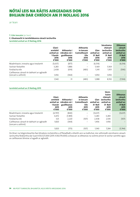# NÓTAÍ LEIS NA RÁITIS AIRGEADAIS DON BHLIAIN DAR CHRÍOCH AN 31 NOLLAIG 2016

ar lean

# **7. Cáin Ioncaim** (ar lean)

# **C. Gluaiseacht in iarmhéideanna cánach iarchurtha**

**Iarmhéid amhail an 31 Nollaig 2016**

|                                                                 | Glani-<br>armhéid<br>amhail an<br>1 Eanáir<br>2016<br>€'000 | Aitheanta i<br>mbrabús nó i<br>gcaillteanas<br>2016<br>€'000 | Aitheanta<br>in loncam<br>Cuimsitheach<br><b>Eile</b><br>2016<br>€'000 | Glan<br>amhail an<br>31 Noll<br>2016<br>€'000 | Sócmhainn<br>chánach<br>iarchurtha<br>amhail an<br>31 Noll<br>2016<br>€'000 | <b>Dliteanas</b><br>cánach<br>iarchurtha<br>amhail an<br>31 Noll<br>2016<br>€'000 |
|-----------------------------------------------------------------|-------------------------------------------------------------|--------------------------------------------------------------|------------------------------------------------------------------------|-----------------------------------------------|-----------------------------------------------------------------------------|-----------------------------------------------------------------------------------|
| Réadmhaoin, innealra agus trealamh                              | (5,637)                                                     | (877)                                                        |                                                                        | (6,514)                                       |                                                                             | (6, 514)                                                                          |
| Sochair fostaithe                                               | 3,283                                                       | 1,886                                                        |                                                                        | 5.169                                         | 5,169                                                                       |                                                                                   |
| Forálacha eile                                                  | 2,438                                                       | (614)                                                        | (483)                                                                  | 1,341                                         | 1,931                                                                       | (590)                                                                             |
| Caillteanas cánach le tabhairt ar aghaidh<br>(ioncam a aithint) | 1,456                                                       | (364)                                                        |                                                                        | 1,092                                         | 1,092                                                                       |                                                                                   |
|                                                                 | 1,540                                                       | 31                                                           | (483)                                                                  | 1,088                                         | 8,192                                                                       | (7,104)                                                                           |

# **Iarmhéid amhail an 31 Nollaig 2015**

|                                                                 | Glani-<br>armhéid<br>amhail an<br>1 Eanáir<br>2015<br>€'000 | Aitheanta i<br>mbrabús nó i<br>gcaillteanas<br>2015<br>€'000 | Aitheanta<br>in loncam<br>Cuimsitheach<br><b>Eile</b><br>2015<br>€'000 | Glan<br>amhail an<br>31 Noll<br>2015<br>€'000 | Sócm-<br>hainn<br>chánach<br>iarchurtha<br>amhail an<br>31 Noll<br>2015<br>€'000 | <b>Dliteanas</b><br>cánach<br>iarchurtha<br>amhail an<br>31 Noll<br>2015<br>€'000 |
|-----------------------------------------------------------------|-------------------------------------------------------------|--------------------------------------------------------------|------------------------------------------------------------------------|-----------------------------------------------|----------------------------------------------------------------------------------|-----------------------------------------------------------------------------------|
| Réadmhaoin, innealra agus trealamh                              | (4,797)                                                     | (840)                                                        |                                                                        | (5,637)                                       |                                                                                  | (5,637)                                                                           |
| Sochair fostaithe                                               | 4,472                                                       | (1,189)                                                      | -                                                                      | 3,283                                         | 3,283                                                                            |                                                                                   |
| Forálacha eile                                                  | 325                                                         | 2,220                                                        | (107)                                                                  | 2,438                                         | 2,545                                                                            | (107)                                                                             |
| Caillteanas cánach le tabhairt ar aghaidh<br>(ioncam a aithint) | 1,820                                                       | (364)                                                        |                                                                        | 1,456                                         | 1,456                                                                            |                                                                                   |
|                                                                 | 1,820                                                       | (173)                                                        | (107)                                                                  | 1,540                                         | 7,284                                                                            | (5,744)                                                                           |

De bharr na héiginnteachta faoi bhrabúis incháinithe a d'fhéadfadh a bheith ann sa todhchaí, níor aithníodh sócmhainn cánach iarchurtha féideartha dar luach €50,527,000 (2015: €38,379,000) a d'eascair as dliteanas na scéime pinsin le sochar sainithe agus as caillteanais bhreise a tugadh ar aghaidh.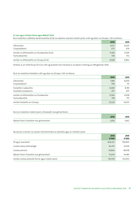### **8. Líon agus Costais Foirne agus Máistrí Poist**

Ba é meánlíon coibhéise lánaimseartha (CLA) na ndaoine, seachas máistrí poist, a bhí ag obair sa Ghrúpa i rith na bliana:

|                                            | 2016  | 2015  |
|--------------------------------------------|-------|-------|
| Oibríochtaí                                | 8,517 | 8,435 |
| Corparáideach                              | 673   | 674   |
| Iomlán na bhfostaithe sa Chuideachta (CLA) | 9,190 | 9.109 |
| Fochuideachtaí                             | 738   | 753   |
| Iomlán na bhfostaithe sa Ghrúpa (CLA)      | 9,928 | 9,862 |

Áirítear ar an méid thuas 65 CLA a bhí ag teastáil chun freastal ar an bpost a tháinig as Olltoghchán 2016.

# Ba é an meánlíon fostaithe a bhí ag obair sa Ghrúpa i rith na bliana:

|                                      | 2016   | 2015   |
|--------------------------------------|--------|--------|
| Oibríochtaí                          | 7,981  | 8,070  |
| Corparáideach                        | 708    | 711    |
| Fostaithe Cuideachta                 | 8,689  | 8,781  |
| Fostaithe ócáideacha                 | 877    | 877    |
| Jomlán na bhfostaithe sa Chuideachta | 9,566  | 9,658  |
| Fochuideachtaí                       | 758    | 777    |
| Iomlán fostaithe an Ghrúpa           | 10,324 | 10,435 |

# Ba é an meánlíon máistrí poist a fostaíodh mar ghníomhairí:

|                                          | 2016  | 2015  |
|------------------------------------------|-------|-------|
| Máistrí Poist: Fostaithe mar ghníomhairí | 1,056 | 1,062 |

### Ba iad seo a leanas na costais chomhiomlána ar phárolla agus ar mháistrí poist:

|                                                   | 2016<br>€ $'000$ | 2015<br>€'000 |
|---------------------------------------------------|------------------|---------------|
| Pá agus tuarastail                                | 406,612          | 394,835       |
| Costais leasa shóisialaigh                        | 36,437           | 35,619        |
| Costais phinsin                                   | 45,866           | 48,018        |
| Máistrí Poist: Fostaithe mar ghníomhairí          | 72,659           | 74,481        |
| Iomlán costais phárolla foirne agus máistrí poist | 561,574          | 552,953       |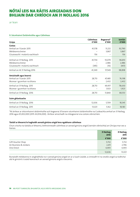ar lean

### **9. Sócmhainní Doláimhsithe agus Cáilmheas**

| Grúpa                           | Cáilmheas<br>€'000 | Bogearraí*<br>€'000 | <b>Iomlán</b><br>€'000 |
|---------------------------------|--------------------|---------------------|------------------------|
| Costas                          |                    |                     |                        |
| Amhail an 1 Eanáir 2015         | 41,578             | 51,212              | 92,790                 |
| Méideanna breise                |                    | 3,867               | 3,867                  |
| Gluaiseacht i malartú eachtrach | 156                |                     | 156                    |
| Amhail an 31 Nollaig 2015       | 41,734             | 55,079              | 96,813                 |
| Méideanna breise                |                    | 2,486               | 2,486                  |
| Gluaiseacht i malartú eachtrach | (385)              | (16)                | (401)                  |
| Amhail an At 31 Nollaig 2016    | 41,349             | 57,549              | 98,898                 |
| Amúchadh agus bearnú            |                    |                     |                        |
| Amhail an 1 Eanáir 2015         | 28,713             | 47,485              | 76,198                 |
| Muirear i gcomhair na bliana    |                    | 2,432               | 2,432                  |
| Amhail an 31 Nollaig 2015       | 28,713             | 49,917              | 78,630                 |
| Muirear i gcomhair na bliana    |                    | 1,923               | 1,923                  |
| Amhail an 31 Nollaig 2016       | 28,713             | 51,840              | 80,553                 |
| Suim ghlanluacha                |                    |                     |                        |
| Amhail an 31 Nollaig 2016       | 12,636             | 5,709               | 18,345                 |
| Amhail an 31 Nollaig 2015       | 13,021             | 5,162               | 18,183                 |

\*Ní áirítear ar shócmhainní doláimhsithe ach bogearraí. B'ionann sócmhainní doláimhsithe na Cuideachta amhail an 31 Nollaig 2016 agus €5,002,000 (2015: €4,936,000). Áirítear amúchadh na mbogearraí sna costais oibriúcháin.

### **Tástáil ar bhearnú le haghaidh aonaid giniúna airgid lena ngabhann cáilmheas**

Chun críocha na tástála ar bhearnú, leithroinneadh cáilmheas ar aonaid giniúna airgid (rannáin oibríochta) an Ghrúpa mar seo a leanas:

|                        | 31 Nollaig<br>2016 | 31 Nollaig<br>2015 |  |
|------------------------|--------------------|--------------------|--|
|                        | €'000              | €'000              |  |
| Gift Voucher Shop      | 5,732              | 5,732              |  |
| Air Business & Jordans | 2,411              | 2,796              |  |
| One Direct             | 4,493              | 4,493              |  |
|                        | 12,636             | 13,021             |  |

Bunaíodh méideanna in-aisghabhála na n-aonad giniúna airgid sin ar a luach úsáide, a cinneadh trí na sreafaí airgid sa todhchaí atá le giniúint ó úsáid leanúnach an aonaid giniúna airgid a lascainiú.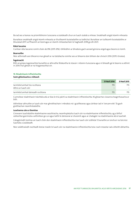Ba iad seo a leanas na príomhbhoinn tuisceana a úsáideadh chun an luach úsáide a mheas: Sreabhadh airgid réamh-mheasta

Bunaítear sreabhadh airgid réamh-mheasta ar thuilleamh buiséadaithe sa todhchaí. Bunaítear an tuilleamh buiséadaithe ar bhuiséad 2017 a d'fhaomh an bord agus ar réamh-mheastacháin le haghaidh 2018 go dtí 2021.

#### **Rátaí lascaine**

Cuirtear ráta lascaine roimh cháin de 8% (2015: 8%) i bhfeidhm ar bhrabúis gach aonaid giniúna airgid agus bearnú á ríomh.

#### **Bearnuithe**

Níor aithníodh aon bhearnú mar gheall ar na tástálacha roimhe seo ar bhearnú don bhliain dar chríoch 2016 (2015: €nialas).

### **Íogaireacht**

Rith an grúpa íogaireachtaí bunaithe ar athruithe féideartha le réasún i mboinn tuisceana agus ní bheadh gá le bearnú a aithint in 2016 mar gheall ar na híogaireachtaí sin.

### **10. Réadmhaoin Infheistíochta**

### **Suim ghlanluacha a réiteach**

|                                    | 31 Noll 2016             | 31 Noll 2015 |
|------------------------------------|--------------------------|--------------|
| Jarmhéid amhail tús na bliana      | 715                      |              |
| Athrú ar luach cóir                | $\overline{\phantom{a}}$ |              |
| Jarmhéid amhail deireadh na bliana | 715                      |              |

Cuimsítear réadmhaoin tráchtála atá ar léas le tríú páirtí sa réadmhaoin infheistíochta. Ní ghearrtar cíosanna teagmhasacha ar bith.

Aithnítear athruithe ar luach cóir mar ghnóthachain i mbrabús nó i gcaillteanas agus áirítear iad in 'ioncam eile'. Tá gach gnóthachan neamhréadaithe.

### **Luachanna córa a thomhas**

Cinneann luachálaithe réadmhaoine seachtracha, neamhspleácha luach cóir na réadmhaoine infheistíochta, ag a bhfuil cáilíochtaí gairmiúla a aithnítear go cuí agus taithí le deireanaí ar shuíomh agus ar chatagóir na réadmhaoine atá á luacháil.

Catagóiríodh tomhas an luach chóir don réadmhaoin infheistíochta mar luach cóir Leibhéal 3 bunaithe ar ionchuir na teicníce luachála a úsáideadh.

Níor soláthraíodh nochtadh breise maidir le luach cóir na réadmhaoine infheistíochta toisc nach meastar iad a bheith ábhartha.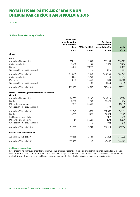ar lean

### **11. Réadmhaoin, Gléasra agus Trealamh**

|                                                            | <b>Talamh agus</b><br>foirgnimh ruílse |                 | <b>Trealamh</b>                    |               |
|------------------------------------------------------------|----------------------------------------|-----------------|------------------------------------|---------------|
|                                                            | agus léasachta<br>fada                 | Mótarfheithiclí | ríomhaireachta<br>agus oibriúcháin | <b>Iomlán</b> |
|                                                            | €'000                                  | €'000           | €'000                              | €'000         |
| Grúpa                                                      |                                        |                 |                                    |               |
| Costas                                                     |                                        |                 |                                    |               |
| Amhail an 1 Eanáir 2015                                    | 282,191                                | 11,433          | 301,205                            | 594,829       |
| Méideanna breise                                           | 8,666                                  | 77              | 7,073                              | 15,816        |
| Diúscairtí                                                 | (400)                                  | (2,077)         |                                    | (2, 477)      |
| Gluaiseacht i malartú eachtrach                            |                                        | 8               | 686                                | 694           |
| Amhail an 31 Nollaig 2015                                  | 290,457                                | 9,441           | 308,964                            | 608,862       |
| Méideanna breise                                           | 3,841                                  | 11,250          | 8,343                              | 23,434        |
| Diúscairtí                                                 | (848)                                  | (5,769)         | (165)                              | (6, 782)      |
| Gluaiseacht i malartú eachtrach                            |                                        | (6)             | (283)                              | (289)         |
| Amhail an 31 Nollaig 2016                                  | 293,450                                | 14,916          | 316,859                            | 625,225       |
| Dímheas carntha agus caillteanais bhearnúcháin<br>charntha |                                        |                 |                                    |               |
| Amhail an 1 Eanáir 2015                                    | 86,530                                 | 11,200          | 249,890                            | 347,620       |
| Dímheas                                                    | 6,636                                  | 121             | 12,479                             | 19,236        |
| Díbeartha ar dhiúscairtí                                   | (199)                                  | (2,070)         |                                    | (2,269)       |
| Gluaiseacht i malartú eachtrach                            |                                        |                 | 588                                | 588           |
| Amhail an 31 Nollaig 2015                                  | 92,967                                 | 9,251           | 262,957                            | 365,175       |
| Dímheas                                                    | 6,955                                  | 1,755           | 12,661                             | 21,371        |
| Caillteanais bhearnúcháin                                  |                                        |                 | 7,119                              | 7,119         |
| Díbeartha ar dhiúscairtí                                   | (327)                                  | (5,766)         | (164)                              | (6, 257)      |
| Gluaiseacht i malartú eachtrach                            |                                        | (7)             | (45)                               | (52)          |
| Amhail an 31 Nollaig 2016                                  | 99,595                                 | 5,233           | 282,528                            | 387,356       |
| Glanluach de réir na Leabhar                               |                                        |                 |                                    |               |
| Amhail an 31 Nollaig 2016                                  | 193,855                                | 9,683           | 34,331                             | 237,869       |
| Amhail an 31 Nollaig 2015                                  | 197,490                                | 190             | 46,007                             | 243,687       |

### **Caillteanas bearnúcháin**

I gcaitheamh na bliana, de bharr laghdú leanúnach a bheith ag teacht ar mhéid an phoist thraidisiúnta, thástáil an Grúpa an trealamh sórtála poist gaolmhar le haghaidh bearnúcháin, agus aithníodh caillteanas bearnúcháin €7,119,000 i leith trealamh uathoibrithe áirithe. Áirítear an caillteanas bearnúcháin taobh istigh de chostais oibriúcháin sa ráiteas ioncaim.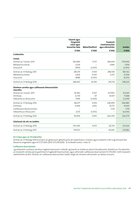|                                                            | <b>Talamh agus</b><br>foirgnimh<br>ruílse agus<br>léasachta fada | Mótarfheithiclí | <b>Trealamh</b><br>ríomhaireachta<br>agus oibriúcháin | <b>lomlán</b> |
|------------------------------------------------------------|------------------------------------------------------------------|-----------------|-------------------------------------------------------|---------------|
|                                                            | €'000                                                            | €'000           | €'000                                                 | €'000         |
| Cuideachta                                                 |                                                                  |                 |                                                       |               |
| Costas                                                     |                                                                  |                 |                                                       |               |
| Amhail an 1 Eanáir 2015                                    | 283,890                                                          | 11,157          | 284,649                                               | 579,696       |
| Méideanna breise                                           | 2,024                                                            |                 | 3,895                                                 | 5,919         |
| Diúscairtí                                                 | (400)                                                            | (2,053)         |                                                       | (2, 453)      |
| Amhail an 31 Nollaig 2015                                  | 285,514                                                          | 9,104           | 288,544                                               | 583,162       |
| Méideanna breise                                           | 3,826                                                            | 11,193          | 6,575                                                 | 21,594        |
| Diúscairtí                                                 | (848)                                                            | (5,703)         |                                                       | (6, 551)      |
| Amhail an 31 Nollaig 2016                                  | 288,492                                                          | 14,594          | 295,119                                               | 598,205       |
| Dímheas carntha agus caillteanais bhearnúcháin<br>charntha |                                                                  |                 |                                                       |               |
| Amhail an 1 Eanáir 2015                                    | 81,942                                                           | 11,107          | 237,992                                               | 331,041       |
| Dímheas                                                    | 6,734                                                            | 47              | 10,507                                                | 17,288        |
| Díbeartha ar dhiúscairtí                                   | (199)                                                            | (2,050)         |                                                       | (2, 249)      |
| Amhail an 31 Nollaig 2016                                  | 88,477                                                           | 9,104           | 248,499                                               | 346,080       |
| Dímheas                                                    | 6,946                                                            | 1,692           | 10,772                                                | 19,410        |
| Caillteanais bhearnúcháin                                  |                                                                  |                 | 7,119                                                 | 7,119         |
| Díbeartha ar dhiúscairtí                                   | (327)                                                            | (5,703)         |                                                       | (6,030)       |
| Amhail an 31 Nollaig 2016                                  | 95,096                                                           | 5,093           | 266,390                                               | 366,579       |
| Glanluach de réir na Leabhar                               |                                                                  |                 |                                                       |               |
| Amhail an 31 Nollaig 2016                                  | 193,396                                                          | 9,501           | 28,729                                                | 231,626       |
| Amhail an 31 Nollaig 2015                                  | 197,037                                                          |                 | 40,045                                                | 237,082       |

### **An Grúpa agus an Chuideachta**

Amhail an 31 Nollaig 2016 b'ionann an ghlansuim ghlanluacha do réadmhaoin, innealra agus trealamh a bhí á gcoinneáil faoi léasanna airgeadais agus €17,727,000 (2015: €17,016,000). Tá tuilleadh eolais i nóta 23.

### **Caillteanas bearnúcháin**

I gcaitheamh na bliana, de bharr laghdú leanúnach a bheith ag teacht ar mhéid an phoist thraidisiúnta, thástáil an Chuideachta an trealamh sórtála poist gaolmhar le haghaidh bearnúcháin, agus aithníodh caillteanas bearnúcháin €7,119,000 i leith trealamh uathoibrithe áirithe. Áirítear an caillteanas bearnúcháin taobh istigh de chostais oibriúcháin sa ráiteas ioncaim..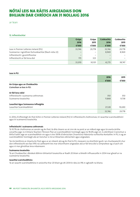ar lean

**12. Infheistíochtaí**

|                                                       | Grúpa  | Grúpa  | Cuideachta        | Cuideachta |
|-------------------------------------------------------|--------|--------|-------------------|------------|
|                                                       | 2016   | 2015   | 2016              | 2015       |
|                                                       | €'000  | €'000  | €'000             | €'000      |
| Leas in Premier Lotteries Ireland (PLI)               | 33,746 | 29.778 | 33.746            | 29,778     |
| Scaireanna i ngnóthais fochuideachtaí (féach nóta 22) |        |        | 8,969             | 8,969      |
| Infheistíocht i gcomhfhiontar                         |        |        | $\qquad \qquad -$ |            |
| Infheistíocht ar fáil lena díol                       | 173    | 323    | $\qquad \qquad -$ |            |
|                                                       | 33,919 | 30.101 | 42.715            | 38,747     |

| Leas in PLI                           |        |        |
|---------------------------------------|--------|--------|
|                                       | 2016   | 2015   |
|                                       | €'000  | €'000  |
| An Grúpa agus an Chuideachta          |        |        |
| Cuimsítear sa leas in PLI:            |        |        |
| Ar fáil lena ndíol                    |        |        |
| Infheistíocht i scaireanna cothromais | 350    | 350    |
| Scaireanna tosaíochta                 | 11,868 | 9,738  |
| Lasachtaí Agus Suimeanna infhaighte   |        |        |
| Lasachtaí Scairshealbhóirí            | 21,528 | 19,690 |
|                                       | 33,746 | 29,778 |

In 2014, d'infheistigh An Post €25m in Premier Lotteries Ireland (PLI) trí infheistíocht chothromais, trí iasachtaí scairshealbhóirí agus trí scaireanna tosaíochta.

### **Infheistíocht i scaireanna cothromais**

Tá 10.7% de chothromas an aonáin ag An Post, tá dhá cheann as sé cinn de na poist ar an mBord aige agus tá cearta áirithe conartha aige. Is é Ontario Teachers' Pension Plan an scairshealbhóir tromlaigh agus tá 78.6% aige sin. Is oibritheoir Crannchuir a bhfuil taithí aige an scairshealbhóir sin agus is leis 100% d'oibriúchán Chrannchur Náisiúnta na Ríochta Aontaithe. In PLI, is ag an scairshealbhóir tromlaigh atá an tionchar is mó ar bheartais oibriúcháin agus airgeadais.

Tar éis breithniú ar chearta An Post agus ar an mbaint atá ag An Post le PLI, measann na stiúrthóirí gurb í an chuntasaíocht chuí don infheistíocht seo faoi IFRS ná caitheamh leis mar shócmhainn airgeadais atá ar fáil lena díol a iompraítear ag a luach cóir agus ní mar ghnóthas lena mbaineann.

### **Scaireanna tosaíochta**

Tá an Chuideachta i dteideal díbhinn bhliantúil tosaíochta ar feadh 20 bliain a bheidh infhuascailte in 2034 mar gheall ar na scaireanna tosaíochta.

### **Iasachtaí scairshealbhóra**

Tá an iasacht scairshealbhóra in-aisíoctha thar 20 bliain go dtí 2034 le ráta úis 9% in aghaidh na bliana.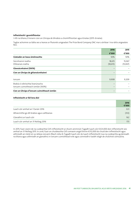### **Infheistíocht i gcomhfhiontar**

I rith na bliana, b'ionann cion an Ghrúpa de bhrabús a chomhfhiontair agus €nialas (2015: €nialas).

Tugtar achoimre sa tábla seo a leanas ar fhaisnéis airgeadais The Prize Bond Company DAC mar a áirítear í ina ráitis airgeadais féin.

|                                                                      | 2016                     | 2015               |
|----------------------------------------------------------------------|--------------------------|--------------------|
|                                                                      | €'000                    | €'000              |
| Céatadán an leasa úinéireachta                                       | 50%                      | 50%                |
| Sócmhainní reatha<br>Dliteanais reatha                               | 18,615<br>(18, 615)      | 15,067<br>(15,067) |
| Glansócmhainní (100%)                                                |                          |                    |
| Cion an Ghrúpa de ghlansócmhainní                                    | -                        |                    |
| loncam                                                               | 9,908                    | 9,209              |
| Brabús ó oibríochtaí leanúnacha<br>Ioncam cuimsitheach iomlán (100%) | $\overline{\phantom{0}}$ |                    |
| Cion an Ghrúpa d'ioncam cuimsitheach iomlán                          | -                        |                    |

### **Infheistíocht ar fáil lena díol**

|                                            | 2016<br>€'000 |
|--------------------------------------------|---------------|
| Luach cóir amhail an 1 Eanáir 2016         | 323           |
| Athaicmithe go dtí brabús agus caillteanas | (312)         |
| Glanathrú ar luach cóir                    | 162           |
| Luach cóir amhail an 31 Nollaig 2016       | 173           |

In 2015, fuair ceann de na cuideachtaí GVS infheistíocht ar shuim ainmniúil. Tugadh luach cóir €323,000 don infheistíocht seo amhail an 31 Nollaig 2015. In 2016, fuair an chuideachta GVS comaoin airgid thirim €312,000 do chuid den infheistíocht agus aithníodh an méid sin sa ráiteas ioncaim (féach nóta 4). Tugadh luach cóir do luach infheistíocht nua na cuideachta ag deireadh na bliana agus aithníodh an glanathrú in ioncam cuimsitheach eile agus coinníodh é taobh istigh de chúlchistí cóirluacha.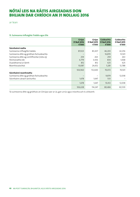ar lean

### **13. Suimeanna Infhaighte Trádála agus Eile**

|                                           | Grúpa<br>31 Noll 2016<br>€'000 | Grúpa<br>31 Noll 2015<br>€'000 | Cuideachta<br>31 Noll 2016<br>€'000 | Cuideachta<br>31 Noll 2015<br>€'000 |
|-------------------------------------------|--------------------------------|--------------------------------|-------------------------------------|-------------------------------------|
| Sócmhainní reatha                         |                                |                                |                                     |                                     |
| Suimeanna infhaighte trádála              | 87,023                         | 83,437                         | 46,203                              | 42,256                              |
| Suimeanna dlite ag gnóthais fochuideachta |                                |                                | 16,870                              | 13,501                              |
| Suimeanna dlite ag comhfhiontar (nóta 25) | 259                            | 263                            | 259                                 | 263                                 |
| Féichiúnaithe eile                        | 6,779                          | 3,436                          | 834                                 | 1,068                               |
| Duaisbhannaí ar láimh                     | 812                            | 812                            | 625                                 | 625                                 |
| Réamhíocaíochtaí                          | 10,087                         | 24,652                         | 5,281                               | 12,788                              |
|                                           | 104,960                        | 112,600                        | 70,072                              | 70,501                              |
| Sócmhainní neamhreatha                    |                                |                                |                                     |                                     |
| Suimeanna dlite ag gnóthais fochuideachta |                                |                                | 9,879                               | 12,038                              |
| Sócmhainn cánach iarchurtha               | 1,678                          | 1,647                          | 533                                 |                                     |
|                                           | 1,678                          | 1,647                          | 10,412                              | 12,038                              |
|                                           | 106,638                        | 114,247                        | 80,484                              | 82,539                              |

Tá suimeanna dlite ag gnóthais an Ghrúpa saor ar ús, gan urrús agus iníoctha ach é a éileamh.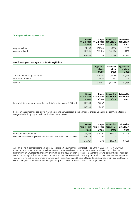#### **14. Airgead sa Bhanc agus ar Láimh**

|                  | Grúpa<br>31 Noll 2016<br>€'000 | Grúpa<br>31 Noll 2015<br>€'ooo | Cuideachta<br>31 Noll 2016<br>€'000 | Cuideachta<br>31 Noll 2015<br>€'000 |
|------------------|--------------------------------|--------------------------------|-------------------------------------|-------------------------------------|
| Airgead sa bhanc | 112.238                        | 164.740                        | 98.258                              | 151.110                             |
| Airgead ar láimh | 140.206                        | 150.816                        | 140.206                             | 150,816                             |
|                  | 252,444                        | 315,556                        | 238.464                             | 301,926                             |

### **Anailís ar airgead tirim agus ar choibhéisí airgid thirim**

|                                | Ag tús na<br>bliana<br>€'000 | Sreabhadh<br>airgid<br>€'000 | Ag deireadh<br>na bliana<br>€'000 |
|--------------------------------|------------------------------|------------------------------|-----------------------------------|
| Airgead sa bhanc agus ar láimh | 315,556                      | (63, 112)                    | 252,444                           |
| Rótharraingt bhainc            | (501)                        | 445                          | (56)                              |
| Iomlán                         | 315,055                      | (62, 667)                    | 252,388                           |

|                                                                       | Grúpa<br>31 Noll 2016<br>€'000 | Grúpa<br>€'000 | Cuideachta<br>31 Noll 2015 31 Noll 2016 31 Noll 2015<br>€'000 | Cuideachta<br>€'000 |
|-----------------------------------------------------------------------|--------------------------------|----------------|---------------------------------------------------------------|---------------------|
| larmhéid airgid shrianta coinnithe – cártaí réamhíoctha nár úsáideadh | 138.389                        | 117.867        | -                                                             |                     |
|                                                                       | 138.389                        | 117.867        |                                                               |                     |

Baineann na suimeanna seo leis na hiarmhéideanna nár úsáideadh a choinnítear ar chártaí One4all a eisítear. Coinnítear an t-airgead ar leithligh i gcuntas bainc do chistí cliant an GVS.

|                                                                           | Grúpa<br>31 Noll 2016 | Grúpa<br>31 Noll 2015 | Cuideachta<br>31 Noll 2015 | Cuideachta<br>31 Noll 2015 |
|---------------------------------------------------------------------------|-----------------------|-----------------------|----------------------------|----------------------------|
|                                                                           | €'000                 | €'000                 | €'000                      | €'000                      |
| Suimeanna in iontaobhas                                                   | 235,378               | 313.705               | 235,378                    | 313.705                    |
| Dliteanas maidir le hairgead coinnithe - cártaí réamhíoctha nár úsáideadh | 138.389               | 117.867               |                            |                            |
|                                                                           | 373.767               | 431.572               | 235,378                    | 313.705                    |

Áiríodh leis na dliteanais reatha amhail an 31 Nollaig 2016 suimeanna in iontaobhas de €373,767,000 (2015: €431,572,000). Baineann tromlach na suimeanna a choinnítear in iontaobhas le cistí a choinnítear thar ceann chliaint na Cuideachta. Feidhmíonn an Chuideachta, ar bhonn gníomhaireachta agus ar luach saothair comhaontaithe, Banc Taisce Oifig an Phoist agus seirbhísí eile coigiltis do Ghníomhaireacht Bainistíochta an Chisteáin Náisiúnta, a ghníomhaíonn thar ceann an Aire Airgeadais. Tarchuirtear na cistí go rialta chuig Gníomhaireacht Bainistíochta an Chisteáin Náisiúnta. Dílsítear sócmhainní agus dliteanais seirbhísí coigiltis dá leithéid don Aire Airgeadais agus dá réir sin ní áirítear iad sna ráitis airgeadais seo.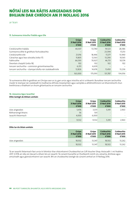ar lean

### **15. Suimeanna Iníoctha Trádála agus Eile**

|                                                       | Grúpa<br>31 Noll 2016<br>€'000 | Grúpa<br>31 Noll 2015<br>€'000 | Cuideachta<br>31 Noll 2016<br>€'000 | Cuideachta<br>31 Noll 2015<br>€'000 |
|-------------------------------------------------------|--------------------------------|--------------------------------|-------------------------------------|-------------------------------------|
| Creidiúnaithe trádála                                 | 40.307                         | 53.740                         | 19.523                              | 28,386                              |
| Suimeanna dlite le gnóthais fochuideachta             |                                |                                | 23,394                              | 17,253                              |
| Creidiúnaithe eile                                    | 21,016                         | 18.446                         | 17.277                              | 13,940                              |
| Cánachas agus leas sóisialta (nóta 17)                | 15,805                         | 12,563                         | 13.290                              | 10,565                              |
| Fabhruithe                                            | 66,593                         | 70.927                         | 46.751                              | 50,574                              |
| Deontais chaipitil (nóta 18)                          | 102                            | 102                            | 102                                 | 102                                 |
| Ioncam iarchurtha - coimisiún gníomhaireachta         | 6,351                          | 4,639                          | $\qquad \qquad - \qquad \qquad$     |                                     |
| Ioncam iarchurtha - stampaí díolta nár úsáideadh/eile | 12,826                         | 14.676                         | 11,450                              | 13,236                              |
|                                                       | 163,000                        | 175.093                        | 131.787                             | 134.056                             |

Tá suimeanna dlite le gnóthais an Ghrúpa saor ar ús, gan urrús agus iníoctha ach é a éileamh. Bunaítear ioncam iarchurtha maidir le stampaí nár úsáideadh le modhanna difriúla meastacháin agus samplála a athbhreithníonn an bhainistíocht chun breithiúnas a thabhairt ar shuim ghlanluacha an ioncaim iarchurtha.

### **16. Léasanna Agus Iasachtaí**

### **Dlite laistigh de bhliain amháin**

|                     | Grúpa<br>31 Noll 2016<br>€'000 | Grúpa<br>31 Noll 2015<br>€'000 | <b>Cuideachta</b><br>31 Noll 2016<br>€'000 | Cuideachta<br>31 Noll 2015<br>€'000 |
|---------------------|--------------------------------|--------------------------------|--------------------------------------------|-------------------------------------|
| Léas airgeadais     | 5,476                          | 3,031                          | 5,391                                      | 2,963                               |
| Rótharraingt bhainc | 56                             | 501                            | $\qquad \qquad =$                          |                                     |
| Jasacht théarmach   | 4,000                          | 6.000                          | $\overline{\phantom{a}}$                   |                                     |
|                     | 9,532                          | 9,532                          | 5,391                                      | 2,963                               |

### **Dlite tar éis bliain amháin**

|                 | Grúpa<br>31 Noll 2016<br>€'000 | Grúpa<br>31 Noll 2015<br>€'000 | <b>Cuideachta</b><br>31 Noll 2016<br>€'000 | Cuideachta<br>31 Noll 2015<br>€'000 |
|-----------------|--------------------------------|--------------------------------|--------------------------------------------|-------------------------------------|
| Léas airgeadais | 18,502                         | 13.347                         | 18.502                                     | 13,262                              |
|                 | 18,502                         | 13.347                         | 18,502                                     | 13,262                              |

Tá an iasacht théarmach faoi urrús trí bhintiúr thar shócmhainní Chuideachtaí an Gift Voucher Shop. Aisíocadh í i mí Feabhra 2017. 4.55% an ráta úis táscach a bhain leis an iasacht. Tá cúnaint bunaithe ar thuilleamh roimh úis, cánacha, dímheas agus amúchadh agus glansócmhainní san iasacht. Bhí an chuideachta laistigh dá cúnaint amhail an 31 Nollaig 2016.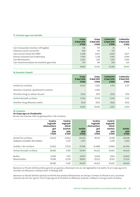### **17. Cánachas agus Leas Sóisialta**

|                                                | Grúpa<br>31 Noll 2016<br>€'000 | Grúpa<br>31 Noll 2015<br>€'000 | <b>Cuideachta</b><br>31 Noll 2016<br>€'000 | Cuideachta<br>31 Noll 2015<br>€'000 |
|------------------------------------------------|--------------------------------|--------------------------------|--------------------------------------------|-------------------------------------|
| Cáin chorparáide iníoctha/(infhaighte)         | 316                            | 713                            | (1)                                        | 8                                   |
| Dliteanas cánach iarchurtha                    | 590                            | 107                            | 533                                        |                                     |
| Cáin ioncaim bainte faoi ÍMAT                  | 6,268                          | 4,823                          | 5,600                                      | 4,077                               |
| Árachas sóisialach pá-choibhneasa              | 5,596                          | 5,258                          | 5,465                                      | 5,096                               |
| Cáin Bhreisluacha                              | 2,662                          | 1,281                          | 1,343                                      | 1,064                               |
| Cáin shiarchoinneálach do sheirbhísí gairmiúla | 373                            | 381                            | 350                                        | 320                                 |
|                                                | 15,805                         | 12.563                         | 13.290                                     | 10.565                              |

### **18. Deontais Chaipitil**

|                                            | Grúpa<br>31 Noll 2016<br>€'000 | Grúpa<br>31 Noll 2015<br>€'000 | <b>Cuideachta</b><br>31 Noll 2016<br>€'000 | Cuideachta<br>31 Noll 2015<br>€'000 |
|--------------------------------------------|--------------------------------|--------------------------------|--------------------------------------------|-------------------------------------|
| Amhail tús na bliana                       | 10,156                         | 4,857                          | 3,156                                      | 3,257                               |
| Deontais a fuarthas i gcaitheamh na bliana |                                | 5,400                          | $\overline{\phantom{a}}$                   |                                     |
| Amúchta chuig an ráiteas ioncaim           | (362)                          | (101)                          | (102)                                      | (101)                               |
| Amhail deireadh na bliana                  | 9,794                          | 10,156                         | 3,054                                      | 3,156                               |
| Aistrithe chuig dliteanais reatha          | (102)                          | (102)                          | (102)                                      | (102)                               |
|                                            | 9,692                          | 10.054                         | 2,952                                      | 3,054                               |

### **19. Forálacha**

### **An Grúpa agus an Chuideachta**

Ba mar seo a leanas a bhí na gluaiseachtaí i rith na bliana:

|                                       | Foráil le<br>haghaidh<br>athstruchtúrú<br>gnó<br>2016<br>€'000 | Foráil le<br>haghaidh<br>éilimh<br>árachais<br>2016<br>€'000 | <b>lomlán</b><br>2016<br>€'000 | Foráil le<br>haghaidh<br>athstruchtúrú<br>gnó<br>2015<br>€'000 | Foráil le<br>haghaidh<br>éilimh<br>árachais<br>2015<br>€'000 | <b>lomlán</b><br>2015<br>€'000 |
|---------------------------------------|----------------------------------------------------------------|--------------------------------------------------------------|--------------------------------|----------------------------------------------------------------|--------------------------------------------------------------|--------------------------------|
| Amhail tús na bliana                  | 34,022                                                         | 10,402                                                       | 44,424                         | 38,510                                                         | 10,148                                                       | 48,658                         |
| Forálacha a rinneadh i rith na bliana |                                                                | 2,537                                                        | 2,537                          |                                                                | 2,240                                                        | 2,240                          |
| Úsáidte i rith na bliana              | (5, 442)                                                       | (1,752)                                                      | (7, 194)                       | (4, 488)                                                       | (1,986)                                                      | (6, 474)                       |
| Amhail deireadh na bliana             | 28,580                                                         | 11,187                                                       | 39,767                         | 34,022                                                         | 10.402                                                       | 44,424                         |
| Reatha                                | 9.000                                                          | 1.957                                                        | 10,957                         | 9.000                                                          | 1.900                                                        | 10,900                         |
| Neamhreatha                           | 19,580                                                         | 9,230                                                        | 28,810                         | 25,022                                                         | 8,502                                                        | 33,524                         |
|                                       | 28,580                                                         | 11,187                                                       | 39,767                         | 34,022                                                         | 10.402                                                       | 44,424                         |

Baineann an fhoráil d'athstruchtúrú gnó leis an gcostas a bhaineann leis an clár laghdaithe CLA reatha. Tá an Grúpa ag súil le tromlach an dliteanais a réiteach faoin 31 Nollaig 2018.

Baineann an fhoráil d'éilimh árachais le héilimh faoi pholasaí féinárachais an Ghrúpa. Cinntear an fhoráil nuair a chuirtear measúnú de réir cáis i gcrích. Tá an Grúpa ag súil le tromlach an dliteanais árachais a réiteach as seo go ceann sé bliana.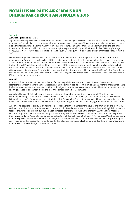ar lean

### **20. Pinsin**

### **An Grúpa agus an Chuideachta**

Tagann teidlíochtaí pinsin fostaithe chun cinn faoi roinnt scéimeanna pinsin le sochar sainithe agus le ranníocaíocht shainithe, a mbíonn a sócmhainní dílsithe in iontaobhaithe neamhspleácha a cheapann an Chuideachta do shochar na bhfostaithe agus a gcleithiúnaithe agus dó sin amháin. Bíonn ranníocaíochtaí bliantúla bunaithe ar chomhairle achtúire cháilithe ghairmiúil. B'ionann ranníocaíochtaí a bhí iníoctha le scéimeanna pinsin agus a áiríodh i gcreidiúnaithe amhail an 31 Nollaig 2016 agus €3,452,000 (2015: €738,000) agus íocadh iad i mí Eanáir 2017. Meastar gur €46m an luach a bheidh ar ranníocaíochtaí fostóirí in 2017.

Meastar costais phinsin na scéimeanna le sochar sainithe de réir na comhairle a thugann achtúire cáilithe gairmiúil atá neamhspleách. Rinneadh na luachálacha achtúire is deireanaí, a chuir na hathruithe ar an ngnáthaois scoir san áireamh, ar an 1 Eanáir 2016, ag úsáid mhodh na n-aonad réamh-mheasta creidmheasa, agus ar an dáta sin ba leor iad le 98% de na dliteanais fhabhraithe a chlúdach. Ba é an príomhbhonn tuisceana achtúireach go mbeadh an ráta toraidh bliantúil ar infheistíochtaí, san fhadtéarma, 1.5% níos airde ná an t-ardú bliantúil ar luach saothair inphinsin. Mhol luacháil achtúireach an 1 Eanáir 2016 ráta ranníocaíochta arb ionann é agus 14.4% de luach saothair inphinsin, ar aon dul leis an moladh atá i bhfeidhm faoi láthair ó thaobh maoiniú de. Níl na luachálacha achtúireacha ar fáil le haghaidh iniúchadh poiblí ach cuireadh torthaí na luachálacha in iúl do chomhaltaí na scéimeanna.

### **Maoiniú**

Bíonn na Scéimeanna faoi réir luacháil bhliantúil faoi Íoschaighdeán Maoinithe an Údaráis Pinsean. Beartaítear an Íoschaighdeán Maoinithe mar bhealach le seiceáil go bhfuil dóthain cistí ag scéim chun íosleibhéal sochar a sholáthar sa chás go bhfoirceanntar an scéim. Ina theannta sin, tá sé de dhualgas ar na Scéimeanna dóthain acmhainní breise a choinneáil chun cloí leis an gcúlchiste caighdeánach maoinithe mar a fhoráiltear dó in alt 44(2) den Acht.

Amhail an 1 Eanáir 2013 níor chloí na Scéimeanna leis an Íoschaighdeán Maoinithe, le heasnamh €311m. Dá bhrí sin comhaontaíodh togra maoinithe don Íoschaighdeán Maoinithe idir an Chuideachta, na hIontaobhaithe agus an Fhoireann. D'fhaomh an tÚdarás Pinsean é sin i mí na Bealtaine 2014. Cuireadh leasú ar na Scéimeanna faoi bhráid na Roinne Caiteachais Phoiblí agus Athchóirithe agus na Roinne Cumarsáide, Fuinnimh agus Acmhainní Nádúrtha, agus faomhadh é i mí Eanáir 2015.

Áiríodh ar na leasuithe coigeartú ar an ngnáthaois scoir le haghaidh comhaltaí áirithe agus ar shainmhíniú an phá inphinsin. De bharr na n-athruithe ar na Scéimeanna a comhaontaíodh tá staid maoinithe na Scéimeanna faoin Íoschaighdeán Maoinithe feabhsaithe. Amhail an 31 Nollaig 2016, ríomh staid measta Íoschaighdeáin Maoinithe easnamh €67m (lena n-áirítear an cúlchiste caighdeánach maoinithe). Tá an togra maoinithe ag feidhmiú de réir sceidil faoi láthair chun cloí le hÍoschaighdeán Maoinithe an Údaráis Pinsean (lena n-áirítear an cúlchiste caighdeánach maoinithe) faoin 31 Nollaig 2023. Mar chuid den togra maoinithe gheall an Chuideachta sócmhainn theagmhasach ar punann réadmhaoine atá faoina úinéireacht í agus shínigh sí réiteach ag sannadh na réadmhaoine sin, le faomhadh na Ranna ábhartha i mí Feabhra 2015, ag deimhniú an chomhaontaithe maoinithe idir na páirtithe agus na hIontaobhaithe.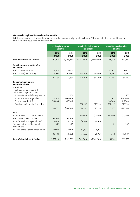### **Gluaiseacht sa ghlandliteanas le sochar sainithe**

Léirítear sa tábla seo a leanas réiteach ó na hiarmhéideanna tosaigh go dtí na hiarmhéideanna deiridh do ghlandliteanas le sochar sainithe agus a chomhpháirteanna.

|                                                                       | Oibleagáid le sochar<br>sainithe |               | Luach cóir shócmhainní<br>an phlean |               | <b>Glandliteanas le sochar</b><br>sainithe |               |
|-----------------------------------------------------------------------|----------------------------------|---------------|-------------------------------------|---------------|--------------------------------------------|---------------|
|                                                                       | 2016<br>€'000                    | 2015<br>€'000 | 2016<br>€'000                       | 2015<br>€'000 | 2016<br>€'000                              | 2015<br>€'000 |
| Iarmhéid amhail an 1 Eanáir                                           | 2,912,803                        | 3,039,860     | (2,743,600)                         | (2,599,400)   | 169,203                                    | 440,460       |
| San áireamh sa bhrabús nó sa<br>chaillteanas                          |                                  |               |                                     |               |                                            |               |
| Costas seirbhíse reatha                                               | 44,900                           | 47,100        |                                     |               | 44,900                                     | 47,100        |
| Costais úis/(creidmheas)                                              | 71,830                           | 66,530        | (68, 200)                           | (56,900)      | 3,630                                      | 9,630         |
|                                                                       | 116,730                          | 113,630       | (68, 200)                           | (56,900)      | 48,530                                     | 56,730        |
| San áireamh in ioncam<br>cuimsitheach eile                            |                                  |               |                                     |               |                                            |               |
| Atomhais<br>- Caillteanas/(gnóthachan)<br>achtúireach ag eascairt as: |                                  |               |                                     |               |                                            |               |
| Boinn tuisceana dhéimeagrafacha                                       |                                  | 100           |                                     |               |                                            | 100           |
| Boinn tuisceana airgeadais                                            | 357,400                          | (147,900)     |                                     |               | 357,400                                    | (147,900)     |
| Coigeartú ar thaithí                                                  | (54,068)                         | (16, 566)     |                                     |               | (54,068)                                   | (16, 566)     |
| Toradh ar shócmhainní an phlean                                       |                                  |               | (190, 132)                          | (116, 734)    | (190, 132)                                 | (116, 734)    |
|                                                                       | 303,332                          | (164, 366)    | (190, 132)                          | (116, 734)    | 113,200                                    | (281, 100)    |
| Eile                                                                  |                                  |               |                                     |               |                                            |               |
| Ranníocaíochtaí a d'íoc an fostóir                                    |                                  |               | (46,600)                            | (45,900)      | (46,600)                                   | (45,900)      |
| Costais riaracháin ó phlean                                           | (1,000)                          | (1,000)       | 1,000                               | 1,000         |                                            |               |
| Ranníocaíochtaí na gcomhaltaí                                         | 4,268                            | 4,066         | (4,268)                             | (4,066)       |                                            |               |
| Sochair íoctha - scéim neamh-<br>mhaoinithe                           | (952)                            | (987)         |                                     |               | (952)                                      | (987)         |
| Sochair íoctha - scéim mhaoinithe                                     | (82, 800)                        | (78, 400)     | 82,800                              | 78,400        |                                            |               |
|                                                                       | (80, 484)                        | (76, 321)     | 32,932                              | 29,434        | (47, 552)                                  | (46, 887)     |
| Iarmhéid amhail an 31 Nollaig                                         | 3,252,381                        | 2,912,803     | (2,969,000)                         | (2,743,600)   | 283,381                                    | 169,203       |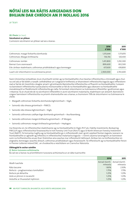ar lean

### **20. Pinsin** (ar lean)

### **Sócmhainní an phlean**

Cuimsíonn sócmhainní an phlean iad seo a leanas:

|                                                                   | 2016<br>€'000 | 2015<br>€'000 |
|-------------------------------------------------------------------|---------------|---------------|
| Cothromais: margaí forbartha domhanda                             | 1,315,644     | 1,171,870     |
| Cothromais: Margaí éiritheacha                                    | 136,156       | 120,430       |
| Cothromais: Iomlán                                                | 1,451,800     | 1,292,300     |
| Bannaí: Euro ceannasach                                           | 899,600       | 832,500       |
| Eile: áirítear réadmhaoin, cothromas príobháideach agus bonneagar | 617,600       | 618,800       |
| Luach cóir shócmhainní na scéimeanna pinsin                       | 2,969,000     | 2,743,600     |

Faoin Ghníomhas Iontaobhais, tá an chumhacht iomlán ag na hIontaobhaithe chun beartas infheistíochta a chinneadh agus chun na cistí atá ar fáil dóibh a riaradh. Leithdháiltear an t-airgead le hinfheistiú ar bhainisteoirí infheistíochta éagsúla agus infheistíonn siad ar fad de réir treoirlínte a leagtar amach i gComhaontú Bainistíochta Infheistíochta a d'fhaomh na hIontaobhaithe. Cuireann na bainisteoirí infheistíochta tuarascálacha mionsonraithe ar fáil do na hIontaobhaithe agus déanann na hIontaobhaithe monatóireacht ar fheidhmíocht infheistíochta go rialta. Tá tromlach shócmhainní na Scéimeanna infheistithe i gcothromais agus i mbannaí. Tá an chuid eile de na sócmhainní infheistithe in aicmí sócmhainní malartacha, réadmhaoin san áireamh. Bainistíonn cúigear bainisteoirí infheistíochta na príomh-shainorduithe seo a leanas, a chuimsíonn 79% de shócmhainní na Scéimeanna le chéile:

- Margadh cothromais forbartha domhanda éighníomhach SSgA;
- **•**  Sainordú ráta sheasa gníomhach PIMCO;
- Sainordú ráta sheasa éighníomhach SSgA;
- Sainordú cothromais caidhpe bige domhanda gníomhach Axa Rosenberg;
- Sainordú cothromais margaí éiritheacha gníomhach JP Morgan;
- **•**  Sainordú cothromais margaí éiritheacha gníomhach Heptagon.

Ina theannta sin, tá infheistíochtaí réadmhaoine ag na hIontaobhaithe le SSgA, IPUT plc, Fidelity Investments, Rockspring PIM (LLP) agus infheistíochtaí foraoiseachta le Irish Forestry Unit Trust (IforUT) agus le North American Forestry Investment Trust (NAFIT). Tá tiomantas tugtha ag na hIontaobhaithe go n-infheisteoidh siad i gcistí caipiteal fiontair éagsúla. Leanann na hIontaobhaithe ar aghaidh ag infheistiú in infheistíochtaí malartacha éagsúla – i roinnt cásanna tarraingíonn an bainisteoir suim na hinfheistíochta anuas tharr thréimhse ama seachas mar infheistíocht láithreach. Áirítear leis na hinfheistíochtaí sin airgeadra, bonneagar, iasachtú díreach, cothromas príobháideach agus foraoiseacht. Tá infheistíocht ag na hIontaobhaithe freisin in Premier Lotteries Ireland DAC , an chuideachta a reáchtálann an Crannchur Náisiúnta.

### **Oibleagáid le sochar sainithe**

### **(i) Boinn tuisceana achtúireacha**

Ba iad seo a leanas na príomhbhoinn tuisceana achtúireacha ar an dáta tuairiscithe:

|                                       | 2016    | 2015                      |
|---------------------------------------|---------|---------------------------|
| Modh luachála                         |         | Aonad réamh- Aonad réamh- |
|                                       | mheasta | mheasta                   |
| Ráta lascaine                         | 1.80%   | 2.50%                     |
| Boilsciú - praghasinnéacs tomhaltóirí | 1.75%   | 1.75%                     |
| Boilsciú pá ábhartha                  | 1.25%   | 1.25%                     |
| Ardú ar phinsin in íocaíocht          | 1.25%   | 1.25%                     |
| Arduithe ar thuarastail inphinsin     | 1.25%   | 1.25%                     |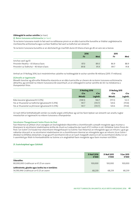### **Oibleagáid le sochar sainithe** (ar lean)

### **(i) Boinn tuisceana achtúireacha** (ar lean)

Tá na boinn tuisceana maidir le fad saoil na ndliteanas pinsin ar an dáta tuairiscithe bunaithe ar tháblaí caighdeánacha mortlaíochta achtúireacha agus cuirtear feabhsú fad saoil sa todhchaí san áireamh.

Tá na boinn tuisceana bunaithe ar an dóchúlacht go mairfidh duine 65 bliana d'aois go dtí an aois seo a leanas:

|                                           | 2016 |      | 2015 |      |
|-------------------------------------------|------|------|------|------|
|                                           | Fir  | Mná  | Fir  | Mná  |
| lonchas saoil ag 65                       |      |      |      |      |
| Pinsinéirí Reatha - 65 bliana d'aois      | 87.0 | 89.0 | 86.9 | 88.9 |
| Pinsinéirí sa Todhchaí – 40 bliain d'aois | 89.8 | 91.9 | 89.7 | 91.8 |

Amhail an 31 Nollaig 2016, ba é meántréimhse ualaithe na hoibleagáide le sochar sainithe 18 mbliana (2015: 17 mbliana).

#### **(ii)Anailís ar íogaireacht**

Bheadh tionchar ag athruithe féideartha réasúnta ar an dáta tuairiscithe ar cheann de na boinn tuisceana achtúireacha ábhartha, ag coinneáil na mbonn tuisceana eile seasmhach, ar an oibleagáid le sochar sainithe de réir na méideanna a thaispeántar thíos.

|                                                   | <b>31 Nollaig 2016</b> |         | 31 Nollaig 2015 |         |  |
|---------------------------------------------------|------------------------|---------|-----------------|---------|--|
|                                                   | €'m<br>€'m             |         | €'m             | €'m     |  |
|                                                   | Méadú                  | Laghdú  | Méadú           | Laghdú  |  |
| Ráta lascaine (gluaiseacht 0.25%)                 | (138.5)                | 144.7   | (117.3)         | 122.3   |  |
| Fás ar thuarastal sa todhchaí (gluaiseacht 0.25%) | 141.7                  | (135.7) | 120.6           | (115.8) |  |
| Fás ar thuarastal sa phinsean (gluaiseacht 0.25%) | 141.7                  | (135.7) | 120.6           | (115.8) |  |

Cé nach bhfuil leithdháileadh iomlán na sreafaí airgid a bhfuiltear ag súil leo faoin bplean san áireamh san anailís, tugtar meastachán ar íogaireacht na mbonn tuisceana a thaispeántar.

### **Sócmhainn Theagmhasach Scéim Pinsin An Post**

Faoi théarmaí an phlean chun ceanglais an Íoschaighdeáin Maoinithe a chomhlíonadh cuireadh morgáiste agus muirear a bhaineann le sócmhainní réadmhaoine áirithe de chuid na Cuideachta dar luach €72.5 milliún in áit i bhfabhar Scéim Pinsin An Post ("an Scéim") le húsáid mar shócmhainn theagmhasach na Scéime. Faoi théarmaí an mhorgáiste agus an mhuirir, i gcás go ndéantar diúscairt ar na sócmhainní réadmhaoine sin a chomhlíonann téarmaí an mhorgáiste agus an mhuirir, tá an Scéim i dteideal na bhfáltas díolacháin, nó go gcuirfí sócmhainní eile ar an luach margaidh céanna in áit na sócmhainní díolta. Is é an t-uasmhéid gur féidir le hIontaobhaithe na Scéime a in-aisghabháil faoin morgáiste agus faoin muirear ná €100m.

### **21. Scairchaipiteal agus Cúlchistí**

|                                                                                              | 31 Noll 2016<br>€'000 | 31 Noll 2015<br>€'000 | 1 Ean 2015<br>€'000 |
|----------------------------------------------------------------------------------------------|-----------------------|-----------------------|---------------------|
| Údaraithe:<br>80,000,000 Gnáthscair ar €1.25 an ceann                                        | 100,000               | 100.000               | 100.000             |
| Leithroinnte, glaoite agus íoctha ina n-iomláine:<br>54,590,946 Gnáthscair ar €1.25 an ceann | 68.239                | 68.239                | 68.239              |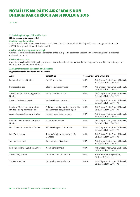ar lean

### **21. Scairchaipiteal agus Cúlchistí** (ar lean)

### **Nádúr agus cuspóir na gcúlchistí**

### **Caipiteal neamhainmnithe**

Ar an 14 Eanáir 2003, rinneadh scaireanna na Cuideachta a athainmniú ó €1.269738 go €1.25 an scair agus aistríodh suim €877,000 chuig cúlchiste comhshóite caipitil.

### **Cúlchiste aistrithe airgeadra eachtraigh**

Cuimsítear sa chúlchiste aistrithe na difríochtaí ar fad in airgeadra eachtrach a eascraíonn as ráitis airgeadais oibríochtaí eachtracha a aistriú.

#### **Cúlchiste luacha chóir**

Cuimsítear sa chúlchiste cóirluacha an glanathrú carntha ar luach cóir na sócmhainní airgeadais atá ar fáil lena ndíol, glan ar cháin agus ar leas neamh-urlámhais.

### **22. Foghnóthais i seilbh dhíreach na Cuideachta**

### **Foghnóthais i seilbh dhíreach na Cuideachta**

| Ainm                                                               | Cineál Gnó                                                                 |       | % Sealúchais Oifig Chláraithe                                            |  |  |
|--------------------------------------------------------------------|----------------------------------------------------------------------------|-------|--------------------------------------------------------------------------|--|--|
| Postpoint Services Limited                                         | Breisiú fóin phóca                                                         | 100%  | Ard-Oifig an Phoist, Sráid Uí Chonaill,<br>Baile Átha Cliath 1. D01 F5P2 |  |  |
| Printpost Limited                                                  | Clóbhualadh ardmhéide                                                      | 100%  | Ard-Oifig an Phoist, Sráid Uí Chonaill,<br>Baile Átha Cliath 1. D01 F5P2 |  |  |
| An Post BillPost Processing Service<br>Limited                     | Próiseáil íocaíocht billí                                                  | 100%  | Ard-Oifig an Phoist, Sráid Uí Chonaill,<br>Baile Átha Cliath 1. D01 F5P2 |  |  |
| An Post GeoDirectory DAC                                           | Seirbhísí bunachar sonraí                                                  | 51%   | Ard-Oifig an Phoist, Sráid Uí Chonaill,<br>Baile Átha Cliath 1. D01 F5P2 |  |  |
| Precision Marketing Information<br>Limited trading as Data Ireland | Soláthar sonraí margaíochta, seirbhísí<br>bunachar sonraí agus eolairí gnó | 100%  | Ard-Oifig an Phoist, Sráid Uí Chonaill,<br>Baile Átha Cliath 1. D01 F5P2 |  |  |
| Arcade Property Company Limited                                    | Forbairt agus ligean maoine                                                | 100%  | Ard-Oifig an Phoist, Sráid Uí Chonaill,<br>Baile Átha Cliath 1. D01 F5P2 |  |  |
| Prince's Street Property Company<br>Limited                        | Neamhghníomhach                                                            | 100%  | Ard-Oifig an Phoist, Sráid Uí Chonaill,<br>Baile Átha Cliath 1, D01 F5P2 |  |  |
| Post Consult International Limited                                 | Seirbhísí bogearraí ríomhaire                                              | 100%  | Ard-Oifig an Phoist, Sráid Uí Chonaill,<br>Baile Átha Cliath 1, D01 F5P2 |  |  |
| Post.Trust Limited                                                 | Teastasú digiteach agus Seirbhís<br>Slándála                               | 100%  | Ard-Oifig an Phoist, Sráid Uí Chonaill,<br>Baile Átha Cliath 1, D01 F5P2 |  |  |
| Transpost Limited                                                  | Cúiréirí agus dáileachán                                                   | 100%  | Ard-Oifig an Phoist, Sráid Uí Chonaill,<br>Baile Átha Cliath 1. D01 F5P2 |  |  |
| Kompass Ireland Publishers Limited                                 | Neamhghníomhach                                                            | 100%  | Ard-Oifig an Phoist, Sráid Uí Chonaill,<br>Baile Átha Cliath 1. D01 F5P2 |  |  |
| An Post (NI) Limited                                               | Cuideachta Sealbhaíochta                                                   | 100%  | Stokes House, College Square,<br>Oirthear Bhéal Feirste                  |  |  |
| <b>TSC Ventures DAC</b>                                            | Cuideachta Sealbhaíochta                                                   | 53.6% | Ard-Oifig an Phoist, Sráid Uí Chonaill,<br>Baile Átha Cliath 1. D01 F5P2 |  |  |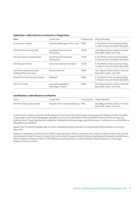#### **Foghnóthais i seilbh indíreach na Cuideachta trí fhoghnóthas**

| Ainm                                                      | Cineál Gnó                                   | % Sealúchais | Oifig Chláraithe                                                             |
|-----------------------------------------------------------|----------------------------------------------|--------------|------------------------------------------------------------------------------|
| Air Business Limited                                      | Seirbhísí dáilte agus síntiús irise          | 100%         | 4, The Merlin Centre, Acrewood Way,<br>St. Albans Herts, An Ríocht Aontaithe |
| GVS Gift Voucher Shop DAC                                 | Dearbháin bhronntanais<br>mhiondíola         | 53.6%        | Ard-Oifig an Phoist, Sráid Uí Chonaill,<br>Baile Átha Cliath 1. Do1 F5P2     |
| The Gift Voucher Shop Limited                             | Dearbháin bhronntanais<br>mhiondíola         | 53.6%        | 4, The Merlin Centre, Acrewood Way,<br>St. Albans Herts, An Ríocht Aontaithe |
| GVS Prepaid Limited                                       | Cártaí bronntanais miondíola                 | 53.6%        | 4, The Merlin Centre, Acrewood Way,<br>St. Albans Herts, An Ríocht Aontaithe |
| One Direct (Ireland) Limited<br>trading as Post Insurance | Bróicéir Árachais                            | 100%         | Ard-Oifig an Phoist, Sráid Uí Chonaill,<br>Baile Átha Cliath 1. Do1 F5P2     |
| Jordan & Co International Limited                         | Dáileadh                                     | 100%         | 4, The Merlin Centre, Acrewood Way,<br>St. Albans Herts, An Ríocht Aontaithe |
| <b>GPO IEC Limited</b>                                    | Lárionad Taispeántais<br>Ard-Oifig an Phoist | 100%         | Ard-Oifig an Phoist, Sráid Uí Chonaill,<br>Baile Átha Cliath 1. Do1 F5P2     |

### **Comhfhiontair i seilbh dhíreach na Cuideachta**

| Ainm                       | Cineál Gnó                         | % Sealúchais Oifig Chláraithe                                            |
|----------------------------|------------------------------------|--------------------------------------------------------------------------|
| The Prize Bond Company DAC | Riaradh Scéim na nDuaisbhannaí 50% | Ard-Oifig an Phoist, Sráid Uí Chonaill,<br>Baile Átha Cliath 1. Do1 F5P2 |

Tá Air Business Limited, Jordan & Co International Limited, The Gift Voucher Shop Limited agus GVS Prepaid Limited corpraithe i Sasana agus sa Bhreatain Bheag agus ag feidhmiú ansin. Tá An Post (NI) Limited corpraithe i dTuaisceart Éireann agus ag feidhmiú ansin. Tá gach gnóthas eile corpraithe i bPoblacht na hÉireann agus ag feidhmiú ansin. Cuimsíonn na scairshealbha ar fad gnáth-scairchaipiteal.

Riarann The Prize Bond Company DAC an Scéim Duaisbhannaí faoi chonradh le Gníomhaireacht Bainistíochta an Chisteáin Náisiúnta.

Thug an Chuideachta urrús faoi Alt 357 d'Acht na gCuideachtaí, 2014 do na haonáin seo a leanas sa bhliain reatha: Post Consult International Limited; Printpost Limited; Post.Trust Limited; Transpost Limited; Precision Marketing Information Limited; Prince's Street Property Company Limited; An Post Billpost Processing Services Limited; Kompass Ireland Publishers Limited agus Postpoint Services Limited.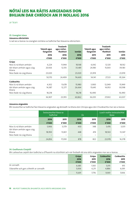ar lean

### **23. Ceanglais Léasa**

### **Léasanna oibriúcháin**

Is iad seo a leanas na ceanglais iomlána sa todhchaí faoi léasanna oibriúcháin:

|                                        | Talamh agus | <b>Trealamh</b><br>agus mótar- |               | Talamh agus | <b>Trealamh</b><br>agus mótar- |        |
|----------------------------------------|-------------|--------------------------------|---------------|-------------|--------------------------------|--------|
|                                        | foirgnimh   | fheithiclí                     | <b>Iomlán</b> | foirgnimh   | fheithiclí                     | Iomlán |
|                                        | 2016        | 2016                           | 2016          | 2015        | 2015                           | 2015   |
|                                        | €'000       | €'000                          | €'000         | €'000       | €'000                          | €'000  |
| Grúpa                                  |             |                                |               |             |                                |        |
| Níos lú ná bliain amháin               | 6,224       | 11,944                         | 18,168        | 6,042       | 12,120                         | 18,162 |
| Idir bliain amháin agus cúig<br>bliana | 20,926      | 12,555                         | 33,481        | 24,180      | 15,003                         | 39,183 |
| Níos faide ná cúig bliana              | 23,020      | ٠                              | 23,020        | 23,919      |                                | 23,919 |
|                                        | 50,170      | 24,499                         | 74,669        | 54,141      | 27,123                         | 81,264 |
| Cuideachta                             |             |                                |               |             |                                |        |
| Níos lú ná bliain amháin               | 4,302       | 11,678                         | 15,980        | 3,900       | 12,049                         | 15,949 |
| Idir bliain amháin agus cúig<br>bliana | 14,387      | 12,277                         | 26,664        | 15,645      | 14,953                         | 30,598 |
| Níos faide ná cúig bliana              | 18,218      |                                | 18,218        | 16,490      |                                | 16,490 |
|                                        | 36,907      | 23,955                         | 60,862        | 36,035      | 27,002                         | 63,037 |

### **Léasanna airgeadais**

Bhí íocaíochtaí sa todhchaí faoi léasanna airgeadais ag deireadh na bliana don Ghrúpa agus don Chuideachta mar seo a leanas:

|                                                          | losiocaiochtaí léasa sa<br>todhchaí |                          | Ús                       |       | Luach reatha iosiocaíochtaí<br>léasa |        |  |
|----------------------------------------------------------|-------------------------------------|--------------------------|--------------------------|-------|--------------------------------------|--------|--|
|                                                          | 2016<br>2015                        |                          | 2016                     | 2015  |                                      | 2015   |  |
|                                                          | €'000                               | €'000                    | €'000                    | €'000 | €'000                                | €'000  |  |
| Níos lú ná bliain amháin<br>Idir bliain amháin agus cúig | 5,906                               | 3,379                    | 430                      | 348   | 5,476                                | 3,031  |  |
| bliana                                                   | 18,950                              | 13,821                   | 448                      | 474   | 18,502                               | 13,347 |  |
| Níos faide ná cúig bliana                                |                                     | $\overline{\phantom{0}}$ | $\overline{\phantom{0}}$ | -     | —                                    |        |  |
|                                                          | 24,856                              | 17,200                   | 878                      | 822   | 23,978                               | 16,378 |  |

### **24. Gealltanais Chaipitil**

Bhí caiteachas caipitil don todhchaí a d'fhaomh na stiúrthóirí ach nár foráladh dó sna ráitis airgeadais mar seo a leanas:

|                                       | Grúpa  | Grúpa | <b>Cuideachta</b> | Cuideachta |
|---------------------------------------|--------|-------|-------------------|------------|
|                                       | 2016   | 2015  | 2016              | 2015       |
|                                       | €'000  | €'000 | €'000             | €'000      |
| Ar conradh                            | 6,685  | 1,565 | 5,015             | 915        |
| Údaraithe ach gan a bheith ar conradh | 5,006  | 6.211 | 4,886             | 6,091      |
|                                       | 11,691 | 7.776 | 9,901             | 7,006      |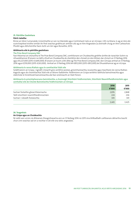### **25. Páirtithe Gaolmhara**

#### **Páirtí rialaithe**

Rinne an tAire Cumarsáide, Gníomhaithe ar son na hAeráide agus Comhshaoil rialú ar an nGrúpa i rith na bliana. Is ag an Aire atá scairchaipiteal eisithe iomlán An Post seachas gnáthscair amháin atá ag an Aire Airgeadais (a aistríodh chuig an Aire Caiteachais Phoiblí agus Athchóirithe faoin Acht um Airí agus Rúnaithe, 2011).

#### **Idirbhearta eile le páirtithe gaolmhara**

#### **The Prize Bond Company DAC**

Faoi théarmaí an chonartha le The Prize Bond Company DAC, comhlíonann an Chuideachta gnéithe áirithe de riarachán Scéim na nDuaisbhannaí. B'ionann na táillí a thuill an Chuideachta do sheirbhísí den chineál sin don bhliain dar chríoch an 31 Nollaig 2016 agus €4,227,000 (2015: €3,845,000). B'ionann an tsuim a bhí dlite ag The Prize Bond Company DAC don Ghrúpa amhail an 31 Nollaig 2016 agus €259,000 (2015: €263,000). Amhail an 31 Nollaig 2016 bhí €812,000 (2015: €812,000) de Dhuaisbhannaí ag an nGrúpa.

#### **Idirbhearta le ranna Rialtais agus le comhlachtaí Stáit eile**

Soláthraíonn an Grúpa, i ngnáth-imeacht gnó, seirbhísí postais, gníomhaireachta, íocaíochta agus teachtaire do ranna Rialtais éagsúla agus do chomhlachtaí Stáit eile ar bhonn fadláimhe. Feidhmíonn an Grúpa seirbhísí laethúla baincéireachta agus státchiste le hinstitiúidí baincéireachta atá faoi úinéireacht an Stáit freisin.

### **Idirbhearta le príomhphearsana bainistíochta, a chuimsigh Stiúrthóirí Feidhmiúcháin, Stiúrthóirí Neamhfheidhmiúcháin agus comhaltaí eile de Choiste Bainistíochta Feidhmiúcháin an Ghrúpa**

|                                        | 2016  | 2015  |
|----------------------------------------|-------|-------|
|                                        | €'000 | €'000 |
| Sochair fostaithe ghearrthéarmacha     | 2,876 | 2,848 |
| Táillí stiúrthóirí neamhfheidhmiúcháin | 224   | 236   |
| Sochair i ndiaidh fostaíochta          | 345   | 341   |
|                                        | 3,445 | 3,425 |

#### **26. Teagmhais**

### **An Grúpa agus an Chuideachta**

Ní raibh aon urrúis ná dliteanais theagmhasacha ann an 31 Nollaig 2016 ná 2015 óna bhféadfadh caillteanais ábhartha teacht chun cinn seachas iad sin a nochtar in áit eile sna ráitis airgeadais.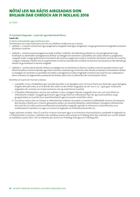ar lean

### **27. Ionstraimí Airgeadais – Luach Cóir agus Bainistíocht Riosca Luach cóir**

### **A. Aicmí cuntasaíochta agus luachanna córa**

Tomhaiseann an Grúpa luachanna córa leis an ordlathas modhanna seo a leanas:

- **•**  Leibhéal 1 Is ionann na hionchuir agus praghsanna margaidh luaite (gan choigeartú) i margaí gníomhacha le haghaidh ionstraimí atá díreach cosúil leo.
- **•**  Leibhéal 2 Ionchuir seachas praghsanna luaite a áirítear i Leibhéal 1 atá inbhraite go díreach (i.e. mar phraghsanna) nó go hindíreach (i.e. díorthaithe ó phraghsanna). Áirítear sa chatagóir seo ionstraimí a luacháiltear ach úsáid a bhaint as: praghsanna margaidh luaite i margaí gníomhacha d'ionstraimí atá cosúil leo; praghsanna luaite ar ionstraimí atá díreach cosúil leo nó cosúil leo i margaí a mheastar a bheith níos lú ná gníomhach; nó teicnící luachála eile ina bhfuil na hionchuir shuntasacha ar fad inbhraite go díreach nó go hindíreach ó shonraí margaidh.
- Leibhéal 3 Ionchuir atá do-bhraite. Áirítear sa chatagóir seo na hionstraimí ar fad ina n-áirítear sa teicníc luachála ionchuir nach bhfuil bunaithe ar shonraí inbhraite agus bíonn tionchar suntasach ag na hionchuir dho-bhraite ar luacháil na hionstraime. Áirítear sa chatagóir seo ionstraimí a luacháiltear bunaithe ar phraghsanna luaite le haghaidh ionstraimí atá cosúil leo ach a dteastaíonn boinn tuisceana nó coigeartuithe suntasacha do-bhraite uathu chun na difríochtaí idir na hionstraimí a léiriú.

Ríomhtar an luach cóir mar seo a leanas:

- i. Luachálfar urrúis a thrádáiltear gan srianadh bunaithe ar an bpraghas scoir, nó murar tharla aon díolachán, ag an bpraghas tairgthe deireadh orthu ar an lá deiridh den ráithe nó den bhliain airgeadais, de réir mar is cuí. I gcás gach ionstraime airgeadais eile, cinneann an Grúpa luachanna córa ag úsáid teicnící luachála.
- ii. D'fhéadfaí infheistíochtaí a aicmiú mar Leibhéal 2 nuair a thagann faisnéis margaidh chun cinn, ach nach bhfuil an infheistíocht á trádáil i margadh gníomhach agus/nó go bhfuil an infheistíocht faoi réir ag srianta aistrithe, nó go gcoigeartaítear an luacháil chun neamhleachtacht agus/nó neamh-inaistrithe a léiriú.
- iii. Tá tomhas luacha chóir an Ghrúpa ar infheistíochtaí Leibhéal 3 bunaithe ar shamhail a bhféadfadh ionchuir shuntasacha dho-bhraite a bheith ann. Is teicníc glanluacha reatha í an tsamhail ábhartha, a dhíorthaítear ó phraghas infheistíochta atá cosúil léi nó ó rátaí cosúla iasachtaíochta/iasachtaithe margaidh, ag brath ar mheasúnú na bainistíochta ar an modheolaíocht luachála is cuí agus ar ionchuir le haghaidh na hinfheistíochta áirithe sin.

Tugtar achoimre sa tábla i nóta 27 cuid B ar na boinn tuisceana agus ar na hionchuir chainníochtúla a úsáideadh le haghaidh na n-infheistíochtaí a chuirtear i Leibhéal 3 den ordlathas luacha chóir amhail an 31 Nollaig 2016. Níor aistríodh aon rud idir leibhéil an ordlathais luacha chóir i rith na mblianta dar chríoch an 31 Nollaig 2016 agus an 31 Nollaig 2015.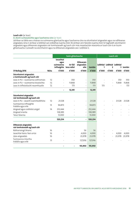### **Luach cóir** (ar lean)

### **A. Aicmí cuntasaíochta agus luachanna córa** (ar lean)

Léirítear sa tábla seo a leanas na suimeanna glanluacha agus luachanna córa na sócmhainní airgeadais agus na ndliteanas airgeadais, lena n-áirítear a leibhéal san ordlathas luacha chóir. Ní áirítear ann faisnéis luacha chóir le haghaidh sócmhainní airgeadais agus dliteanais airgeadais nár tomhaiseadh ag luach cóir más meastachán réasúnta ar luach cóir é an tsuim ghlanluacha. Cuireadh na sócmhainní agus na dliteanais airgeadais seo i Leibhéal 2.

|                                                        |             | Suim ghlanluacha                             |                       |                                         | Luach cóir    |       |                                              |        |          |
|--------------------------------------------------------|-------------|----------------------------------------------|-----------------------|-----------------------------------------|---------------|-------|----------------------------------------------|--------|----------|
|                                                        |             | lasachtaí<br>agus<br>suimeanna<br>infhaighte | Ar fáil<br>lena ndíol | <b>Dliteanais</b><br>airgeadais<br>eile | <b>lomlán</b> | 1     | Leibhéal Leibhéal Leibhéal<br>$\overline{2}$ |        | 3 Iomlán |
| <b>31 Nollaig 2016</b>                                 | <b>Nóta</b> | €'000                                        | €'000                 | €'000                                   | €'000         | €'000 | €'000                                        | €'000  | €'000    |
| Sócmhainní airgeadais<br>a tomhaiseadh ag luach cóir   |             |                                              |                       |                                         |               |       |                                              |        |          |
| Leas in PLI - scaireanna cothromais                    | 12          |                                              | 350                   |                                         | 350           |       |                                              | 350    | 350      |
| Leas in PLI - scaireanna tosaíochta                    | 12          |                                              | 11,868                | ٠                                       | 11,868        |       |                                              | 11,868 | 11,868   |
| Leas in infheistíocht neamhluaite                      | 12          |                                              | 173                   | $\overline{\phantom{a}}$                | 173           | 173   |                                              |        | 173      |
|                                                        |             | $\blacksquare$                               | 12,391                | $\blacksquare$                          | 12,391        |       |                                              |        |          |
| Sócmhainní airgeadais<br>nár tomhaiseadh ag luach cóir |             |                                              |                       |                                         |               |       |                                              |        |          |
| Leas in PLI - iasacht scairshealbhóra                  | 12          | 21,528                                       |                       | $\overline{\phantom{a}}$                | 21,528        |       |                                              | 21,528 | 21,528   |
| Suimeanna infhaighte<br>trádála agus eile              | 13          | 94,873                                       |                       | $\overline{\phantom{a}}$                | 94,873        |       |                                              |        |          |
| Airgead agus coibhéisí airgid                          | 14          | 252,444                                      |                       | J,                                      | 252,444       |       |                                              |        |          |
| Airgead srianta                                        |             | 138,389                                      |                       |                                         | 138,389       |       |                                              |        |          |
| Taiscí téarma                                          |             | 13,000                                       |                       |                                         | 13,000        |       |                                              |        |          |
|                                                        |             | 520,234                                      |                       | $\overline{\phantom{a}}$                | 520,234       |       |                                              |        |          |
| Dliteanais airgeadais<br>nár tomhaiseadh ag luach cóir |             |                                              |                       |                                         |               |       |                                              |        |          |
| Rótharraingt bhainc                                    | 16          |                                              |                       | 56                                      | 56            |       |                                              |        |          |
| lasachtaí bainc faoi urrús                             | 16          |                                              |                       | 4,000                                   | 4,000         |       |                                              | 4,000  | 4,000    |
| Léas airgeadais                                        | 16          |                                              |                       | 23,978                                  | 23,978        |       |                                              | 23,978 | 23,978   |
| Suimeanna iníoctha<br>trádála agus eile                | 15          |                                              |                       | 127,916                                 | 127,916       |       |                                              |        |          |
|                                                        |             |                                              |                       | 155,950                                 | 155,950       |       |                                              |        |          |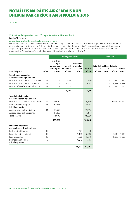ar lean

### **27. Ionstraimí Airgeadais – Luach Cóir agus Bainistíocht Riosca** (ar lean)

**Luach cóir** (ar lean)

### **A. Aicmí cuntasaíochta agus luachanna córa** (ar lean)

Léirítear sa tábla seo a leanas na suimeanna glanluacha agus luachanna córa na sócmhainní airgeadais agus na ndliteanas airgeadais, lena n-áirítear a leibhéal san ordlathas luacha chóir. Ní áirítear ann faisnéis luacha chóir le haghaidh sócmhainní airgeadais agus dliteanais airgeadais nár tomhaiseadh ag luach cóir más meastachán réasúnta ar luach cóir é an tsuim ghlanluacha. Cuireadh na sócmhainní agus na dliteanais airgeadais seo i Leibhéal 2.

|                                                        |             | Suim ghlanluacha                                      |                                |                                                  | Luach cóir             |                                          |                         |       |                   |
|--------------------------------------------------------|-------------|-------------------------------------------------------|--------------------------------|--------------------------------------------------|------------------------|------------------------------------------|-------------------------|-------|-------------------|
| <b>31 Nollaig 2015</b>                                 | <b>Nóta</b> | lasachtaí<br>agus<br>suimeanna<br>infhaighte<br>€'000 | Ar fáil<br>lena ndíol<br>€'000 | <b>Dliteanais</b><br>airgeadais<br>eile<br>€'000 | <b>lomlán</b><br>€'000 | Leibhéal Leibhéal Leibhéal<br>1<br>€'000 | $\overline{2}$<br>€'000 | €'000 | 3 Iomlán<br>€'000 |
| Sócmhainní airgeadais                                  |             |                                                       |                                |                                                  |                        |                                          |                         |       |                   |
| a tomhaiseadh ag luach cóir                            |             |                                                       |                                |                                                  |                        |                                          |                         |       |                   |
| Leas in PLI - scaireanna cothromais                    | 12          |                                                       | 350                            | ÷,                                               | 350                    |                                          |                         | 350   | 350               |
| Leas in PLI - scaireanna tosaíochta                    | 12          |                                                       | 9,738                          | $\overline{\phantom{a}}$                         | 9,738                  |                                          |                         | 9,738 | 9,738             |
| Leas in infheistíocht neamhluaite                      | 12          |                                                       | 323                            | $\bar{a}$                                        | 323                    |                                          |                         | 323   | 323               |
|                                                        |             | $\overline{\phantom{a}}$                              | 10,411                         | $\overline{\phantom{a}}$                         | 10,411                 |                                          |                         |       |                   |
| Sócmhainní airgeadais                                  |             |                                                       |                                |                                                  |                        |                                          |                         |       |                   |
| nár tomhaiseadh ag luach cóir                          |             |                                                       |                                |                                                  |                        |                                          |                         |       |                   |
| Leas in PLI - iasacht scairshealbhóra                  | 12          | 19,690                                                |                                | $\overline{\phantom{a}}$                         | 19,690                 |                                          |                         |       | 19,690 19,690     |
| Suimeanna infhaighte<br>trádála agus eile              | 13          | 87,948                                                |                                |                                                  | 87,948                 |                                          |                         |       |                   |
| Airgead agus coibhéisí airgid                          | 14          | 315,556                                               |                                | $\sim$                                           | 315,556                |                                          |                         |       |                   |
| Airgead agus coibhéisí airgid                          |             | 117,867                                               |                                | $\overline{\phantom{a}}$                         | 117,867                |                                          |                         |       |                   |
| Taiscí téarma                                          |             | 48,000                                                |                                | $\overline{\phantom{a}}$                         | 48,000                 |                                          |                         |       |                   |
|                                                        |             | 589,061                                               |                                | $\blacksquare$                                   | 589,061                |                                          |                         |       |                   |
| Dliteanais airgeadais<br>nár tomhaiseadh ag luach cóir |             |                                                       |                                |                                                  |                        |                                          |                         |       |                   |
| Rótharraingt bhainc                                    | 16          |                                                       |                                | 501                                              | 501                    |                                          |                         |       |                   |
| lasachtaí bainc faoi urrús                             | 16          |                                                       |                                | 6,000                                            | 6,000                  |                                          |                         |       | 6,000 6,000       |
| Léas airgeadais                                        | 16          |                                                       |                                | 16,378                                           | 16,378                 |                                          |                         |       | 16,378 16,378     |
| Suimeanna iníoctha<br>trádála agus eile                | 15          |                                                       |                                | 143,113                                          | 143,113                |                                          |                         |       |                   |
|                                                        |             |                                                       |                                | 165,992                                          | 165,992                |                                          |                         |       |                   |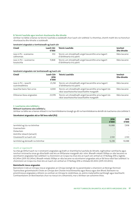### **B. Teicnící luachála agus ionchuir shuntasacha dho-bhraite**

Léirítear na táblaí a leanas na teicnící luachála a úsáideadh chun luach cóir Leibhéal 3 a thomhas, chomh maith leis na hionchuir shuntasacha dho-bhraite a úsáideadh.

| Cineál<br>Teicníc Luachála<br>Luach Cóir<br>€'000 |        | <b>lonchuir</b><br>Dho-bhraite                                                     |               |
|---------------------------------------------------|--------|------------------------------------------------------------------------------------|---------------|
| Leas in PLI – scaireanna<br>cothromais            | 350    | Teicníc um shreabhadh airgid lascainithe arna tagairt<br>d'idirbhearta tríú páirtí | Ráta lascaine |
| Leas in PLI – scaireanna<br>tosaíochta            | 11,868 | Teicníc um shreabhadh airgid lascainithe arna tagairt<br>d'idirbhearta tríú páirtí | Ráta lascaine |

#### **Ionstraimí airgeadais nár tomhaiseadh ag luach cóir**

| Cineál<br>Teicníc Luachála<br>Luach Cóir<br>2016<br>€'000 |        |                                                                                                        | <b>lonchuir</b><br><b>Dho-bhraite</b> |
|-----------------------------------------------------------|--------|--------------------------------------------------------------------------------------------------------|---------------------------------------|
| Leas in PLI – jasacht<br>scairshealbhóra                  | 21,258 | Teicníc um shreabhadh airgid lascainithe arna tagairt<br>d'idirbhearta tríú páirtí                     | Ráta lascaine                         |
| Jasachtaí bainc faoi urrús                                | 4,000  | Teicníc um shreabhadh airgid lascainithe arna tagairt do<br>rátaí iasachtaíochta/iasachtaithe margaidh | Ráta lascaine                         |
| Dliteanas léasa airgeadais                                | 23,978 | Teicníc um shreabhadh airgid lascainithe arna tagairt do<br>rátaí iasachtaíochta/iasachtaithe margaidh | Ráta lascaine                         |

### **C. Luachanna córa Leibhéal 3**

### **Réiteach luachanna córa Leibhéal 3**

Léirítear sa tábla seo a leanas réiteach ó na hiarmhéideanna tosaigh go dtí na hiarmhéideanna deiridh do luachanna córa Leibhéal 3.

#### **Sócmhainní airgeadais atá ar fáil lena ndíol (PLI)**

|                                  | 2016<br>€'000            | 2015<br>€'000 |
|----------------------------------|--------------------------|---------------|
| larmhéid ag tús na tréimhse      | 10,088                   | 7,958         |
| Ceannacháin                      | $\overline{\phantom{a}}$ |               |
| Díolacháin                       | $\overline{\phantom{a}}$ |               |
| Aistrithe isteach/(amach)        | $\overline{\phantom{a}}$ |               |
| Gluaiseacht sa luach cóir        | 2,130                    | 2,130         |
| Iarmhéid ag deireadh na tréimhse | 12,218                   | 10,088        |

#### *Anailís ar íogaireacht*

Sa chás go bhfuil luach na n-ionstraimí airgeadais ag brath ar shamhlacha luachála do-bhraite, roghnaítear samhlacha agus ionchuir oiriúnacha ionas go dtiocfaidh siad leis an bhfianaise margaidh atá i réim. Bheadh méadú 100bps ar ráta lascaine na sócmhainní airgeadais faoi Leibhéal 3 a choinníonn an Grúpa ina chúis leis an luach cóir amhail an 31 Nollaig 2016 a laghdú €0.245m (2015: €0.245m). Bheadh méadú 100bps ar ráta lascaine na sócmhainní airgeadais atá ar fáil lena ndíol faoi Leibhéal 3 a choinníonn an Grúpa ina chúis leis an luach cóir amhail an 31 Nollaig 2016 a mhéadú €0.261m (2015: €0.261m).

#### **Bainistíocht riosca airgeadais**

Bainistíonn Ciste an Ghrúpa rioscaí airgeadais an Ghrúpa laistigh de na paraiméadair a shainíonn an Bord go foirmiúil. Tuairiscítear gníomhaíocht Chiste an Ghrúpa don Choiste Iniúchóireachta agus Riosca agus don Bhord. Baineann na príomhrioscaí airgeadais a bhíonn os comhair an Ghrúpa le creidmheas, ús, aistriú malartaithe eachtraigh agus leachtacht. Comhaontaíonn an Bord beartais chun na rioscaí sin a bhainistiú, mar a léirítear san achoimre thíos.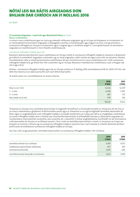ar lean

### **27. Ionstraimí Airgeadais – Luach Cóir agus Bainistíocht Riosca** (ar lean)

### **Riosca creidmheasa**

Is ionann riosca creidmheasa agus an riosca go mbeadh caillteanas airgeadais ag an nGrúpa má theipeann ar chustaiméir nó ar chontrapháirtí le hionstraim airgeadais a oibleagáidí conartha a chomhlíonadh, agus tagann sé chun cinn go príomha ó suimeanna infhaighte an Ghrúpa ó chustaiméirí agus ó airgead agus ó choibhéisí airgid. Is í suim ghlanluacha na sócmhainní airgeadais an neamhchosaint is mó ó thaobh creidmheasa de.

### *Suimeanna infhaighte trádála agus eile*

Baineann beartas bainistíochta riosca creidmheasa an Ghrúpa maidir le suimeanna infhaighte trádála le measúnú a dhéanamh go tráthúil ar iontaofacht airgeadais custaiméirí, ag cur staid airgeadais, taithí roimhe seo agus cúinsí eile san áireamh. Déantar monatóireacht rialta ar úsáid teorainneacha creidmheasa. Níl aon chomhchruinniú riosca creidmheasa ann i leith suimeanna infhaighte trádála toisc go bhfuil líon mór custaiméirí ag an nGrúpa. Maireann meántéarmaí creidmheasa, nuair a thugtar iad, idir 0 agus 45 lá.

Áirítear i suimeanna infhaighte trádála agus eile an Ghrúpa amhail an 31 Nollaig 2016 iarmhéideanna €18.2m (2015: €17.3m) atá dlite thar téarma ar an dáta tuairiscithe ach nach bhfuil bearnaithe.

Tá anailís aoise na n-iarmhéideanna sin anseo a leanas:

|                     | 2016<br>€'000 | 2015<br>€'000 |
|---------------------|---------------|---------------|
| Níos lú ná 1 mhí    | 12,526        | 12,279        |
| $1 - 3$ mhí         | 4,368         | 3,705         |
| $3 - 6$ mhí         | 947           | 757           |
| Níos faide ná 6 mhí | 379           | 591           |
|                     | 18,220        | 17,332        |

Tá beartas an Ghrúpa chun lamháltas bearnúcháin le haghaidh drochfhiach a chinneadh bunaithe ar mheasúnú de réir líne ar an riosca creidmheasa a ghabhann le féichiúnaithe aonair agus ar mheasúnú ar an ngá le haghaidh lamháltas bearnaithe dá bharr. Agus in-aisghabhálacht suim infhaighte trádála á cinneadh, breithníonn an Grúpa aon athrú ar chaighdeán creidmheasa na suime infhaighte trádála, lena n-áirítear aon chomhartha bearnúcháin (a d'fhéadfadh fianaise ar dheacracht airgeadais an chustaiméara, mainneachtain íocaíochta, sárú conartha, etc. a áireamh). Cuirtear aisghabhálacha ina dhiaidh sin de shuimeanna a bhí bearnaithe do shochar ar an Ráiteas Ioncaim. Chun críche an lamháltas bearnúcháin a ríomh, ní chuireann an Grúpa san áireamh an tionchar a bhíonn ag na suimeanna infhaighte trádála a lascainiú toisc nach meastar é a bheith ábhartha de bharr próifíl aoise iarmhéideanna suimeanna infhaighte trádála an Ghrúpa.

Seo mar a bhí na gluaiseachtaí i lamháltas bearnúcháin na suimeanna infhaighte trádála i rith na bliana:

|                                      | 2016<br>€'000 | 2015<br>€'000 |
|--------------------------------------|---------------|---------------|
| Jarmhéid amhail tús na bliana        | 5,419         | 4,572         |
| Caillteanas bearnúcháin aitheanta    | 437           | 871           |
| Suimeanna díscríofa                  | (225)         | (24)          |
| Jarmhéid amhail deireadh na tréimhse | 5,631         | 5,419         |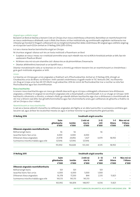### *Airgead agus coibhéisí airgid*

Bunaíonn an Bord an beartas a leanann Ciste an Ghrúpa chun riosca creidmheasa a bhainistiú. Bainistítear an neamhchosaint tríd an riosca creidmheasa a dháileadh, nuair is féidir, thar bhainc nó thar institiúidí eile, ag comhlíonadh caighdeáin riachtanacha mar mheastar go hiondúil trí thagairt a dhéanamh do na mórghníomhaireachtaí rátála creidmheasa. Bhí airgead agus coibhéisí airgid ag an nGrúpa dar luach €252m amhail an 31 Nollaig 2016 (2015: €315m).

Is é seo a leanas beartas bainistíochta airgid an Ghrúpa:

Ní chuirtear airgead i dtaisce ach leis an liosta institiúidí a fhaomhann an Bord

- **•**  Scaiptear an riosca i measc na n-institiúidí ainmnithe ionas nach mbeidh níos mó ná 40% le hinstitiúid amháin ar bith, faoi réir uasteorainn fhaofa an Bhoird
- **•**  Ní bhíonn níos mó ná suim shainithe cistí i dtaisce leis an dá phríomhbhanc Éireannacha
- **•**  Déantar athbhreithniú leanúnach ar an bpróifíl riosca

Déantar monatóireacht rialta ar na beartais sin chun a chinntiú go mbíonn teorainn leis an neamhchosaint ar chreidmheas i gcás gach institiúide airgeadais ar leith.

### *Urrúis*

Is é beartas an Ghrúpa gan urrúis airgeadais a thabhairt ach d'fhochuideachtaí. Amhail an 31 Nollaig 2016, d'eisigh an Chuideachta urrús do Bhanc na hÉireann i leith saoráidí creidmheasa a tugadh maidir le TSC Ventures DAC. Ina theannta sin, thug an Grúpa urrús faoi Alt 357 d'Acht na gCuideachtaí, 2014 do roinnt dá fhochuideachtaí mar a nochtar sa nóta faoi fhochuideachtaí agus faoi chomhfhiontair.

### **Riosca leachtachta**

Is ionann riosca leachtachta agus an riosca go mbeidh deacracht ag an nGrúpa a oibleagáidí a bhaineann lena dhliteanais airgeadais, a réitítear trí airgead nó sócmhainn airgeadais eile a sheachadadh, a chomhlíonadh. Is é cur chuige an Ghrúpa i leith leachtacht a bhainistiú a chinntiú, a mhéad is féidir, go mbeidh dóthain leachtachta aige chun a dhliteanais a chomhlíonadh de réir mar a bhíonn siad dlite, faoi ghnáthchoinníollacha agus faoi choinníollacha anáis, gan caillteanais do-ghlactha a thabhú ná cáil an Ghrúpa a chur i mbaol.

### *Neamhchosaint ar riosca leachtachta*

Is iad seo a leanas aibíocht chonartha na ndliteanas airgeadais atá fágtha ar an dáta tuairiscithe. Is suimeanna comhlána gan lascaine iad, agus áirítear leo íocaíochtaí measta úis agus ní áirítear tionchar na gcomhaontuithe glanluachála.

| <b>31 Nollaig 2016</b>                 |                                     |                        | Sreabhadh airgid conartha    |                          |                            |                                 |
|----------------------------------------|-------------------------------------|------------------------|------------------------------|--------------------------|----------------------------|---------------------------------|
|                                        | <b>Suim</b><br>ghlanluacha<br>€'000 | <b>Iomlán</b><br>€'000 | 2 mhí nó<br>níos lú<br>€'000 | $2 - 12$<br>mhí<br>€'000 | $1 - 5$<br>bliana<br>€'000 | Níos mó ná<br>5 bliana<br>€'000 |
| Dliteanais airgeadais neamhdhíorthacha |                                     |                        |                              |                          |                            |                                 |
| Rótharraingtí bainc                    | 56                                  | 56                     |                              | 56                       |                            |                                 |
| Jasachtaí bainc faoi urrús             | 4,000                               | 4,000                  | 4,000                        |                          |                            |                                 |
| Dliteanais léasa airgeadais            | 23.978                              | 24,856                 | 1.427                        | 4,479                    | 18.950                     |                                 |
| Suimeanna iníoctha trádála agus eile   | 127.916                             | 127,916                | 127,916                      |                          |                            |                                 |
|                                        | 155,950                             | 156,828                | 133,343                      | 4,535                    | 18,950                     |                                 |

| 31 Nollaig 2015                        |                                     |                 | Sreabhadh airgid conartha    |                          |                            |                                 |
|----------------------------------------|-------------------------------------|-----------------|------------------------------|--------------------------|----------------------------|---------------------------------|
|                                        | <b>Suim</b><br>ghlanluacha<br>€'000 | Iomlán<br>€'000 | 2 mhí nó<br>níos lú<br>€'000 | $2 - 12$<br>mhí<br>€'000 | $1 - 5$<br>bliana<br>€'000 | Níos mó ná<br>5 bliana<br>€'000 |
| Dliteanais airgeadais neamhdhíorthacha |                                     |                 |                              |                          |                            |                                 |
| Rótharraingtí bainc                    | 501                                 | 501             | $\overline{\phantom{a}}$     | 501                      |                            |                                 |
| Jasachtaí bainc faoi urrús             | 6.000                               | 6.000           | 5.000                        | 1.000                    |                            |                                 |
| Dliteanais léasa airgeadais            | 16,378                              | 17.200          | 844                          | 2.535                    | 13,821                     |                                 |
| Suimeanna iníoctha trádála agus eile   | 143,113                             | 143.113         | 143,113                      |                          |                            |                                 |
|                                        | 165.992                             | 166,814         | 148,957                      | 4,036                    | 13.821                     |                                 |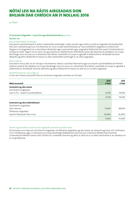ar lean

### **27. Ionstraimí Airgeadais – Luach Cóir agus Bainistíocht Riosca** (ar lean)

#### **Market risk**

### *Riosca malartaithe eachtraigh*

Eascraíonn neamhchosaint ar aistriú malartaithe eachtraigh ó ráitis ioncaim agus ráitis ar staid an airgeadais fochuideachtaí thar lear a athaistriú go Euro. Ina theannta sin, tá an Grúpa neamhchosanta ar riosca idirbheart airgeadra sa mhéid nach dtagann na hairgeadraí ina n-ainmnítear díolacháin agus ceannacháin agus airgeadraí feidhmiúla faoi seach Chuideachtaí an Ghrúpa le chéile. Tagann sé sin chun cinn go príomha ar idirbhearta le hoibritheoirí poist idirnáisiúnta. Ní úsáideann an Grúpa díorthaigh chun an riosca sin a bhainistiú faoi láthair. Leanfaidh an Grúpa ar aghaidh á athbhreithniú. Ní bheadh tionchar ábhartha ag athrú féideartha le réasún ar rátaí malartaithe eachtraigh ar na ráitis airgeadais.

### *Riosca ráta úis*

Eascraíonn riosca ráta úis an Ghrúpa ó shuimeanna i dtaiscí, iasachtaí téarmacha agus an iasacht scairshealbhóra do Premier Lotteries Ireland. Ní úsáideann an Grúpa díorthaigh chun an riosca sin a bhainistiú faoi láthair. Leanfaidh an Grúpa ar aghaidh á athbhreithniú. Ní bheadh tionchar ábhartha ag athrú féideartha le réasún ar rátaí úis ar na ráitis airgeadais.

### *Neamhchosaint ar riosca ráta úis*

Is mar seo a leanas atá próifíl ráta úis ionstraimí airgeadais úsmhara an Ghrúpa:

| Méid ainmniúil                        | 2016<br>€'000 | 2015<br>€'000 |
|---------------------------------------|---------------|---------------|
| Ionstraimí ag ráta seasta             |               |               |
| Sócmhainní airgeadais                 |               |               |
| Leas in PLI - iasacht scairshealbhóra | 21,528        | 19,690        |
|                                       | 21,528        | 19,690        |
| Ionstraimí ag ráta inathraitheach     |               |               |
| Sócmhainní airgeadais                 |               |               |
| Taiscí téarma                         | 13,000        | 48,000        |
| Dliteanais airgeadais                 |               |               |
| lasacht théarmach faoi urrús          | (4,000)       | (6,000)       |
|                                       | 9,000         | 42,000        |

### *Anailís íogaireachta ar luach cóir le haghaidh ionstraimí ag ráta seasta*

Ní chuireann an Grúpa aon sócmhainní airgeadais ná dliteanais airgeadais ag ráta seasta san áireamh ag luach cóir trí bhrabús nó trí chaillteanas, agus ní shannann an Grúpa díorthaigh (babhtálacha ráta úis) mar ionstraimí fálaithe faoi shamhail cuntasaíochta fálaithe luacha chóir. Dá bhrí sin, ní bheadh tionchar ag athrú ar rátaí úis ar an dáta tuairiscithe ar an mbrabús ná ar an gcaillteanas.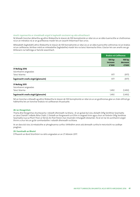### *Anailís íogaireachta ar shreabhadh airgid le haghaidh ionstraimí ag ráta athraitheach*

Ní bheadh tionchar ábhartha ag athrú féideartha le réasún de 100 bonnphointe ar rátaí úis ar an dáta tuairiscithe ar chothromas ná ar an mbrabús ná ar an gcaillteanas maidir leis an iasacht théarmach faoi urrús.

Mhéadódh (laghdódh) athrú féideartha le réasún de 100 bonnphointe ar rátaí úis ar an dáta tuairiscithe cothromas nó an brabús nó an caillteanas; léirítear méid an mhéadaithe (laghdaithe) maidir leis na taiscí téarmacha thíos. Glactar leis san anailís seo go bhfanann na hathróga ar fad eile seasmhach.

|                                      | <b>Brabús nó Caillteanas</b> |                             |
|--------------------------------------|------------------------------|-----------------------------|
|                                      | 100bp<br>increase<br>€'000   | 100 bp<br>decrease<br>€'000 |
| <b>31 Nollaig 2016</b>               |                              |                             |
| Sócmhainní airgeadais                |                              |                             |
| Taiscí téarma                        | 977                          | (977)                       |
| Íogaireacht sreafa airgid (glansuim) | 977                          | (977)                       |
| <b>31 Nollaig 2015</b>               |                              |                             |
| Sócmhainní airgeadais                |                              |                             |
| Taiscí téarma                        | 1,492                        | (1, 492)                    |
| Íogaireacht sreafa airgid (glansuim) | 1,492                        | (1, 492)                    |

Níl an tionchar a bheadh ag athrú féideartha le réasún de 100 bonnphointe ar rátaí úis ar an gcothromas glan ar cháin difriúil go hábhartha leis an tionchar brabúis nó caillteanais thuasluaite.

### **28. Iar-theagmhais**

Tharla dhá theagmhas shuntasacha i ndiaidh dheireadh na bliana. Ar an gcéad dul síos, díoladh Oifig Seirbhíse Seachadta ar Lána Chairdif i mBaile Átha Cliath 2. Díoladh an foirgneamh ar €35m in airgead tirim agus chuir an forbróir Oifig Seirbhíse Seachadta nua sa Phort Thoir ar fáil do An Post freisin mar chuid den mhargadh díolachán. Tá sé sin tar éis acmhainní airgid thirim a chur leis an gclár comhardaithe i ndiaidh dheireadh na bliana.

Ar an dara dul síos, tá méaduithe ar phraghsanna curtha i bhfeidhm anois atá deireadh curtha le meicníocht na caidhpe praghais.

#### **29. Faomhadh an Bhoird**

D'fhaomh an Bord Stiúrthóirí na ráitis airgeadais ar an 27 Aibreán 2017.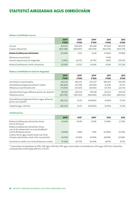# STAITISTICÍ AIRGEADAIS AGUS OIBRIÚCHÁIN

### **Ráiteas Comhdhlúite Ioncam**

|                                                            | 2016*<br>€'000        | 2015*<br>€'000        | 2014*<br>€'000        | 2013<br>€'000         | 2012<br>€'000         |
|------------------------------------------------------------|-----------------------|-----------------------|-----------------------|-----------------------|-----------------------|
| loncam<br>Costais oibriúcháin                              | 825.652<br>(839, 348) | 826.069<br>(820, 907) | 815.448<br>(813, 019) | 811.693<br>(823, 156) | 807.295<br>(824, 779) |
| Brabús/(caillteanas) oibriúcháin                           | (13,696)              | 5.162                 | 2.429                 | (11, 463)             | (17, 484)             |
| Míreanna eisceachtúla<br>loncam/(speansas) eile airgeadais | (1, 962)              | (6,235)               | (6, 793)              | 17.149<br>2,860       | (19, 750)             |
| Brabús/(caillteanas) roimh chánachas                       | (15, 658)             | (1,073)               | (4,364)               | 8,546                 | (37, 234)             |

### **Ráiteas Comhdhlúite Ar Staid An Airgeadais**

|                                                                      | 2016*      | 2015*      | 2014*      | 2013       | 2012      |
|----------------------------------------------------------------------|------------|------------|------------|------------|-----------|
|                                                                      | €'000      | €'000      | €'000      | €'000      | €'000     |
| Sócmhainní neamhreatha                                               | 292.526    | 294.333    | 292.307    | 280.369    | 294,785   |
| (Glandliteanais)/glansócmhainní reatha                               | (48, 463)  | (33,074)   | (39, 693)  | (2,206)    | 29,253    |
| Dliteanais neamhreatha eile                                          | (57,004)   | (56, 925)  | (56, 956)  | (53, 911)  | (26, 712) |
| Glansócmhainní gan dliteanas pinsin san áireamh                      | 187,059    | 204.334    | 195.658    | 224.252    | 297.326   |
| Dliteanas pinsin                                                     | (283, 381) | (169, 203) | (440,460)  | (229, 206) | (284,620) |
| (Glandliteanais)/glansócmhainní agus dliteanas<br>pinsin san áireamh | (96, 322)  | 35.131     | (244, 802) | (4, 954)   | 12,706    |
| Caipiteal agus cúlchistí                                             | (96, 322)  | 35,131     | (244, 802) | (4, 954)   | 12,706    |

### **Cóimheasanna**

|                                                                                                               | 2016*      | 2015*  | 2014*  | 2013       | 2012    |
|---------------------------------------------------------------------------------------------------------------|------------|--------|--------|------------|---------|
| Brabús/(caillteanas) oibriúcháin thuas<br>mar % d'ioncam                                                      | $(1.66\%)$ | 0.62%  | 0.30%  | $(1.40\%)$ | (2.17%) |
| Brabús/(caillteanas) oibriúcháin thuas<br>mar % de mheánchistí na scairshealbhóirí<br>roimh dhliteanas pinsin | $(7.00\%)$ | 2.58%  | 1.16%  | (4.40%)    | (5.67%) |
| Costais foirne agus máistrí poist mar % de                                                                    |            |        |        |            |         |
| chostais oibriúcháin roimh mhír eisceachtúil                                                                  | 66.91%     | 67.36% | 67.94% | 68.08%     | 69.58%  |
| Sócmhainní reatha mar % de dhliteanais reatha                                                                 | 91.30%     | 94.73% | 92.69% | 98.7%      | 115.1%  |

\* Tuairiscítear iarmhéideanna 2016, 2015 agus 2014 faoi IFRS agus tuairiscítear iarmhéideanna 2012 agus 2013 faoi chleachtas cuntasaíochta a bhfuil glacadh leis in Éirinn.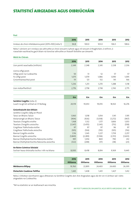# STAITISTICÍ AIRGEADAIS AGUS OIBRIÚCHÁIN

### **Post**

**Méid An Chórais**

|                                                       | 2016 | 2015  | 2014  | 2013  | 2012  |
|-------------------------------------------------------|------|-------|-------|-------|-------|
| Innéacs do chroí-mhéideanna poist (2015=100) (nóta 1) | 94.8 | 100.0 | 103 O | 106.5 | 108.6 |

Nóta 1: Léiríonn an t-innéacs seo athruithe ar chroí-ioncaim ó phost agus níl ioncam ó thoghcháin, ó reifrinn, ó riaracháin eachtracha gach bliain ná tionchar athruithe ar tharaifí foilsithe san áireamh.

|                                  | 2016  | 2015  | 2014  | 2013  | 2012  |
|----------------------------------|-------|-------|-------|-------|-------|
| Líon pointí seachadta (milliúin) | 2.249 | 2.248 | 2.245 | 2.238 | 2.236 |
| Líonra oifigí poist:             |       |       |       |       |       |
| Oifigí poist na Cuideachta       | 50    | 51    | 52    | 57    | 57    |
| Fo-oifigí poist                  | 1,075 | 1,079 | 1,086 | 1,090 | 1,095 |
| Gníomhaireachtaí poist           | 111   | 121   | 132   | 141   | 166   |
|                                  | 1,236 | 1,251 | 1,270 | 1,288 | 1,318 |
| Líon mótarfheithiclí             | 2,776 | 2,758 | 2,738 | 2,743 | 2,775 |

|                                                  | €m       | €m      | €m       | €m       | €m      |
|--------------------------------------------------|----------|---------|----------|----------|---------|
| Seirbhisí Coigiltis (nóta 2)                     |          |         |          |          |         |
| Luach na gCistí amhail an 31 Nollaig             | 20,119   | 19,453  | 19,055   | 18,163   | 16,276  |
| Gníomhaíocht don bhliain                         |          |         |          |          |         |
| Seirbhísí Coigiltis Oifig an Phoist              |          |         |          |          |         |
| Taiscí an Bhainc Taisce                          | 1,060    | 1,018   | 1,054    | 1,141    | 1,195   |
| Aistarraingtí an Bhainc Taisce                   | (904)    | (926)   | (1,038)  | (1, 272) | (967)   |
| Teastais Choigiltis eisithe                      | 1,168    | 1,132   | 1,177    | 1,806    | 1,053   |
| Teastais Choigiltis aisíoctha                    | (1, 347) | (1,470) | (1, 341) | (713)    | (558)   |
| Coigilteas Tráthchoda eisithe                    | 97       | 97      | 97       | 96       | 97      |
| Coigilteas Tráthchoda aisíoctha                  | (105)    | (104)   | (110)    | (105)    | (116)   |
| Bannaí Coigiltis eisithe                         | 1,116    | 1,345   | 1,227    | 1,739    | 2,257   |
| Bannaí Coigiltis aisíoctha                       | (1, 849) | (2,289) | (1,594)  | (2,151)  | (1,603) |
| Bannaí Dlúthpháirtíochta Náisiúnta eisithe       | 991      | 1,054   | 869      | 790      | 412     |
| Bannaí Dlúthpháirtíochta Náisiúnta aisíoctha     | (322)    | (208)   | (57)     | (38)     | (23)    |
| An Roinn Coimirce Sóisialaí                      |          |         |          |          |         |
| Sochair leasa shóisialta íoctha i rith na bliana | 8,000    | 8,418   | 8,814    | 9,169    | 9,445   |

|                               | 2016<br>000anna | 2015<br>000anna | 2014<br>000anna | 2013<br>000anna | 2012<br>000anna |
|-------------------------------|-----------------|-----------------|-----------------|-----------------|-----------------|
| Méideanna Billpay             | 19.760          | 22.895          | 24.403          | 24.400          | 26,395          |
| Díolacháin Ceadúnas Teilifíse | 1,445           | 1.438           | 1.431           | 1.427           | 1.412           |

Nóta 2: Dílsítear sócmhainní agus dliteanais na Seirbhísí Coigiltis don Aire Airgeadais agus dá réir sin ní áirítear iad i ráitis airgeadais na Cuideachta.

\*Níl na staitisticí ar an leathanach seo iniúchta.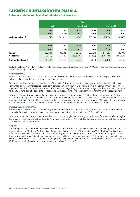# Faisnéis Chuntasaíochta Rialála

**Ráiteas Ioncaim le haghaidh Rannán Gnó Poist na Seirbhíse Uilechoitinne**

|                      |            |            | Post             |            |             |           |
|----------------------|------------|------------|------------------|------------|-------------|-----------|
|                      | OSU        |            | <b>Neamh-OSU</b> |            | Post Iomlán |           |
|                      | 2016       | 2015       | 2016             | 2015       | 2016        | 2015      |
|                      | '000       | '000       | '000             | '000       | '000        | '000      |
| Méideanna ('000)     | 331,759    | 349,492    | 235,347          | 230,763    | 567,106     | 580,255   |
|                      |            |            |                  |            |             |           |
|                      | 2016       | 2015       | 2016             | 2015       | 2016        | 2015      |
|                      | '000       | '000'      | '000             | '000       | '000        | '000      |
| loncam               | 328,383    | 336,821    | 218,599          | 203,218    | 546,982     | 540,039   |
| <b>Caiteachas</b>    | (369, 721) | (369, 112) | (209, 571)       | (196, 188) | (579, 292)  | (565,300) |
| Brabús/(Caillteanas) | (41, 338)  | (32, 291)  | 9,028            | 7,030      | (32, 310)   | (25,261)  |

Is sliocht as Ráitis Airgeadais Rialála 2016 iad na sonraí airgeadais thuasluaite, a d'iniúch KPMG. Tá cóipeanna de na cuntais seo ar fáil ar shuíomh gréasáin An Post.

### **Feidhmíocht OSU**

De réir na reachtaíochta poist, is é An Post an Soláthraí Náisiúnta Seirbhíse Uilechoitinne Poist. Is éard atá i gceist leis seo ná seirbhís poist a sholáthar gach lá oibre do gach teaghlach sa tír.

Tá costais shuntasacha i gceist le soláthar na hOibleagáide Seirbhíse Uilechoitinne, agus gné sheasta ag baint le go leor acu. Taifeadadh caillteanas Oibleagáide Seirbhíse Uilechoitinne €41.3m in 2016. Maoinítear é sin le hioncam ó shreafaí ioncaim eile. Ag eascairt as athruithe struchtúrtha ar an tionscal post, á spreagadh ag méideanna níos lú agus ríomh-ionadú den chuid is mó, tá laghdú ar mhéid an phoist agus tá caillteanas ag eascairt as soláthar na Seirbhíse Uilíche mar iarmhairt airgeadais air sin.

Tá struchtúir maoinithe éagsúla ag Rialtais Náisiúnta chun dul in oiriúint dó sin. Tá Cuideachta An Post ag obair le páirtithe leasmhara chun aghaidh a thabhairt ar riachtanais maoinithe mheántéarmacha na cuideachta a eascraíonn as a hoibleagáidí mar Sholáthraí Náisiúnta Seirbhíse Uilechoitinne Poist. Athraíodh an reachtaíocht i mí an Mhárta 2017, rud a d'fhág go raibh An Post in ann taraifí a athrú chun léiriú níos fearr a thabhairt ar an gcostas a bhaineann leis an OSU a sholáthar.

#### **Méideanna agus Ioncam OSU**

Díorthaítear méideanna amach, stampáilte agus de réir méadair, intíre agus idirnáisiúnta, as ioncam atá bunaithe ar Phlean Samplála. PricewaterhouseCoopers a dhear an plean seo faoi réir an chaighdeáin chuí (IS:EN 13850:2012).

Tá an t-ioncam ó phost in 2016 1.3% níos airde ná 2015, de bharr toghcháin in 2016 go príomha, arna fhritháireamh leis an laghú leanúnach ar mhéid an phoist thraidisiúnta. An laghdú sin a bhí ag An Post in 2016, is fianaise bhreise é ar an laghdú domhanda ar mhéid an phoist thraidisiúnta.

### **Praghas**

Ardaíodh praghsanna i réimse na Seirbhíse Uilechoitinne i mí Iúil 2016 ar aon dul leis an Meicníocht don Phraghasteorainn Uasta mar a shainítear in Alt 30 den Acht um Rialáil Cumarsáide (Seirbhísí Poist) 2011 agus i gCáipéis 14/59 de chuid ComReg. Bhog na harduithe a cuireadh i bhfeidhm an chéad phointe praghais ar an tseirbhís litreach intíre ó 70c go 72c, atá fós go maith faoi bhun mheán na hEorpa. Ardaíodh praghsanna freisin i mí Iúil 2016 i réimse na bpost nach n-áirítear faoi réimse na hoibleagáid seirbhíse uilechoitinne. Ar an 13 Aibreán 2017, bogadh an chéad phraghasphointe ar an tseirbhís litreacha intíre ó 72c go €1 chun léiriú níos fearr a thabhairt ar an gcostas a bhaineann leis an OSU a sholáthar.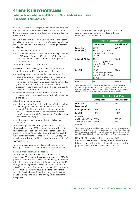# SEIRBHÍS UILECHOITEANN

### **Achtaíodh an tAcht um Rialáil Cumarsáide (Seirbhísí Poist), 2011 ('an tAcht') i mí Lúnasa 2011.**

### **Riachtanais maidirle hOibleagáid SeirbhíseUilechoitinne (OSU)**

Faoi Alt 17 den Acht, ainmnítear An Post mar an Soláthraí Seirbhíse Poist Uilechoitinne ar feadh tréimhse 12 bhliain go dtí Lúnasa 2023.

Faoi Alt 16 den Acht, ciallaíonn "Seirbhís Poist Uilechoiteann": gach lá oibre, seachas i cibé imthosca nó dálaí geografacha a mheasann an Coimisiún a bheith eisceachtúil, go ndéantar ar a laghad:

- (i) imréiteach amháin, agus
- (ii) seachadadh amháin ar bhaile nó ar áitreabh gach duine sa Stát nó, de réir mar is dóigh leis an gCoimisiún is cuí, faoi cibé coinníollacha a chinnfidh sé ó am go ham, ar shuiteálacha cuí

Soláthraítear na seirbhísí seo a leanas:

- (a) postphaicéid ar 2 chileagram nó níos lú a meáchan a imréiteach, a shórtáil, a iompar agus a dháileadh;
- (b)beartáin phoist ar theorainn mheáchain arna sonrú le hordú ó ComReg (nó mura bhfuil sin ann ar theorainn mheáchain 20 cileagram) a imréiteach, a shórtáil, a iompar agus a dháileadh. Tá cinneadh déanta ag ComReg gan a chumhacht a úsáid chun an teorainn de 20 cileagram ar uasmhéid meáchain a athrú ach coinneoidh sé seo faoi athbhreithniú;
- (c) beartáin ó Bhallstáit eile den Aontas Eorpach ar 20 cileagram nó níos lú a meáchan a shórtáil, a iompar agus a dháileadh;
- (d) seirbhís míreanna cláraithe;
- (e) seirbhís míreanna árachaithe laistigh den Stát agus chuig gach tír agus ó gach tír a dhearbhaíonn, mar thíortha a shínigh Coinbhinsiún Poist Uilechoiteann an Aontais Poist Uilechoitinn, go bhfuil siad toilteanach míreanna den sórt sin a cheadú, cibé acu ar bhonn cómhalartach nó in aon treo amháin, agus
- (f) seirbhísí poist saor in aisce do dhaoine dalla agus leathdhalla.

Mar a cheanglaítear le hAlt 16(9) den Acht, leag ComReg síos rialacháin i mí Iúil 2012 a shonraíonn na seirbhísí atá le soláthar ag An Post a bhaineann le soláthar na seirbhíse poist uilechoitinne. Tá na Rialacháin um Rialáil Cumarsáide (Seirbhísí Poist Uilechoiteanna), I.R. 280 de 2012, a leagann amach na seirbhísí seo, ar fáil ar www.irishstatutebook.ie nó www.comreg.ie.

Tá na téarmaí agus na coinníollacha a bhaineann leis an Oibleagáid Seirbhíse Uilechoitinne ar fáil ar www.anpost.ie.

### **Rochtain ar Sheirbhísí Uilechoiteanna**

Soláthraíonn An Post rochtain ar a chuid seirbhísí trí ghréasán de 50 oifig phoist na Cuideachta agus trí 1,075 oifig phoist ar conradh. Anuas air sin, tá ceadúnas ag 957 áitreabh miondíola chun stampaí poist a dhíol agus iad ag feidhmiú mar ghníomhairí gníomhacha ceadúnaithe. Chun rochtain fhisiciúil ar an tseirbhís a éascú, tá thart ar 5,700 bosca poist, Boscaí Poist Fhrainceáilte agus iad siúd atá sna hAonaid Seirbhíse Seachadta san áireamh, dáilte go leathan ar fud an Stáit. Tá 43 pointe ainmnithe ann a ghlacann le seirbhísí bulcphoist.

### **Táillí**

Tá achoimre anseo thíos ar phraghsanna na seirbhísí caighdeánacha a mheánn suas le 100g a tháinig i bhfeidhm ón 13 Aibreán 2017.

|                           | Éire & Tuaisceart Éireann                                          |                 |  |
|---------------------------|--------------------------------------------------------------------|-----------------|--|
|                           | Gnáthphost                                                         | Post Cláraithe* |  |
| Litreacha<br>(suas go C5) | €1.00<br>90ci gcás go bhfuil<br>stampán frainceála ar<br>an mír    | €7.00           |  |
| Clúdaigh Mhóra            | €1.65<br>€1.55 i gcás go bhfuil<br>stampán frainceála ar<br>an mír | €7.00           |  |
| Paicéid                   | €3.30<br>€3.10 i gcás go bhfuil<br>stampán frainceála ar<br>an mír | €7.00           |  |
| Beartáin                  | €8.00                                                              | €12.00          |  |

\* Clúdaíonn an táille atá iníoctha ar son clúdaigh bhunúsacha cláraithe cúiteamh suas go huasmhéid de €320. Tá cúiteamh breise (nach Seirbhís Uilechoiteann) suas le teorainn €1,500 ar fáil ar €4.50 agus suas le teorainn €2,000 ar €5.50, bunaithe ar an luach a luaitear ag am na postála.

|                                                                     | Cinn scríbe idirnáisiúnta |                  |  |
|---------------------------------------------------------------------|---------------------------|------------------|--|
|                                                                     | Gnáthphost                | Post Cláraithe*  |  |
| Litreacha<br>(suas go dtí C5)                                       | €1.35                     | €7.50            |  |
| Clúdaigh Mhóra                                                      | €2.50                     | €8.50            |  |
| Paicéid                                                             | €4.50                     | €10.75           |  |
| <b>Beartáin</b><br>An Bhreatain Mhór<br>An chuid eile den<br>domhan | €22.50<br>€28.00          | €30.00<br>€36.00 |  |

\* Braitheann soláthar na seirbhíse ar an roinn riaracháin poist sa spriocthír. Cúiteamh suas le €320 sa Ríocht Aontaithe; €150 san Eoraip; €100 le haghaidh beartán agus €35 le haghaidh litreacha lasmuigh den Eoraip. Tá liosta iomlán na dtáillí reatha OSU ar fáil sa Treoir do na Táillí Poist (féach www.anpost.ie).

Nóta: Rith Tithe an Oireachtais an tAcht um Rialáil Cumarsáide (Seirbhísí Poist) (Leasú), 2017 ar an 15 Márta 2017. Leis an reachtaíocht seo aisghairtear meicníocht na caidhpe praghais a leagadh amach faoi Alt 30 d'Acht 2011.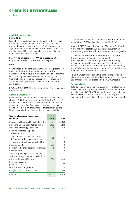# SEIRBHÍS UILECHOITEANN

(ar lean)

### **Caighdeán na Seirbhíse**

### **Idirnáisiúnta**

Leagadh síos an caighdeán d'fheidhmíocht ardchaighdeáin le haghaidh seachadadh poist trasteorann laistigh den Chomhphobal sna Treoracha Poist (97/67/EC arna leasú) agus áirítear é i Sceideal 3 den Acht. Is mar seo a leanas atá an caighdeán cáilíochta le haghaidh míreanna poist den earnáil chaighdeánach is tapúla:

### **L+3: 85% de mhíreanna; L+5: 97% de mhíreanna**, áit a dtagraíonn L don lá ar cuireadh an mhír sa phost .

### **Intíre**

Ceanglaítear leis an Acht go ndéanfaidh ComReg caighdeáin maidir le cáilíocht seirbhíse a shocrú don tseirbhís uilechoiteann intíre agus ní mór iad sin a bheith ar comhréir leo siúd le haghaidh seirbhísí trasteorann laistigh den Chomhphobal. Tá sprioc feabhas seirbhíse leagtha amach ag ComReg le haghaidh post tosaíochta aonair intíre mar seo a leanas:

**L+1: 94% D+3: 99.5%,** áit a dtagraíonn L don lá ar cuireadh an mhír sa phost.

### **Gearáin ó Chustaiméirí**

Ceanglaítear ar An Post taifead a choinneáil ar ghearáin ó chustaiméirí le haird ar an gcaighdeán ábhartha Eorpach IS: EN 14012:2003. Maidir le post, déanann an tábla miondealú ar na gearáin scríofa a fuarthas ó chustaiméirí i rith na bliana 2016. Is cuid an-bheag fós den trácht iomlán poist a láimhseáladh i rith na bliana an líon atá luaite sa tábla.

| Gearáin a fuarthas ó chustaiméirí                                               |        |        |
|---------------------------------------------------------------------------------|--------|--------|
| i scríbhinn                                                                     | 2016   | 2015   |
| Míreanna caillte nó a raibh moill mhór orthu                                    | 17,127 | 18,891 |
| Míreanna a ndearnadh dochar dóibh                                               | 1,390  | 1,441  |
| Míreanna a tháinig go déanach                                                   | 508    | 401    |
| Bailiú nó seachadadh poist:                                                     |        |        |
| Am seachadta                                                                    |        |        |
| Teip ó thaobh seachadadh laethúil a<br>dhéanamh ar theach nó ar áitreabh        | 36     | 33     |
| Teipeanna ó thaobh amanna bailithe                                              | 1      |        |
| Mísheachadadh                                                                   | 599    | 470    |
| Rochtain ar fhaisnéis seirbhísí custaiméara                                     | 8      | 8      |
| Gearríoc poist                                                                  | 15     | 40     |
| Táillí le haghaidh post píosa aonair/<br>scéimeanna agus coinníollacha lacáiste |        |        |
| Athrú ar sheoladh (Atreorú)                                                     | 584    | 464    |
| lompar agus cumas<br>pearsanra poist                                            | 22     | 21     |
| Mar a phléitear le gearáin                                                      | 1      | 8      |
| Eile (nach bhfuil áirithe thuas)                                                | 2,050  | 1,391  |
|                                                                                 |        |        |
| Iomlán                                                                          | 22,341 | 23,169 |

Tá gearáin faoi mhíreanna cláraithe san áireamh san fhigiúr iomlán thuas. 5,278 an líon atá i gceist (2015: 4,962).

Cuireadh 616,718 glao teileafóin (2015: 524,154) ar Sheirbhísí Custaiméirí An Post le linn 2016. Gnáthfhiosrúcháin nó fiosrúcháin ghinearálta a bhformhór acu seo seachas gearáin.

Tá Treoirlínte do Sholáthraithe Seirbhíse Poist ar Nósanna Imeachta maidir le Gearáin agus Cúiteamh eisithe ag ComReg (féach cáipéis ComReg 14/06 ar www.comreg. ie). Leagtar amach Nósanna Imeachta An Post maidir le Réiteach Gearán agus Díospóidí in 'Ag Réiteach na Faidhbe', atá ar fáil ar ár suíomh gréasáin, in asraonta miondíola agus ónár nIonad Seirbhísí do Chustaiméirí.

Tá Cairt Chustaiméirí againn freisin ina bhfuil gealltanais shonracha dár gcustaiméirí maidir lenár seirbhísí. Tá an chairt seo ar fáil ar ár suíomh gréasáin freisin, www.anpost.ie

### **Tuilleadh Eolais**

Is féidir eolas breise maidir leis na seirbhísí a sholáthraíonn An Post a fháil ach glaoch ar Sheirbhísí Custaiméirí An Post ar Ghlao Sábhála 1850 57 58 59, ríomhphost a sheoladh chuig customer.services@anpost.ie, dul ar an suíomh gréasáin www.anpost.ie, nó bualadh isteach chuig oifig phoist ar bith.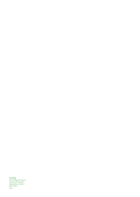**An Post** Ard‑Oifig an Phoist Sráid Uí Chonaill Baile Átha Cliath 1 D01 F5P2 Éire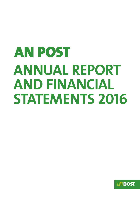# AN POST **ANNUAL REPORT AND FINANCIAL STATEMENTS 2016**

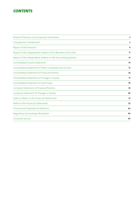### **CONTENTS**

| Board of Directors and Corporate Information                | $\mathbf{2}$ |
|-------------------------------------------------------------|--------------|
| Chairperson's Introduction                                  | 3            |
| Report of the Directors                                     | 4            |
| Report of the Independent Auditor to the Members of An Post | 11           |
| Report of the Independent Auditor on the Accounting Systems | 13           |
| <b>Consolidated Income Statement</b>                        | 14           |
| Consolidated Statement of Other Comprehensive Income        | 15           |
| <b>Consolidated Statement of Financial Position</b>         | 16           |
| Consolidated Statement of Changes In Equity                 | 17           |
| <b>Consolidated Statement of Cash Flows</b>                 | 18           |
| Company Statement of Financial Position                     | 19           |
| Company Statement of Changes in Equity                      | 20           |
| Index to Notes to the Financial Statements                  | 21           |
| Notes to the Financial Statements                           | 22           |
| <b>Financial and Operational Statistics</b>                 | 62           |
| Regulatory Accounting Information                           | 64           |
| <b>Universal Service</b>                                    | 65           |
|                                                             |              |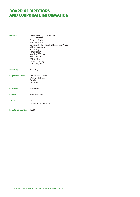### BOARD OF DIRECTORS AND CORPORATE INFORMATION

| <b>Directors</b>         | Dermot Divilly, Chairperson<br>Noel Adamson<br><b>Thomas Devlin</b><br>Jennifer Loftus<br>David McRedmond, Chief Executive Officer<br><b>William Mooney</b><br>Ed Murray<br>Tom O'Brien<br>Martina O'Connell<br>Niall Phelan<br>William Scally<br>Lorraine Tormey<br>James Wrynn |
|--------------------------|----------------------------------------------------------------------------------------------------------------------------------------------------------------------------------------------------------------------------------------------------------------------------------|
| <b>Secretary</b>         | <b>Brian Fay</b>                                                                                                                                                                                                                                                                 |
| <b>Registered Office</b> | <b>General Post Office</b><br>O'Connell Street<br>Dublin <sub>1</sub><br><b>D01F5P2</b>                                                                                                                                                                                          |
| <b>Solicitors</b>        | Matheson                                                                                                                                                                                                                                                                         |
| <b>Bankers</b>           | <b>Bank of Ireland</b>                                                                                                                                                                                                                                                           |
| <b>Auditor</b>           | <b>KPMG</b><br><b>Chartered Accountants</b>                                                                                                                                                                                                                                      |
| <b>Registered Number</b> | 98788                                                                                                                                                                                                                                                                            |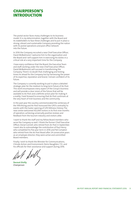### CHAIRPERSON'S INTRODUCTION

The postal sector faces many challenges to its business model. It is my determination, together with the Board and its stakeholders to face these challenges and to put in place a strong, vibrant and sustainable Company providing the nation with its postal operations and post office network into the future.

In 2016 the Company recruited a new Chief Executive Officer, David McRedmond. I welcome him to the organisation and the Board and I will support him in exercising his duties in a critical role at a very important time for the Company.

I have every confidence that the Board, the Executive Team and staff, working under the new Chief Executive Officer, David McRedmond, will succeed in transforming the Company. There's no doubt that challenging and testing times lie ahead for the Company but by harnessing the power of its expertise, reputation and brand, I remain confident of its future.

The Company is currently working to put in place a detailed strategic plan for the medium to long term future of An Post. This work encompasses every aspect of the Group's business and will provide a clear vision of the future that will be available to An Post and a definite action plan for making it a reality. I look forward to ensuring that An Post continues at the very heart of Irish business and the community.

In the past year the country commemorated the centenary of the 1916 Rising and An Post honoured the GPO's centrality to events with the Easter opening of GPO Witness History. The new centre welcomed 162,000 visitors in its first nine months of operation, achieving universally positive reviews and feedback from the tourism industry and visitors alike.

I want to thank the staff and my fellow Board members who serve the Company so well. I thank the former Chief Executive Officer, Donal Connell, who retired from An Post in September. I want also to acknowledge the contribution of Paul Henry who completed his five year term in 2016 and Pat Compton who retired from the An Post Board after 24 consecutive years as an employee director; they were active and committed Board members.

Finally, I wish to thank the Minister for Communications, Climate Action and Environment, Denis Naughten, T.D., and his officials for their assistance and support during 2016 .

**Dermot Divilly** Chairperson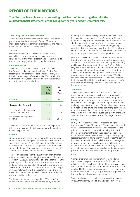# REPORT OF THE DIRECTORS

**The Directors have pleasure in presenting the Directors' Report together with the audited financial statements of the Group for the year ended 31 December 2016.**

### **1. The Group and its Principal Activities**

The Company's principal activity is to operate the national postal service and the network of Post Offices. It also manages a number of commercial enterprises and has an investment in Premier Lotteries Ireland.

### **2. Results**

Details of the results for the year are set out in the consolidated income statement on page 14 and in the related notes to the financial statements. The directors do not propose the payment of a dividend for the year.

### **3. Business Review**

The financial year 2016 is a reversal from 2015 with the Group recording an operating loss of €13.7m. Two factors primarily contributed to the reversal, firstly the introduction of wage inflation from 1st May 2016 for the first time in seven years and secondly from the continued decline in traditional mail volume.

|                                                         | 2016<br>€m<br><b>Total</b> | 2015<br>€m<br>Total |
|---------------------------------------------------------|----------------------------|---------------------|
| Revenue                                                 | 8257                       | 826.1               |
| Operating (loss) / profit                               | (13.7)                     | 5.2                 |
| (Loss) / profit before pension<br>interest and taxation | (12.0)                     | 8.6                 |
| Net assets (before pension<br>liability)                | 187.1                      | 204.3               |

The financial year 2016 ended with a loss before pension interest and taxation of €12.0m compared with a profit of €8.6m the previous year.

#### **Revenue**

Group revenue at €825.7m was on par with the prior year. Mails revenue, excluding election/referenda revenue, in 2016 was €512.6m, being €11.2m (2.1%) lower than 2015. The mix in the revenue continues to change with traditional mail volume declining, offset by modest price increases and the addition of increased added value mail services.

There is an acceleration in the substitution of traditional mail volume with the use of digital alternatives. The rate of decline at 5.2% (2015, 2.9%) was double the experience in the previous year. Global trends in the postal sector are similar in developed countries and in 2016 most countries saw an acceleration of this trend. It represents a structural change in the postal industry with e-substitution being the main driver. The trends in Ireland reflect the trends experienced elsewhere in the postal sector.

The impact of increased pricing added €8.5m (1.6%) to revenue in 2016 versus 2015. The pricing policy in Ireland whereby prices have been kept lower than in peer nations has negatively impacted the Group's finances. Other nations have increased prices at a more rapid rate in order to secure stable financial delivery of postal services for customers. This is now changing and, as in other nations, pricing adjustments are being made in anticipation of reducing mail volume so that a stable financial environment can prevail to facilitate the postal operator delivering mail services.

Revenue in the Retail division at €161.8m, is €2.5m lower than the previous year. Increased revenue from areas such as foreign currency transactions at €8.3m (up 7.0% on 2015) and banking transactions at €10.0m (up 4.6% on 2015) is very welcome and demonstrates the potential that there is in the network to offer relevant financial service offerings. An Post continued the management of the State Savings products, now with a combined value of over €20 billion, the cash payments business for the Department of Social Protection and in addition is further developing successful relationships with companies across the banking and insurance sectors.

## **Subsidiaries**

The revenue of subsidiary companies was €122.3m. The profit margins improved across these businesses with the resultant increased contribution to the Group. These businesses are closely related to the core business. Each subsidiary is in a strong position in their particular market and they maximise the benefit of their linkage with the An Post network and brand. The continued strong performance of Air Business in the UK, Post Insurance (rebranded from One Direct), PostPoint and the sustained growth of the Gift Voucher Shop are positive indicators for the year ahead.

#### **Pricing**

In July 2016, prices in the mail services including those in the Universal Service Obligation (USO) area were increased by 3%. The increases implemented were modest with the price of the domestic letter service moving from 70c to 72c. In comparative terms this left the price of mail services in Ireland well below the European average. The ongoing losses incurred in fulfilling the Universal Service Obligation has been discussed with key stakeholders, and the regime in respect of pricing is now changed and will facilitate increases that are more in line with the industry in other peer nations. This is a welcome development and increased prices for mail services were introduced in April 2017.

## **Costs**

Change programme implementation continued over the course of the year. There are plans for further cost efficiencies. The reduction in labour FTE in the business since the commencement of decline in mail volumes in 2008 has reached 1,800. Efficiency improvements year on year have been achieved whilst the Quality of Service is improved and the number of delivery points increased.

Wage inflation returned to the business with an increase of 2.5% from 1st May 2016 following a period of seven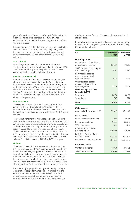years of a pay freeze. The return of wage inflation without a corresponding revenue measure to fund this has contributed to the loss for the year as against the profit in the previous year.

In some non-pay cost headings, such as fuel and electricity, there are initiatives in usage and efficiency that yielded increased savings. At the same time further cost savings in professional services and computer services were also achieved.

#### **Asset Disposal**

Since the year end, a significant property disposal of a facility at Cardiff Lane in Dublin took place in February 2017. A replacement facility has been provided so that the city centre mail will be serviced with no disruption.

#### **Premier Lotteries Ireland**

Premier Lotteries Ireland whose investors are An Post, the Ontario Teachers' Pension Plan and the An Post Pension Plan won the Licence to operate the National Lottery for a period of twenty years. The new operation commenced in December 2014 and has now completed two full years of trading. The investment is meeting the targets set and we expect the investment will prove to be of benefit to the Group in the years ahead.

## **Pension Scheme**

The Scheme continues to meet the obligations in the context of the Minimum Funding Standard set by the Pension Authority. The Scheme rules have been changed in line with agreements entered into with the An Post Group of Unions.

The An Post statement of financial position at 31 December 2016 includes a pension deficit of €283.4m (€169.2m in 2015). Assumptions used in the calculation of pension cost charges and the future pension obligations are primarily a discount rate of 1.8% and long run pay/pension inflation of 1.25%. The increase in the deficit arose due to the reduction in the discount rate used to measure the pension liability offset by the return on scheme assets in the calendar year 2016. The schemes' assets increased by €225.4m, 8.2% in the year.

#### **Outlook**

The financial result in 2016, namely a loss before pension interest and taxation of €12.0m compared with a profit of €8.6m in 2015 is very disappointing. There is an imperative to implement changes in pricing, establish a new strategic direction and to implement rationalisation. All of this will be addressed and the challenge is to ensure that there are the cash resources available to the Group to provide a solid starting position for the future of the national postal service.

Implementing appropriate pricing, maintaining the high quality of service performance and cost efficiency in the core business, combined with the successful addition of new revenue generating products and services are vital for the business in the medium term. Establishing a funding structure for the USO needs to be addressed with stakeholders.

In monitoring performance, the directors and management have regard to a range of key performance indicators (KPIs), including the following:

| KPI                                                                  | Performance<br>in 2016 | Performance<br>in 2015 |
|----------------------------------------------------------------------|------------------------|------------------------|
| <b>Operating result</b>                                              |                        |                        |
| Operating (loss) / profit as a<br>percentage of revenue              | (1.66%)                | 0.62%                  |
| Staff costs as a percentage of<br>total operating costs              | 58.2%                  | 58.3%                  |
| Postmasters' costs as<br>a percentage of total<br>operating costs    | 8.7%                   | 9.1%                   |
| Other operating costs<br>as a percentage of total<br>operating costs | 33.1%                  | 32.6%                  |
| <b>Staff - Average Full Time</b><br><b>Equivalents (FTE)</b>         |                        |                        |
| Company                                                              | 9,190                  | 9,109                  |
| Subsidiaries                                                         | 738                    | 753                    |
| Group                                                                | 9,928                  | 9,862                  |
| <b>Mails business</b>                                                |                        |                        |
| Core mail volumes: (page 63)                                         | (5.20%)                | (2.92%)                |
| <b>Retail business</b>                                               |                        |                        |
| Social welfare transactions                                          | 35.6m                  | 38.1m                  |
| <b>BillPay transactions</b>                                          | 19.8m                  | 22.9m                  |
| TV licence sales                                                     | 1.4 <sub>m</sub>       | 1.4m                   |
| Investment products-<br>net fund inflow                              | €97.4m                 | €0.7m                  |
| Post Office Savings Bank-<br>net fund inflow                         | €157.1m                | €93.7m                 |
| Prize Bonds - net fund inflow                                        | €413.3m                | €304.6m                |
| <b>Customer Service</b>                                              |                        |                        |
| Written complaints                                                   | 22,341                 | 23,169                 |
| Telephone enquiries                                                  | 616,718                | 524,154                |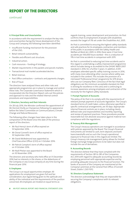# REPORT OF THE DIRECTORS

# continued

### **4. Principal Risks and Uncertainties**

In accordance with the requirement to analyse the key risks and uncertainties facing the future development of the Group and Company, the following have been identified:

- **•**  Insufficient funding mechanism for the provision of the USO;
- **•**  Retail network sustainability;
- **•**  Flexible and efficient cost structure;
- **•**  Industrial action;
- **•**  Cash resources funding of strategy;
- **•**  Market requirements in the packets and parcels markets;
- **Transactional mail market accelerated decline:**
- **•**  Retail revenue;
- Post Office contractors contracts and payments charges;
- **•**  Risk of fraud.

The directors have analysed these and other risks and appropriate programmes are in place to manage and control these risks. The Corporate Governance Statement which is incorporated into the Directors' Report, sets out the policies and approach to risks and the related internal control procedures and responsibilities.

#### **5. Directors, Secretary and their Interests**

On 28 July 2016, the Minister confirmed the appointment of Mr Dermot Divilly as Chairperson following his appearance before the Select Committee on Communications, Climate Change and Natural Resources.

The following other changes have taken place in the composition of the Board since the date of the previous report of the directors:

- **•**  Mr Paul Henry's term of office expired on 14 September 2016.
- **Mr Donal Connell's term of office expired on** 30 September 2016.
- **•**  Mr David McRedmond was appointed as Chief Executive Officer (CEO) on 3 October 2016.
- **•**  Mr Patrick Compton's term of office expired on 31 October 2016.
- **•**  Mr Niall Phelan was appointed to the Board on 30 November 2016.

The directors and secretary who held office at 31 December 2016 had no interests in the shares, or the debentures of the Company or any Group company at any time during the financial year 2016.

## **6. Employees**

The Group is an equal opportunities employer. All applications for employment are given full and fair consideration, due regard being given to the aptitude and ability of the individual and the requirements of the position concerned. All employees are treated on equal terms as

regards training, career development and promotion. An Post confirms that its employment of people with disabilities exceeds the target of 3% set under the Disabilities Act, 2005.

An Post is committed to ensuring the highest safety standards and safe practices for its employees, contractors and members of the public in accordance with the Safety, Health and Welfare at Work Act, 2005. In 2016, there were 2.1 lost time accidents per 100,000 hours worked – this is a reduction of 11% in lost time accidents in comparison with 2015.

An Post is committed to reducing lost time accidents and in this regard is undertaking a safety improvement programme which includes being re-accredited to the OHSAS 18001:2007 standard in 2016, for a further 3 years. In addition, 4,505 employees attended specific safety training courses in 2016, with many more attending other courses where safety was included in the content. This includes the provision of a risk-based 'Professional Driver' programme for 679 drivers who use our Company fleet. Conscious of the fact that legal obligations are the minimum acceptable standard, An Post is striving for excellence in this area and is continuing to increase awareness among employees and contractors of the necessity for the highest safety standards.

### **7. Prompt Payment of Accounts**

The policy of An Post is to comply with the requirements of relevant prompt payment of accounts legislation. The Group's standard terms of credit taken, unless otherwise specified in specific contractual arrangements, are 30 days. Appropriate internal financial controls are in place, including clearly defined roles and responsibilities and monthly reporting and review of payment practices. These procedures provide reasonable but not absolute assurance against material noncompliance with the regulations.

#### **8. Treasury Risk Management**

The Group's treasury operations are managed in accordance with policies approved by the Board. The Group's financial instruments are limited to cash, term deposits and bank loans/overdrafts and as such the Group's operational exposure to financial risks in this regard are limited. The Group's treasury risk management policy allows for limited foreign exchange hedge positions to be taken but does not include the use of derivatives.

## **9. Accounting Records**

The directors believe that they have complied with the requirements of Section 281 to 285 of the Companies Act, 2014 with regard to adequate accounting records by employing personnel with appropriate expertise and by providing adequate resources to the financial function. The books of account of the Company are maintained at the Company's premises at the General Post Office, O'Connell Street, Dublin 1, D01 F5P2.

### **10. Directors Compliance Statement**

The directors acknowledge that they are responsible for securing the Company's compliance with its relevant obligations.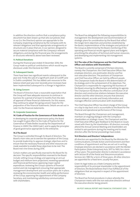In addition the directors confirm that a compliance policy document has been drawn up that sets out policies, that in our (i.e. the Directors) opinion are appropriate to the Company, respecting compliance by the Company with its relevant obligations and that appropriate arrangements or structures are in place that are, in our opinion, designed to secure material compliance with the Company's relevant obligations, and during the financial year, the arrangements or structures referred to above have been reviewed.

### **11. Political Donations**

During the financial year ended 31 December 2016, the Group made no political contributions which would require disclosure under the Electoral Act 1997.

### **12. Subsequent Events**

There have been two significant events subsequent to the year end. Firstly the sale of a significant asset at Cardiff Lane in Dublin completed. This has added cash resources to the balance sheet post year end. Secondly price increases have been implemented subsequent to a change in legislation.

### **13. Going Concern**

The Board of Directors have a reasonable expectation that the Group will have adequate resources to continue in business for a period of at least 12 months from the date of approval of these financial statements. For this reason, they continue to adopt the 'going concern' basis for the preparation of the financial statements. Details are set out in note 1 to the financial statements.

#### **14. Corporate Governance**

## **14.1 Code of Practice for the Governance of State Bodies**

In developing its corporate governance policy, the Board has sought to give effect to the Code of Practice for the Governance of State Bodies issued by the Department of Finance in 2009 ('the 2009 Code'), and to apply the principles of good governance appropriate to the enterprise.

#### **14.2 The Board**

The Group is controlled through its Board of directors. The Board's main roles are to oversee the operation of the Group, to provide leadership, to approve strategic objectives and to ensure that the necessary financial and other resources are made available to enable those objectives to be met. The Board met nine times during 2016.

Certain matters are specifically reserved to the Board for its decision. The specific responsibilities reserved to the Board include: setting Group strategy and approving an annual budget and medium-term projections; reviewing operational and financial performance; approving major capital expenditure; reviewing the Group's systems of financial control and risk management; ensuring that appropriate management development and succession plans are in place; reviewing the environmental, health and safety performance of the Group; approving the appointment of the Company Secretary; and maintaining satisfactory communication with shareholders.

The Board has delegated the following responsibilities to management: the development and recommendation of strategic plans for consideration by the Board that reflect the longer-term objectives and priorities established by the Board; implementation of the strategies and policies of the Group as determined by the Board; monitoring of the operating and financial results against plans and budgets; prioritising the allocation of technical and human resources; and developing and implementing risk management systems.

### **14.3 The roles of the Chairperson and the Chief Executive Officer and relations with Shareholders**

The Board is currently comprised of thirteen directors, namely: the Chairperson, the Chief Executive Officer, five employee directors, one postmaster director and five non-executive directors. The positions of Chairperson and Chief Executive Officer are held by different people. The Chairperson leads the Board in the determination of its strategy and in the achievement of its objectives. The Chairperson is responsible for organising the business of the Board, ensuring its effectiveness and setting its agenda. The Chairperson facilitates the effective contribution of all directors and constructive relations between the executive director and the other directors, ensures that directors receive relevant, accurate and timely information and manages effective communication with shareholders.

The Chief Executive Officer has direct charge of the Group on a day to day basis and is accountable to the Board for the financial and operational performance of the Group.

The Board through the Chairperson and management, maintain an ongoing dialogue with the Company's shareholders on strategic issues. The Chairperson and the Chief Executive Officer give feedback to the Board on issues raised with them by the shareholders. All directors normally attend the Annual General Meeting and shareholders are invited to ask questions during the meeting and to meet directors after the formal proceedings have ended.

## **14.4 Directors and Directors' independence**

All directors are appointed to the Board by the Minister for Communications, Climate Action and Environment and their conditions of appointment and fees are set out in writing. Employee directors are elected in accordance with the Worker Participation (State Enterprises) Acts, 1977 to 1993, for a term of four years. The postmaster director is elected in accordance with Section 81 of the Postal and Telecommunications Services Act, 1983 for a term of three years. All other directors are appointed for a fixed term, usually five years.

Given its legal status as a State Company and the responsibility of its principal shareholder in the appointment of directors, the Board believes that it has fulfilled all of the obligations that are required in respect of the appointment of directors.

The Board has formal procedures in place whereby the Chairperson meets with the non-executive directors without the executive director being present.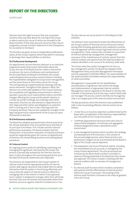# REPORT OF THE DIRECTORS

# continued

Directors have the right to ensure that any unresolved concerns they may have about the running of the Group or about a particular course of action are recorded in the Board minutes. If they have any such concerns, they may, on resignation, provide a written statement to the Chairperson, for circulation to the Board.

The directors are given access to independent professional advice at the Group's expense where they deem it necessary to discharge their responsibilities as directors.

#### **14.5 Professional development**

On appointment, all new directors take part in an induction programme when they receive information about the Group, the role of the Board and the matters reserved for its decision, the terms of reference and membership of the principal Board and Board Committees, the Group's corporate governance practices and procedures, including the responsibilities delegated to Group senior management, and the latest financial information about the Group. This will typically be supplemented by meetings with key senior executives. Throughout their period in office, the directors are continually updated on the Group's business, the competitive and regulatory environments in which it operates, corporate social responsibility matters and other changes affecting the Group and the postal industry as a whole, by written briefings and meetings with senior executives. Directors are also advised on appointment of their legal and other duties and obligations as a director, both in writing and in face-to-face meetings with the Company Secretary. They are also updated on changes to the legal and governance requirements of the Group and upon themselves as directors.

#### **14.6 Performance evaluation**

The Board has adopted and performed a formal process for the annual evaluation of its own performance and that of its principal Committees. This includes periodic external performance evaluation. The Board considers that the introduction of any further evaluation of individual directors would be inappropriate given the manner of appointment of directors, the shareholding structure and existing Board procedures.

#### **14.7 Internal Control**

An ongoing process exists for identifying, evaluating and managing the significant risks faced by the Group. This process is periodically reviewed by the directors and has been in place throughout the accounting period and up to the date the financial statements were approved.

The directors are responsible for the Group's system of internal control and set appropriate policies on internal control, seek regular assurance that enable them to satisfy themselves that the system is functioning effectively and ensure that the system of internal control is effective in managing risks in the manner in which it has approved. Such a system is designed to manage rather than eliminate business risks, and can provide only reasonable rather than absolute assurance against material misstatement or loss.

The key risks are set out at Section 4 of the Report of the Directors.

The directors have continued to review the effectiveness of the Group's system of financial and non-financial controls during 2016 including operational and compliance controls, risk management and the Group's high level internal control arrangements. These reviews have included an assessment of internal controls by management, management assurance of the maintenance of controls, reports from the internal auditors and reports from the external auditor on matters identified in the course of its statutory audit work.

The Group views the careful management of risk as a key management activity. The Board has adopted a Risk Management Policy and a Risk Management Framework and has appointed a Chief Risk Officer. The responsibilities of the Audit and Risk Committee embrace the responsibilities of a Risk Committee.

Management is responsible for the identification and evaluation of significant risks and for the design and implementation of appropriate internal controls. Management reports regularly to the Board on the key risks inherent in the business and on the way in which these risks are managed. The process used to identify and manage key risks is an integral part of the internal control environment.

The key procedures which the directors have established with a view to providing effective internal control are as follows:

- **•**  A clear focus on business objectives as determined by the Board after consideration of the statutory responsibilities and risk profile of the Group's businesses.
- **•**  A defined organisational structure with clear lines of responsibility, delegation of authority and segregation of duties designed to foster a beneficial control environment.
- **•**  A risk management process which considers the strategy and development of the business in the context of the annual budget process, when financial plans and performance targets are set and reviewed by the Board in light of the Group's overall objectives.
- The preparation and issue of financial reports, including the consolidated annual accounts, is managed by the Group Finance department. The annual accounts are reviewed by the Board Audit and Risk Committee in advance of being presented to the Board for their review and approval. This review includes a meeting with the external auditors with no member of management present.
- An internal audit function which monitors compliance with policies and the effectiveness of internal control within the Group's businesses. The working of the internal audit function is focused on the areas of greatest risk to the Group.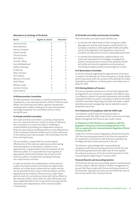#### **Attendance at meetings of the Board**

| Name                 | Eligible to attend | Attended |
|----------------------|--------------------|----------|
| Dermot Divilly       | 9                  | 9        |
| Noel Adamson         | 9                  | 9        |
| Patrick Compton      | 8                  | 7        |
| Donal Connell        | 7                  | 7        |
| <b>Thomas Devlin</b> | 9                  | 9        |
| Paul Henry           | 6                  | 4        |
| Jennifer Loftus      | 9                  | 9        |
| David McRedmond      | $\overline{2}$     | 2        |
| William Mooney       | 9                  | 9        |
| Ed Murray            | 9                  | 9        |
| Peter Ormond         |                    |          |
| Tom O'Brien          | 9                  |          |
| Martina O'Connell    | 9                  | 9        |
| Niall Phelan         |                    |          |
| William Scally       | 9                  | 9        |
| Lorraine Tormey      | 9                  | 9        |
| James Wrynn          |                    | 5        |

#### **14.8 Remuneration Committee**

The Remuneration Committee is currently comprised of the Chairperson, a non-executive director and the Chief Executive Officer. The Chief Executive Officer absents himself from meetings when matters relating to his own remuneration are being considered. The Committee met four times during the year.

# **14.9 Audit and Risk Committee**

The Audit and Risk Committee is currently comprised of four non-executive directors. Under its terms of reference, the Committee is to assist the Board in fulfilling its responsibilities by providing an independent review of financial reporting, by satisfying itself as to the effectiveness of the Company's internal controls and as to the sufficiency of the external and internal audits. The Committee met five times during the year.

The Committee is responsible for monitoring the effectiveness of the external audit process and making recommendations to the Board in relation to the appointment, re-appointment and remuneration of the external auditor. It is responsible for ensuring that an appropriate relationship between the Group and the external auditor is maintained, including reviewing non-audit services and fees.

In order to maintain the independence of the external auditor, the Audit and Risk Committee has determined policies as to what audit related and non-audit services can be provided by the Group's external auditors and the approval process related to these services. Under these policies, work of a consultancy nature will not be offered to the external auditor unless there are clear efficiencies and value-added benefits to the Group while ensuring that the objectivity and independence of the external auditor is maintained.

#### **14.10 Health and Safety and Security Committee**

The Committee's principal responsibilities are:

- **•**  to monitor the effectiveness of the Company's Safety Management and Security Systems, satisfy itself as to Company compliance with applicable health and safety and security legislation and regulations, and ensure incidents are reduced to as low as reasonably practicable.
- **•**  to monitor the development, implementation and continual improvement of strategies, management systems and processes to ensure that adequate health and safety and security regulations and procedures (including emergency response planning) are in place.

#### **14.11 Nomination Committee**

As all the authority regarding the appointment of directors is vested in the Minister for Communications, Climate Action and Environment, with the consent of the Minister for Public Expenditure and Reform, no Nomination Committee was in place for 2016.

#### **14.12 Raising Matters of Concern**

The Group operates procedures to ensure that appropriate arrangements are in place for employees to be able to raise, in confidence, matters of possible impropriety, with suitable subsequent follow-up action including a review by the Audit and Risk Committee. Reporting channels have been created whereby perceived wrongdoing may be reported via post, telephone and email.

#### **14.13 Statement of Compliance with the 2009 Code**

The directors confirm that the Group has been in compliance with the 2009 Code for the Governance of State Bodies throughout the financial year under review.

#### **15. Statement of the Directors on compliance with the Regulator's Direction on the Accounting Systems of An Post as required by the Communications Regulation (Postal Services) Act 2011**

Under the Communications Regulation (Postal Services) Act 2011, the accounting procedures of An Post are required to be conducted in accordance with directions laid down by ComReg and with certain provisions in the Act.

The directors acknowledge their responsibility for compliance with the accounting provisions of the Act and the following statement describes how An Post applied the relevant provisions of the Act and the Direction for the accounting year beginning on 1 January 2016.

#### **Financial Records and Accounting Systems**

The financial records and accounting systems maintained by An Post contain sufficient detail to enable management to ensure that they comply with the accounting provisions of the Direction. Separate accounts are maintained for each of the services within the Universal Service.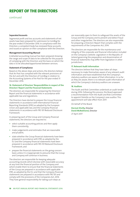# REPORT OF THE DIRECTORS

continued

### **Separated Accounts**

Segmental profit and loss accounts and statements of net assets have been prepared for submission to ComReg for the year ended 31 December 2016. In compliance with the Direction, a competent body has reviewed these accounts and issued an opinion on their compliance with the Direction.

# **Management Accounting Manual**

A detailed accounting manual has been prepared showing the range and scope of data to be collected for the purpose of complying with the Direction and the basis on which the data is to be allocated/apportioned between services.

## **Statement of Compliance**

Based on the above steps and actions, the directors believe that An Post has complied with the relevant provisions of the Act and with the Direction of ComReg in relation to the Accounting Systems of An Post for the year ended 31 December 2016.

### **16. Statement of Directors' Responsibilities in respect of the Directors' Report and the Financial Statements**

The directors are responsible for preparing the Directors' Report and the financial statements in accordance with applicable law and regulations.

The Directors have elected to prepare the Group financial statements in accordance with International Financial Reporting Standards (IFRS) as adopted by the European Union and applicable law, and the Company financial statements in accordance with FRS 101 Reduced Disclosure Framework.

In preparing each of the Group and Company financial statements, the directors are required to:

- **•**  select suitable accounting policies and then apply them consistently;
- **•**  make judgements and estimates that are reasonable and prudent;
- state whether the Group financial statements have been prepared in accordance with IFRS as adopted by the EU and the Company financial statements have been prepared in accordance with FRS 101 Reduced Disclosure Framework; and
- **•**  prepare the financial statements on the going concern basis unless it is inappropriate to presume that the Group and Company will continue in business.

The directors are responsible for keeping adequate accounting records which disclose with reasonable accuracy at any time the financial position of the Company and which enable them to ensure that the financial statements of the Group are prepared in accordance with applicable IFRS, as adopted by the EU, and that the Company financial statements are prepared in accordance with FRS 101 and comply with the provisions of the Companies Act, 2014. They have general responsibility for taking such steps as

are reasonably open to them to safeguard the assets of the Group and the Company and to prevent and detect fraud and other irregularities. The directors are also responsible for preparing a Directors' Report that complies with the requirements of the Companies Act, 2014.

The directors are responsible for the maintenance and integrity of the corporate and financial information included on the Company's website. Legislation in the Republic of Ireland governing the preparation and dissemination of financial statements may differ from legislation in other jurisdictions.

## **17. Relevant Audit Information**

The directors believe that they have taken all steps necessary to make themselves aware of any relevant audit information and have established that the Company's statutory auditors are aware of that information. In so far as they are aware, there is no relevant audit information of which the Company's statutory auditors are unaware.

## **18. Auditors**

The Audit and Risk Committee undertook an audit tender during 2016. Following this process, the Board approved a recommendation from the Audit and Risk Committee to appoint Deloitte as the Company's new auditor. This appointment will take effect from 2017.

On behalf of the Board

# **Dermot Divilly,** Director **David McRedmond,** Director

27 April 2017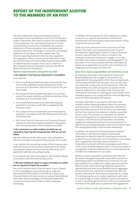# REPORT OF THE INDEPENDENT AUDITOR TO THE MEMBERS OF AN POST

We have audited the Group and Company financial statements (''financial statements'') of An Post for the year ended 31 December 2016 which comprise the consolidated income statement, the consolidated statement of other comprehensive income, the consolidated and company statements of financial position, the consolidated and company statements of changes in equity, the consolidated statement of cash flows, and the related notes. The financial reporting framework that has been applied in the preparation of the Group financial statements is Irish law and International Financial Reporting Standards (IFRS) as adopted by the European Union, and, in respect of the Company financial statements, Irish law and FRS 101 Reduced Disclosure Framework.

#### **Opinions and conclusions arising from our audit**

#### **1. Our opinion on the financial statements is unmodified**

In our opinion:

- the Group financial statements give a true and fair view of the assets, liabilities and financial position of the Group as at 31 December 2016 and of its loss for the year then ended;
- the Company financial statements give a true and fair view of the assets, liabilities and financial position of the Company as at 31 December 2016;
- the Group financial statements have been properly prepared in accordance with IFRS as adopted by the European Union;
- the Company financial statements have been properly prepared in accordance with FRS 101 Reduced Disclosure Framework; and
- **•**  the Group financial statements and Company financial statements have been properly prepared in accordance with the requirements of the Companies Act, 2014.

#### **2. Our conclusions on other matters on which we are required to report by the Companies Act, 2014 are set out below**

We have obtained all the information and explanations which we consider necessary for the purposes of our audit.

In our opinion the accounting records of the Company were sufficient to permit the financial statements to be readily and properly audited and the financial statements are in agreement with the accounting records.

In our opinion the information given in the Directors' Report is consistent with the financial statements.

### **3. We have nothing to report in respect of matters on which we are required to report by exception**

ISAs (UK & Ireland) require that we report to you if, based on the knowledge we acquired during our audit, we have identified information in the Directors' Report and Financial Statements that contains a material inconsistency with either that knowledge or the financial statements, a material misstatement of fact, or that is otherwise misleading.

In addition, the Companies Act, 2014 requires us to report to you if, in our opinion, the disclosures of directors' remuneration and transactions required by sections 305 to 312 of the Act are not made.

Under the Code of Practice for the Governance of State Bodies ("the code") we are required to report to you if the statement regarding the system of internal financial controls, required under the code as included in the Corporate Governance Statement on pages 7 to 9, does not reflect the Group's compliance with paragraph 13.1 of the code or if it is not consistent with the information of which we are aware from our audit work or the financial statements and we report if it does not.

#### **Basis of our report,responsibilities and restrictions on use**

As explained more fully in the Statement of Directors' Responsibilities set out on page 10, the directors are responsible for the preparation of the financial statements and for being satisfied that they give a true and fair view and otherwise comply with the Companies Act, 2014. Our responsibility is to audit and express an opinion on the financial statements in accordance with Irish law and International Standards on Auditing (UK and Ireland). Those standards require us to comply with the Financial Reporting Council's Ethical Standards for Auditors.

An audit undertaken in accordance with ISAs (UK & Ireland) involves obtaining evidence about the amounts and disclosures in the financial statements sufficient to give reasonable assurance that the financial statements are free from material misstatement, whether caused by fraud or error. This includes an assessment of: whether the accounting policies are appropriate to the Group and Company's circumstances and have been consistently applied and adequately disclosed; the reasonableness of significant accounting estimates made by the directors; and the overall presentation of the financial statements.

In addition, we read all the financial and non-financial information in the Directors' Report and Financial Statements to identify material inconsistencies with the audited financial statements and to identify any information that is apparently materially incorrect based on, or materially inconsistent with, the knowledge acquired by us in the course of performing the audit. If we become aware of any apparent material misstatements or inconsistencies we consider the implications for our report.

Whilst an audit conducted in accordance with ISAs (UK & Ireland) is designed to provide reasonable assurance of identifying material misstatements or omissions it is not guaranteed to do so. Rather the auditor plans the audit to determine the extent of testing needed to reduce to an appropriately low level the probability that the aggregate of uncorrected and undetected misstatements does not exceed materiality for the financial statements as a whole. This testing requires us to conduct significant audit work on a broad range of assets, liabilities, income and expense as well as devoting significant time of the most experienced members of the audit team, in particular the engagement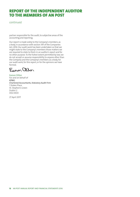# REPORT OF THE INDEPENDENT AUDITOR TO THE MEMBERS OF AN POST

# continued

partner responsible for the audit, to subjective areas of the accounting and reporting.

Our report is made solely to the Company's members, as a body, in accordance with section 391 of the Companies Act, 2014. Our audit work has been undertaken so that we might state to the Company's members those matters we are required to state to them in an auditor's report and for no other purpose. To the fullest extent permitted by law, we do not accept or assume responsibility to anyone other than the Company and the Company's members as a body, for our audit work, for this report, or for the opinions we have formed.

Egnon allon

Eamon Dillon For and on behalf of KPMG Chartered Accountants, Statutory Audit Firm 1 Stokes Place St. Stephen's Green Dublin 2 D02 DE03

27 April 2017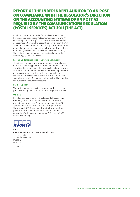# REPORT OF THE INDEPENDENT AUDITOR TO AN POST ON COMPLIANCE WITH THE REGULATOR'S DIRECTION ON THE ACCOUNTING SYSTEMS OF AN POST AS REQUIRED BY THE COMMUNICATIONS REGULATION (POSTAL SERVICES) ACT 2011 (THE ACT)

In addition to our audit of the financial statements, we have reviewed the directors' statement on pages 9 and 10 concerning the Company's compliance, for the year ended 31 December 2016, with the accounting provisions of the Act and with the direction to An Post setting out the Regulator's detailed requirements in relation to the accounting systems of An Post (the Direction), issued on 8 December 2006 by the postal services regulator, ComReg, in relation to the accounting systems of An Post.

### **Respective Responsibilities of Directors and Auditor**

The directors prepare an annual statement of compliance with the accounting provisions of the Act and the Direction for which they are responsible. The objective of our review is to draw attention to non-compliance with the requirements of the accounting provisions of the Act and with the Direction. Our review does not constitute an audit of the separated accounts. A separate audit report will be issued on the audit of the regulatory accounts.

#### **Basis of Opinion**

We carried out our review in accordance with the general principles and guidance of the Financial Reporting Council.

#### **Opinion**

Based on enquiry of certain directors and officers of the Company and examination of relevant documents, in our opinion, the directors' statement on pages 9 and 10 appropriately reflects the Company's compliance, for the year ended 31 December 2016, with the accounting provisions of the Act and with the Direction on the Accounting Systems of An Post, dated 8 December 2006 issued by ComReg.



KPMG Chartered Accountants, Statutory Audit Firm 1 Stokes Place St. Stephen's Green Dublin 2 D02 DE03

27 April 2017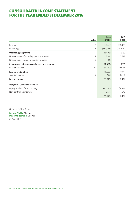# CONSOLIDATED INCOME STATEMENT FOR THE YEAR ENDED 31 DECEMBER 2016

|                                                    | 2016       | 2015       |
|----------------------------------------------------|------------|------------|
| <b>Notes</b>                                       | €'000      | €'000      |
| $\overline{2}$<br>Revenue                          | 825,652    | 826,069    |
| 3<br>Operating costs                               | (839, 348) | (820, 907) |
| <b>Operating (loss)/profit</b>                     | (13,696)   | 5,162      |
| Finance income (excluding pension interest)<br>4   | 2,162      | 3,849      |
| Finance costs (excluding pension interest)<br>5    | (494)      | (454)      |
| (Loss)/profit before pension interest and taxation | (12, 028)  | 8,557      |
| Pension interest<br>20                             | (3,630)    | (9,630)    |
| Loss before taxation                               | (15, 658)  | (1,073)    |
| 7<br>Taxation charge                               | (992)      | (1, 348)   |
| Loss for the year                                  | (16, 650)  | (2,421)    |
| Loss for the year attributable to                  |            |            |
| Equity holders of the Company                      | (20, 206)  | (4,264)    |
| Non-controlling interests                          | 3,556      | 1,843      |
|                                                    | (16, 650)  | (2,421)    |

On behalf of the Board

**Dermot Divilly,** Director **David McRedmond,** Director 27 April 2017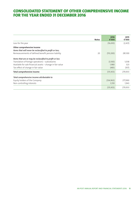# CONSOLIDATED STATEMENT OF OTHER COMPREHENSIVE INCOME FOR THE YEAR ENDED 31 DECEMBER 2016

| <b>Notes</b>                                               | 2016<br>€'000 | 2015<br>€'000 |
|------------------------------------------------------------|---------------|---------------|
| Loss for the year                                          | (16, 650)     | (2,421)       |
| Other comprehensive income                                 |               |               |
| Items that will never be reclassified to profit or loss;   |               |               |
| Remeasurements of defined benefit pension liability<br>20  | (113, 200)    | 281,100       |
| Items that are or may be reclassified to profit or loss    |               |               |
| Translation of foreign operations - subsidiaries           | (3,100)       | 1,038         |
| Available for sale financial assets - change in fair value | 1,980         | 323           |
| Tax effect of change in fair value                         | (483)         | (107)         |
| <b>Total comprehensive income</b>                          | (131, 453)    | 279,933       |
| Total comprehensive income attributable to                 |               |               |
| Equity holders of the Company                              | (134, 963)    | 277,990       |
| Non-controlling interests                                  | 3,510         | 1,943         |
|                                                            | (131, 453)    | 279,933       |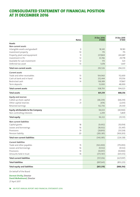# CONSOLIDATED STATEMENT OF FINANCIAL POSITION AT 31 DECEMBER 2016

| <b>Notes</b>                              | 31 Dec 2016<br>€'000 | 31 Dec 2015<br>€'000 |
|-------------------------------------------|----------------------|----------------------|
| Assets                                    |                      |                      |
| Non-current assets                        |                      |                      |
| Intangible assets and goodwill<br>9       | 18,345               | 18,183               |
| Investment property<br>10                 | 715                  | 715                  |
| Property, plant and equipment<br>11       | 237,869              | 243,687              |
| Investment in PLI<br>12                   | 33,746               | 29,778               |
| Available for sale investment<br>12       | 173                  | 323                  |
| Deferred tax asset<br>13                  | 1,678                | 1,647                |
| <b>Total non-current assets</b>           | 292,526              | 294,333              |
| Current assets                            |                      |                      |
| Trade and other receivables<br>13         | 104,960              | 112,600              |
| Cash at bank and in hand<br>14            | 252,444              | 315,556              |
| Restricted cash<br>14                     | 138,389              | 117,867              |
| Term deposits                             | 13,000               | 48,000               |
| <b>Total current assets</b>               | 508,793              | 594,023              |
| <b>Total assets</b>                       | 801,319              | 888,356              |
| <b>Equity and reserves</b>                |                      |                      |
| Called up share capital<br>21             | (68, 239)            | (68, 239)            |
| Other capital reserves<br>21              | (474)                | (2,031)              |
| Retained earnings                         | 162,736              | 29,330               |
| <b>Equity attributable to the Company</b> | 94,023               | (40, 940)            |
| Non-controlling interests                 | 2,299                | 5,809                |
| <b>Total equity</b>                       | 96,322               | (35, 131)            |
| Non-current liabilities                   |                      |                      |
| Capital grants<br>18                      | (9,692)              | (10, 054)            |
| Leases and borrowings<br>16               | (18, 502)            | (13, 347)            |
| Provisions<br>19                          | (28, 810)            | (33, 524)            |
| Pension liability<br>20                   | (283, 381)           | (169, 203)           |
| Total non-current liabilities             | (340, 385)           | (226, 128)           |
| <b>Current liabilities</b>                |                      |                      |
| Trade and other payables<br>15            | (163,000)            | (175, 093)           |
| Leases and borrowings<br>16               | (9, 532)             | (9, 532)             |
| Provisions<br>19                          | (10, 957)            | (10,900)             |
| Amounts held in trust<br>14               | (373, 767)           | (431, 572)           |
| <b>Total current liabilities</b>          | (557, 256)           | (627,097)            |
| <b>Total liabilities</b>                  | (897, 641)           | (853, 225)           |
| <b>Total equity and liabilities</b>       | (801, 319)           | (888, 356)           |

On behalf of the Board

**Dermot Divilly,** Director **David McRedmond,** Director 27 April 2017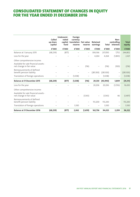# CONSOLIDATED STATEMENT OF CHANGES IN EQUITY FOR THE YEAR ENDED 31 DECEMBER 2016

|                                                                                                  | Called<br>up share<br>capital | Undenomi-<br>nated<br>capital<br>fund | Foreign<br>currency<br>translation Fair value<br>reserve | reserve                  | Retained<br>earnings | <b>Total</b> | Non-<br>controlling<br>interests | <b>Total</b><br>equity |
|--------------------------------------------------------------------------------------------------|-------------------------------|---------------------------------------|----------------------------------------------------------|--------------------------|----------------------|--------------|----------------------------------|------------------------|
|                                                                                                  | €'000                         | €'000                                 | €'000                                                    | €'000                    | €'000                | €'000        | €'000                            | €'000                  |
| Balance at 1 January 2015                                                                        | (68, 239)                     | (877)                                 |                                                          | $\overline{\phantom{0}}$ | 306,166              | 237,050      | 7,752                            | 244,802                |
| Loss for the year                                                                                |                               |                                       |                                                          |                          | 4,264                | 4,264        | (1, 843)                         | 2,421                  |
| Other comprehensive income:<br>Available for sale financial assets -<br>net change in fair value |                               |                                       |                                                          | (116)                    |                      | (116)        | (100)                            | (216)                  |
| Remeasurements of defined<br>benefit pension liability                                           |                               |                                       |                                                          |                          | (281,100)            | (281,100)    |                                  | (281,100)              |
| Translation of foreign operations                                                                |                               |                                       | (1,038)                                                  |                          |                      | (1,038)      |                                  | (1,038)                |
| <b>Balance at 31 December 2015</b>                                                               | (68, 239)                     | (877)                                 | (1,038)                                                  | (116)                    | 29,330               | (40, 940)    | 5,809                            | (35, 131)              |
| Loss for the year                                                                                |                               |                                       |                                                          |                          | 20,206               | 20,206       | (3,556)                          | 16,650                 |
| Other comprehensive income:                                                                      |                               |                                       |                                                          |                          |                      |              |                                  |                        |
| Available for sale financial assets -<br>net change in fair value                                |                               |                                       |                                                          | (1, 543)                 |                      | (1, 543)     | 46                               | (1, 497)               |
| Remeasurements of defined<br>benefit pension liability                                           |                               |                                       |                                                          |                          | 113,200              | 113,200      | $\qquad \qquad -$                | 113,200                |
| Translation of foreign operations                                                                |                               | -                                     | 3,100                                                    |                          | -                    | 3,100        | $\overline{\phantom{0}}$         | 3,100                  |
| <b>Balance at 31 December 2016</b>                                                               | (68, 239)                     | (877)                                 | 2,062                                                    | (1,659)                  | 162,736              | 94,023       | 2,299                            | 96,322                 |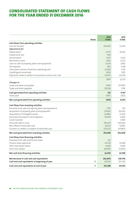# CONSOLIDATED STATEMENT OF CASH FLOWS FOR THE YEAR ENDED 31 DECEMBER 2016

| <b>Notes</b>                                              | 2016<br>€'000 | 2015<br>€'000 |
|-----------------------------------------------------------|---------------|---------------|
| Cash flows from operating activities                      |               |               |
| Loss for the year                                         | (16, 650)     | (2,421)       |
| Adjustments for                                           |               |               |
| Depreciation                                              | 21,371        | 19,236        |
| Impairment loss                                           | 7,119         |               |
| Amortisation                                              | 1,923         | 2,432         |
| Net finance costs                                         | 1,962         | 6,235         |
| Gain on sale of property, plant and equipment             | (1, 251)      | (293)         |
| Tax expense                                               | 992           | 1,348         |
| Cash paid in excess of pension operating cost             | (2,550)       | 1,129         |
| Capital grant amortised                                   | (362)         | (101)         |
| Payments made in relation to provisions, excess over cost | (4, 657)      | (4,234)       |
|                                                           | 7,897         | 23,331        |
| Changes in:                                               |               |               |
| Trade and other receivables                               | 7,640         | (13, 450)     |
| Trade and other payables                                  | (15, 214)     | (714)         |
| Cash generated from operating activities                  | 323           | 9,167         |
| Taxes paid                                                | (937)         | (823)         |
| Net cash generated from operating activities              | (614)         | 8,344         |
| Cash flows from investing activities                      |               |               |
| Proceeds from sale of property, plant and equipment       | 1,776         | 501           |
| Acquisition of property, plant and equipment              | (11,601)      | (15, 302)     |
| Acquisition of intangible assets                          | (2,486)       | (2,163)       |
| Decrease/(increase) in term deposits                      | 35,000        | 2,000         |
| Grant received                                            |               | 5,400         |
| Amounts held in trust                                     | (78, 327)     | (34,936)      |
| Net inflow of restricted cash                             | 20,522        | 117,867       |
| Increase in creditor in respect of restricted cash        | (20, 522)     | (117, 867)    |
| Net cash generated from investing activities              | (55, 638)     | (44,500)      |
| Cash flows from financing activities                      |               |               |
| Proceeds from sale and finance lease                      | 312           |               |
| Finance lease payments                                    | (4, 727)      | (3,018)       |
| Term loan drawn down                                      | 4,000         | 5,000         |
| Term loan repaid                                          | (6,000)       | (4,000)       |
| Net cash from financing activities                        | (6, 415)      | (2,018)       |
| Net decrease in cash and cash equivalents                 | (62, 667)     | (38, 174)     |
| Cash and cash equivalents at beginning of year<br>14      | 315,055       | 353,229       |
| Cash and cash equivalents at end of year<br>14            | 252,388       | 315,055       |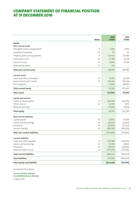# COMPANY STATEMENT OF FINANCIAL POSITION AT 31 DECEMBER 2016

| <b>Notes</b>                         | 2016<br>€'000 | 2015<br>€'000 |
|--------------------------------------|---------------|---------------|
| <b>Assets</b>                        |               |               |
| Non-current assets                   |               |               |
| 9<br>Intangible assets and goodwill  | 5,002         | 4,936         |
| Investment property<br>10            | 715           | 715           |
| Property, plant and equipment<br>11  | 231,626       | 237,082       |
| Investment in PLI<br>12              | 33,746        | 29,778        |
| Financial asset<br>12                | 8,969         | 8,969         |
| Deferred tax asset<br>13             | 533           |               |
| <b>Total non-current assets</b>      | 280,591       | 281,480       |
| Current assets                       |               |               |
| Trade and other receivables<br>13    | 79,951        | 82,539        |
| Cash at bank and in hand<br>14       | 238,464       | 301,926       |
| Term deposits                        | 13,000        | 48,000        |
| <b>Total current assets</b>          | 331,415       | 432,465       |
| <b>Total assets</b>                  | 612,006       | 713,945       |
| Equity and reserves                  |               |               |
| Called up share capital<br>21        | (68, 239)     | (68, 239)     |
| Other reserve<br>21                  | (2,474)       | (877)         |
| Retained earnings                    | 175,865       | 35,838        |
| <b>Total equity</b>                  | 105,152       | (33, 278)     |
| <b>Non-current liabilities</b>       |               |               |
| Capital grants<br>18                 | (2,952)       | (3,054)       |
| Leases and borrowings<br>16          | (18, 502)     | (13, 262)     |
| Provisions<br>19                     | (28, 810)     | (33, 524)     |
| Pension liability<br>20              | (283, 381)    | (169, 203)    |
| <b>Total non-current liabilities</b> | (333, 645)    | (219, 043)    |
| <b>Current liabilities</b>           |               |               |
| Trade and other payables<br>15       | (131, 787)    | (134, 056)    |
| Leases and borrowings<br>16          | (5, 391)      | (2,963)       |
| Provisions<br>19                     | (10, 957)     | (10,900)      |
| Amounts held in trust<br>14          | (235, 378)    | (313, 705)    |
| <b>Total current liabilities</b>     | (383, 513)    | (461, 624)    |
| <b>Total liabilities</b>             | (717, 158)    | (680, 667)    |
| <b>Total equity and liabilities</b>  | (612,006)     | (713, 945)    |

On behalf of the Board

**Dermot Divilly,** Director **David McRedmond,** Director

27 April 2017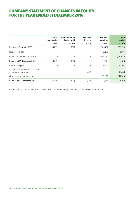# COMPANY STATEMENT OF CHANGES IN EQUITY FOR THE YEAR ENDED 31 DECEMBER 2016

|                                                               | Called up<br>share capital | Undenominated<br>Capital fund | <b>Fair value</b><br><b>Reserve</b> | <b>Retained</b><br>earnings | <b>Total</b><br>equity |
|---------------------------------------------------------------|----------------------------|-------------------------------|-------------------------------------|-----------------------------|------------------------|
|                                                               | €'000                      | €'000                         | €'000                               | €'000                       | €'000                  |
| Balance at 1 January 2015                                     | (68, 239)                  | (877)                         |                                     | 308,732                     | 239,616                |
| Loss for the year                                             |                            |                               |                                     | 8,206                       | 8,206                  |
| Other comprehensive income                                    |                            |                               |                                     | (281,100)                   | (281,100)              |
| <b>Balance at 31 December 2015</b>                            | (68, 239)                  | (877)                         |                                     | 35,838                      | (33, 278)              |
| Loss for the year                                             |                            |                               |                                     | 26,827                      | 26,827                 |
| Available for sale financial assets<br>- change in fair value |                            |                               | (1, 597)                            |                             | (1, 597)               |
| Other comprehensive expense                                   |                            |                               |                                     | 113,200                     | 113,200                |
| <b>Balance at 31 December 2016</b>                            | (68,239)                   | (877)                         | (1, 597)                            | 175,865                     | 105,152                |

Included in loss for the period was dividends received from group companies of €2,393k (2015: €4,092k).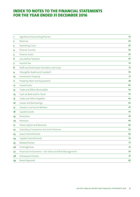| 1  | <b>Significant Accounting Policies</b>                 | 22 |
|----|--------------------------------------------------------|----|
| 2  | Revenue                                                | 29 |
| 3  | <b>Operating Costs</b>                                 | 29 |
| 4  | Finance Income                                         | 30 |
| 5  | <b>Finance Costs</b>                                   | 30 |
| 6  | Loss before Taxation                                   | 30 |
| 7  | <b>Income Tax</b>                                      | 33 |
| 8  | Staff and Postmaster Numbers and Costs                 | 35 |
| 9  | Intangible Assets and Goodwill                         | 36 |
| 10 | <b>Investment Property</b>                             | 37 |
| 11 | Property, Plant and Equipment                          | 38 |
| 12 | Investments                                            | 40 |
| 13 | Trade and Other Receivables                            | 42 |
| 14 | Cash at Bank and In Hand                               | 43 |
| 15 | Trade and Other Payables                               | 44 |
| 16 | Leases and Borrowings                                  | 44 |
| 17 | <b>Taxation and Social Welfare</b>                     | 45 |
| 18 | <b>Capital Grants</b>                                  | 45 |
| 19 | Provisions                                             | 45 |
| 20 | Pensions                                               | 46 |
| 21 | <b>Share Capital and Reserves</b>                      | 49 |
| 22 | Subsidiary Companies and Joint Ventures                | 50 |
| 23 | Lease Commitments                                      | 52 |
| 24 | Capital Commitments                                    | 52 |
| 25 | <b>Related Parties</b>                                 | 53 |
| 26 | Contingencies                                          | 53 |
| 27 | Financial Instruments - Fair Value and Risk Management | 54 |
| 28 | <b>Subsequent Events</b>                               | 61 |
| 29 | <b>Board Approval</b>                                  | 61 |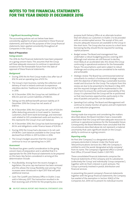### **1. Significant Accounting Policies**

The accounting policies set out below have been consistently applied to all years presented in these financial statements, and have for the purposes of the Group financial statements, been applied consistently throughout all Companies in the Group

#### **Basis of Preparation**

#### **Going concern**

The 2016 An Post financial statements have been prepared on a going concern basis. This assumes that the Group will have adequate resources to continue in operational existence for the foreseeable future from the date of approval of these financial statements.

### *Background*

- **•**  During 2016 the An Post Group made a loss after tax of €16.7m and an operating loss of €13.7m.
- **•**  The Group's main business, namely, the collection and delivery of mail in Ireland continues to experience relentless decline. Traditional mail volumes fell by 5.2% in 2016.
- At 31 December 2016, the Group has net liabilities of €96.3m and net current liabilities of €48.5m.
- **•**  Taking out the defined benefit pension liability at 31 December 2016 the Group has net assets of €187.1m.
- **•**  At 31 December 2016, the Group has net cash of €26.0m (after deducting amounts in trust owed to business customers, short term bank borrowings, and restricted cash related to GVS unredeemed cards and vouchers, i.e. this represents the Group's true cash balance).
- **•**  At 31 December 2016, the Group has bank borrowings of €4.1m and obligations under finance leases of €24.0m.
- **•**  During 2016 the Group had a decrease in its net cash of €18.9m. Cash balances available to the Group have declined from €150m in 2011 to €26m in 2016.
- **•**  The Group's budget assumes that the Group will continue to incur an operating loss in 2017.

#### *Assessment*

The Board has given careful consideration to the going concern basis of preparation and is satisfied that it is appropriate for the 2016 financial statements to be prepared on this basis. Key factors considered in arriving at this determination include:

- **Price flexibility: Arising from the recent changes in** legislation, the price cap mechanism has been removed and this allows the Group flexibility over pricing. Price increases were introduced in April 2017 that will yield additional revenue.
- **•**  *Cash*: The Cardiff Lane Delivery Office in Dublin 2 was sold in February 2017. The transaction resulted in An Post receiving cash of €35m for the property plus a new

purpose built Delivery Office at an alternate location that still allows our customers in Dublin 2 to be provided with an uninterrupted service. The receipt of this cash ensures adequate resources are available to the Group in the short term. The Group also has access to a short term borrowing facility, should this be required for working capital purposes.

- **•**  *Budget review*: The Board and management has undertaken a robust budgeting process covering 2017. Although mail volumes are still forecast to decline, most likely at an accelerated rate, this shows the Group continuing in operational existence for the foreseeable future. The assumptions used were subject to robust challenge and scrutiny and are considered to be realistic and achievable.
- **•**  *Strategic review*: The Board has commissioned external consultants to conduct a fundamental strategic review with the objective of determining a sustainable business model and structure for the Group. The outputs from this review are due to be presented to the Board in May 2017, and the required changes will be implemented in the short term to ensure the continued sustainability of the Group. It is planned that the Group will be re-positioned so that new business opportunities, particularly in the area of packets and parcels, can be exploited.
- **•**  *Spending/Cost cutting*: The Board and Management will continue to closely monitor all spend, and will implement a cost reduction programme.

## *Conclusion*

Having made due enquiries and considering the matters described above, the Board members have a reasonable expectation that the Group will have adequate resources to continue in operational existence for the foreseeable future. Consequently, the Board Members have concluded that the circumstances described above do not represent a material uncertainty that casts significant doubt on the Group's ability to continue as a going concern.

## *Reporting entity*

An Post (the 'Company') is a designated activity company domiciled in Ireland. Under the Postal and Telecommunications Services Act, 1983, the Company is entitled to omit the words 'designated activity company' from its name. The Company's registered office is General Post Office, O'Connell Street, Dublin 1, D01 F5P2.

These consolidated financial statements comprise the financial statements of the Company and its subsidiaries (collectively the 'Group' and individually 'Group companies'), together with An Post's interest in joint ventures. The Group is primarily involved in postal, distribution and financial services.

In presenting the parent company's financial statements together with the group financial statements, the Company has availed of the exemption in Section 304(2) of the Companies Act, 2014 not to present its individual income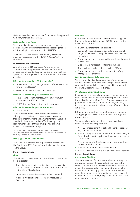statements and related notes that form part of the approved Company financial statements.

#### *Statement of compliance*

The consolidated financial statements are prepared in accordance with International Financial Reporting Standards (IFRS), as adopted by European Union (EU IFRS).

The financial statements of the Company have been prepared in accordance with FRS 101 *Reduced Disclosure Framework*.

#### **Forthcoming IFRS Standards**

A number of new IFRS Standards, Amendments to Standards and Interpretations are effective for annual periods beginning after 1 January 2016, and have not been applied in preparing these financial statements. These are as follows:

#### **Effective for year ending - 31 December 2017**

- **•**  Amendments to IAS 12 Recognition of Deferred Tax Assets for Unrealised Losses\*
- **•**  Amendments to IAS 7 Disclosure Initiative\*

#### **Effective for year ending - 31 December 2018**

- **•**  IFRS 9 Financial Instruments (2009, and subsequent amendments in 2010 and 2013)
- **•**  IFRS 15: Revenue from contracts with customers

#### **Effective for year ending - 31 December 2019**

**•**  IFRS 16 Leases\*

The Group is currently in the process of assessing the full impact on the financial statements of these new Standards, Interpretations and Amendments to Published Standards. There are a number of forthcoming IFRS requirements. None of these are expected to have a material impact on the Group.

\* These Standards, Interpretations and Amendments to Published Standards have yet to be endorsed by the EU and will only be implemented once they have been endorsed by the EU.

#### *Newly effective IFRS requirements*

There were a number of IFRS requirements effective for the first time in 2016. None of these had a material impact on the Group.

#### **Basis of measurement**

#### **Group**

These financial statements are prepared on a historical cost basis, except for:

- **•**  The net defined benefit pension liability is measured at the fair value of plan assets less the present value of the defined benefit obligation;
- **•**  Investment property is measured at fair value; and
- **•**  Available-for-sale financial assets are measured at fair value.

#### **Company**

In these financial statements, the Company has applied the exemptions available under FRS 101 in respect of the following disclosures:

- **•**  a Cash Flow Statement and related notes;
- **•**  Comparative period reconciliations for share capital, tangible fixed assets, intangible assets and investment properties;
- **Disclosures in respect of transactions with wholly owned** subsidiaries;
- Disclosures in respect of capital management;
- **•**  The effects of new but not yet effective IFRSs; and
- **•**  Disclosures in respect of the compensation of Key Management Personnel.

## *Functional and presentation currency*

These consolidated and Company financial statements are presented in Euro, which is the Company's functional currency. All amounts have been rounded to the nearest thousand, unless otherwise indicated.

#### *Use of judgements and estimates*

In preparing these financial statements, management has made judgements, estimates and assumptions that affect the application of the Group's and Company's accounting policies and the reported amount of assets, liabilities, income and expenses. Actual results may differ from these estimates.

Estimates and underlying assumptions are reviewed on an ongoing basis. Revisions to estimates are recognised prospectively.

The areas where judgement has the most significant effects on amounts recognised are:

- Note 20 measurement of defined benefit obligations: key actuarial assumptions;
- Note 7 recognition of deferred tax assets: availability of future taxable profits against which deferred tax assets can be used;
- Note 9 impairment test: key assumptions underlying value in use calculations;
- **•**  Note 12 accounting for PLI investment; and
- **•**  Note 15 deferred revenue in relation to unused stamps.

#### **Basis of Consolidation**

#### *Business combinations*

The Group accounts for business combinations using the acquisition method when control is transferred to the Group. The consideration transferred in the acquisition is generally measured at fair value, as are the identifiable net assets acquired. Any goodwill that arises is tested annually for impairment. Transaction costs are expensed in profit or loss as incurred, except if related to the issue of debt or equity securities.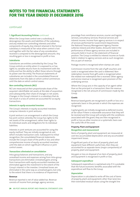# continued

### **1. Significant Accounting Policies** continued

When the Group loses control over a subsidiary, it derecognises the assets and liabilities of the subsidiary, and any related non-controlling interests and other components of equity. Any interest retained in the former subsidiary is measured at fair value when control is lost and together with the fair value of any consideration received is compared to the derecognised amounts. Any resulting gain or loss is recognised in profit or loss.

#### *Subsidiaries*

Subsidiaries are entities controlled by the Group. The Group controls an entity when it is exposed to, or has rights to, variable returns from its involvement with the entity and has the ability to affect those returns through its power over the entity. The financial statements of subsidiaries are included in the consolidated financial statements from the date on which control commences until the date on which control ceases.

#### *Non-controlling interests (NCI)*

NCI are measured at their proportionate share of the acquiree's identifiable net assets at the date of acquisition and subsequently, their share of changes in net assets. Changes in the Group's interest in a subsidiary that do not result in a loss of control are accounted for as equity transactions.

#### *Interests in equity-accounted investees*

The Group's interests in equity-accounted investees comprise interests in joint ventures.

A joint venture is an arrangement in which the Group has joint control, whereby the Group has rights to the net assets of the arrangement, rather than rights to its individual assets and obligations for its individual liabilities.

Interests in joint ventures are accounted for using the equity method. They are initially recognised at cost, which includes transaction costs. Subsequent to initial recognition, the consolidated financial statements include the Group's share of the profit or loss and other comprehensive income of equity-accounted investees, until the date on which significant influence or joint control ceases.

#### *Transactions eliminated on consolidation*

Intra-group balances and transactions, and any unrealised income and expenses arising from intra-group transactions are eliminated. Unrealised gains arising from transactions with equity-accounted investees are eliminated against the investment to the extent of the Group's interest in the investee. Unrealised losses are eliminated in the same way as unrealised gains, but only to the extent that there is no evidence of impairment.

#### **Revenue**

Revenue reported is net of value added tax. Revenue consists of income from postage, agency services,

poundage from remittance services, courier and logistic services, consultancy services, financial services and interest income. Income from agency services is in respect of services performed for Government Departments, the National Treasury Management Agency, Premier Lotteries Ireland and other bodies. Amounts held in the performance of these agency services are included in amounts held in trust on the statement of financial position. The Group is entitled to interest income on funds held in relation to agency services and as such recognises this as part of revenue.

Postage income is recognised when stamps are used.

Commission income from the sale of gift vouchers and cards is recognised when the card is redeemed. Nonredemption income from gift cards is recognised when the related non-redemption fee is received. Other agency and service revenue is recognised upon provision of the underlying service.

Where the Group acts in the capacity of an agent rather than as the principal in a transaction, then the revenue recognised is the net amount of commission made by the Group.

### **Grants**

Revenue based grants are recognised in profit or loss on a systematic basis in the periods in which the expenses are recognised.

Capital grants are initially recognised as deferred income at fair value if there is reasonable assurance that they will be received and the Group will comply with the conditions associated with the grant; they are then recognised in profit or loss as other income on a systematic basis over the useful life of the asset.

## **Property, Plant and Equipment**

#### *Recognition and measurement*

Items of property, plant and equipment are measured at cost less accumulated depreciation and any accumulated impairment losses.

If significant parts of an item of property, plant and equipment have different useful lives, then they are accounted for as separate items (major components) of property, plant and equipment.

Any gain or loss on disposal of an item of property, plant and equipment is recognised in profit or loss.

#### *Subsequent expenditure*

Subsequent expenditure is capitalised only if it is probable that the future economic benefits associated with the expenditure will flow to the Group.

#### *Depreciation*

Depreciation is calculated to write off the cost of items of property, plant and equipment, other than land, less their estimated residual values using the straight-line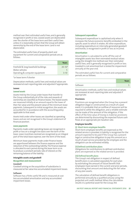method over their estimated useful lives, and is generally recognised in profit or loss. Leased assets are depreciated over the shorter of the lease term and their useful lives unless it is reasonably certain that the Group will obtain ownership by the end of the lease term. Land is not depreciated.

The estimated useful lives of property, plant and equipment for current and comparative periods are as follows:

|                                     | Years      |
|-------------------------------------|------------|
| Freehold & long leasehold buildings | $20 - 50*$ |
| Motor vehicles                      |            |
| Operating & computer equipment      | $3 - 10$   |

\*or lease term if shorter

Depreciation methods, useful lives and residual values are reviewed at each reporting date and adjusted if appropriate.

#### **Leases**

#### *Leased assets*

Assets held by the Group under leases that transfer to the Group substantially all of the risks and rewards of ownership are classified as finance leases. The leased assets are measured initially at an amount equal to the lower of their fair value and the present value of the minimum lease payments. Subsequent to initial recognition, the assets are accounted for in accordance with the accounting policy applicable to that asset.

Assets held under other leases are classified as operating leases and are not recognised in the Group's statement of financial position.

#### *Lease payments*

Payments made under operating leases are recognised in profit or loss on a straight line basis over the term of the lease. Lease incentives received are recognised as an integral part of the total lease expense, over the term of the lease.

Minimum lease payments made under finance leases are apportioned between the finance expense and the reduction of the outstanding liability. The finance expense is allocated to each period during the lease term so as to produce a constant periodic rate of interest on the remaining balance of the liability.

#### **Intangible assets and goodwill**

#### *Recognition and measurement*

#### **Goodwill**

Goodwill arising on the acquisition of subsidiaries is measured at fair value less accumulated impairment losses.

#### **Software**

Software has a finite useful life and is measured at cost less accumulated amortisation and any accumulated impairment losses.

#### *Subsequent expenditure*

Subsequent expenditure is capitalised only when it increases the future economic benefits embodied in the specific asset to which it relates. All other expenditure, including expenditure on internally generated goodwill and brands, is recognised in profit or loss as incurred.

#### *Amortisation*

Amortisation is calculated to write off the cost of intangible assets less their estimated residual values using the straight-line method over their estimated useful lives, and is generally recognised in profit or loss. Goodwill is not amortised but is tested for impairment annually at the year end.

The estimated useful lives for current and comparative periods are as follows:

|          | <b>Years</b> |
|----------|--------------|
| Software |              |

Amortisation methods, useful lives and residual values are reviewed at each reporting date and adjusted if appropriate.

#### **Provisions**

Provisions are recognised when the Group has a present obligation (legal or constructive) as a result of a past event, it is probable that an outflow of resources will be required to settle the obligation, and a reliable estimate can be made of the amount of the obligation. If the effect of the time value of money is material, provisions are determined by discounting the expected future cash flows at an appropriate pre-taxation rate.

#### **Employee benefits**

#### **(i) Short‑term employee benefits**

Short-term employee benefits are expensed as the related service is provided. A liability is recognised for the amount expected to be paid if the Group has a present legal or constructive obligation to pay this amount as a result of past service provided by the employee and the obligation can be estimated reliably.

#### **(ii)Defined contribution plans**

Obligations for contributions to defined contribution plans are expensed as the related service is provided.

### **(iii) Defined benefit plans**

The Group's net obligation in respect of defined benefit plans is calculated separately for each plan by estimating the amount of future benefit that employees have earned in the current and prior periods, discounting that amount and deducting the fair value of any plan assets.

The calculation of defined benefit obligations is performed annually by a qualified actuary using the projected unit credit method. When the calculation results in a potential asset for the Group, the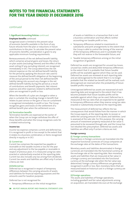# continued

## **1. Significant Accounting Policies** continued

### **Employee benefits** continued

recognised asset is limited to the present value of economic benefits available in the form of any future refunds from the plan or reductions in future contributions to the plan. To calculate the present value of economic benefits, consideration is given to any applicable minimum funding requirements.

Remeasurements of the net defined benefit liability, which comprise actuarial gains and losses, the return on plan assets (excluding interest) and the effect of the asset ceiling (if any, excluding interest), are recognised immediately in OCI. The Group determines the net interest expense on the net defined benefit liability for the period by applying the discount rate used to measure the defined benefit obligation at the beginning of the annual period to the then-net defined benefit liability taking into account any changes in the net defined benefit liability during the period as a result of contributions and benefit payments. Net interest expense and other expenses related to defined benefit plans are recognised in profit or loss.

When the benefits of a plan are changed or when a plan is curtailed, the resulting change in benefit that relates to past service or the gain or loss on curtailment is recognised immediately in profit or loss. The Group recognises gains and losses on the settlement of a defined benefit plan when the settlement occurs.

## **(iv) Termination benefits**

Termination benefits are expensed at the earlier of when the Group can no longer withdraw the offer of those benefits and when the Group recognises costs for a related restructuring.

#### **Income tax**

Income tax expense comprises current and deferred tax. It is recognised in profit or loss except to the extent that it relates to a business combination, or items recognised directly in equity or in OCI.

## **(i) Current tax**

Current tax comprises the expected tax payable or receivable on the taxable income or loss for the year and any adjustment to the tax payable or receivable in respect of previous years. It is measured using tax rates enacted or substantively enacted at the reporting date. Current tax also includes any tax arising from dividends. Current tax assets and liabilities are offset only if certain criteria are met.

## **(ii)Deferred tax**

Deferred tax is recognised in respect of temporary differences between the carrying amounts of assets and liabilities for financial reporting purposes and the amounts used for taxation purposes.

Deferred tax is not recognised for:

**•**  Temporary differences on the initial recognition

of assets or liabilities in a transaction that is not a business combination and that affects neither accounting nor taxable profit or loss;

- **•**  Temporary differences related to investments in subsidiaries and joint arrangements to the extent that the Group is able to control the timing of the reversal of the temporary differences and it is probable that they will not reverse in the foreseeable future; and
- **•**  Taxable temporary differences arising on the initial recognition of goodwill.

Deferred tax assets are recognised for unused tax losses, unused tax credits and deductible temporary differences to the extent that it is probable that future taxable profits will be available against which they can be used. Deferred tax assets are reviewed at each reporting date and are derecognised to the extent that it is no longer probable that the related tax benefit will be realised; such derecognised are reversed when the probability of future taxable profits improves.

Unrecognised deferred tax assets are reassessed at each reporting date and recognised to the extent that it has become probable that future taxable profits will be available against which they can be used. Deferred tax is measured at the tax rates that are expected to be applied to temporary differences when they reverse using tax rates enacted or substantively enacted at the reporting date.

The measurement of deferred tax reflects the tax consequences that would follow from the manner in which the Group expects, at the reporting date, to recover or settle the carrying amount of its assets and liabilities. Land is assessed at the sale rate. For this purpose, the carrying amount of investment property measured at fair value is presumed to be recovered through sale, and the Group has not rebutted this presumption. Deferred tax assets and liabilities are offset only if certain criteria are met.

#### **Foreign currency**

## **(i) Foreign currency transactions**

Transactions in foreign currencies are translated into the respective functional currencies of Group companies at the exchange rates at the dates of the transactions.

Monetary assets and liabilities denominated in foreign currencies are translated into the functional currency at the exchange rate at the reporting date. Non-monetary assets and liabilities that are measured at fair value in a foreign currency are translated into the functional currency at the exchange rate when the fair value was determined. Foreign currency differences are generally recognised in profit or loss. Non-monetary items that are measured based on historical cost in a foreign currency are not translated.

## **(ii) Foreign operations**

The assets and liabilities of foreign operations, including goodwill and fair value adjustments arising on acquisition, are translated into euro at the exchange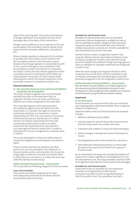rates at the reporting date. The income and expenses of foreign operations are translated into euro at the exchange rates at the dates of the transactions.

Foreign currency differences are recognised in OCI and accumulated in the translation reserve, except to the extent that the translation difference is allocated to NCI.

When a foreign operation is disposed of in its entirety or partially such that control or joint control is lost, the cumulative amount in the translation reserve related to that foreign operation is reclassified to profit or loss as part of the gain or loss on disposal. If the Group disposes of part of its interest in a subsidiary but retains control, then the relevant proportion of the cumulative amount is reattributed to NCI. When the Group disposes of only part of a joint venture while retaining joint control, the relevant proportion of the cumulative amount is reclassified to profit or loss.

#### **Financial instruments**

#### **(i) Non‑derivative financial assets and financial liabilities – recognition and derecognition**

The Group initially recognises loans and receivables and debt securities on the date when they are originated. All other financial assets and financial liabilities are initially recognised on the trade date.

The Group derecognises a financial asset when the contractual rights to the cash flows from the asset expire, or it transfers the rights to receive the contractual cash flows in a transaction in which substantially all of the risks and rewards of ownership of the financial asset are transferred, or it neither transfers nor retains substantially all of the risks and rewards of ownership and does not retain control over the transferred asset. Any interest in such derecognised financial assets that is created or retained by the Group is recognised as a separate asset or liability.

The Group derecognises a financial liability when its contractual obligations are discharged or cancelled, or expire.

Financial assets and financial liabilities are offset and the net amount presented in the statement of financial position when, and only when, the Group has a legal right to offset the amounts and intends either to settle them on a net basis or to realise the asset and settle the liability simultaneously.

# **(ii)Non‑derivative financial assets – measurement**

The Group holds the following categories of financial assets:

#### **Loans and receivables**

These assets are initially recognised at fair value and subsequently measured at amortised costs less accumulated impairment losses.

#### **Available‑for‑sale financial assets**

Available-for-sale financial assets are non-derivative investments that are designated as available-for-sale or are not classified as another category of financial assets. Unquoted equity securities whose fair value cannot be reliably measured are carried at cost. All other available-forsale investments are carried at fair value.

Interest income on debt is recognised in profit or loss using the effective interest rate method. Dividend income on equity is recognised in profit or loss when the Group becomes entitled to the dividend. Foreign exchange gains or losses on available-for-sale debt investments are recognised in profit or loss.

Other fair value changes are recognised directly in other comprehensive income (OCI) until the investment is sold or impaired, whereupon the cumulative gains and losses previously recognised in OCI are recognised in profit or loss.

#### **(iii) Non‑derivative financial liabilities – measurement**

Non-derivative financial liabilities are initially recognised at fair values less any directly attributable transaction costs. Subsequent to initial recognition, these liabilities are measured at amortised cost using the effective interest method..

#### **Impairment**

#### **(i) Financial assets**

Financial assets not measured at fair value are assessed at each reporting date to determine whether there is objective evidence of impairment.

Objective evidence that such financial assets are impaired includes;

- default or delinquency by a debtor;
- **•**  restructuring of an amount due to the Group on terms that the Group would not consider otherwise;
- indications that a debtor or issuer will enter bankruptcy;
- adverse changes in the payment status of borrowers or issuers;
- the disappearance of an active market for a security; or
- **•**  observable data indicating that there is a measurable decrease in the expected cash flows from a group of financial assets.

For an investment in an equity security, objective evidence of impairment includes a significant or prolonged decline in its fair value below its cost. The Group considers a decline of 20% to be significant and a period of nine months to be prolonged.

#### **Available‑for‑sale financial assets**

Impairment losses on available-for-sale investment securities are recognised by transferring the cumulative loss that has been recognised directly in the OCI to profit or loss. The cumulative loss that is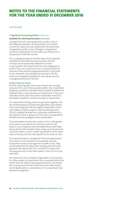# continued

### **1. Significant Accounting Policies** continued

#### **Available‑for‑sale financial assets** continued

removed from OCI and recognised in profit or loss is the difference between the acquisition cost and the current fair value, less any impairment loss previously recognised in profit or loss. Changes in impairment provisions attributable to time value are reflected as a component of interest income.

If in a subsequent period, the fair value of an impaired available-for-sale debt security increases and the increase can be objectively related to an event occurring after the impairment loss was recognised in profit or loss, the impairment loss is reversed, with the amount of the reversal recognised directly in the profit or loss. However, any subsequent recovery in the fair value of an impaired available-for-sale equity security is recognised directly in the OCI.

### **(ii)Non‑financial assets**

At each reporting date, the Group reviews the carrying amounts of its non-financial assets (other than investment property, inventories and deferred tax assets) to determine whether there is any indication of impairment. If any such indication exists, then the asset's recoverable amount is estimated. Goodwill is tested annually for impairment.

For impairment testing, assets are grouped together into the smallest group of assets that generates cash inflows from continuing use that are largely independent of the cash inflows of other assets or Cash Generating Units (CGUs). Goodwill arising from a business combination is allocated to CGUs or groups of CGUs that are expected to benefit from the synergies of the combination.

The recoverable amount of an asset or CGU is the greater of its value in use and its fair value less costs to sell. Value in use is based on the estimated future cash flows, discounted to their present value using a pre-tax discount rate that reflects current market assessments of the time value of money and the risks specific to the asset or CGU.

An impairment loss is recognised if the carrying amount of an asset or CGU exceeds its recoverable amount. Impairment losses are recognised in profit or loss. They are allocated first to reduce the carrying amount of any goodwill allocated to the CGU, and then to reduce the carrying amounts of the other assets in the CGU on a pro rata basis.

An impairment loss in respect of goodwill is not reversed. For other assets, an impairment loss is reversed only to the extent that the asset's carrying amount does not exceed the carrying amount that would have been determined, net of depreciation or amortisation, if no impairment loss had been recognised.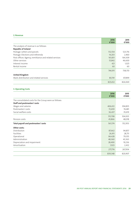## **2. Revenue**

|                                                       | 2016<br>€'000 | 2015<br>€'000 |
|-------------------------------------------------------|---------------|---------------|
| The analysis of revenue is as follows:                |               |               |
| <b>Republic of Ireland</b>                            |               |               |
| Postage: Letters and parcels                          | 512,554       | 523,716       |
| Postage: Elections and referenda                      | 14,203        | 2,460         |
| Post offices: Agency, remittance and related services | 161,831       | 164,309       |
| Other services                                        | 55,842        | 46,600        |
| Interest income                                       | 421           | 1,025         |
| Rental income                                         | 60            | 60            |
|                                                       | 744,911       | 738,170       |
| <b>United Kingdom</b>                                 |               |               |
| Mails distribution and related services               | 80,741        | 87,899        |
|                                                       | 825,652       | 826,069       |

# **3. Operating Costs**

|                                                       | 2016<br>€'000 | 2015<br>€'000 |
|-------------------------------------------------------|---------------|---------------|
| The consolidated costs for the Group were as follows: |               |               |
| <b>Staff and postmasters' costs</b>                   |               |               |
| Wages and salaries                                    | 406,612       | 394,835       |
| Postmasters' costs                                    | 72,659        | 74,481        |
| Social welfare costs                                  | 36,437        | 35,619        |
|                                                       | 515,708       | 504,935       |
| Pension costs                                         | 45,866        | 48,018        |
| Total payroll and postmasters' costs                  | 561,574       | 552,953       |
| Other costs:                                          |               |               |
| Distribution                                          | 87,662        | 94,857        |
| Facilities                                            | 26,911        | 28,711        |
| Operational                                           | 84,428        | 79,355        |
| Administration                                        | 48,360        | 43,363        |
| Depreciation and impairment                           | 28,490        | 19,236        |
| Amortisation                                          | 1,923         | 2,432         |
|                                                       | 277,774       | 267,954       |
|                                                       | 839,348       | 820,907       |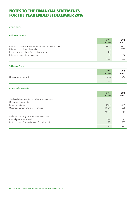# continued

# **4. Finance Income**

|                                                             | 2016<br>€'000 | 2015<br>€'000 |
|-------------------------------------------------------------|---------------|---------------|
| Interest on Premier Lotteries Ireland (PLI) loan receivable | 1,838         | 1,677         |
| PLI preference share dividends                              |               | 2,130         |
| Income from available for sale investment                   | 312           |               |
| Interest on short term deposits                             | 12            |               |
|                                                             | 2,162         | 3.849         |

### **5. Finance Costs**

|                        | 2016<br>€'000 | 2015<br>€'000 |
|------------------------|---------------|---------------|
| Finance lease interest | 494           | 454           |
|                        | 494           | 454           |

# **6. Loss before Taxation**

|                                                    | 2016<br>€'000 | 2015<br>€'000 |
|----------------------------------------------------|---------------|---------------|
| The loss before taxation is stated after charging. |               |               |
| Operating lease rentals:                           |               |               |
| Rental of buildings                                | 8,902         | 8,726         |
| Other equipment and motor vehicles                 | 13,420        | 13,385        |
|                                                    | 22,322        | 22,111        |
| and after crediting to other services income:      |               |               |
| Capital grants amortised                           | 362           | 101           |
| Profit on sale of property, plant & equipment      | 1,251         | 293           |
|                                                    | 1,613         | 394           |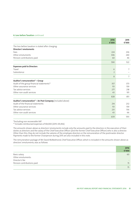#### **6. Loss before Taxation** continued

|                                                            | 2016<br>€'000  | 2015<br>€'000 |
|------------------------------------------------------------|----------------|---------------|
| The loss before taxation is stated after charging:         |                |               |
| Directors' emoluments                                      |                |               |
| Fees                                                       | 224            | 236           |
| Other emoluments                                           | 306            | 240           |
| Pension contributions paid                                 | 60             | 46            |
|                                                            | 590            | 522           |
| <b>Expenses paid to Directors</b>                          |                |               |
| Travel                                                     | 6              | 7             |
| Subsistence                                                | $\overline{2}$ |               |
|                                                            | 8              | 7             |
| Auditor's remuneration* - Group                            |                |               |
| Audit of the group financial statements*1                  | 357            | 373           |
| Other assurance services                                   | 151            | 159           |
| Tax advice services                                        | 277            | 218           |
| Other non-audit services                                   | 43             | 101           |
|                                                            | 828            | 851           |
| Auditor's remuneration* - An Post Company (included above) |                |               |
| Audit of the financial statements                          | 214            | 232           |
| Other assurance services                                   | 151            | 159           |
| Tax advice services                                        | 231            | 136           |
| Other non-audit services                                   | 43             | 66            |
|                                                            | 639            | 593           |

\*Excluding non recoverable VAT

\*1 Includes reimbursed expenses of €8,000 (2015: €9,456)

The amounts shown above as directors' emoluments include only the amounts paid to the directors in the execution of their duties as directors and the salary of the Chief Executive Officer (and the former Chief Executive Officer) who is also a director. Other than this, they do not include the salaries of the employee directors or the remuneration of the postmaster director. Payments made to the former Chairperson during 2015 are also included in this note.

The remuneration package of Mr David McRedmond, Chief Executive Officer, which is included in the amounts shown above as directors' emoluments, was as follows

|                            | 2016<br>€'000     |
|----------------------------|-------------------|
| Basic salary               | 60                |
| Other emoluments:          |                   |
| Director's fee             | $\qquad \qquad =$ |
| Pension contributions paid | 15                |
|                            | 75                |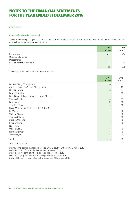# continued

## **6. Loss before Taxation** continued

The remuneration package of Mr Donal Connell, former Chief Executive Officer, which is included in the amounts shown above as directors' emoluments, was as follows:

|                            | 2016<br>€'000 | 2015<br>€'000 |
|----------------------------|---------------|---------------|
| Basic salary               | 246           | 240           |
| Other emoluments:          |               |               |
| Director's fee             |               |               |
| Pension contributions paid | 45            | 46            |
|                            | 291           | 286           |

The fees payable to each director were as follows:

|                                                | 2016<br>€'000  | 2015<br>€'000 |
|------------------------------------------------|----------------|---------------|
| Dermot Divilly (Chairperson)                   | $*34$          |               |
| Christoph Mueller (Former Chairperson)         |                | 28            |
| Noel Adamson                                   | 16             | 16            |
| Patrick Compton                                | 13             | 16            |
| Donal Connell (Former Chief Executive Officer) |                |               |
| Thomas Devlin                                  | 16             | 16            |
| Paul Henry                                     | 11             | 16            |
| Jennifer Loftus                                | 16             | 16            |
| David McRedmond (Chief Executive Officer)      |                |               |
| Ed Murray                                      | 16             | 16            |
| William Mooney                                 | 16             | 16            |
| Thomas O'Brien                                 | 16             | 16            |
| Martina O'Connell                              | 16             | 16            |
| Peter Ormond                                   | $\overline{3}$ | 16            |
| Niall Phelan                                   | $\overline{3}$ |               |
| William Scally                                 | 16             | 16            |
| Lorraine Tormey                                | 16             | 16            |
| James Wrynn                                    | 16             | 16            |
| Total                                          | 224            | 236           |

\*€3k related to 2015

Mr David McRedmond was appointed as Chief Executive Officer on 3 October 2016.

Mr Peter Ormond's term of office expired on 7 March 2016.

Mr Paul Henry's term of office expired on 14 September 2016.

Mr Patrick Compton's term of office expired on 31 October 2016.

Mr Niall Phelan was appointed to the Board on 30 November 2016.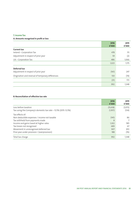# **7. Income Tax**

# **A. Amounts recognised in profit or loss**

|                                                   | 2016<br>€'000 | 2015<br>€'000 |
|---------------------------------------------------|---------------|---------------|
| <b>Current tax</b>                                |               |               |
| Ireland - Corporation Tax                         | 478           | 111           |
| Adjustment in respect of prior year               | 59            | (2)           |
| UK - Corporation Tax                              | 486           | 1,066         |
|                                                   | 1,023         | 1,175         |
| Deferred tax                                      |               |               |
| Adjustment in respect of prior year               | (161)         | 247           |
| Origination and reversal of temporary differences | 130           | (74)          |
|                                                   | (31)          | 173           |
|                                                   | 992           | 1,348         |

# **B. Reconciliation of effective tax rate**

|                                                                 | 2016<br>€'000 | 2015<br>€'000 |
|-----------------------------------------------------------------|---------------|---------------|
| Loss before taxation                                            | (15, 658)     | (1,073)       |
| Tax using the Company's domestic tax rate - 12.5% (2015: 12.5%) | (1, 957)      | (134)         |
| Tax effects of:                                                 |               |               |
| Non-deductible expenses / income not taxable                    | (145)         | 86            |
| Tax withheld from payments made                                 | 8             |               |
| Income and gains taxed at higher rates                          | 1,302         | 585           |
| Tax losses not recognised                                       | 689           | 67            |
| Movement in unrecognised deferred tax                           | 907           | 813           |
| Prior year under provision / (overprovision)                    | 188           | (76)          |
| Total tax charge                                                | 992           | 1,348         |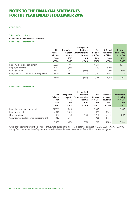# continued

# **7. Income Tax** continued

# **C. Movement in deferred tax balances**

**Balance at 31 December 2016**

|                                              | <b>Net</b><br><b>Balance</b><br>at 1 Jan<br>2016<br>€'000 | Recognised<br>or loss<br>2016<br>€'000 | Recognised<br>in Other<br>in profit Comprehensive<br>Income<br>2016<br>€'000 | <b>Net</b><br><b>Balance</b><br>at 31 Dec<br>2016<br>€'000 | <b>Deferred</b><br>tax asset<br>at 31 Dec<br>2016<br>€'000 | <b>Deferred</b><br>tax liability<br>at 31 Dec<br>2016<br>€'000 |
|----------------------------------------------|-----------------------------------------------------------|----------------------------------------|------------------------------------------------------------------------------|------------------------------------------------------------|------------------------------------------------------------|----------------------------------------------------------------|
| Property, plant and equipment                | (5,637)                                                   | (877)                                  | $\qquad \qquad -$                                                            | (6, 514)                                                   |                                                            | (6, 514)                                                       |
| Employee benefits                            | 3,283                                                     | 1,886                                  |                                                                              | 5.169                                                      | 5,169                                                      |                                                                |
| Other provisions                             | 2,438                                                     | (614)                                  | (483)                                                                        | 1,341                                                      | 1,931                                                      | (590)                                                          |
| Carry forward tax loss (revenue recognition) | 1,456                                                     | (364)                                  |                                                                              | 1,092                                                      | 1,092                                                      |                                                                |
|                                              | 1.540                                                     | 31                                     | (483)                                                                        | 1.088                                                      | 8.192                                                      | (7,104)                                                        |

### **Balance at 31 December 2015**

|                                              | <b>Net</b><br><b>Balance</b><br>at 1 Jan<br>2015<br>€'000 | Recognised<br>or loss<br>2015<br>€'000 | Recognised<br>in Other<br>in profit Comprehensive<br>Income<br>2015<br>€'000 | <b>Net</b><br><b>Balance</b><br>at 31 Dec<br>2015<br>€'000 | <b>Deferred</b><br>tax asset<br>at 31 Dec<br>2015<br>€'000 | Deferred tax<br>liability<br>at 31 Dec<br>2015<br>€'000 |
|----------------------------------------------|-----------------------------------------------------------|----------------------------------------|------------------------------------------------------------------------------|------------------------------------------------------------|------------------------------------------------------------|---------------------------------------------------------|
| Property, plant and equipment                | (4,797)                                                   | (840)                                  | $\qquad \qquad -$                                                            | (5,637)                                                    | $\overline{\phantom{0}}$                                   | (5,637)                                                 |
| Employee benefits                            | 4,472                                                     | (1,189)                                | $\qquad \qquad$                                                              | 3,283                                                      | 3,283                                                      |                                                         |
| Other provisions                             | 325                                                       | 2,220                                  | (107)                                                                        | 2,438                                                      | 2,545                                                      | (107)                                                   |
| Carry forward tax loss (revenue recognition) | 1,820                                                     | (364)                                  |                                                                              | 1,456                                                      | 1,456                                                      |                                                         |
|                                              | 1,820                                                     | (173)                                  | (107)                                                                        | 1,540                                                      | 7.284                                                      | (5, 744)                                                |

Given the uncertainty over the existence of future taxable profits, a potential deferred tax asset of €50,527,000 (2015: €38,377,000) arising from the defined benefit pension scheme liability and excess losses carried forward has not been recognised.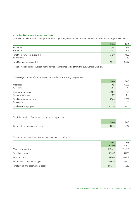### **8. Staff and Postmaster Numbers and Costs**

The average full time equivalent (FTE) number of persons, excluding postmasters, working in the Group during the year was:

|                               | 2016  | 2015  |
|-------------------------------|-------|-------|
| Operations                    | 8,517 | 8,435 |
| Corporate                     | 673   | 674   |
| Total Company employees (FTE) | 9,190 | 9,109 |
| Subsidiaries                  | 738   | 753   |
| Total Group employees (FTE)   | 9,928 | 9,862 |

The above includes 65 FTEs required to service the mailings arising from the 2016 General Election.

## The average number of employees working in the Group during the year was:

|                         | 2016   | 2015   |
|-------------------------|--------|--------|
| Operations              | 7,981  | 8,070  |
| Corporate               | 708    | 711    |
| Company employees       | 8,689  | 8,781  |
| Casual employees        | 877    | 877    |
| Total Company employees | 9,566  | 9,658  |
| Subsidiaries            | 758    | 777    |
| Total Group employees   | 10,324 | 10,435 |

# The total number of postmasters engaged as agents was;

|                                | 2016  | 2015  |
|--------------------------------|-------|-------|
| Postmasters: Engaged as agents | 0.056 | 1.062 |

The aggregate payroll and postmasters' costs, were as follows:

|                                      | 2016<br>€'000 | 2015<br>€'000 |
|--------------------------------------|---------------|---------------|
| Wages and salaries                   | 406,612       | 394,835       |
| Social welfare costs                 | 36,437        | 35,619        |
| Pension costs                        | 45,866        | 48,018        |
| Postmasters: Engaged as agents       | 72,659        | 74,481        |
| Total payroll and postmasters' costs | 561,574       | 552,953       |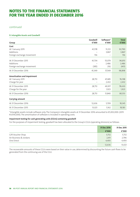# continued

## **9. Intangible Assets and Goodwill**

| Group                       | Goodwill<br>€'000 | Software*<br>€'000 | <b>Total</b><br>€'000 |
|-----------------------------|-------------------|--------------------|-----------------------|
| Cost                        |                   |                    |                       |
| At 1 January 2015           | 41,578            | 51,212             | 92,790                |
| Additions                   |                   | 3,867              | 3,867                 |
| Foreign exchange movement   | 156               |                    | 156                   |
| At 31 December 2015         | 41,734            | 55,079             | 96,813                |
| Additions                   |                   | 2,486              | 2,486                 |
| Foreign exchange movement   | (385)             | (16)               | (401)                 |
| At 31 December 2016         | 41,349            | 57,549             | 98,898                |
| Amortisation and impairment |                   |                    |                       |
| At 1 January 2015           | 28,713            | 47,485             | 76,198                |
| Charge for year             |                   | 2,432              | 2,432                 |
| At 31 December 2015         | 28,713            | 49,917             | 78,630                |
| Charge for the year         |                   | 1,923              | 1,923                 |
| At 31 December 2016         | 28,713            | 51,840             | 80,553                |
| <b>Carrying amount</b>      |                   |                    |                       |
| At 31 December 2016         | 12,636            | 5,709              | 18,345                |
| At 31 December 2015         | 13,021            | 5,162              | 18,183                |

\*Intangible assets include software only. The Company's intangible assets at 31 December 2016 amounted to €5,002,000: (2015 €4,936,000). The amortisation of software is included in operating costs.

## **Impairment testing for cash generating units (CGUs) containing goodwill**

For the purposes of impairment testing, goodwill has been allocated to the Group's CGUs (operating divisions) as follows:

|                        | 31 Dec 2016 | 31 Dec 2015 |
|------------------------|-------------|-------------|
|                        | €'000       | €'000       |
| Gift Voucher Shop      | 5,732       | 5,732       |
| Air Business & Jordans | 2,411       | 2,796       |
| One Direct             | 4,493       | 4,493       |
|                        | 12,636      | 13,021      |

The recoverable amounts of these CGUs were based on their value in use, determined by discounting the future cash flows to be generated from the continuing use of the CGU.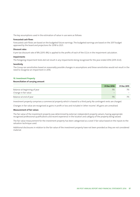The key assumptions used in the estimation of value in use were as follows:

### **Forecasted cash flows**

Forecasted cash flows are based on the budgeted future earnings. The budgeted earnings are based on the 2017 budget approved by the board and projections for 2018 to 2021.

#### **Discount rates**

A pre-tax discount rate of 8% (2015: 8%) is applied to the profits of each of the CGUs in the impairment calculation.

### **Impairments**

The foregoing impairment tests did not result in any impairments being recognised for the year ended 2016 (2015: €nil).

#### **Sensitivity**

The Group ran sensitivities based on reasonably possible changes in assumptions and these sensitivities would not result in the need to recognise an impairment in 2016.

# **10. Investment Property**

### **Reconciliation of carrying amount**

|                                                      | 31 Dec 2016                           | 31 Dec 2015 |
|------------------------------------------------------|---------------------------------------|-------------|
| Balance at beginning of year<br>Change in fair value | 715<br>$\qquad \qquad \longleftarrow$ |             |
| Balance at end of year                               | 715                                   |             |

Investment property comprises a commercial property which is leased to a third party. No contingent rents are charged.

Changes in fair value are recognised as gains in profit or loss and included in 'other income'. All gains are unrealised.

## **Measurement of fair values**

The fair value of the investment property was determined by external, independent property valuers, having appropriate recognised professional qualifications and recent experience in the location and category of the property being valued.

The fair value measurement for the investment property has been categorised as a Level 3 fair value based on the inputs to the valuation technique used.

Additional disclosures in relation to the fair value of the investment property have not been provided as they are not considered material.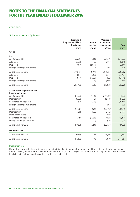# continued

# **11. Property, Plant and Equipment**

|                                                          | Freehold &<br>long leasehold land | Motor<br>vehicles        | Operating<br>& computer  |              |
|----------------------------------------------------------|-----------------------------------|--------------------------|--------------------------|--------------|
|                                                          | & buildings                       |                          | equipment                | <b>Total</b> |
|                                                          | €'000                             | €'000                    | €'000                    | €'000        |
| Group                                                    |                                   |                          |                          |              |
| Cost                                                     |                                   |                          |                          |              |
| At 1 January 2015                                        | 282,191                           | 11,433                   | 301,205                  | 594,829      |
| Additions                                                | 8,666                             | 77                       | 7,073                    | 15,816       |
| Disposals                                                | (400)                             | (2,077)                  |                          | (2, 477)     |
| Foreign exchange movement                                |                                   | 8                        | 686                      | 694          |
| At 31 December 2015                                      | 290,457                           | 9,441                    | 308,964                  | 608,862      |
| Additions                                                | 3,841                             | 11,250                   | 8,343                    | 23,434       |
| Disposals                                                | (848)                             | (5,769)                  | (165)                    | (6, 782)     |
| Foreign exchange movement                                |                                   | (6)                      | (283)                    | (289)        |
| At 31 December 2016                                      | 293,450                           | 14,916                   | 316,859                  | 625,225      |
| <b>Accumulated depreciation and</b><br>impairment losses |                                   |                          |                          |              |
| At 1 January 2015                                        | 86,530                            | 11,200                   | 249,890                  | 347,620      |
| Depreciation                                             | 6,636                             | 121                      | 12,479                   | 19,236       |
| Eliminated on disposals                                  | (199)                             | (2,070)                  | $\overline{\phantom{0}}$ | (2,269)      |
| Foreign exchange movement                                |                                   | $\overline{\phantom{0}}$ | 588                      | 588          |
| At 31 December 2015                                      | 92,967                            | 9,251                    | 262,957                  | 365,175      |
| Depreciation                                             | 6,955                             | 1,755                    | 12,661                   | 21,371       |
| Impairment losses                                        |                                   |                          | 7,119                    | 7,119        |
| Eliminated on disposals                                  | (327)                             | (5,766)                  | (164)                    | (6, 257)     |
| Foreign exchange movement                                |                                   | (7)                      | (45)                     | (52)         |
| At 31 December 2016                                      | 99,595                            | 5,233                    | 282,528                  | 387,356      |
| <b>Net Book Value</b>                                    |                                   |                          |                          |              |
| At 31 December 2016                                      | 193,855                           | 9,683                    | 34,331                   | 237,869      |
| At 31 December 2015                                      | 197,490                           | 190                      | 46,007                   | 243,687      |

## **Impairment loss**

During the year, due to the continued decline in traditional mail volumes, the Group tested the related mail sorting equipment for impairment, and recognised an impairment loss of €7,119,000 with respect to certain automated equipment. The impairment loss is included within operating costs in the income statement.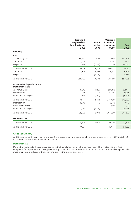|                                                   | Freehold &                         |                   | Operating               |              |
|---------------------------------------------------|------------------------------------|-------------------|-------------------------|--------------|
|                                                   | long leasehold<br>land & buildings | Motor<br>vehicles | & computer<br>equipment | <b>Total</b> |
|                                                   | €'000                              | €'000             | €'000                   | €'000        |
| Company                                           |                                    |                   |                         |              |
| Cost                                              |                                    |                   |                         |              |
| At 1 January 2015                                 | 283,890                            | 11,157            | 284,649                 | 579,696      |
| Additions                                         | 2,024                              |                   | 3,895                   | 5,919        |
| Disposals                                         | (400)                              | (2,053)           |                         | (2, 453)     |
| At 31 December 2015                               | 285,514                            | 9,104             | 288,544                 | 583,162      |
| Additions                                         | 3,826                              | 11,193            | 6,575                   | 21,594       |
| Disposals                                         | (848)                              | (5,703)           |                         | (6, 551)     |
| At 31 December 2016                               | 288,492                            | 14,594            | 295,119                 | 598,205      |
| Accumulated depreciation and<br>impairment losses |                                    |                   |                         |              |
| At 1 January 2015                                 | 81,942                             | 11,107            | 237,992                 | 331,041      |
| Depreciation                                      | 6,734                              | 47                | 10,507                  | 17,288       |
| Eliminated on disposals                           | (199)                              | (2,050)           |                         | (2, 249)     |
| At 31 December 2015                               | 88,477                             | 9,104             | 248,499                 | 346,080      |
| Depreciation                                      | 6,946                              | 1,692             | 10,772                  | 19,410       |
| Impairment losses                                 |                                    |                   | 7,119                   | 7,119        |
| Eliminated on disposals                           | (327)                              | (5,703)           |                         | (6,030)      |
| At 31 December 2016                               | 95,096                             | 5,093             | 266,390                 | 366,579      |
| <b>Net Book Value</b>                             |                                    |                   |                         |              |
| At 31 December 2016                               | 193,396                            | 9,501             | 28,729                  | 231,626      |
| At 31 December 2015                               | 197,037                            |                   | 40,045                  | 237,082      |

#### **Group and Company**

At 31 December 2016 the net carrying amount of property, plant and equipment held under finance leases was €17,727,000 (2015: €17,016,000). See note 23 for further information.

#### **Impairment loss**

During the year, due to the continued decline in traditional mail volumes, the Company tested the related mails sorting equipment for impairment, and recognised an impairment loss of €7,119,000 with respect to certain automated equipment. The impairment loss is included within operating costs in the income statement.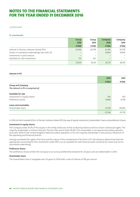# continued

**12. Investments**

|                                                 | <b>Group</b> | Group  | Company                         | Company |
|-------------------------------------------------|--------------|--------|---------------------------------|---------|
|                                                 | 2016         | 2015   | 2016                            | 2015    |
|                                                 | €'000        | €'000  | €'000                           | €'000   |
| Interest in Premier Lotteries Ireland (PLI)     | 33,746       | 29.778 | 33,746                          | 29,778  |
| Shares in subsidiary undertakings (see note 22) |              |        | 8,969                           | 8,969   |
| Investment in joint venture                     |              |        | $\hspace{0.1mm}-\hspace{0.1mm}$ |         |
| Available for sale investment                   | 173          | 323    | $\qquad \qquad -$               |         |
|                                                 | 33,919       | 30,101 | 42.715                          | 38,747  |

### **Interest in PLI**

|                                      | 2016   | 2015   |
|--------------------------------------|--------|--------|
|                                      | €'000  | €'000  |
| <b>Group and Company</b>             |        |        |
| The interest in PLI is comprised of: |        |        |
| <b>Available for sale</b>            |        |        |
| Investment in equity shares          | 350    | 350    |
| Preference shares                    | 11,868 | 9,738  |
| Loans and receivables                |        |        |
| Shareholder loans                    | 21,528 | 19,690 |
|                                      | 33,746 | 29,778 |

In 2014, An Post invested €25m in Premier Lotteries Ireland (PLI) by way of equity investment, shareholders' loans and preference shares.

### **Investment in equity shares**

The Company holds 10.7% of the equity in the entity, holds two of the six Board positions and has certain contractual rights. The majority shareholder is Ontario Teachers' Pension Plan and it holds 78.6%. This shareholder is an experienced Lottery operator and owns 100% of the United Kingdom National Lottery operation. In PLI, the majority shareholder is the primary influencer of the operating and financial policies.

Having considered the rights of An Post and the nature of the involvement of An Post in PLI, the directors determined that the appropriate accounting for this investment under IFRS is as an available for sale financial asset carried at fair value and not an associated undertaking.

# **Preference shares**

The preference shares entitle the Company to an annual preferential dividend for 20 years and are redeemable in 2034.

### **Shareholder loans**

The shareholders loan is repayable over 20 years to 2034 with a rate of interest of 9% per annum.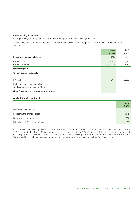#### **Investment in joint venture**

During the year, the Group's share of its joint venture's profit amounted to €nil (2015: €nil).

The following table summarises the financial information of The Prize Bond Company DAC as included in its own financial statements

|                                                                        | 2016                | 2015               |
|------------------------------------------------------------------------|---------------------|--------------------|
|                                                                        | €'000               | €'000              |
| Percentage ownership interest                                          | 50%                 | 50%                |
| Current assets<br>Current liabilities                                  | 18,615<br>(18, 615) | 15,067<br>(15,067) |
| Net assets (100%)                                                      |                     |                    |
| Group's share of net assets                                            | —                   |                    |
| Revenue                                                                | 9,908               | 9,209              |
| Profit from continuing operations<br>Total comprehensive income (100%) |                     |                    |
| Group's share of total comprehensive income                            | —                   |                    |

# **Available for sale investment**

|                                   | 2016<br>€'000 |
|-----------------------------------|---------------|
| Fair value as at 1 January 2016   | 323           |
| Reclassified to profit and loss   | (312)         |
| Net change in fair value          | 162           |
| Fair value as at 31 December 2016 | 173           |

In 2015, one of the GVS companies acquired an investment for a nominal amount. This investment was fair valued at €323,000 at 31 December 2015. In 2016, the GVS company received cash consideration of €312,000 for part of the investment and this amount was recognised in the income statement (see note 4). The value of the company's new investment was fair valued at the end of the year and the net change was recognised in other comprehensive income and held within fair value reserves.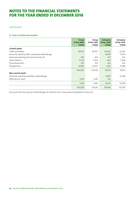# continued

# **13. Trade and Other Receivables**

|                                               | <b>Group</b><br>31 Dec 2016<br>€'000 | Group<br>31 Dec 2015<br>€'000 | Company<br>31 Dec 2016<br>€'000 | Company<br>31 Dec 2015<br>€'000 |
|-----------------------------------------------|--------------------------------------|-------------------------------|---------------------------------|---------------------------------|
| <b>Current assets</b>                         |                                      |                               |                                 |                                 |
| Trade receivables                             | 87,023                               | 83,437                        | 46,203                          | 42,256                          |
| Amounts owed by other subsidiary undertakings |                                      | -                             | 16,870                          | 13,501                          |
| Amounts owed by joint venture (note 25)       | 259                                  | 263                           | 259                             | 263                             |
| Other debtors                                 | 6,779                                | 3,436                         | 834                             | 1,068                           |
| Prize Bonds held                              | 812                                  | 812                           | 625                             | 625                             |
| Prepayments                                   | 10,087                               | 24,652                        | 5,281                           | 12,788                          |
|                                               | 104,960                              | 112,600                       | 70,072                          | 70,501                          |
| <b>Non-current assets</b>                     |                                      |                               |                                 |                                 |
| Amounts owed by subsidiary undertakings       |                                      |                               | 9,879                           | 12,038                          |
| Deferred tax asset                            | 1,678                                | 1,647                         | 533                             |                                 |
|                                               | 1,678                                | 1,647                         | 10,412                          | 12,038                          |
|                                               | 106,638                              | 114,247                       | 80,484                          | 82,539                          |

Amounts due from group undertakings are interest free, unsecured and payable on demand.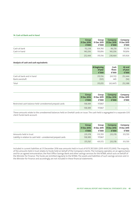## **14. Cash at Bank and In Hand**

|              | <b>Group</b><br>31 Dec 2016<br>€'000 | Group<br>31 Dec 2015<br>€'000 | Company<br>31 Dec 2016<br>€'000 | Company<br>31 Dec 2015<br>€'000 |
|--------------|--------------------------------------|-------------------------------|---------------------------------|---------------------------------|
| Cash at bank | 112,238                              | 164.740                       | 98.258                          | 151,110                         |
| Cash in hand | 140.206                              | 150.816                       | 140.206                         | 150,816                         |
|              | 252,444                              | 315,556                       | 238,464                         | 301.926                         |

# **Analysis of cash and cash equivalents**

|                          | At beginning | Cash      | At end  |
|--------------------------|--------------|-----------|---------|
|                          | of year      | flows     | of year |
|                          | € $'000$     | €'000     | €'000   |
| Cash at bank and in hand | 315,556      | (63, 112) | 252,444 |
| Bank overdraft           | (501)        | 445       | (56)    |
| Total                    | 315,055      | (62, 667) | 252,388 |

|                                                       | <b>Group</b><br>31 Dec 2016 | Group   | Company<br>31 Dec 2015 31 Dec 2016 | Company<br>31 Dec 2015 |
|-------------------------------------------------------|-----------------------------|---------|------------------------------------|------------------------|
|                                                       | €'000                       | €'000   | € $'000$                           | €'000                  |
| Restricted cash balance held-unredeemed prepaid cards | 138.389                     | 117.867 | -                                  |                        |
|                                                       | 138.389                     | 117.867 | -                                  |                        |

These amounts relate to the unredeemed balances held on One4all cards on issue. The cash held is segregated in a separate GVS client funds bank account.

|                                                               | <b>Group</b><br>31 Dec 2016 | Group<br>31 Dec 2015 | Company<br>31 Dec 2016 | Company<br>31 Dec 2015 |
|---------------------------------------------------------------|-----------------------------|----------------------|------------------------|------------------------|
|                                                               | €'000                       | €'000                | €'000                  | €'000                  |
| Amounts held in trust                                         | 235,378                     | 313.705              | 235.378                | 313.705                |
| Liability in relation to cash held – unredeemed prepaid cards | 138.389                     | 117.867              |                        |                        |
|                                                               | 373,767                     | 431.572              | 235.378                | 313.705                |

Included in current liabilities at 31 December 2016 was amounts held in trust of €373,767,000: (2015: €431,572,000). The majority of the amounts held in trust relates to funds held on behalf of the Company's clients. The Company operates, on an agency basis and for an agreed remuneration, the Post Office Savings Bank and other savings services for the NTMA, which acts on behalf of the Minister for Finance. The funds are remitted regularly to the NTMA. The assets and liabilities of such savings services vest in the Minister for Finance and accordingly, are not included in these financial statements.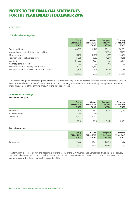# continued

# **15. Trade and Other Payables**

|                                               | <b>Group</b><br>31 Dec 2016<br>€'000 | Group<br>31 Dec 2015<br>€'000 | Company<br>31 Dec 2016<br>€'000 | Company<br>31 Dec 2015<br>€'000 |
|-----------------------------------------------|--------------------------------------|-------------------------------|---------------------------------|---------------------------------|
| Trade creditors                               | 40,307                               | 53.740                        | 19,523                          | 28,386                          |
| Amounts owed to subsidiary undertakings       |                                      |                               | 23,394                          | 17,253                          |
| Other creditors                               | 21,016                               | 18,446                        | 17,277                          | 13,940                          |
| Taxation and social welfare (note 17)         | 15,805                               | 12,563                        | 13,290                          | 10,565                          |
| Accruals                                      | 66,593                               | 70,927                        | 46,751                          | 50,574                          |
| Capital grants (note 18)                      | 102                                  | 102                           | 102                             | 102                             |
| Deferred revenue - agency commission          | 6,351                                | 4,639                         | $\qquad \qquad -$               |                                 |
| Deferred revenue - unused stamps sold / other | 12,826                               | 14,676                        | 11,450                          | 13,236                          |
|                                               | 163,000                              | 175.093                       | 131,787                         | 134,056                         |

Amounts due to group undertakings are interest free, unsecured and payable on demand. Deferred income in relation to unused stamps is based on a number of different estimation and sampling methods which are reviewed by management in order to make a judgement of the carrying amount of the deferred revenue.

# **16. Leases and Borrowings**

**Due within one year**

|                | <b>Group</b><br>31 Dec 2016<br>€'000 | Group<br>31 Dec 2015<br>€'000 | <b>Company</b><br>31 Dec 2016<br>€'000 | Company<br>31 Dec 2015<br>€'000 |
|----------------|--------------------------------------|-------------------------------|----------------------------------------|---------------------------------|
| Finance lease  | 5,476                                | 3,031                         | 5,391                                  | 2,963                           |
| Bank overdraft | 56                                   | 501                           | $\overline{\phantom{a}}$               |                                 |
| Term loan      | 4,000                                | 6,000                         | $\overline{\phantom{a}}$               | $\sim$                          |
|                | 9,532                                | 9,532                         | 5,391                                  | 2,963                           |

### **Due after one year**

|               | <b>Group</b><br>31 Dec 2016<br>€'000 | <b>Group</b><br>31 Dec 2015<br>€'000 | Company<br>31 Dec 2016<br>€'000 | Company<br>31 Dec 2015<br>€'000 |
|---------------|--------------------------------------|--------------------------------------|---------------------------------|---------------------------------|
| Finance lease | 18.502                               | 13.347                               | 18,502                          | 13,262                          |
|               | 18,502                               | 13.347                               | 18.502                          | 13,262                          |

The term loan is secured by way of a debenture over the assets of the Gift Voucher Shop Companies. It was repaid in February 2017. The indicative interest rate on the loan was 4.55%. The loan contains covenants based on EBITDA and net assets. The company was within its covenants at 31 December 2016.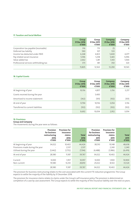# **17. Taxation and Social Welfare**

|                                       | <b>Group</b><br>31 Dec 2016<br>€'000 | Group<br>31 Dec 2015<br>€'000 | Company<br>31 Dec 2016<br>€'000 | Company<br>31 Dec 2015<br>€'000 |
|---------------------------------------|--------------------------------------|-------------------------------|---------------------------------|---------------------------------|
| Corporation tax payable/(receivable)  | 316                                  | 713                           | (1)                             | 8                               |
| Deferred tax liability                | 590                                  | 107                           | 533                             |                                 |
| Income tax deducted under PAYE        | 6,268                                | 4,823                         | 5,600                           | 4,077                           |
| Pay related social insurance          | 5,596                                | 5,258                         | 5,465                           | 5,096                           |
| Value added tax                       | 2,662                                | 1,281                         | 1,343                           | 1,064                           |
| Professional services withholding tax | 373                                  | 381                           | 350                             | 320                             |
|                                       | 15,805                               | 12,563                        | 13,290                          | 10.565                          |

# **18. Capital Grants**

|                                    | <b>Group</b><br>31 Dec 2016<br>€'000 | Group<br>31 Dec 2015<br>€'000 | <b>Company</b><br>31 Dec 2016<br>€'000 | Company<br>31 Dec 2015<br>€'000 |
|------------------------------------|--------------------------------------|-------------------------------|----------------------------------------|---------------------------------|
| At beginning of year               | 10,156                               | 4,857                         | 3,156                                  | 3,257                           |
| Grants received during the year    |                                      | 5,400                         | $\overline{\phantom{a}}$               |                                 |
| Amortised to income statement      | (362)                                | (101)                         | (102)                                  | (101)                           |
| At end of year                     | 9,794                                | 10,156                        | 3,054                                  | 3,156                           |
| Transferred to current liabilities | (102)                                | (102)                         | (102)                                  | (102)                           |
|                                    | 9,692                                | 10.054                        | 2,952                                  | 3,054                           |

# **19. Provisions**

**Group and Company**

The movements during the year were as follows:

|                                                                                     | <b>Provision</b><br>for business<br>restructuring<br>2016<br>€'000 | <b>Provision for</b><br>insurance<br>claims<br>2016<br>€'000 | <b>Total</b><br>2016<br>€'000 | <b>Provision</b><br>for business<br>restructuring<br>2015<br>€'000 | <b>Provision for</b><br>insurance<br>claims<br>2015<br>€'000 | <b>Total</b><br>2015<br>€'000 |
|-------------------------------------------------------------------------------------|--------------------------------------------------------------------|--------------------------------------------------------------|-------------------------------|--------------------------------------------------------------------|--------------------------------------------------------------|-------------------------------|
| At beginning of year<br>Provisions made during the year<br>Utilised during the year | 34,022<br>(5,442)                                                  | 10,402<br>2,537<br>(1,752)                                   | 44,424<br>2,537<br>(7, 194)   | 38,510<br>(4, 488)                                                 | 10,148<br>2,240<br>(1,986)                                   | 48,658<br>2,240<br>(6, 474)   |
| At end of year                                                                      | 28,580                                                             | 11,187                                                       | 39,767                        | 34,022                                                             | 10,402                                                       | 44,424                        |
| Current<br>Non-current                                                              | 9.000<br>19,580                                                    | 1.957<br>9,230                                               | 10,957<br>28,810              | 9.000<br>25,022                                                    | 1.900<br>8,502                                               | 10,900<br>33,524              |
|                                                                                     | 28,580                                                             | 11,187                                                       | 39,767                        | 34,022                                                             | 10,402                                                       | 44,424                        |

The provision for business restructuring relates to the cost associated with the current FTE reduction programme. The Group expects to settle the majority of the liability by 31 December 2018.

The provision for insurance claims relates to claims under the Group's self-insurance policy. The provision is determined on completion of a case by case assessment. The Group expects to settle the majority of the insurance liability over the next six years.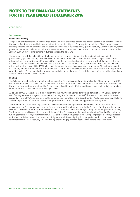continued

# **20. Pensions**

### **Group and Company**

The pension entitlements of employees arise under a number of defined benefit and defined contribution pension schemes, the assets of which are vested in independent trustees appointed by the Company for the sole benefit of employees and their dependents. Annual contributions are based on the advice of a professionally qualified actuary. Contributions payable to pension schemes and included in creditors at 31 December 2016 amounted to €3,452,000 (2015: €738,000) and were paid in January 2017. Employer contributions in 2017 are expected to be €46m.

The pension costs of the defined benefit schemes are assessed in accordance with the advice of an independent professionally qualified actuary. The most recent actuarial valuations, which took account of the changes to the normal retirement age, were carried out at 1 January 2016 using the projected unit credit method and at that date were sufficient to cover 98% of the accrued liabilities. The principal actuarial assumption was that, over the long term, the annual rate of return on investments would be 1.5% higher than the annual increase in pensionable remuneration. The actuarial valuation of 1 January 2016 recommended a contribution rate of 14.4% of pensionable remuneration in line with the funding proposal currently in place. The actuarial valuations are not available for public inspection but the results of the valuations have been advised to the members of the schemes.

## **Funding**

The Schemes are subject to an annual valuation under the Pensions Authority Minimum Funding Standard (MFS).The MFS valuation is intended as a check that a scheme has sufficient funds to provide a minimum level of benefits in the event that the scheme is wound-up. In addition, the Schemes are obliged to hold sufficient additional resources to satisfy the funding standard reserve as provided in section 44(2) of the Act.

As at 1 January 2013 the Schemes did not satisfy the Minimum Funding Standard, with a deficit of €311m. Consequently an MFS funding proposal was agreed between the Company, the Trustees and the Staff. This was approved by the Pensions Authority in May 2014. An amendment to the Schemes was submitted to the Department of Public Expenditure and Reform and the Department of Communications, Energy and Natural Resources and was approved in January 2015.

The amendments included an adjustment to the normal retirement age for certain members and to the definition of pensionable pay. The changes agreed to the Schemes have led to an improvement in the Schemes' funding position under MFS. At 31 December 2016, an estimated MFS position calculated a deficit of €67m (including the funding standard reserve). The funding proposal is currently on schedule to satisfy the Pension Authority's Minimum Funding Standard (including the funding standard reserve) by 31 December 2023. As part of the funding proposal the Company pledged a contingent asset which is a portfolio of properties it owns and it signed a resolution assigning these properties, with the approval of the relevant Departments in February 2015, confirming the funding agreement between the parties and the Trustees.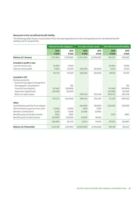# **Movement in the net defined benefit liability**

The following table shows a reconciliation from the opening balances to the closing balances for net defined benefit liability and its components.

|                                                         | <b>Defined benefit obligation</b> |               | Fair value of plan assets |               | Net defined benefit liability |               |  |
|---------------------------------------------------------|-----------------------------------|---------------|---------------------------|---------------|-------------------------------|---------------|--|
|                                                         | 2016<br>€'000                     | 2015<br>€'000 | 2016<br>€'000             | 2015<br>€'000 | 2016<br>€'000                 | 2015<br>€'000 |  |
| <b>Balance at 1 January</b>                             | 2,912,803                         | 3,039,860     | (2,743,600)               | (2,599,400)   | 169,203                       | 440,460       |  |
| Included in profit or loss                              |                                   |               |                           |               |                               |               |  |
| Current service cost                                    | 44,900                            | 47,100        |                           |               | 44,900                        | 47,100        |  |
| Interest cost/(credit)                                  | 71,830                            | 66,530        | (68, 200)                 | (56,900)      | 3,630                         | 9,630         |  |
|                                                         | 116,730                           | 113,630       | (68, 200)                 | (56,900)      | 48,530                        | 56,730        |  |
| Included in OCI                                         |                                   |               |                           |               |                               |               |  |
| Remeasurements<br>- Actuarial loss/(gain) arising from: |                                   |               |                           |               |                               |               |  |
| Demographic assumptions                                 |                                   | 100           |                           |               |                               | 100           |  |
| Financial assumptions                                   | 357,400                           | (147,900)     |                           |               | 357,400                       | (147,900)     |  |
| Experience adjustment                                   | (54,068)                          | (16, 566)     |                           |               | (54,068)                      | (16, 566)     |  |
| Return on plan assets                                   |                                   |               | (190, 132)                | (116, 734)    | (190, 132)                    | (116, 734)    |  |
|                                                         | 303,332                           | (164, 366)    | (190, 132)                | (116, 734)    | 113,200                       | (281,100)     |  |
| Other                                                   |                                   |               |                           |               |                               |               |  |
| Contributions paid by the employer                      |                                   |               | (46,600)                  | (45,900)      | (46,600)                      | (45,900)      |  |
| Administrative expenses from plan                       | (1,000)                           | (1,000)       | 1,000                     | 1,000         |                               |               |  |
| Member contributions                                    | 4,268                             | 4,066         | (4,268)                   | (4,066)       |                               |               |  |
| Benefits paid-unfunded scheme                           | (952)                             | (987)         |                           |               | (952)                         | (987)         |  |
| Benefits paid-funded scheme                             | (82, 800)                         | (78, 400)     | 82,800                    | 78,400        |                               |               |  |
|                                                         | (80, 484)                         | (76, 321)     | 32,932                    | 29,434        | (47, 552)                     | (46, 887)     |  |
| <b>Balance at 31 December</b>                           | 3,252,381                         | 2,912,803     | (2,969,000)               | (2,743,600)   | 283,381                       | 169,203       |  |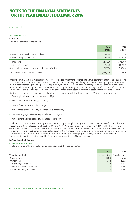# continued

## **20. Pensions** continued

### **Plan assets**

Plan assets comprise the following:

|                                                             | 2016<br>€'000 | 2015<br>€'000 |
|-------------------------------------------------------------|---------------|---------------|
| Equities: Global development markets                        | 1,315,644     | 1,171,870     |
| Equities: Emerging markets                                  | 136,156       | 120,430       |
| Equities: Total                                             | 1,451,800     | 1,292,300     |
| Bonds: Euro sovereign                                       | 899,600       | 832,500       |
| Other: Includes property, private equity and infrastructure | 617,600       | 618,800       |
| Fair value of pension schemes' assets                       | 2,969,000     | 2,743,600     |

Under the Trust Deed, the Trustees have full power to decide investment policy and to administer the funds at their disposal. The monies for investment are allocated to a number of investment managers and they each invest according to guidelines set out in an Investment Management Agreement approved by the Trustees. The investment managers provide detailed reports to the Trustees and investment performance is monitored on a regular basis by the Trustees. The majority of the assets of the Schemes are invested in equities and bonds. The remainder of the assets are invested in alternative asset classes, including property.

Five investment managers manage the following key mandates, which together account for 79% of the Schemes' assets:

- Passive global developed equity market SSgA;
- **•**  Active fixed interest mandate PIMCO;
- **•**  Passive fixed interest mandate SSgA;
- **•**  Active global small cap equity mandate Axa Rosenberg;
- **•**  Active emerging markets equity mandate JP Morgan;
- **•**  Active emerging markets equity mandate Heptagon.

In addition, the Trustees have property investments with SSgA, IPUT plc, Fidelity Investments, Rockspring PIM (LLP) and forestry investments with Irish Forestry Unit Trust (IforUT) and North American Forestry Investment Trust (NAFIT). The Trustees have committed to invest in a number of venture capital funds. The Trustees continue to invest in a number of alternative investments – in some cases the investment amount is called down by the manager over a period of time rather than an upfront investment. These investments include currency, infrastructure, direct lending, private equity and forestry. The Trustees also hold an investment in Premier Lotteries Ireland DAC, the company operating the National Lottery.

### **Defined benefit obligation**

## **(i) Actuarial assumptions**

The following were the principal actuarial assumptions at the reporting date:

|                                 | 2016  | 2015                          |
|---------------------------------|-------|-------------------------------|
| Valuation method                |       | Projected Unit Projected Unit |
| Discount rate                   | 1.80% | 2.50%                         |
| Inflation - CPI                 | 1.75% | 1.75%                         |
| Relevant wage inflation         | 1.25% | 1.25%                         |
| Increase to pensions in payment | 1.25% | 1.25%                         |
| Pensionable salary increases    | 1.25% | 1.25%                         |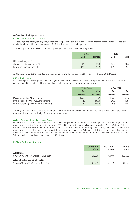### **Defined benefit obligation** continued

#### **(i) Actuarial assumptions** continued

The assumptions relating to longevity underlying the pension liabilities at the reporting date are based on standard actuarial mortality tables and include an allowance for future improvements in longevity.

The assumptions are equivalent to expecting a 65-year old to live to the following ages:

|                              | 2016 |               | 2015 |        |
|------------------------------|------|---------------|------|--------|
|                              | Male | <b>Female</b> | Male | Female |
| Life expectancy at 65        |      |               |      |        |
| Current pensioners - aged 65 | 87.0 | 89.0          | 86.9 | 88.9   |
| Future pensioners - aged 40  | 89.8 | 91.9          | 89.7 | 91.8   |

At 31 December 2016, the weighted average duration of the defined benefit obligation was 18 years (2015: 17 years).

#### **(ii) Sensitivity analysis**

Reasonable possible changes at the reporting date to one of the relevant actuarial assumptions, holding other assumptions constant, would have affected the defined benefit obligation by the amounts shown below.

|                                        | 31 Dec 2016 |                 | 31 Dec 2015     |                 |
|----------------------------------------|-------------|-----------------|-----------------|-----------------|
|                                        | €'m<br>€'m  |                 | €'m             | €'m             |
|                                        | Increase    | <b>Decrease</b> | <b>Increase</b> | <b>Decrease</b> |
| Discount rate (0.25% movement)         | (138.5)     | 144.7           | (117.3)         | 122.3           |
| Future salary growth (0.25% movement)  | 141.7       | (135.7)         | 120.6           | (115.8)         |
| Future pension growth (0.25% movement) | 141.7       | (135.7)         | 120.6           | (115.8)         |

Although the analysis does not take account of the full distribution of cash flows expected under the plan, it does provide an approximation of the sensitivity of the assumptions shown.

#### **An Post Pension Scheme Contingent Asset**

Under the terms of the plan to meet the Minimum Funding Standard requirements a mortgage and charge relating to certain property assets of the Company with a value of €72.5 million was put in place in favour of the An Post Pension Scheme ("the Scheme") for use as a contingent asset of the Scheme. Under the terms of the mortgage and charge, should a disposal of these property assets occur that meets the terms of the mortgage and charge, the Scheme is entitled to the sale proceeds, or for the assets sold to be replaced by other assets of an equal market value. The maximum amount recoverable by the Trustees of the Scheme under the mortgage and charge is €100 million.

#### **21. Share Capital and Reserves**

|                                                                                 | 31 Dec 2016<br>€'000 | 31 Dec 2015<br>€'000 | 1 Jan 2015<br>€'000 |
|---------------------------------------------------------------------------------|----------------------|----------------------|---------------------|
| Authorised:<br>80,000,000 Ordinary Shares of €1.25 each                         | 100,000              | 100.000              | 100.000             |
| Allotted, called up and fully paid:<br>54,590,946 Ordinary Shares of €1.25 each | 68,239               | 68.239               | 68,239              |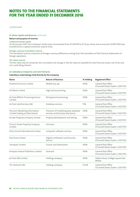# continued

# **21. Share Capital and Reserves** continued

## **Nature and purpose of reserves**

### **Undenominated capital**

On 14 January 2003, the Company's shares were renomalised from €1.269738 to €1.25 per share and an amount of €877,000 was transferred to a capital conversion reserve fund.

#### **Foreign currency translation reserve**

The translation reserve comprises all foreign currency differences arising from the translation of the financial statements of foreign operations.

#### **Fair value reserve**

The fair value reserve comprises the cumulative net change in the fair value of available for sale financial assets, net of tax and non-controlling interest.

# **22. Subsidiary Companies and Joint Ventures**

#### **Subsidiary undertakings held directly by the Company**

| <b>Name</b>                                                        | <b>Nature of Business</b>                                                  | % Holding | <b>Registered Office</b>                                    |
|--------------------------------------------------------------------|----------------------------------------------------------------------------|-----------|-------------------------------------------------------------|
| PostPoint Services Limited                                         | Mobile top ups                                                             | 100%      | General Post Office<br>O'Connell Street, Dublin 1, D01 F5P2 |
| PrintPost Limited                                                  | High volume printing                                                       | 100%      | General Post Office<br>O'Connell Street, Dublin 1, D01 F5P2 |
| An Post BillPost Processing Service<br>Limited                     | Bill payment processing                                                    | 100%      | General Post Office<br>O'Connell Street, Dublin 1, D01 F5P2 |
| An Post GeoDirectory DAC                                           | Database services                                                          | 51%       | General Post Office<br>O'Connell Street, Dublin 1, D01 F5P2 |
| Precision Marketing Information<br>Limited trading as Data Ireland | Provision of marketing data, database<br>services and business directories | 100%      | General Post Office<br>O'Connell Street, Dublin 1, D01 F5P2 |
| Arcade Property Company Limited                                    | Property development and letting                                           | 100%      | General Post Office<br>O'Connell Street, Dublin 1, D01 F5P2 |
| Prince's Street Property Company<br>Limited                        | Dormant                                                                    | 100%      | General Post Office<br>O'Connell Street, Dublin 1, D01 F5P2 |
| Post Consult International Limited                                 | Computer software services                                                 | 100%      | General Post Office<br>O'Connell Street, Dublin 1, D01 F5P2 |
| Post.Trust Limited                                                 | Digital certification and Security<br>Service                              | 100%      | General Post Office<br>O'Connell Street, Dublin 1, D01 F5P2 |
| Transpost Limited                                                  | Courier and distribution                                                   | 100%      | General Post Office<br>O'Connell Street, Dublin 1, D01 F5P2 |
| Kompass Ireland Publishers Limited                                 | Dormant                                                                    | 100%      | General Post Office<br>O'Connell Street, Dublin 1, D01 F5P2 |
| An Post (NI) Limited                                               | Holding company                                                            | 100%      | Stokes House, College Square East<br>Belfast                |
| <b>TSC Ventures DAC</b>                                            | Holding company                                                            | 53.6%     | General Post Office<br>O'Connell Street, Dublin 1, D01 F5P2 |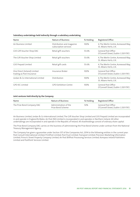#### **Subsidiary undertakings held indirectly through a subsidiary undertaking**

| Name                                                      | <b>Nature of Business</b>                          | % Holding | Registered Office                                             |
|-----------------------------------------------------------|----------------------------------------------------|-----------|---------------------------------------------------------------|
| Air Business Limited                                      | Distribution and magazine<br>subscription services | 100%      | 4, The Merlin Centre, Acrewood Way,<br>St. Albans Herts, U.K. |
| GVS Gift Voucher Shop DAC                                 | Retail gift vouchers                               | 53.6%     | General Post Office<br>O'Connell Street, Dublin 1, D01 F5P2   |
| The Gift Voucher Shop Limited                             | Retail gift vouchers                               | 53.6%     | 4, The Merlin Centre, Acrewood Way,<br>St. Albans Herts, U.K. |
| GVS Prepaid Limited                                       | Retail gift cards                                  | 53.6%     | 4, The Merlin Centre, Acrewood Way,<br>St. Albans Herts, U.K. |
| One Direct (Ireland) Limited<br>trading as Post Insurance | Insurance Broker                                   | 100%      | General Post Office<br>O'Connell Street, Dublin 1, D01 F5P2   |
| Jordan & Co International Limited                         | Distribution                                       | 100%      | 4, The Merlin Centre, Acrewood Way<br>St. Albans Herts, U.K.  |
| GPO IEC Limited                                           | <b>GPO Exhibition Centre</b>                       | 100%      | General Post Office<br>O'Connell Street, Dublin 1, D01 F5P2   |

#### **Joint ventures held directly by the Company**

| Name                       | Nature of Business                         | % Holding | Registered Office                                           |
|----------------------------|--------------------------------------------|-----------|-------------------------------------------------------------|
| The Prize Bond Company DAC | Administration of the<br>Prize Bond Scheme | 50%       | General Post Office<br>O'Connell Street, Dublin 1, D01 F5P2 |

Air Business Limited, Jordan & Co International Limited, The Gift Voucher Shop Limited and GVS Prepaid Limited are incorporated in and operate in England & Wales. An Post (NI) Limited is incorporated in and operates in Northern Ireland. All other undertakings are incorporated in and operate in the Republic of Ireland. All shareholdings consist of ordinary share capital.

The Prize Bond Company DAC carries on the business of administering the Prize Bond Scheme under contract from the National Treasury Management Agency.

The Company has given a guarantee under Section 357 of the Companies Act, 2014 to the following entities in the current year: Post Consult International Limited; PrintPost Limited; Post.Trust Limited; Transpost Limited; Precision Marketing Information Limited; Prince's Street Property Company Limited; An Post BillPost Processing Services Limited; Kompass Ireland Publishers Limited and PostPoint Services Limited.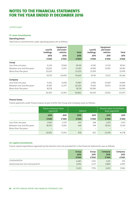# continued

# **23. Lease Commitments**

# **Operating leases**

Total future commitments under operating leases are as follows:

|                            | Land &    | Equipment<br>and motor   |              | Land &    | Equipment<br>and motor   |              |
|----------------------------|-----------|--------------------------|--------------|-----------|--------------------------|--------------|
|                            | buildings | vehicles                 | <b>Total</b> | buildings | vehicles                 | <b>Total</b> |
|                            | 2016      | 2016                     | 2016         | 2015      | 2015                     | 2015         |
|                            | €'000     | €'000                    | €'000        | €'000     | €'000                    | €'000        |
| Group                      |           |                          |              |           |                          |              |
| Less than one year         | 6,224     | 11,944                   | 18,168       | 6,042     | 12,120                   | 18,162       |
| Between one and five years | 20,926    | 12,555                   | 33,481       | 24,180    | 15,003                   | 39,183       |
| More than five years       | 23,020    | ۰                        | 23,020       | 23,919    |                          | 23,919       |
|                            | 50,170    | 24,499                   | 74,669       | 54,141    | 27,123                   | 81,264       |
| Company                    |           |                          |              |           |                          |              |
| Less than one year         | 4,302     | 11,678                   | 15,980       | 3,900     | 12,049                   | 15,949       |
| Between one and five years | 14,387    | 12,277                   | 26,664       | 15,645    | 14,953                   | 30,598       |
| More than five years       | 18,218    | $\overline{\phantom{a}}$ | 18,218       | 16,490    | $\overline{\phantom{a}}$ | 16,490       |
|                            | 36,907    | 23,955                   | 60,862       | 36,035    | 27,002                   | 63,037       |

# **Finance leases**

Future payments under finance leases at year end for the Group and Company were as follows:

|                            | Future minimum lease<br>payments |                          |                          | Interest | Present value of minimum<br>lease payments |        |  |
|----------------------------|----------------------------------|--------------------------|--------------------------|----------|--------------------------------------------|--------|--|
|                            | 2016                             | 2015                     | 2016                     | 2015     | 2016                                       | 2015   |  |
|                            | €'000                            | €'000                    | €'000                    | €'000    | €'000                                      | €'000  |  |
| Less than one year         | 5,906                            | 3,379                    | 430                      | 348      | 5,476                                      | 3,031  |  |
| Between one and five years | 18,950                           | 13,821                   | 448                      | 474      | 18,502                                     | 13,347 |  |
| More than five years       |                                  | $\overline{\phantom{0}}$ | $\overline{\phantom{a}}$ |          |                                            |        |  |
|                            | 24,856                           | 17,200                   | 878                      | 822      | 23,978                                     | 16,378 |  |

# **24. Capital Commitments**

Future capital expenditure approved by the directors but not provided for in the financial statements was as follows:

|                                   | <b>Group</b><br>2016<br>€'000 | Group<br>2015<br>€'000 | Company<br>2016<br>€'000 | Company<br>2015<br>€'000 |
|-----------------------------------|-------------------------------|------------------------|--------------------------|--------------------------|
| Contracted for                    | 6,685                         | 1,565                  | 5,015                    | 915                      |
| Authorised but not contracted for | 5,006                         | 6,211                  | 4,886                    | 6,091                    |
|                                   | 11,691                        | 7,776                  | 9,901                    | 7,006                    |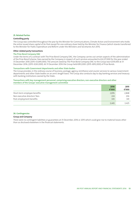#### **25. Related Parties**

#### **Controlling party**

The Group was controlled throughout the year by the Minister for Communications, Climate Action and Environment who holds the entire issued share capital of An Post except for one ordinary share held by the Minister for Finance (which stands transferred to the Minister for Public Expenditure and Reform under the Ministers and Secretaries Act 2011).

#### **Other related party transactions**

#### **The Prize Bond Company DAC**

Under the terms of a contract with The Prize Bond Company DAC, the Company carries out certain aspects of the administration of the Prize Bond Scheme. Fees earned by the Company in respect of such services amounted to €4,227,000 for the year ended 31 December 2016 (2015: €3,845,000). The amount owed by The Prize Bond Company DAC to the Group was €259,000 at 31 December 2016; (2015: €263,000). At 31 December 2016 the Group held €812,000: (2015: €812,000) of Prize Bonds.

#### **Transactions with Government departments and other State bodies**

The Group provides, in the ordinary course of business, postage, agency, remittance and courier services to various Government departments and other State bodies on an arm's length basis. The Group also conducts day to day banking services and treasury with banking institutions owned by the State..

#### **Transactions with key management personnel, comprising executive directors, non‑executive directors and other members of the Groups' executive management committee**

|                               | 2016  | 2015  |
|-------------------------------|-------|-------|
|                               | €'000 | €'000 |
| Short-term employee benefits  | 2,876 | 2,848 |
| Non executive directors' fees | 224   | 236   |
| Post-employment benefits      | 345   | 341   |
|                               | 3,445 | 3,425 |

#### **26. Contingencies**

### **Group and Company**

There were no contingent liabilities or guarantees at 31 December, 2016 or 2015 which could give rise to material losses other than as disclosed elsewhere in the financial statements.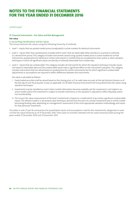continued

# **27. Financial Instruments – Fair Value and Risk Management**

## **Fair value**

## **A. Accounting classifications and fair values**

The Group measures fair values using the following hierarchy of methods:

- **•**  Level 1 Inputs that are quoted market prices (unadjusted) in active markets for identical instruments.
- Level 2 Inputs other than quoted prices included within Level 1 that are observable either directly (i.e. as prices) or indirectly (i.e. derived from prices). This category includes instruments valued using: quoted market prices in active markets for similar instruments; quoted prices for identical or similar instruments in markets that are considered less than active; or other valuation techniques in which all significant inputs are directly or indirectly observable from market data.
- **•**  Level 3 Inputs that are unobservable. This category includes all instruments for which the valuation technique includes inputs not based on observable data and the unobservable inputs have a significant effect on the instrument's valuation. This category includes instruments that are valued based on quoted prices for similar instruments but for which significant unobservable adjustments or assumptions are required to reflect differences between the instruments.

Fair value is calculated as follows:

- i. Freely traded securities shall be valued based on the closing price, or if no sales have occurred, at the last bid price thereon as of the last day of such fiscal quarter or year as applicable. For all other financial instruments the Group determines fair values using valuation techniques.
- ii. Investments may be classified as Level 2 when market information becomes available, yet the investment is not traded in an active market and/or the investment is subject to transfer restrictions, or the valuation is adjusted to reflect illiquidity and/or non-transferability.
- iii. The Group's fair value measurement of the level 3 investments is based on a model which may contain significant unobservable inputs. The relevant model is a net present value technique, derived from the price of a similar investment and or similar market borrowing/lending rates, depending on management's assessment of the most appropriate valuation methodology and inputs for that particular investment.

The table in note 27 part B summarises the quantitative inputs and assumptions used for the investments categorised in Level 3 of the fair value hierarchy as of 31 December 2016. There were no transfers between the fair value hierarchy levels during the years ended 31 December 2016 and 31 December 2015.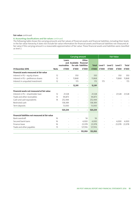### **Fair value** continued

# **A. Accounting classifications and fair values** continued

The following table shows the carrying amounts and fair values of financial assets and financial liabilities, including their levels in the fair value hierarchy. It does not include fair value information for financial assets and financial liabilities not measured at fair value if the carrying amount is a reasonable approximation of fair value. These financial assets and liabilities were classified as level 2.

|                                                  |             | <b>Carrying amount</b>   |                          |                               | <b>Fair Value</b> |                          |                          |         |              |
|--------------------------------------------------|-------------|--------------------------|--------------------------|-------------------------------|-------------------|--------------------------|--------------------------|---------|--------------|
|                                                  |             | Loans<br>receivables     | and Available financial  | Other<br>for sale liabilities | <b>Total</b>      | Level 1                  | Level 2                  | Level 3 | <b>Total</b> |
| 31 December 2016                                 | <b>Note</b> | €'000                    | €'000                    | €'000                         | €'000             | €'000                    | €'000                    | €'000   | €'000        |
| Financial assets measured at fair value          |             |                          |                          |                               |                   |                          |                          |         |              |
| Interest in PLI-equity shares                    | 12          |                          | 350                      | $\overline{a}$                | 350               |                          |                          | 350     | 350          |
| Interest in PLI - preference shares              | 12          | $\overline{\phantom{a}}$ | 11,868                   | $\overline{\phantom{m}}$      | 11,868            | $\overline{\phantom{a}}$ |                          | 11,868  | 11,868       |
| Interest in unquoted investment                  | 12          | $\overline{\phantom{a}}$ | 173                      | $\bar{\phantom{a}}$           | 173               | 173                      |                          |         | 173          |
|                                                  |             | $\overline{\phantom{a}}$ | 12,391                   | $\overline{\phantom{a}}$      | 12,391            |                          |                          |         |              |
| Financial assets not measured at fair value      |             |                          |                          |                               |                   |                          |                          |         |              |
| Interest in PLI - shareholder loan               | 12          | 21,528                   |                          | $\bar{\phantom{a}}$           | 21,528            |                          |                          | 21,528  | 21,528       |
| Trade and other receivables                      | 13          | 94,873                   |                          | $\overline{\phantom{a}}$      | 94,873            |                          |                          |         |              |
| Cash and cash equivalents                        | 14          | 252,444                  |                          | $\overline{\phantom{a}}$      | 252,444           |                          |                          |         |              |
| Restricted cash                                  |             | 138,389                  |                          | $\overline{\phantom{a}}$      | 138,389           |                          |                          |         |              |
| Term deposits                                    |             | 13,000                   |                          | $\overline{\phantom{a}}$      | 13,000            |                          |                          |         |              |
|                                                  |             | 520,234                  | $\overline{\phantom{0}}$ | $\overline{\phantom{a}}$      | 520,234           |                          |                          |         |              |
| Financial liabilities not measured at fair value |             |                          |                          |                               |                   |                          |                          |         |              |
| Bank overdraft                                   | 16          |                          |                          | 56                            | 56                |                          |                          |         |              |
| Secured bank loans                               | 16          |                          | $\overline{\phantom{a}}$ | 4,000                         | 4.000             |                          | $\overline{\phantom{a}}$ | 4,000   | 4,000        |
| Finance lease                                    | 16          |                          | $\overline{a}$           | 23,978                        | 23,978            |                          |                          | 23,978  | 23,978       |
| Trade and other payables                         | 15          |                          |                          | 127,916                       | 127,916           |                          |                          |         |              |
|                                                  |             |                          | $\overline{a}$           | 155,950                       | 155,950           |                          |                          |         |              |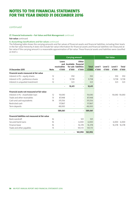continued

# **27. Financial Instruments – Fair Value and Risk Management** continued

#### **Fair value** continued

# **A. Accounting classifications and fair values** continued

The following table shows the carrying amounts and fair values of financial assets and financial liabilities, including their levels in the fair value hierarchy. It does not include fair value information for financial assets and financial liabilities not measured at fair value if the carrying amount is a reasonable approximation of fair value. These financial assets and liabilities were classified as level 2.

|                                                  |             | <b>Carrying amount</b>        |                                  |                                        |                       | <b>Fair Value</b>        |                          |                  |                       |
|--------------------------------------------------|-------------|-------------------------------|----------------------------------|----------------------------------------|-----------------------|--------------------------|--------------------------|------------------|-----------------------|
| 31 December 2015                                 | <b>Note</b> | Loans<br>receivables<br>€'000 | and Available financial<br>€'000 | Other<br>for sale liabilities<br>€'000 | <b>Total</b><br>€'000 | Level 1<br>€'000         | Level 2<br>€'000         | Level 3<br>€'000 | <b>Total</b><br>€'000 |
| Financial assets measured at fair value          |             |                               |                                  |                                        |                       |                          |                          |                  |                       |
| Interest in PLI-equity shares                    | 12          | $\overline{\phantom{a}}$      | 350                              | $\overline{\phantom{0}}$               | 350                   |                          | $\overline{\phantom{0}}$ | 350              | 350                   |
| Interest in PLI - preference shares              | 12          | $\overline{\phantom{a}}$      | 9,738                            | $\overline{\phantom{a}}$               | 9,738                 | $\overline{\phantom{a}}$ | $\overline{\phantom{a}}$ | 9,738            | 9,738                 |
| Interest in unquoted investment                  | 12          |                               | 323                              | $\overline{\phantom{a}}$               | 323                   |                          |                          | 323              | 323                   |
|                                                  |             | -                             | 10,411                           | $\blacksquare$                         | 10,411                |                          |                          |                  |                       |
| Financial assets not measured at fair value      |             |                               |                                  |                                        |                       |                          |                          |                  |                       |
| Interest in PLI - shareholder loan               | 12          | 19,690                        |                                  | $\overline{\phantom{a}}$               | 19,690                |                          |                          | 19,690 19,690    |                       |
| Trade and other receivables                      | 13          | 87,948                        |                                  | $\overline{\phantom{a}}$               | 87,948                |                          |                          |                  |                       |
| Cash and cash equivalents                        | 14          | 315,556                       |                                  | $\sim$                                 | 315,556               |                          |                          |                  |                       |
| Restricted cash                                  |             | 117,867                       |                                  | $\overline{\phantom{a}}$               | 117,867               |                          |                          |                  |                       |
| Term deposits                                    |             | 48,000                        | $\overline{\phantom{a}}$         | $\sim$                                 | 48,000                |                          |                          |                  |                       |
|                                                  |             | 589,061                       |                                  | $\blacksquare$                         | 589,061               |                          |                          |                  |                       |
| Financial liabilities not measured at fair value |             |                               |                                  |                                        |                       |                          |                          |                  |                       |
| Bank overdraft                                   | 16          |                               |                                  | 501                                    | 501                   |                          |                          |                  |                       |
| Secured bank loans                               | 16          |                               | $\overline{\phantom{a}}$         | 6,000                                  | 6,000                 |                          |                          |                  | 6,000 6,000           |
| Finance lease                                    | 16          |                               | $\overline{\phantom{a}}$         | 16,378                                 | 16,378                |                          |                          |                  | 16,378 16,378         |
| Trade and other payables                         | 15          |                               |                                  | 143,113                                | 143,113               |                          |                          |                  |                       |
|                                                  |             |                               |                                  | 165,992                                | 165,992               |                          |                          |                  |                       |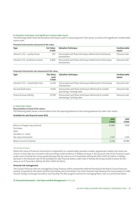#### **B. Valuation techniques and significant unobservable inputs**

The following tables show the valuation techniques used in measuring Level 3 fair values, as well as the significant unobservable inputs used.

#### **Financial instruments measured at fair value**

| <b>Type</b>                       | <b>Fair Value</b><br>€'000 | <b>Valuation Technique</b>                                                | Unobservable<br><b>Inputs</b> |
|-----------------------------------|----------------------------|---------------------------------------------------------------------------|-------------------------------|
| Interest in PLI - equity shares   | 350                        | Discounted cash flows technique referenced to third party<br>transactions | Discount rate                 |
| Interest in PLI-preference shares | 11.868                     | Discounted cash flows technique referenced to third party<br>transactions | Discount rate                 |

### **Financial instruments not measured at fair value**

| <b>Type</b>                        | <b>Fair Value</b><br>2016<br>€'000 | <b>Valuation Technique</b>                                                        | Unobservable<br><b>Inputs</b> |
|------------------------------------|------------------------------------|-----------------------------------------------------------------------------------|-------------------------------|
| Interest in PLI – shareholder loan | 21,258                             | Discounted cash flows technique referenced to third party<br>transactions         | Discount rate                 |
| Secured bank loans                 | 4,000                              | Discounted cash flows technique referenced to market<br>borrowing / lending rates | Discount rate                 |
| Financial lease liability          | 23,978                             | Discounted cash flows technique referenced to market<br>borrowing / lending rates | Discount rate                 |

# **C. Level 3 fair values**

# **Reconciliation of Level 3 fair values**

The following table shows a reconciliation from the opening balances to the closing balances for Level 3 fair values.

#### **Available for sale financial assets (PLI)**

|                                | 2016<br>€'000            | 2015<br>€'000 |
|--------------------------------|--------------------------|---------------|
| Balance at beginning of period | 10,088                   | 7,958         |
| Purchases                      | $\overline{\phantom{a}}$ |               |
| Sales                          | $\overline{\phantom{a}}$ |               |
| Transfers in / (out)           | $\overline{\phantom{a}}$ |               |
| Fair value movement            | 2,130                    | 2,130         |
| Balance at end of period       | 12,218                   | 10,088        |

#### *Sensitivity analysis*

Where the value of financial instruments is dependent on unobservable valuation models, appropriate models and inputs are chosen so that they are consistent with prevailing market evidence. A 100bps increase in the discount rate of the financial assets under Level 3 held by the Group would decrease the fair value as at 31 December 2016 by €0.245m (2015: €0.245m). A 100bps decrease in the discount rate of the available for sale financial assets under Level 3 held by the Group would increase the fair value as at 31 December 2016 by €0.261m (2015: €0.261m).

### **Financial risk management**

The Group's financial risks are managed by Group Treasury within parameters defined formally by the Board. Group Treasury's activity is reported to the Audit and Risk Committee and to the Board. The main financial risks faced by the Group relate to credit, interest, foreign exchange translation and liquidity. The Board agrees policies for managing these risks as summarised below.

#### **27. Financial Instruments – Fair Value and Risk Management** continued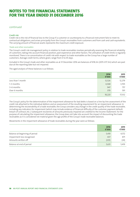# continued

## **Credit risk**

Credit risk is the risk of financial loss to the Group if a customer or counterparty to a financial instrument fails to meet its contractual obligations, and arises principally from the Group's receivables from customers and from cash and cash equivalents. The carrying amount of financial assets represents the maximum credit exposure.

### *Trade and other receivables*

The Group's credit risk management policy in relation to trade receivables involves periodically assessing the financial reliability of customers, taking into account financial position, past experience and other factors. The utilisation of credit limits is regularly monitored. There is no concentration of credit risk with respect to trade receivables as the Group has a large number of customers. Average credit terms, where given, range from 0 to 45 days.

Included in the Group's trade and other receivables as at 31 December 2016 are balances of €18.2m (2015: €17.3m) which are past due at the reporting date but not impaired.

The aged analysis of these balances is as follows:

|                   | 2016<br>€'000 | 2015<br>€'000 |
|-------------------|---------------|---------------|
| Less than 1 month | 12,526        | 12,279        |
| 1-3 months        | 4,368         | 3,705         |
| 3-6 months        | 947           | 757           |
| Over 6 months     | 379           | 591           |
|                   | 18,220        | 17,332        |

The Group's policy for the determination of the impairment allowance for bad debts is based on a line-by-line assessment of the credit risk attached to the individual debtors and an assessment of the resulting requirement for an impairment allowance. In determining the recoverability of a trade receivable, the Group considers any change in the credit quality of the trade receivable, including any indicators for impairment (which may include evidence of financial difficulty of the customer, payment default, breach of contract, etc.). Subsequent recoveries of amounts previously impaired are credited to the Income Statement. For the purpose of calculating the impairment allowance, the Group does not take into account the impact of discounting the trade receivables as it is considered not material given the age profile of the Group's trade receivable balances.

Movements in the impairment allowance of trade receivables during the year were as follows:

|                                | 2016<br>€'000 | 2015<br>€'000 |
|--------------------------------|---------------|---------------|
| Balance at beginning of period | 5,419         | 4,572         |
| Impairment loss recognised     | 437           | 871           |
| Amounts written off            | (225)         | (24)          |
| Balance at end of period       | 5,631         | 5,419         |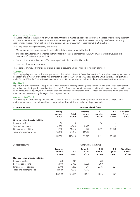### *Cash and cash equivalents*

The Board establishes the policy which Group Treasury follows in managing credit risk. Exposure is managed by distributing the credit risk, where possible, across banks or other institutions meeting required standards as assessed normally by reference to the major credit rating agencies. The Group held cash and cash equivalents of €252m at 31 December 2016 (2015: €315m).

The Group's cash management policy is as follows:

- **•**  Money is only placed on deposit with the list of institutions as approved by the Board
- The risk is spread amongst the named institutions so that there is no more than 40% with any one institution, subject to a maximum of the Board approved limit
- **•**  No more than a defined amount of funds on deposit with the two Irish pillar banks
- **•**  Keep the risk profile under review

These policies are regularly monitored to ensure credit exposure to any one financial institution is limited.

#### *Guarantees*

The Group's policy is to provide financial guarantees only to subsidiaries. At 31 December 2016, the Company has issued a guarantee to Bank of Ireland in respect of credit facilities granted in relation to TSC Ventures DAC. In addition, the Group has provided a guarantee under Section 357 of the Companies Act 2014 to a number of its subsidiaries as disclosed in the subsidiary and joint ventures note.

#### **Liquidity risk**

Liquidity risk is the risk that the Group will encounter difficulty in meeting the obligations associated with its financial liabilities that are settled by delivering cash or another financial asset. The Group's approach to managing liquidity is to ensure, as far as possible, that it will have sufficient liquidity to meet its liabilities when they are due, under both normal and stressed conditions, without incurring unacceptable losses or risking damage to the Group's reputation.

#### *Exposure to liquidity risk*

The following are the remaining contractual maturities of financial liabilities at the reporting date. The amounts are gross and undiscounted, and include estimated interest payments and exclude the impact of netting agreements.

| 31 December 2016                     | <b>Contractual cash flows</b> |                       |                              |                             |                           |                               |  |  |
|--------------------------------------|-------------------------------|-----------------------|------------------------------|-----------------------------|---------------------------|-------------------------------|--|--|
|                                      | Carrying<br>amount<br>€'000   | <b>Total</b><br>€'000 | 2 months<br>or less<br>€'000 | $2 - 12$<br>months<br>€'000 | $1 - 5$<br>years<br>€'000 | More than<br>5 years<br>€'000 |  |  |
| Non-derivative financial liabilities |                               |                       |                              |                             |                           |                               |  |  |
| Bank overdrafts                      | 56                            | 56                    | $\overline{\phantom{a}}$     | 56                          | ٠                         |                               |  |  |
| Secured bank loans                   | 4.000                         | 4.000                 | 4,000                        | $\overline{\phantom{a}}$    | ۰                         |                               |  |  |
| Finance lease liabilities            | 23,978                        | 24,856                | 1,427                        | 4,479                       | 18,950                    |                               |  |  |
| Trade and other payables             | 127,916                       | 127,916               | 127,916                      | $\sim$                      | ۰                         |                               |  |  |
|                                      | 155,950                       | 156.828               | 133,343                      | 4,535                       | 18,950                    |                               |  |  |

| 31 December 2015                     | <b>Contractual cash flows</b> |                |                              |                             |                           |                               |  |  |
|--------------------------------------|-------------------------------|----------------|------------------------------|-----------------------------|---------------------------|-------------------------------|--|--|
|                                      | Carrying<br>amount<br>€'000   | Total<br>€'000 | 2 months<br>or less<br>€'000 | $2 - 12$<br>months<br>€'000 | $1 - 5$<br>years<br>€'000 | More than<br>5 years<br>€'000 |  |  |
| Non-derivative financial liabilities |                               |                |                              |                             |                           |                               |  |  |
| Bank overdrafts                      | 501                           | 501            | $\sim$                       | 501                         | $\overline{\phantom{a}}$  |                               |  |  |
| Secured bank loans                   | 6,000                         | 6.000          | 5,000                        | 1.000                       |                           | $\overline{\phantom{a}}$      |  |  |
| Finance lease liabilities            | 16,378                        | 17,200         | 844                          | 2.535                       | 13,821                    |                               |  |  |
| Trade and other payables             | 143,113                       | 143,113        | 143,113                      |                             |                           |                               |  |  |
|                                      | 165,992                       | 166.814        | 148.957                      | 4.036                       | 13.821                    |                               |  |  |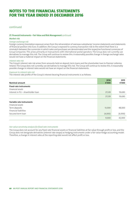continued

### **27. Financial Instruments – Fair Value and Risk Management** continued

### **Market risk**

### *Foreign exchange risk*

Foreign currency translation exposure arises from the retranslation of overseas subsidiaries' income statements and statements of financial position into Euro. In addition, the Group is exposed to currency transaction risk to the extent that there is a mismatch between the currencies in which sales and purchases are denominated and the respective functional currencies of Group Companies. This arises primarily on transactions with international postal operators. The Group does not currently use derivatives to manage this risk. The Group will continue to review this. A reasonably possible change in foreign exchange rates would not have a material impact on the financial statements.

# *Interest rate risk*

The Group's interest rate risk arises from amounts held on deposit, term loans and the shareholder loan to Premier Lotteries Ireland. The Group does not currently use derivatives to manage this risk. The Group will continue to review this. A reasonably possible change in interest rates would not have an impact on the financial statements.

# *Exposure to interest rate risk*

The interest rate profile of the Group's interest-bearing financial instruments is as follows:

| <b>Nominal amount</b>              | 2016<br>€'000 | 2015<br>€'000 |
|------------------------------------|---------------|---------------|
| <b>Fixed-rate instruments</b>      |               |               |
| Financial assets                   |               |               |
| Interest in PLI - shareholder loan | 21,528        | 19,690        |
|                                    | 21,528        | 19,690        |
| Variable rate instruments          |               |               |
| Financial assets                   |               |               |
| Term deposits                      | 13,000        | 48,000        |
| <b>Financial liabilities</b>       |               |               |
| Secured term loan                  | (4,000)       | (6,000)       |
|                                    | 9,000         | 42,000        |

## *Fair value sensitivity analysis for fixed‑rate instruments*

The Group does not account for any fixed-rate financial assets or financial liabilities at fair value through profit or loss, and the Group does not designate derivatives (interest rate swaps) as hedging instruments under a fair value hedge accounting model. Therefore, a change in interest rates at the reporting date would not affect profit or loss.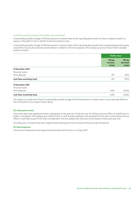### *Cash flow sensitivity analysis for variable‑rate instruments*

A reasonably possible change of 100 basis points in interest rates at the reporting date would not have a material impact on equity or the profit or loss in relation to the secured term loan.

A reasonably possible change of 100 basis points in interest rates at the reporting date would have increased (decreased) equity and profit or loss by the amounts shown below in relation to the term deposits. This analysis assumes that all other variables remain constant.

|                             |                             | <b>Profit or loss</b>       |
|-----------------------------|-----------------------------|-----------------------------|
|                             | 100 bp<br>increase<br>€'000 | 100 bp<br>decrease<br>€'000 |
| 31 December 2016            |                             |                             |
| Financial assets            |                             |                             |
| Term deposits               | 977                         | (977)                       |
| Cash flow sensitivity (net) | 977                         | (977)                       |
| 31 December 2015            |                             |                             |
| Financial assets            |                             |                             |
| Term deposits               | 1,492                       | (1, 492)                    |
| Cash flow sensitivity (net) | 1,492                       | (1, 492)                    |

The impact on equity net of tax of a reasonably possible change of 100 bases points in interest rates is not materially different from the profit or loss impact shown above.

### **28. Subsequent events**

There have been two significant events subsequent to the year end. Firstly the sale of a Delivery Service Office at Cardiff Lane in Dublin 2 completed. The building was sold for €35m in cash and the developer also provided An Post with a new Delivery Service Office in East Wall as part of the sales consideration. This has added cash resources to the balance sheet post year end.

Secondly, price increases have been implemented subsequent to the removal of the price cap mechanism.

#### **29. Board approval**

The financial statements were approved by the Board of Directors on 27 April 2017.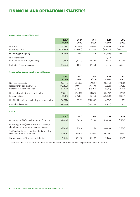# FINANCIAL AND OPERATIONAL STATISTICS

# **Consolidated Income Statement**

|                                                     | 2016*<br>€'000        | 2015*<br>€'000        | 2014*<br>€'000        | 2013<br>€'000         | 2012<br>€'000         |
|-----------------------------------------------------|-----------------------|-----------------------|-----------------------|-----------------------|-----------------------|
| Revenue<br>Operating costs                          | 825.652<br>(839, 348) | 826.069<br>(820, 907) | 815.448<br>(813, 019) | 811.693<br>(823, 156) | 807,295<br>(824, 779) |
| <b>Operating profit/(loss)</b>                      | (13, 696)             | 5,162                 | 2,429                 | (11, 463)             | (17, 484)             |
| Exceptional items<br>Other finance income/(expense) | (1, 962)              | (6,235)               | ٠<br>(6, 793)         | 17.149<br>2,860       | (19, 750)             |
| Profit/(loss) before taxation                       | (15, 658)             | (1,073)               | (4,364)               | 8,546                 | (37,234)              |

# **Consolidated Statement of Financial Position**

|                                                      | 2016*      | 2015*      | 2014*      | 2013       | 2012      |
|------------------------------------------------------|------------|------------|------------|------------|-----------|
|                                                      | €'000      | €'000      | €'000      | €'000      | €'000     |
| Non-current assets                                   | 292.526    | 294.333    | 292.307    | 280,369    | 294,785   |
| Net current (liabilities)/assets                     | (48, 463)  | (33,074)   | (39, 693)  | (2,206)    | 29,253    |
| Other non-current liabilities                        | (57,004)   | (56, 925)  | (56, 956)  | (53, 911)  | (26, 712) |
| Net assets excluding pension liability               | 187,059    | 204.334    | 195.658    | 224.252    | 297,326   |
| Pension liability                                    | (283, 381) | (169, 203) | (440,460)  | (229, 206) | (284,620) |
| Net (liabilities)/assets including pension liability | (96, 322)  | 35,131     | (244, 802) | (4, 954)   | 12,706    |
| Capital and reserves                                 | (96, 322)  | 35,131     | (244, 802) | (4, 954)   | 12,706    |

# **Ratios**

|                                                                                                                                                 | 2016*      | $2015*$ | $2014*$ | 2013       | 2012    |
|-------------------------------------------------------------------------------------------------------------------------------------------------|------------|---------|---------|------------|---------|
| Operating profit/(loss) above as % of revenue                                                                                                   | $(1.66\%)$ | 0.62%   | 0.30%   | $(1.40\%)$ | (2.17%) |
| Operating profit/(loss) above as % of average<br>shareholders' funds before pension liability<br>Staff and postmasters' costs as % of operating | $(7.00\%)$ | 2.58%   | 1.16%   | $(4.40\%)$ | (5.67%) |
| costs before exceptional item                                                                                                                   | 66.91%     | 67.36%  | 67.94%  | 68.08%     | 69.58%  |
| Current assets as % of current liabilities                                                                                                      | 91.30%     | 94.73%  | 92.69%  | 98.7%      | 115.1%  |

\* 2016, 2015 and 2014 balances are presented under IFRS while 2012 and 2013 are presented under Irish GAAP.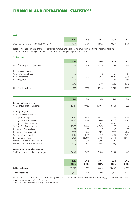# FINANCIAL AND OPERATIONAL STATISTICS\*

#### **Mail**

|                                           | 2016 | 2015  | 2014  | 2013  | 2012  |
|-------------------------------------------|------|-------|-------|-------|-------|
| Core mail volume index (2015=100) (note1) | 94.8 | 100.0 | 103.0 | 106.5 | 108.6 |

Note 1: This index reflects changes in core mail revenue and excludes revenue from elections, referenda, foreign administrations in each year as well as the impact of changes to published tariffs.

# **System Size**

|                                   | 2016  | 2015  | 2014  | 2013  | 2012  |
|-----------------------------------|-------|-------|-------|-------|-------|
| No. of delivery points (millions) | 2.249 | 2.248 | 2.245 | 2.238 | 2.236 |
| Post office network:              |       |       |       |       |       |
| Company post offices              | 50    | 51    | 52    | 57    | 57    |
| Sub-post offices                  | 1,075 | 1,079 | 1.086 | 1.090 | 1,095 |
| Postal agencies                   | 111   | 121   | 132   | 141   | 166   |
|                                   | 1,236 | 1,251 | 1.270 | 1,288 | 1,318 |
| No. of motor vehicles             | 2,776 | 2,758 | 2.738 | 2,743 | 2,775 |

|                                        | €m       | €m      | €m       | €m       | €m      |
|----------------------------------------|----------|---------|----------|----------|---------|
| <b>Savings Services (note 2)</b>       |          |         |          |          |         |
| Value of Funds at 31 December          | 20,119   | 19,453  | 19,055   | 18,163   | 16,276  |
| <b>Activity for year</b>               |          |         |          |          |         |
| Post Office Savings Services           |          |         |          |          |         |
| Savings Bank Deposits                  | 1,060    | 1,018   | 1,054    | 1,141    | 1,195   |
| Savings Bank Withdrawals               | (904)    | (926)   | (1,038)  | (1, 272) | (967)   |
| Savings Certificates issued            | 1,168    | 1,132   | 1,177    | 1,806    | 1,053   |
| Savings Certificates repaid            | (1, 347) | (1,470) | (1, 341) | (713)    | (558)   |
| Instalment Savings issued              | 97       | 97      | 97       | 96       | 97      |
| Instalment Savings repaid              | (105)    | (104)   | (110)    | (105)    | (116)   |
| Savings Bonds issued                   | 1,116    | 1,345   | 1,227    | 1,739    | 2,257   |
| Savings Bonds repaid                   | (1, 849) | (2,289) | (1, 594) | (2, 151) | (1,603) |
| National Solidarity Bond issued        | 991      | 1,054   | 869      | 790      | 412     |
| National Solidarity Bond repaid        | (322)    | (208)   | (57)     | (38)     | (23)    |
| <b>Department of Social Protection</b> |          |         |          |          |         |
| Welfare benefits paid during the year  | 8,000    | 8,418   | 8,814    | 9,169    | 9,445   |
|                                        |          |         |          |          |         |
|                                        | 2016     | 2015    | 2014     | 2013     | 2012    |
|                                        | 000's    | 000's   | 000's    | 000's    | 000's   |
| <b>BillPay Volumes</b>                 | 19,760   | 22,895  | 24,403   | 24,400   | 26,395  |

Note 2: The assets and liabilities of the Savings Services vest in the Minister for Finance and accordingly are not included in the financial statements of the Company.

**TV Licence Sales** 1,445 1,438 1,431 1,427 1,412

\*The statistics shown on this page are unaudited.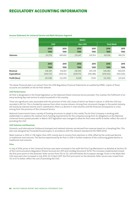# REGULATORY ACCOUNTING INFORMATION

#### **Income Statement for Universal Service and Mails Business Segment**

|                | <b>MAILS</b> |         |                |         |                    |         |
|----------------|--------------|---------|----------------|---------|--------------------|---------|
|                | <b>USO</b>   |         | <b>Non USO</b> |         | <b>Total Mails</b> |         |
|                | 2016         | 2015    | 2016           | 2015    | 2016               | 2015    |
|                | '000'        | 000'    | '000           | '000    | '000               | '000    |
| <b>Volumes</b> | 331,759      | 349,492 | 235,347        | 230,763 | 567,106            | 580,255 |

|                    | 2016       | 2015       | 2016       | 2015       | 2016       | 2015      |
|--------------------|------------|------------|------------|------------|------------|-----------|
|                    | '000       | 000'       | '000       | '000       | '000       | '000      |
| Revenue            | 328,383    | 336,821    | 218,599    | 203.218    | 546,982    | 540,039   |
| <b>Expenditure</b> | (369, 721) | (369, 112) | (209, 571) | (196, 188) | (579, 292) | (565,300) |
| Profit/(loss)      | (41, 338)  | (32, 291)  | 9,028      | 7.030      | (32, 310)  | (25, 261) |

The above financial data is an extract from the 2016 Regulatory Financial Statements as audited by KPMG. Copies of these accounts are available on the An Post website.

#### **USO Performance**

An Post is designated in the Postal legislation as the National Postal Universal Service provider. This involves the fulfilment of an every working day mail service to every household in the country.

There are significant costs associated with the provision of the USO, many of which are fixed in nature. In 2016 the USO loss recorded is €41.3m. This is funded by revenue from other income streams. Arising from structural changes in the postal industry, led mainly by reduced volume and e-substitution, there is a decline in mail volumes and the financial consequence is a loss arising from the provision of the Universal Service.

National Governments have a variety of funding structures to adapt to this reality. The An Post Company is working with stakeholders to address the medium term funding requirements for the company arising from its obligations as the National Universal Service postal provider. In March 2017 legislation was changed to allow An Post move tariffs to better reflect the cost of providing the USO.

#### **USO Volumes and Revenues**

Domestic and International Outbound stamped and metered volumes are derived from revenue based on a Sampling Plan. This plan was designed by PricewaterhouseCoopers in accordance with the relevant standard (IS:EN 13850:2012).

Mails revenue in 2016 is 1.3% higher than 2015, mainly due to income from elections in 2016, offset by the continued decline in traditional mail volumes. The decline experienced by An Post in 2016 is further evidence of the continuing global decline in traditional mail volumes.

#### **Price**

In July of 2016, prices in the Universal Services area were increased in line with the Price Cap Mechanism as detailed at Section 30 of the Communications Regulation (Postal Services) Act 2011 and ComReg Document 14/59. The increases implemented moved the first price point on the domestic letter service from 70c to 72c, still well below the European average. Prices in the Mails Non USO area were also increased in July 2016. On 13 April 2017, the first price point on the domestic letter service was moved from 72c to €1 to better reflect the cost of providing the USO.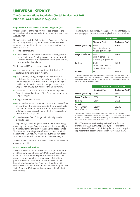# UNIVERSAL SERVICE

# **The Communications Regulation (Postal Services) Act 2011 ('the Act') was enacted in August 2011**

# **Requirements of the Universal Service Obligation ('USO')**

Under Section 17 of the Act, An Post is designated as the Universal Postal Service Provider for a period of 12 years until August 2023.

Under Section 16 of the Act, "Universal Postal Service" means that on every working day, except in such circumstances or geographical conditions deemed exceptional by ComReg, there is at least:

- (i) one clearance, and
- (ii) one delivery to the home or premises of every person in the State or, as ComReg considers appropriate, under such conditions as it may determine from time to time, to appropriate installations.

The following USO services are provided:

- (a) the clearance, sorting, transport and distribution of postal packets up to 2kg in weight;
- (b)the clearance, sorting, transport and distribution of postal parcels to a weight limit to be specified by order of ComReg (or in the absence of this 20kg). ComReg has decided not to use its power to change the maximum weight limit of 20kg but will keep this under review;
- (c) the sorting, transportation and distribution of parcels from other Member States of the European Union up to 20kg in weight;
- (d)a registered items service;
- (e) an insured items service within the State and to and from all countries which, as signatories to the Universal Postal Convention of the Universal Postal Union, declare their willingness to admit such items whether reciprocally or in one direction only; and
- (f) postal services free of charge to blind and partially sighted persons.

As required by Section 16(9) of the Act, in July 2012 ComReg made regulations specifying the services to be provided by An Post relating to the provision of the universal postal service. The Communication Regulation (Universal Postal Services) Regulations, S.I. 280 of 2012 which sets out these services is available on www.irishstatutebook.ie or www.comreg.ie.

The terms and conditions of Universal Services are available on www.anpost.ie

### **Access to Universal Services**

An Post provides access to its services through its network of 50 Company post offices and 1,075 Contract post offices. In addition, some 957 retail premises are licensed to sell postage stamps, as active licensed agents. To facilitate physical access to the service, approximately 5,700 post boxes, including Meter Post Boxes and those located in Delivery Service Units, are distributed widely throughout the State. There are 43 designated acceptance points for bulk mail services.

## **Tariffs**

The following is a summary of the prices for standard services weighing up to 100g which were applicable since 13 April 2017.

|                    | <b>Ireland &amp; NI</b>                                 |                         |  |  |  |  |
|--------------------|---------------------------------------------------------|-------------------------|--|--|--|--|
|                    | <b>Standard Post</b>                                    | <b>Registered Post*</b> |  |  |  |  |
| Letters (up to C5) | £1.00<br>90c if item bears a<br>franking impression     | £700                    |  |  |  |  |
| Large Envelopes    | €1.65<br>$£1.55$ if item bears<br>a franking impression | £700                    |  |  |  |  |
| <b>Packets</b>     | £3.30<br>$£3.10$ if item bears a<br>franking impression | £700                    |  |  |  |  |
| <b>Parcels</b>     | €8.00                                                   |                         |  |  |  |  |

\*The fee payable for the basic registered service covers compensation up to a maximum of €320. Further compensation (non Universal Service) up to a limit of €1,500 is available for €4.50 and up to a limit of €2,000 for €5.50 based on declared value at time of posting.

|                        | <b>International Destinations</b> |                         |
|------------------------|-----------------------------------|-------------------------|
|                        | <b>Standard Post</b>              | <b>Registered Post*</b> |
| Letters (up to C5)     | €1.35                             | €750                    |
| <b>Large Envelopes</b> | €2.50                             | €8.50                   |
| <b>Packets</b>         | €4.50                             | €10.75                  |
| <b>Parcels</b>         |                                   |                         |
| Great Britain          | €22.50                            | €30.00                  |
| Rest of World          | €28.00                            | €36.00                  |

\*Availability of service dependent on postal administration in destination country. Compensation up to €320 in GB; €150 in Europe; €100 for parcels and €35 for letters outside Europe. A full list of current USO tariffs is available in the Guide to Postal Rates (see www.anpost.ie).

Note: The Communications Regulation (Postal Services) (Amendment) Act 2017 was passed by the Houses of the Oireachtas on 15 March 2017, this legislation repeals the price cap mechanism set out under Section 30 of the 2011 Act.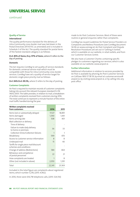# UNIVERSAL SERVICE

# **Quality of Service**

### **International**

The quality performance standard for the delivery of intra-Community cross-border mail was laid down in the Postal Directives (97/67/EC as amended) and is included in Schedule 3 of the Act. The quality standard for postal items of the fastest standard category is as follows:

### **D+3: 85% of items; D+5: 97% of items**, where D refers to the day of posting.

### **Domestic**

The Act requires ComReg to set quality-of-service standards for domestic universal service mail which must be compatible with those for intra-Community cross-border services. ComReg have set a quality-of-service target for domestic single piece priority mail as follows:

**D+1: 94% D+3: 99.5%,** where D refers to the day of posting.

### **Customer Complaints**

An Post is required to maintain records of customer complaints taking into account the relevant European standard IS: EN 14012:2003. The table provides, in relation to mail, a breakdown of written complaints received from customers during 2016. The total continues to represent a minute fraction of the entire mail traffic handled during the year.

| Written complaints received<br>from customers                    | 2016         | 2015   |
|------------------------------------------------------------------|--------------|--------|
|                                                                  |              |        |
| Items lost or substantially delayed                              | 17,127       | 18,891 |
| Items damaged                                                    | 1,390        | 1,441  |
| Items arriving late                                              | 508          | 401    |
| Mail collection or delivery:                                     |              |        |
| Time of delivery                                                 |              |        |
| Failure to make daily delivery<br>to home or premises            | 36           | 33     |
| Collection times/Collection failures                             | 1            |        |
| Misdelivery                                                      | 599          | 470    |
| Access to customer service information                           | $\mathsf{R}$ | 8      |
| Underpaid mail                                                   | 15           | 40     |
| Tariffs for single piece mail/discount<br>schemes and conditions |              |        |
| Change of address (Redirections)                                 | 584          | 464    |
| Behaviour and competence<br>of postal personnel                  | 22           | 21     |
| How complaints are treated                                       | 1            | 8      |
| Other (not included in above)                                    | 2,050        | 1,391  |
| Total                                                            | 22,341       | 23,169 |

Included in the total figure are complaints about registered items, which number 5,278, (2015: 4,962).

In 2016, there were 616,718 telephone calls, (2015: 524,154)

made to An Post Customer Services. Most of these were routine or general enquiries rather than complaints.

ComReg has issued Guidelines for Postal Service Providers on Complaints and Redress Procedures (see ComReg document 14/06 on www.comreg.ie). An Post Complaint and Dispute Resolution Procedures are set out in 'Getting it Sorted', which is available on our website, in retail outlets, and from our Customer Services Centre.

We also have a Customer Charter, containing specific pledges to customers regarding our services, which is also available on our website; www.anpost.ie.

### **Further Information**

Additional information in relation to services provided by An Post is available by phoning An Post Customer Services on CallSave 1850 57 58 59, by email at customer.services@ anpost.ie, by visiting www.anpost.ie, or by calling into any post office.